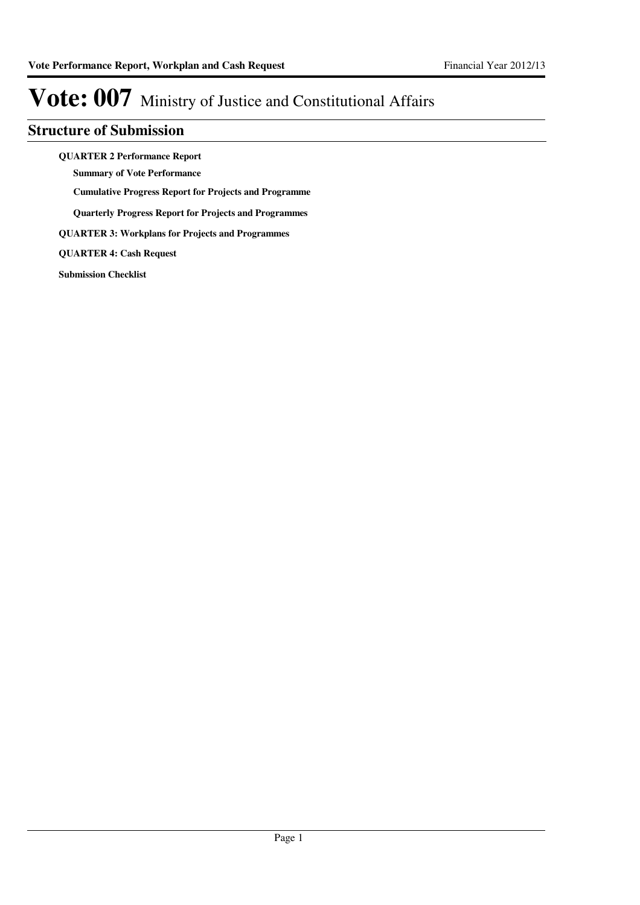### **Structure of Submission**

**QUARTER 2 Performance Report**

**Summary of Vote Performance**

**Cumulative Progress Report for Projects and Programme**

**Quarterly Progress Report for Projects and Programmes**

**QUARTER 3: Workplans for Projects and Programmes**

**QUARTER 4: Cash Request**

**Submission Checklist**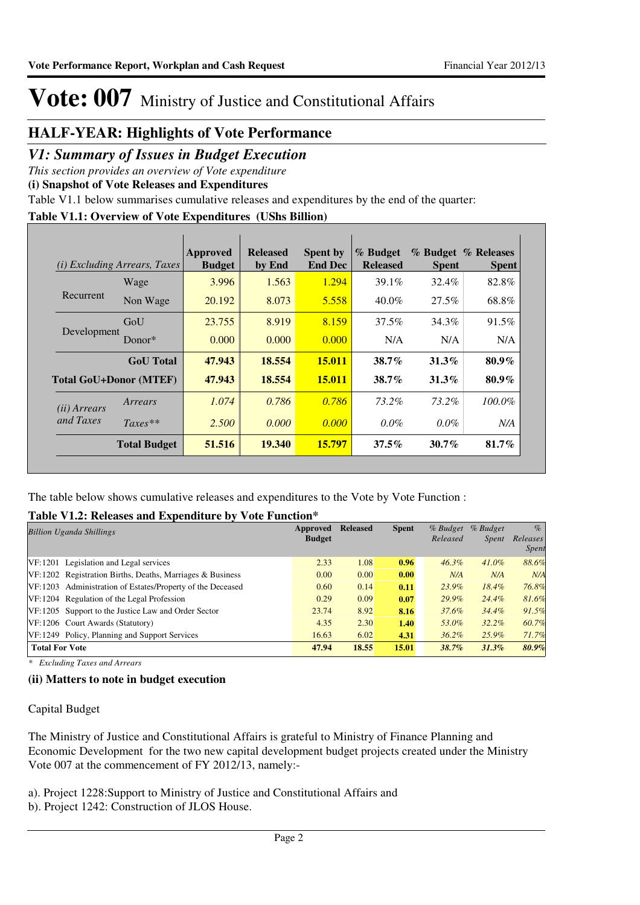### **HALF-YEAR: Highlights of Vote Performance**

### *V1: Summary of Issues in Budget Execution*

*This section provides an overview of Vote expenditure* 

**(i) Snapshot of Vote Releases and Expenditures**

Table V1.1 below summarises cumulative releases and expenditures by the end of the quarter:

### **Table V1.1: Overview of Vote Expenditures (UShs Billion)**

| (i)                   | <i>Excluding Arrears, Taxes</i> | Approved<br><b>Budget</b> | <b>Released</b><br>by End | <b>Spent by</b><br><b>End Dec</b> | % Budget<br><b>Released</b> | <b>Spent</b> | % Budget % Releases<br><b>Spent</b> |
|-----------------------|---------------------------------|---------------------------|---------------------------|-----------------------------------|-----------------------------|--------------|-------------------------------------|
|                       | Wage                            | 3.996                     | 1.563                     | 1.294                             | 39.1%                       | 32.4%        | 82.8%                               |
| Recurrent             | Non Wage                        | 20.192                    | 8.073                     | 5.558                             | $40.0\%$                    | $27.5\%$     | 68.8%                               |
|                       | GoU                             | 23.755                    | 8.919                     | 8.159                             | 37.5%                       | 34.3%        | 91.5%                               |
| Development           | Donor $*$                       | 0.000                     | 0.000                     | 0.000                             | N/A                         | N/A          | N/A                                 |
|                       | <b>GoU</b> Total                | 47.943                    | 18.554                    | <b>15.011</b>                     | $38.7\%$                    | $31.3\%$     | $80.9\%$                            |
|                       | <b>Total GoU+Donor (MTEF)</b>   | 47.943                    | 18.554                    | <b>15.011</b>                     | $38.7\%$                    | $31.3\%$     | $80.9\%$                            |
| ( <i>ii</i> ) Arrears | Arrears                         | 1.074                     | 0.786                     | 0.786                             | 73.2%                       | $73.2\%$     | $100.0\%$                           |
| and Taxes             | $Taxes**$                       | 2.500                     | 0.000                     | 0.000                             | $0.0\%$                     | $0.0\%$      | N/A                                 |
|                       | <b>Total Budget</b>             | 51.516                    | 19.340                    | 15.797                            | $37.5\%$                    | $30.7\%$     | $81.7\%$                            |

The table below shows cumulative releases and expenditures to the Vote by Vote Function :

### **Table V1.2: Releases and Expenditure by Vote Function\***

| Approved      | <b>Released</b> | <b>Spent</b> | $%$ Budget | % Budget     | $\%$         |
|---------------|-----------------|--------------|------------|--------------|--------------|
| <b>Budget</b> |                 |              | Released   | <i>Spent</i> | Releases     |
|               |                 |              |            |              | <i>Spent</i> |
| 2.33          | 1.08            | 0.96         | $46.3\%$   | $41.0\%$     | 88.6%        |
| 0.00          | 0.00            | 0.00         | N/A        | N/A          | N/A          |
| 0.60          | 0.14            | 0.11         | 23.9%      | $18.4\%$     | 76.8%        |
| 0.29          | 0.09            | 0.07         | 29.9%      | 24.4%        | 81.6%        |
| 23.74         | 8.92            | 8.16         | 37.6%      | $34.4\%$     | 91.5%        |
| 4.35          | 2.30            | 1.40         | 53.0%      | $32.2\%$     | 60.7%        |
| 16.63         | 6.02            | 4.31         | $36.2\%$   | 25.9%        | 71.7%        |
| 47.94         | 18.55           | 15.01        | 38.7%      | 31.3%        | 80.9%        |
|               |                 |              |            |              |              |

*\* Excluding Taxes and Arrears*

### **(ii) Matters to note in budget execution**

Capital Budget

The Ministry of Justice and Constitutional Affairs is grateful to Ministry of Finance Planning and Economic Development for the two new capital development budget projects created under the Ministry Vote 007 at the commencement of FY 2012/13, namely:-

a). Project 1228:Support to Ministry of Justice and Constitutional Affairs and

b). Project 1242: Construction of JLOS House.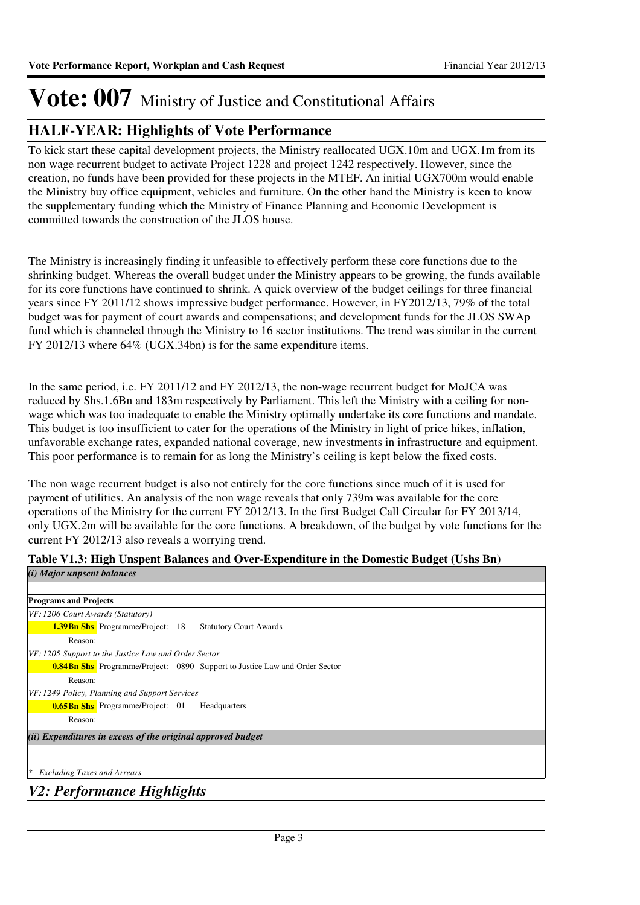### **HALF-YEAR: Highlights of Vote Performance**

To kick start these capital development projects, the Ministry reallocated UGX.10m and UGX.1m from its non wage recurrent budget to activate Project 1228 and project 1242 respectively. However, since the creation, no funds have been provided for these projects in the MTEF. An initial UGX700m would enable the Ministry buy office equipment, vehicles and furniture. On the other hand the Ministry is keen to know the supplementary funding which the Ministry of Finance Planning and Economic Development is committed towards the construction of the JLOS house.

The Ministry is increasingly finding it unfeasible to effectively perform these core functions due to the shrinking budget. Whereas the overall budget under the Ministry appears to be growing, the funds available for its core functions have continued to shrink. A quick overview of the budget ceilings for three financial years since FY 2011/12 shows impressive budget performance. However, in FY2012/13, 79% of the total budget was for payment of court awards and compensations; and development funds for the JLOS SWAp fund which is channeled through the Ministry to 16 sector institutions. The trend was similar in the current FY 2012/13 where 64% (UGX.34bn) is for the same expenditure items.

In the same period, i.e. FY 2011/12 and FY 2012/13, the non-wage recurrent budget for MoJCA was reduced by Shs.1.6Bn and 183m respectively by Parliament. This left the Ministry with a ceiling for nonwage which was too inadequate to enable the Ministry optimally undertake its core functions and mandate. This budget is too insufficient to cater for the operations of the Ministry in light of price hikes, inflation, unfavorable exchange rates, expanded national coverage, new investments in infrastructure and equipment. This poor performance is to remain for as long the Ministry's ceiling is kept below the fixed costs.

The non wage recurrent budget is also not entirely for the core functions since much of it is used for payment of utilities. An analysis of the non wage reveals that only 739m was available for the core operations of the Ministry for the current FY 2012/13. In the first Budget Call Circular for FY 2013/14, only UGX.2m will be available for the core functions. A breakdown, of the budget by vote functions for the current FY 2012/13 also reveals a worrying trend.

|                            | Table V1.3: High Unspent Balances and Over-Expenditure in the Domestic Budget (Ushs Bn) |
|----------------------------|-----------------------------------------------------------------------------------------|
| (i) Major unpsent balances |                                                                                         |

| <b>Programs and Projects</b>                                                      |
|-----------------------------------------------------------------------------------|
| VF: 1206 Court Awards (Statutory)                                                 |
| <b>1.39Bn Shs</b> Programme/Project: 18 Statutory Court Awards                    |
| Reason:                                                                           |
| VF: 1205 Support to the Justice Law and Order Sector                              |
| <b>0.84Bn Shs</b> Programme/Project: 0890 Support to Justice Law and Order Sector |
| Reason:                                                                           |
| VF: 1249 Policy, Planning and Support Services                                    |
| <b>0.65Bn Shs</b> Programme/Project: 01<br>Headquarters                           |
| Reason:                                                                           |
| (ii) Expenditures in excess of the original approved budget                       |
|                                                                                   |
|                                                                                   |
| <b>Excluding Taxes and Arrears</b><br>∗                                           |

*V2: Performance Highlights*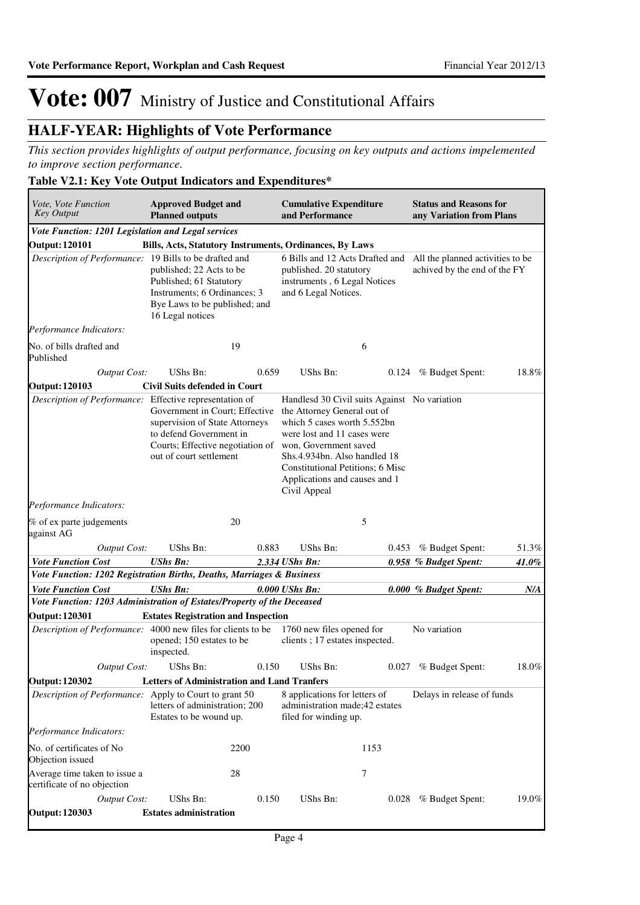### **HALF-YEAR: Highlights of Vote Performance**

*This section provides highlights of output performance, focusing on key outputs and actions impelemented to improve section performance.*

#### **Table V2.1: Key Vote Output Indicators and Expenditures\***

| Vote, Vote Function<br><b>Key Output</b>                               | <b>Approved Budget and</b><br><b>Planned outputs</b>                                                                                                       |       | <b>Cumulative Expenditure</b><br>and Performance                                                                                                                                                                                                                                               |       | <b>Status and Reasons for</b><br>any Variation from Plans        |       |
|------------------------------------------------------------------------|------------------------------------------------------------------------------------------------------------------------------------------------------------|-------|------------------------------------------------------------------------------------------------------------------------------------------------------------------------------------------------------------------------------------------------------------------------------------------------|-------|------------------------------------------------------------------|-------|
| Vote Function: 1201 Legislation and Legal services                     |                                                                                                                                                            |       |                                                                                                                                                                                                                                                                                                |       |                                                                  |       |
| <b>Output: 120101</b>                                                  | Bills, Acts, Statutory Instruments, Ordinances, By Laws                                                                                                    |       |                                                                                                                                                                                                                                                                                                |       |                                                                  |       |
| Description of Performance: 19 Bills to be drafted and                 | published; 22 Acts to be<br>Published; 61 Statutory<br>Instruments; 6 Ordinances; 3<br>Bye Laws to be published; and<br>16 Legal notices                   |       | 6 Bills and 12 Acts Drafted and<br>published. 20 statutory<br>instruments, 6 Legal Notices<br>and 6 Legal Notices.                                                                                                                                                                             |       | All the planned activities to be<br>achived by the end of the FY |       |
| Performance Indicators:                                                |                                                                                                                                                            |       |                                                                                                                                                                                                                                                                                                |       |                                                                  |       |
| No. of bills drafted and<br>Published                                  | 19                                                                                                                                                         |       |                                                                                                                                                                                                                                                                                                | 6     |                                                                  |       |
| Output Cost:                                                           | UShs Bn:                                                                                                                                                   | 0.659 | <b>UShs Bn:</b>                                                                                                                                                                                                                                                                                | 0.124 | % Budget Spent:                                                  | 18.8% |
| <b>Output: 120103</b>                                                  | <b>Civil Suits defended in Court</b>                                                                                                                       |       |                                                                                                                                                                                                                                                                                                |       |                                                                  |       |
| Description of Performance: Effective representation of                | Government in Court; Effective<br>supervision of State Attorneys<br>to defend Government in<br>Courts; Effective negotiation of<br>out of court settlement |       | Handlesd 30 Civil suits Against No variation<br>the Attorney General out of<br>which 5 cases worth 5.552bn<br>were lost and 11 cases were<br>won, Government saved<br>Shs.4.934bn. Also handled 18<br><b>Constitutional Petitions; 6 Misc</b><br>Applications and causes and 1<br>Civil Appeal |       |                                                                  |       |
| Performance Indicators:                                                |                                                                                                                                                            |       |                                                                                                                                                                                                                                                                                                |       |                                                                  |       |
| % of ex parte judgements<br>against AG                                 | 20                                                                                                                                                         |       |                                                                                                                                                                                                                                                                                                | 5     |                                                                  |       |
| <b>Output Cost:</b>                                                    | UShs Bn:                                                                                                                                                   | 0.883 | UShs Bn:                                                                                                                                                                                                                                                                                       | 0.453 | % Budget Spent:                                                  | 51.3% |
| <b>Vote Function Cost</b>                                              | <b>UShs Bn:</b>                                                                                                                                            |       | 2.334 UShs Bn:                                                                                                                                                                                                                                                                                 |       | 0.958 % Budget Spent:                                            | 41.0% |
| Vote Function: 1202 Registration Births, Deaths, Marriages & Business  |                                                                                                                                                            |       |                                                                                                                                                                                                                                                                                                |       |                                                                  |       |
| <b>Vote Function Cost</b>                                              | <b>UShs Bn:</b>                                                                                                                                            |       | 0.000 UShs Bn:                                                                                                                                                                                                                                                                                 |       | 0.000 % Budget Spent:                                            | N/A   |
| Vote Function: 1203 Administration of Estates/Property of the Deceased |                                                                                                                                                            |       |                                                                                                                                                                                                                                                                                                |       |                                                                  |       |
| <b>Output: 120301</b>                                                  | <b>Estates Registration and Inspection</b>                                                                                                                 |       |                                                                                                                                                                                                                                                                                                |       |                                                                  |       |
| Description of Performance: 4000 new files for clients to be           | opened; 150 estates to be<br>inspected.                                                                                                                    |       | 1760 new files opened for<br>clients; 17 estates inspected.                                                                                                                                                                                                                                    |       | No variation                                                     |       |
| Output Cost:                                                           | UShs Bn:                                                                                                                                                   | 0.150 | UShs Bn:                                                                                                                                                                                                                                                                                       |       | 0.027 % Budget Spent:                                            | 18.0% |
| <b>Output: 120302</b>                                                  | <b>Letters of Administration and Land Tranfers</b>                                                                                                         |       |                                                                                                                                                                                                                                                                                                |       |                                                                  |       |
| Description of Performance: Apply to Court to grant 50                 | letters of administration; 200<br>Estates to be wound up.                                                                                                  |       | 8 applications for letters of<br>administration made;42 estates<br>filed for winding up.                                                                                                                                                                                                       |       | Delays in release of funds                                       |       |
| Performance Indicators:                                                |                                                                                                                                                            |       |                                                                                                                                                                                                                                                                                                |       |                                                                  |       |
| No. of certificates of No.<br>Objection issued                         | 2200                                                                                                                                                       |       |                                                                                                                                                                                                                                                                                                | 1153  |                                                                  |       |
| Average time taken to issue a<br>certificate of no objection           | 28                                                                                                                                                         |       |                                                                                                                                                                                                                                                                                                | 7     |                                                                  |       |
| <b>Output Cost:</b><br><b>Output: 120303</b>                           | UShs Bn:<br><b>Estates administration</b>                                                                                                                  | 0.150 | UShs Bn:                                                                                                                                                                                                                                                                                       |       | 0.028 % Budget Spent:                                            | 19.0% |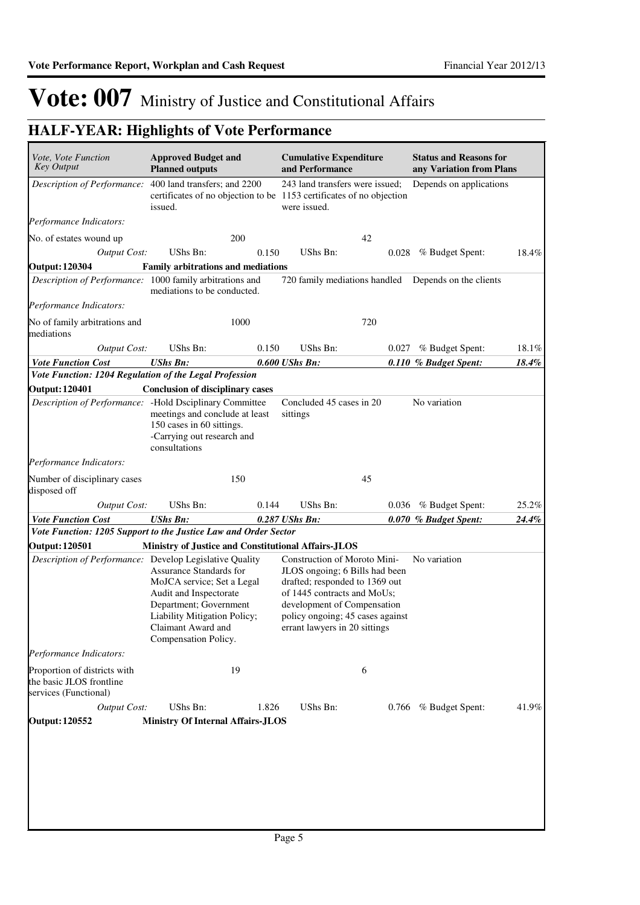| Vote, Vote Function                                                               | <b>Approved Budget and</b>                                                                                                                                                              |       | <b>Cumulative Expenditure</b>                                                                                                                                                                                                       |       | <b>Status and Reasons for</b> |       |
|-----------------------------------------------------------------------------------|-----------------------------------------------------------------------------------------------------------------------------------------------------------------------------------------|-------|-------------------------------------------------------------------------------------------------------------------------------------------------------------------------------------------------------------------------------------|-------|-------------------------------|-------|
| <b>Key Output</b>                                                                 | <b>Planned outputs</b>                                                                                                                                                                  |       | and Performance                                                                                                                                                                                                                     |       | any Variation from Plans      |       |
| Description of Performance:                                                       | 400 land transfers; and 2200<br>certificates of no objection to be 1153 certificates of no objection<br>issued.                                                                         |       | 243 land transfers were issued;<br>were issued.                                                                                                                                                                                     |       | Depends on applications       |       |
| Performance Indicators:                                                           |                                                                                                                                                                                         |       |                                                                                                                                                                                                                                     |       |                               |       |
| No. of estates wound up                                                           |                                                                                                                                                                                         | 200   |                                                                                                                                                                                                                                     | 42    |                               |       |
| <b>Output Cost:</b>                                                               | UShs Bn:                                                                                                                                                                                | 0.150 | <b>UShs Bn:</b>                                                                                                                                                                                                                     | 0.028 | % Budget Spent:               | 18.4% |
| <b>Output: 120304</b>                                                             | <b>Family arbitrations and mediations</b>                                                                                                                                               |       |                                                                                                                                                                                                                                     |       |                               |       |
| Description of Performance: 1000 family arbitrations and                          | mediations to be conducted.                                                                                                                                                             |       | 720 family mediations handled                                                                                                                                                                                                       |       | Depends on the clients        |       |
| Performance Indicators:                                                           |                                                                                                                                                                                         |       |                                                                                                                                                                                                                                     |       |                               |       |
| No of family arbitrations and<br>mediations                                       |                                                                                                                                                                                         | 1000  |                                                                                                                                                                                                                                     | 720   |                               |       |
| Output Cost:                                                                      | UShs Bn:                                                                                                                                                                                | 0.150 | <b>UShs Bn:</b>                                                                                                                                                                                                                     | 0.027 | % Budget Spent:               | 18.1% |
| <b>Vote Function Cost</b>                                                         | <b>UShs Bn:</b>                                                                                                                                                                         |       | 0.600 UShs Bn:                                                                                                                                                                                                                      |       | 0.110 % Budget Spent:         | 18.4% |
| Vote Function: 1204 Regulation of the Legal Profession                            |                                                                                                                                                                                         |       |                                                                                                                                                                                                                                     |       |                               |       |
| <b>Output: 120401</b>                                                             | <b>Conclusion of disciplinary cases</b>                                                                                                                                                 |       |                                                                                                                                                                                                                                     |       | No variation                  |       |
| Description of Performance: - Hold Dsciplinary Committee                          | meetings and conclude at least<br>150 cases in 60 sittings.<br>-Carrying out research and<br>consultations                                                                              |       | Concluded 45 cases in 20<br>sittings                                                                                                                                                                                                |       |                               |       |
| Performance Indicators:                                                           |                                                                                                                                                                                         |       |                                                                                                                                                                                                                                     |       |                               |       |
| Number of disciplinary cases<br>disposed off                                      |                                                                                                                                                                                         | 150   |                                                                                                                                                                                                                                     | 45    |                               |       |
| <b>Output Cost:</b>                                                               | UShs Bn:                                                                                                                                                                                | 0.144 | <b>UShs Bn:</b>                                                                                                                                                                                                                     | 0.036 | % Budget Spent:               | 25.2% |
| <b>Vote Function Cost</b>                                                         | <b>UShs Bn:</b>                                                                                                                                                                         |       | 0.287 UShs Bn:                                                                                                                                                                                                                      |       | 0.070 % Budget Spent:         | 24.4% |
| Vote Function: 1205 Support to the Justice Law and Order Sector                   |                                                                                                                                                                                         |       |                                                                                                                                                                                                                                     |       |                               |       |
| <b>Output: 120501</b>                                                             | Ministry of Justice and Constitutional Affairs-JLOS                                                                                                                                     |       |                                                                                                                                                                                                                                     |       |                               |       |
| Description of Performance: Develop Legislative Quality                           | Assurance Standards for<br>MoJCA service; Set a Legal<br>Audit and Inspectorate<br>Department; Government<br>Liability Mitigation Policy;<br>Claimant Award and<br>Compensation Policy. |       | Construction of Moroto Mini-<br>JLOS ongoing; 6 Bills had been<br>drafted; responded to 1369 out<br>of 1445 contracts and MoUs;<br>development of Compensation<br>policy ongoing; 45 cases against<br>errant lawyers in 20 sittings |       | No variation                  |       |
| Performance Indicators:                                                           |                                                                                                                                                                                         |       |                                                                                                                                                                                                                                     |       |                               |       |
| Proportion of districts with<br>the basic JLOS frontline<br>services (Functional) |                                                                                                                                                                                         | 19    |                                                                                                                                                                                                                                     | 6     |                               |       |
| <b>Output Cost:</b>                                                               | UShs Bn:                                                                                                                                                                                | 1.826 | UShs Bn:                                                                                                                                                                                                                            |       | 0.766 % Budget Spent:         | 41.9% |
| <b>Output: 120552</b>                                                             | <b>Ministry Of Internal Affairs-JLOS</b>                                                                                                                                                |       |                                                                                                                                                                                                                                     |       |                               |       |
|                                                                                   |                                                                                                                                                                                         |       |                                                                                                                                                                                                                                     |       |                               |       |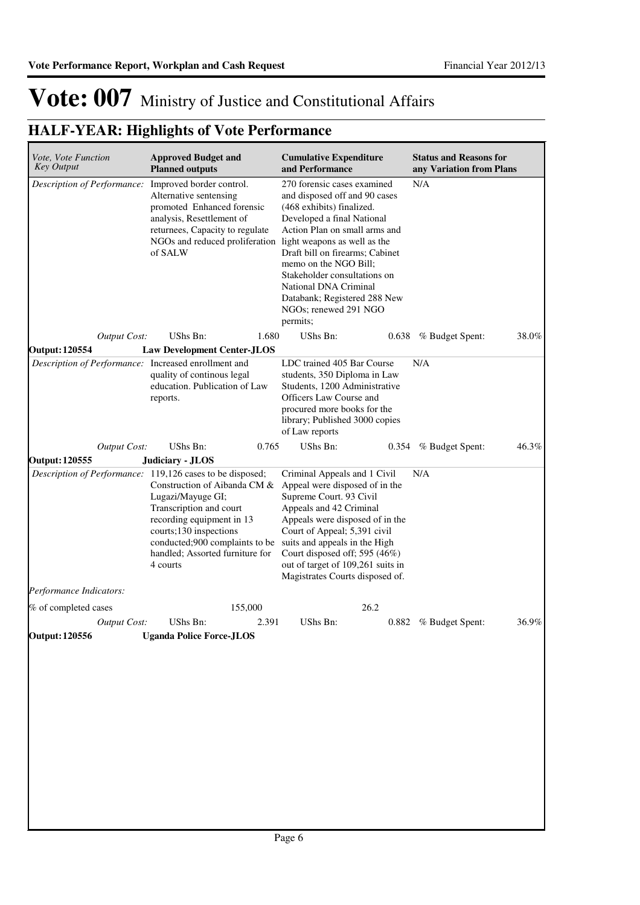| Vote, Vote Function<br><b>Key Output</b>             | <b>Approved Budget and</b><br><b>Planned outputs</b>                                                                                                                                                                                                                              | <b>Cumulative Expenditure</b><br>and Performance                                                                                                                                                                                                                                                                                                                                   | <b>Status and Reasons for</b><br>any Variation from Plans |
|------------------------------------------------------|-----------------------------------------------------------------------------------------------------------------------------------------------------------------------------------------------------------------------------------------------------------------------------------|------------------------------------------------------------------------------------------------------------------------------------------------------------------------------------------------------------------------------------------------------------------------------------------------------------------------------------------------------------------------------------|-----------------------------------------------------------|
| Description of Performance:                          | Improved border control.<br>Alternative sentensing<br>promoted Enhanced forensic<br>analysis, Resettlement of<br>returnees, Capacity to regulate<br>NGOs and reduced proliferation<br>of SALW                                                                                     | 270 forensic cases examined<br>and disposed off and 90 cases<br>(468 exhibits) finalized.<br>Developed a final National<br>Action Plan on small arms and<br>light weapons as well as the<br>Draft bill on firearms; Cabinet<br>memo on the NGO Bill;<br>Stakeholder consultations on<br>National DNA Criminal<br>Databank; Registered 288 New<br>NGOs; renewed 291 NGO<br>permits; | N/A                                                       |
| <b>Output Cost:</b>                                  | UShs Bn:<br>1.680                                                                                                                                                                                                                                                                 | UShs Bn:<br>0.638                                                                                                                                                                                                                                                                                                                                                                  | 38.0%<br>% Budget Spent:                                  |
| Output: 120554                                       | <b>Law Development Center-JLOS</b>                                                                                                                                                                                                                                                |                                                                                                                                                                                                                                                                                                                                                                                    |                                                           |
| Description of Performance: Increased enrollment and | quality of continous legal<br>education. Publication of Law<br>reports.                                                                                                                                                                                                           | LDC trained 405 Bar Course<br>students, 350 Diploma in Law<br>Students, 1200 Administrative<br>Officers Law Course and<br>procured more books for the<br>library; Published 3000 copies<br>of Law reports                                                                                                                                                                          | N/A                                                       |
| <b>Output Cost:</b>                                  | UShs Bn:<br>0.765                                                                                                                                                                                                                                                                 | UShs Bn:<br>0.354                                                                                                                                                                                                                                                                                                                                                                  | 46.3%<br>% Budget Spent:                                  |
| <b>Output: 120555</b>                                | Judiciary - JLOS                                                                                                                                                                                                                                                                  |                                                                                                                                                                                                                                                                                                                                                                                    |                                                           |
|                                                      | Description of Performance: 119,126 cases to be disposed;<br>Construction of Aibanda CM &<br>Lugazi/Mayuge GI;<br>Transcription and court<br>recording equipment in 13<br>courts;130 inspections<br>conducted;900 complaints to be<br>handled; Assorted furniture for<br>4 courts | Criminal Appeals and 1 Civil<br>Appeal were disposed of in the<br>Supreme Court. 93 Civil<br>Appeals and 42 Criminal<br>Appeals were disposed of in the<br>Court of Appeal; 5,391 civil<br>suits and appeals in the High<br>Court disposed off; 595 (46%)<br>out of target of 109,261 suits in<br>Magistrates Courts disposed of.                                                  | N/A                                                       |
| Performance Indicators:                              |                                                                                                                                                                                                                                                                                   |                                                                                                                                                                                                                                                                                                                                                                                    |                                                           |
| % of completed cases                                 | 155,000                                                                                                                                                                                                                                                                           | 26.2                                                                                                                                                                                                                                                                                                                                                                               |                                                           |
| <b>Output Cost:</b>                                  | UShs Bn:<br>2.391                                                                                                                                                                                                                                                                 | UShs Bn:<br>0.882                                                                                                                                                                                                                                                                                                                                                                  | 36.9%<br>% Budget Spent:                                  |
| <b>Output: 120556</b>                                | <b>Uganda Police Force-JLOS</b>                                                                                                                                                                                                                                                   |                                                                                                                                                                                                                                                                                                                                                                                    |                                                           |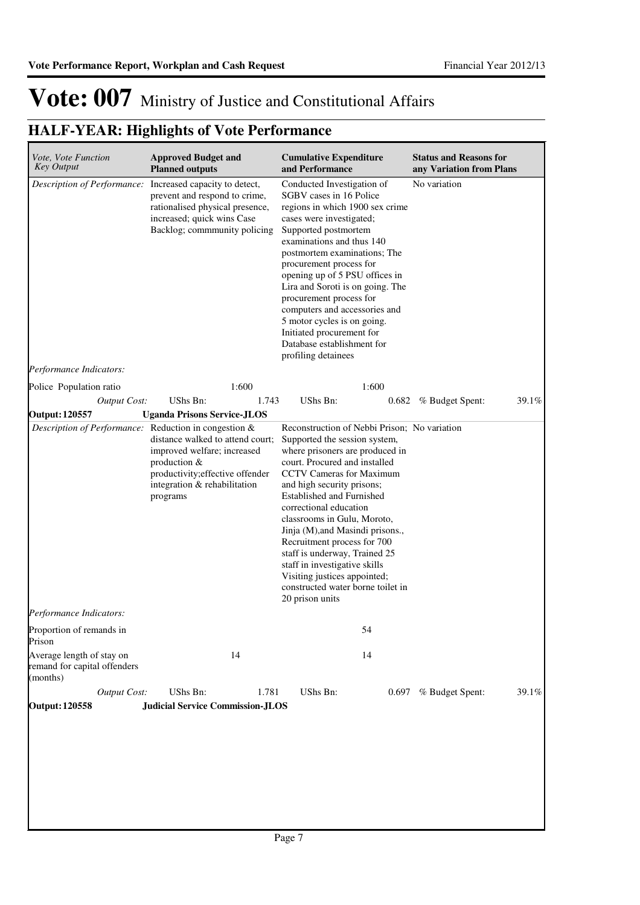| <i>Vote, Vote Function</i><br><b>Key Output</b>                       | <b>Approved Budget and</b><br><b>Planned outputs</b>                                                                                                                                        |       | <b>Cumulative Expenditure</b><br>and Performance                                                                                                                                                                                                                                                                                                                                                                                                                                                                                      | <b>Status and Reasons for</b><br>any Variation from Plans |
|-----------------------------------------------------------------------|---------------------------------------------------------------------------------------------------------------------------------------------------------------------------------------------|-------|---------------------------------------------------------------------------------------------------------------------------------------------------------------------------------------------------------------------------------------------------------------------------------------------------------------------------------------------------------------------------------------------------------------------------------------------------------------------------------------------------------------------------------------|-----------------------------------------------------------|
| Performance Indicators:                                               | Description of Performance: Increased capacity to detect,<br>prevent and respond to crime,<br>rationalised physical presence,<br>increased; quick wins Case<br>Backlog; commmunity policing |       | Conducted Investigation of<br>SGBV cases in 16 Police<br>regions in which 1900 sex crime<br>cases were investigated;<br>Supported postmortem<br>examinations and thus 140<br>postmortem examinations; The<br>procurement process for<br>opening up of 5 PSU offices in<br>Lira and Soroti is on going. The<br>procurement process for<br>computers and accessories and<br>5 motor cycles is on going.<br>Initiated procurement for<br>Database establishment for<br>profiling detainees                                               | No variation                                              |
| Police Population ratio                                               | 1:600                                                                                                                                                                                       |       | 1:600                                                                                                                                                                                                                                                                                                                                                                                                                                                                                                                                 |                                                           |
| <b>Output Cost:</b>                                                   | UShs Bn:                                                                                                                                                                                    | 1.743 | UShs Bn:                                                                                                                                                                                                                                                                                                                                                                                                                                                                                                                              | 39.1%<br>0.682 % Budget Spent:                            |
| <b>Output: 120557</b>                                                 | <b>Uganda Prisons Service-JLOS</b>                                                                                                                                                          |       |                                                                                                                                                                                                                                                                                                                                                                                                                                                                                                                                       |                                                           |
| Description of Performance: Reduction in congestion &                 | distance walked to attend court;<br>improved welfare; increased<br>production &<br>productivity; effective offender<br>integration & rehabilitation<br>programs                             |       | Reconstruction of Nebbi Prison; No variation<br>Supported the session system,<br>where prisoners are produced in<br>court. Procured and installed<br>CCTV Cameras for Maximum<br>and high security prisons;<br><b>Established and Furnished</b><br>correctional education<br>classrooms in Gulu, Moroto,<br>Jinja (M), and Masindi prisons.,<br>Recruitment process for 700<br>staff is underway, Trained 25<br>staff in investigative skills<br>Visiting justices appointed;<br>constructed water borne toilet in<br>20 prison units |                                                           |
| <i>Performance Indicators:</i>                                        |                                                                                                                                                                                             |       |                                                                                                                                                                                                                                                                                                                                                                                                                                                                                                                                       |                                                           |
| Proportion of remands in<br>Prison                                    |                                                                                                                                                                                             |       | 54                                                                                                                                                                                                                                                                                                                                                                                                                                                                                                                                    |                                                           |
| Average length of stay on<br>remand for capital offenders<br>(months) | 14                                                                                                                                                                                          |       | 14                                                                                                                                                                                                                                                                                                                                                                                                                                                                                                                                    |                                                           |
| <b>Output Cost:</b>                                                   | UShs Bn:                                                                                                                                                                                    | 1.781 | UShs Bn:                                                                                                                                                                                                                                                                                                                                                                                                                                                                                                                              | 0.697 % Budget Spent:<br>39.1%                            |
| <b>Output: 120558</b>                                                 | <b>Judicial Service Commission-JLOS</b>                                                                                                                                                     |       |                                                                                                                                                                                                                                                                                                                                                                                                                                                                                                                                       |                                                           |
|                                                                       |                                                                                                                                                                                             |       |                                                                                                                                                                                                                                                                                                                                                                                                                                                                                                                                       |                                                           |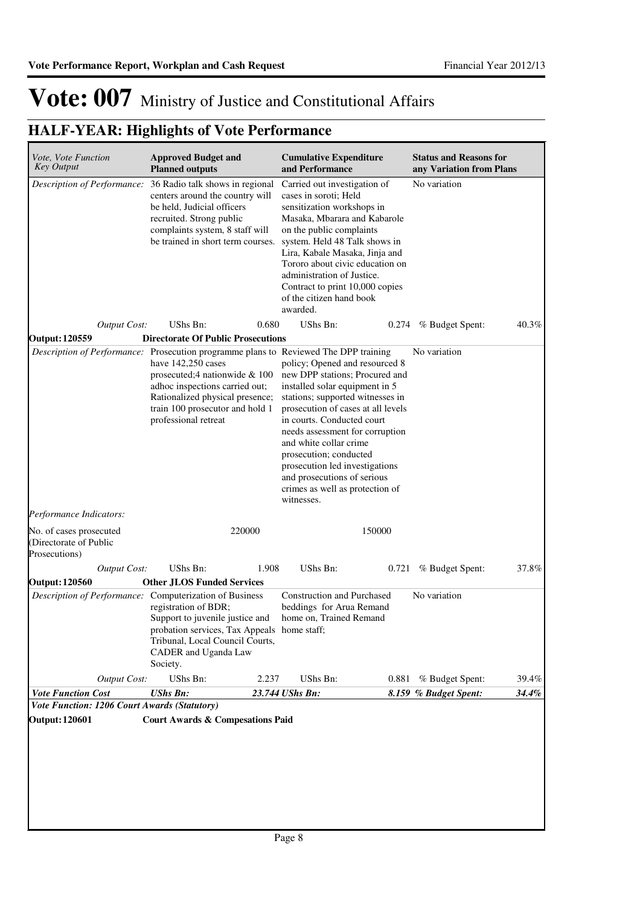| Vote, Vote Function<br><b>Key Output</b>                              | <b>Approved Budget and</b><br><b>Planned outputs</b>                                                                                                                                                                                                                          | <b>Cumulative Expenditure</b><br>and Performance                                                                                                                                                                                                                                                                                                                                                                    | <b>Status and Reasons for</b><br>any Variation from Plans |
|-----------------------------------------------------------------------|-------------------------------------------------------------------------------------------------------------------------------------------------------------------------------------------------------------------------------------------------------------------------------|---------------------------------------------------------------------------------------------------------------------------------------------------------------------------------------------------------------------------------------------------------------------------------------------------------------------------------------------------------------------------------------------------------------------|-----------------------------------------------------------|
| Description of Performance:                                           | 36 Radio talk shows in regional<br>centers around the country will<br>be held, Judicial officers<br>recruited. Strong public<br>complaints system, 8 staff will<br>be trained in short term courses.                                                                          | Carried out investigation of<br>cases in soroti; Held<br>sensitization workshops in<br>Masaka, Mbarara and Kabarole<br>on the public complaints<br>system. Held 48 Talk shows in<br>Lira, Kabale Masaka, Jinja and<br>Tororo about civic education on<br>administration of Justice.<br>Contract to print 10,000 copies<br>of the citizen hand book<br>awarded.                                                      | No variation                                              |
| <b>Output Cost:</b>                                                   | UShs Bn:<br>0.680                                                                                                                                                                                                                                                             | <b>UShs Bn:</b><br>0.274                                                                                                                                                                                                                                                                                                                                                                                            | 40.3%<br>% Budget Spent:                                  |
| <b>Output: 120559</b>                                                 | <b>Directorate Of Public Prosecutions</b>                                                                                                                                                                                                                                     |                                                                                                                                                                                                                                                                                                                                                                                                                     |                                                           |
|                                                                       | Description of Performance: Prosecution programme plans to Reviewed The DPP training<br>have $142,250$ cases<br>prosecuted;4 nationwide & 100<br>adhoc inspections carried out;<br>Rationalized physical presence;<br>train 100 prosecutor and hold 1<br>professional retreat | policy; Opened and resourced 8<br>new DPP stations; Procured and<br>installed solar equipment in 5<br>stations; supported witnesses in<br>prosecution of cases at all levels<br>in courts. Conducted court<br>needs assessment for corruption<br>and white collar crime<br>prosecution; conducted<br>prosecution led investigations<br>and prosecutions of serious<br>crimes as well as protection of<br>witnesses. | No variation                                              |
| Performance Indicators:                                               |                                                                                                                                                                                                                                                                               |                                                                                                                                                                                                                                                                                                                                                                                                                     |                                                           |
| No. of cases prosecuted<br>(Directorate of Public<br>Prosecutions)    | 220000                                                                                                                                                                                                                                                                        | 150000                                                                                                                                                                                                                                                                                                                                                                                                              |                                                           |
| <b>Output Cost:</b>                                                   | UShs Bn:<br>1.908                                                                                                                                                                                                                                                             | UShs Bn:<br>0.721                                                                                                                                                                                                                                                                                                                                                                                                   | 37.8%<br>% Budget Spent:                                  |
| <b>Output: 120560</b>                                                 | <b>Other JLOS Funded Services</b>                                                                                                                                                                                                                                             |                                                                                                                                                                                                                                                                                                                                                                                                                     |                                                           |
|                                                                       | Description of Performance: Computerization of Business<br>registration of BDR;<br>Support to juvenile justice and<br>probation services, Tax Appeals home staff;<br>Tribunal, Local Council Courts,<br>CADER and Uganda Law<br>Society.                                      | <b>Construction and Purchased</b><br>beddings for Arua Remand<br>home on, Trained Remand                                                                                                                                                                                                                                                                                                                            | No variation                                              |
| Output Cost:                                                          | UShs Bn:<br>2.237                                                                                                                                                                                                                                                             | UShs Bn:                                                                                                                                                                                                                                                                                                                                                                                                            | 39.4%<br>0.881 % Budget Spent:                            |
| <b>Vote Function Cost</b>                                             | <b>UShs Bn:</b>                                                                                                                                                                                                                                                               | 23.744 UShs Bn:                                                                                                                                                                                                                                                                                                                                                                                                     | 34.4%<br>8.159 % Budget Spent:                            |
| Vote Function: 1206 Court Awards (Statutory)<br><b>Output: 120601</b> | <b>Court Awards &amp; Compesations Paid</b>                                                                                                                                                                                                                                   |                                                                                                                                                                                                                                                                                                                                                                                                                     |                                                           |
|                                                                       |                                                                                                                                                                                                                                                                               |                                                                                                                                                                                                                                                                                                                                                                                                                     |                                                           |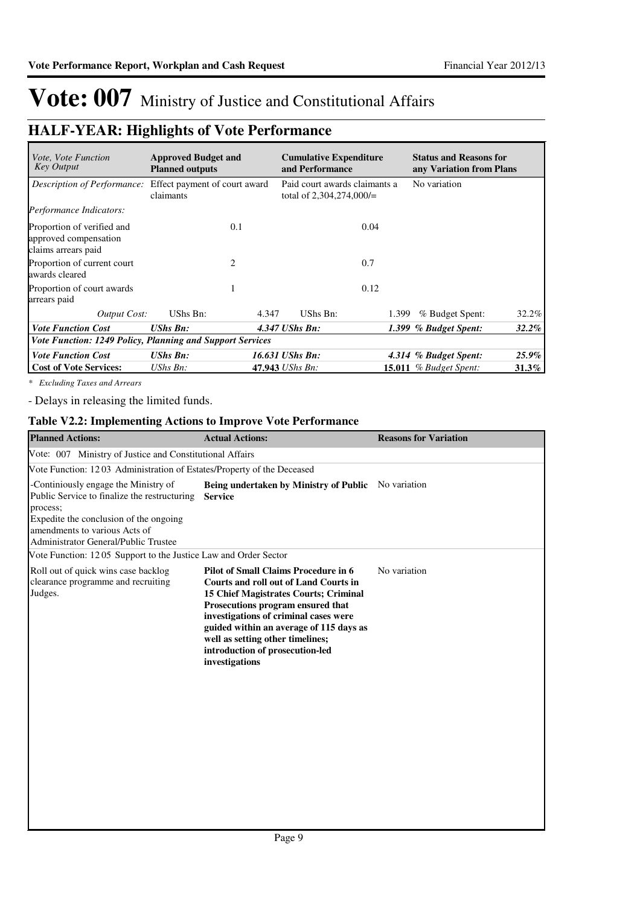### **HALF-YEAR: Highlights of Vote Performance**

| <i>Vote, Vote Function</i><br><b>Key Output</b>                            | <b>Approved Budget and</b><br><b>Planned outputs</b> |                 | <b>Cumulative Expenditure</b><br>and Performance            |       | <b>Status and Reasons for</b><br>any Variation from Plans |          |
|----------------------------------------------------------------------------|------------------------------------------------------|-----------------|-------------------------------------------------------------|-------|-----------------------------------------------------------|----------|
| Description of Performance:                                                | Effect payment of court award<br>claimants           |                 | Paid court awards claimants a<br>total of $2,304,274,000/=$ |       | No variation                                              |          |
| Performance Indicators:                                                    |                                                      |                 |                                                             |       |                                                           |          |
| Proportion of verified and<br>approved compensation<br>claims arrears paid | 0.1                                                  |                 |                                                             | 0.04  |                                                           |          |
| Proportion of current court<br>awards cleared                              | 2                                                    |                 |                                                             | 0.7   |                                                           |          |
| Proportion of court awards<br>arrears paid                                 |                                                      |                 |                                                             | 0.12  |                                                           |          |
| Output Cost:                                                               | UShs Bn:                                             | 4.347           | UShs Bn:                                                    | 1.399 | % Budget Spent:                                           | 32.2%    |
| <b>Vote Function Cost</b>                                                  | <b>UShs Bn:</b>                                      | 4.347 UShs Bn:  |                                                             |       | 1.399 % Budget Spent:                                     | $32.2\%$ |
| Vote Function: 1249 Policy, Planning and Support Services                  |                                                      |                 |                                                             |       |                                                           |          |
| <b>Vote Function Cost</b>                                                  | <b>UShs Bn:</b>                                      | 16.631 UShs Bn: |                                                             |       | 4.314 % Budget Spent:                                     | 25.9%    |
| <b>Cost of Vote Services:</b>                                              | $UShs Bn$ :                                          | 47.943 UShs Bn: |                                                             |       | <b>15.011</b> % Budget Spent:                             | 31.3%    |

*\* Excluding Taxes and Arrears*

- Delays in releasing the limited funds.

### **Table V2.2: Implementing Actions to Improve Vote Performance**

| <b>Planned Actions:</b>                                                                                                                                                                                             | <b>Actual Actions:</b>                                                                                                                                                                                                                                                                                                                          | <b>Reasons for Variation</b> |  |  |
|---------------------------------------------------------------------------------------------------------------------------------------------------------------------------------------------------------------------|-------------------------------------------------------------------------------------------------------------------------------------------------------------------------------------------------------------------------------------------------------------------------------------------------------------------------------------------------|------------------------------|--|--|
| Vote: 007 Ministry of Justice and Constitutional Affairs                                                                                                                                                            |                                                                                                                                                                                                                                                                                                                                                 |                              |  |  |
| Vote Function: 1203 Administration of Estates/Property of the Deceased                                                                                                                                              |                                                                                                                                                                                                                                                                                                                                                 |                              |  |  |
| -Continiously engage the Ministry of<br>Public Service to finalize the restructuring<br>process;<br>Expedite the conclusion of the ongoing<br>amendments to various Acts of<br>Administrator General/Public Trustee | Being undertaken by Ministry of Public Novariation<br><b>Service</b>                                                                                                                                                                                                                                                                            |                              |  |  |
| Vote Function: 1205 Support to the Justice Law and Order Sector                                                                                                                                                     |                                                                                                                                                                                                                                                                                                                                                 |                              |  |  |
| Roll out of quick wins case backlog<br>clearance programme and recruiting<br>Judges.                                                                                                                                | <b>Pilot of Small Claims Procedure in 6</b><br>Courts and roll out of Land Courts in<br>15 Chief Magistrates Courts; Criminal<br>Prosecutions program ensured that<br>investigations of criminal cases were<br>guided within an average of 115 days as<br>well as setting other timelines;<br>introduction of prosecution-led<br>investigations | No variation                 |  |  |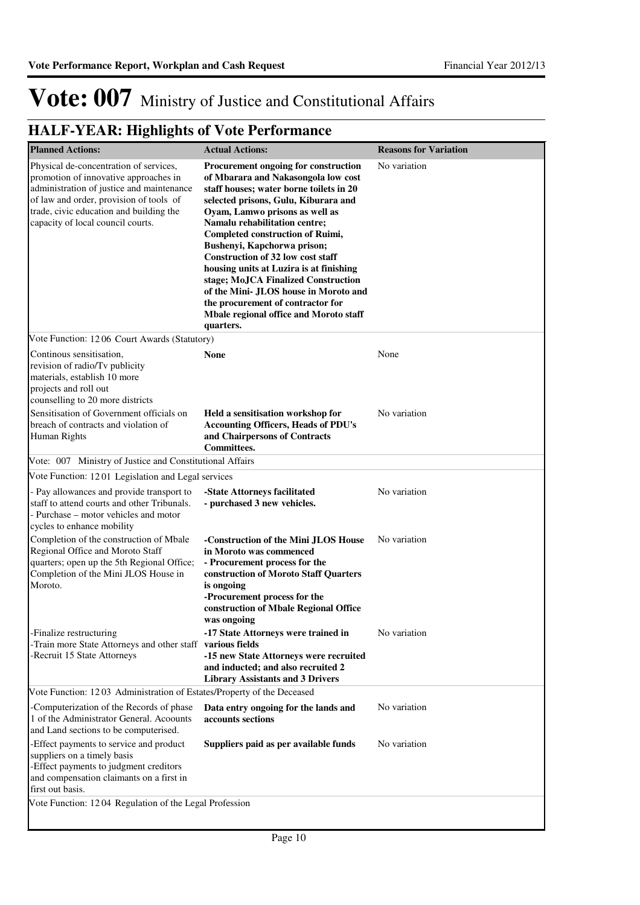| <b>Planned Actions:</b>                                                                                                                                                                                                                                 | <b>Actual Actions:</b>                                                                                                                                                                                                                                                                                                                                                                                                                                                                                                                                                         | <b>Reasons for Variation</b> |
|---------------------------------------------------------------------------------------------------------------------------------------------------------------------------------------------------------------------------------------------------------|--------------------------------------------------------------------------------------------------------------------------------------------------------------------------------------------------------------------------------------------------------------------------------------------------------------------------------------------------------------------------------------------------------------------------------------------------------------------------------------------------------------------------------------------------------------------------------|------------------------------|
| Physical de-concentration of services,<br>promotion of innovative approaches in<br>administration of justice and maintenance<br>of law and order, provision of tools of<br>trade, civic education and building the<br>capacity of local council courts. | Procurement ongoing for construction<br>of Mbarara and Nakasongola low cost<br>staff houses; water borne toilets in 20<br>selected prisons, Gulu, Kiburara and<br>Oyam, Lamwo prisons as well as<br>Namalu rehabilitation centre;<br><b>Completed construction of Ruimi,</b><br>Bushenyi, Kapchorwa prison;<br><b>Construction of 32 low cost staff</b><br>housing units at Luzira is at finishing<br>stage; MoJCA Finalized Construction<br>of the Mini- JLOS house in Moroto and<br>the procurement of contractor for<br>Mbale regional office and Moroto staff<br>quarters. | No variation                 |
| Vote Function: 1206 Court Awards (Statutory)                                                                                                                                                                                                            |                                                                                                                                                                                                                                                                                                                                                                                                                                                                                                                                                                                |                              |
| Continous sensitisation,<br>revision of radio/Tv publicity<br>materials, establish 10 more<br>projects and roll out<br>counselling to 20 more districts                                                                                                 | <b>None</b>                                                                                                                                                                                                                                                                                                                                                                                                                                                                                                                                                                    | None                         |
| Sensitisation of Government officials on<br>breach of contracts and violation of<br>Human Rights                                                                                                                                                        | Held a sensitisation workshop for<br><b>Accounting Officers, Heads of PDU's</b><br>and Chairpersons of Contracts<br>Committees.                                                                                                                                                                                                                                                                                                                                                                                                                                                | No variation                 |
| Vote: 007 Ministry of Justice and Constitutional Affairs                                                                                                                                                                                                |                                                                                                                                                                                                                                                                                                                                                                                                                                                                                                                                                                                |                              |
| Vote Function: 1201 Legislation and Legal services                                                                                                                                                                                                      |                                                                                                                                                                                                                                                                                                                                                                                                                                                                                                                                                                                |                              |
| - Pay allowances and provide transport to<br>staff to attend courts and other Tribunals.<br>- Purchase - motor vehicles and motor<br>cycles to enhance mobility                                                                                         | -State Attorneys facilitated<br>- purchased 3 new vehicles.                                                                                                                                                                                                                                                                                                                                                                                                                                                                                                                    | No variation                 |
| Completion of the construction of Mbale<br>Regional Office and Moroto Staff<br>quarters; open up the 5th Regional Office;<br>Completion of the Mini JLOS House in<br>Moroto.                                                                            | -Construction of the Mini JLOS House<br>in Moroto was commenced<br>- Procurement process for the<br>construction of Moroto Staff Quarters<br>is ongoing<br>-Procurement process for the<br>construction of Mbale Regional Office<br>was ongoing                                                                                                                                                                                                                                                                                                                                | No variation                 |
| -Finalize restructuring<br>-Train more State Attorneys and other staff various fields<br>-Recruit 15 State Attorneys                                                                                                                                    | -17 State Attorneys were trained in<br>-15 new State Attorneys were recruited<br>and inducted; and also recruited 2<br><b>Library Assistants and 3 Drivers</b>                                                                                                                                                                                                                                                                                                                                                                                                                 | No variation                 |
| Vote Function: 1203 Administration of Estates/Property of the Deceased                                                                                                                                                                                  |                                                                                                                                                                                                                                                                                                                                                                                                                                                                                                                                                                                |                              |
| Computerization of the Records of phase<br>1 of the Administrator General. Acoounts<br>and Land sections to be computerised.                                                                                                                            | Data entry ongoing for the lands and<br>accounts sections                                                                                                                                                                                                                                                                                                                                                                                                                                                                                                                      | No variation                 |
| -Effect payments to service and product<br>suppliers on a timely basis<br>-Effect payments to judgment creditors<br>and compensation claimants on a first in<br>first out basis.                                                                        | Suppliers paid as per available funds                                                                                                                                                                                                                                                                                                                                                                                                                                                                                                                                          | No variation                 |
| Vote Function: 1204 Regulation of the Legal Profession                                                                                                                                                                                                  |                                                                                                                                                                                                                                                                                                                                                                                                                                                                                                                                                                                |                              |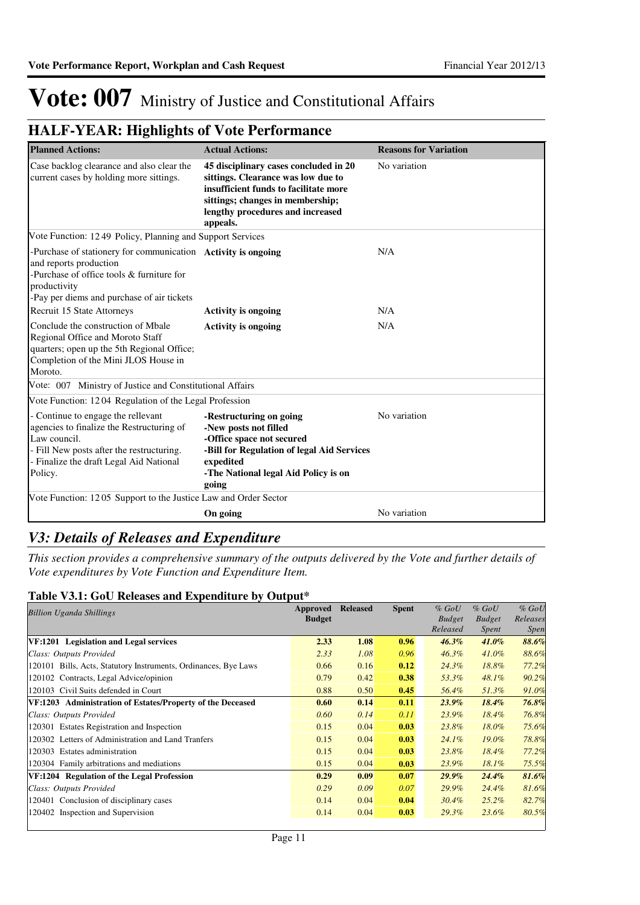### **HALF-YEAR: Highlights of Vote Performance**

| <b>Planned Actions:</b>                                                                                                                                                                            | <b>Actual Actions:</b>                                                                                                                                                                                   | <b>Reasons for Variation</b> |
|----------------------------------------------------------------------------------------------------------------------------------------------------------------------------------------------------|----------------------------------------------------------------------------------------------------------------------------------------------------------------------------------------------------------|------------------------------|
| Case backlog clearance and also clear the<br>current cases by holding more sittings.                                                                                                               | 45 disciplinary cases concluded in 20<br>sittings. Clearance was low due to<br>insufficient funds to facilitate more<br>sittings; changes in membership;<br>lengthy procedures and increased<br>appeals. | No variation                 |
| Vote Function: 1249 Policy, Planning and Support Services                                                                                                                                          |                                                                                                                                                                                                          |                              |
| -Purchase of stationery for communication Activity is ongoing<br>and reports production<br>-Purchase of office tools & furniture for<br>productivity<br>-Pay per diems and purchase of air tickets |                                                                                                                                                                                                          | N/A                          |
| Recruit 15 State Attorneys                                                                                                                                                                         | <b>Activity is ongoing</b>                                                                                                                                                                               | N/A                          |
| Conclude the construction of Mbale<br>Regional Office and Moroto Staff<br>quarters; open up the 5th Regional Office;<br>Completion of the Mini JLOS House in<br>Moroto.                            | <b>Activity is ongoing</b>                                                                                                                                                                               | N/A                          |
| Vote: 007 Ministry of Justice and Constitutional Affairs                                                                                                                                           |                                                                                                                                                                                                          |                              |
| Vote Function: 1204 Regulation of the Legal Profession                                                                                                                                             |                                                                                                                                                                                                          |                              |
| - Continue to engage the rellevant<br>agencies to finalize the Restructuring of<br>Law council.<br>- Fill New posts after the restructuring.<br>- Finalize the draft Legal Aid National<br>Policy. | -Restructuring on going<br>-New posts not filled<br>-Office space not secured<br>-Bill for Regulation of legal Aid Services<br>expedited<br>-The National legal Aid Policy is on<br>going                | No variation                 |
| Vote Function: 1205 Support to the Justice Law and Order Sector                                                                                                                                    |                                                                                                                                                                                                          |                              |
|                                                                                                                                                                                                    | On going                                                                                                                                                                                                 | No variation                 |

### *V3: Details of Releases and Expenditure*

*This section provides a comprehensive summary of the outputs delivered by the Vote and further details of Vote expenditures by Vote Function and Expenditure Item.*

### **Table V3.1: GoU Releases and Expenditure by Output\***

| <b>Billion Uganda Shillings</b>                                 | Approved      | <b>Released</b> | <b>Spent</b> | $%$ GoU       | $%$ GoU       | $%$ $GoU$   |
|-----------------------------------------------------------------|---------------|-----------------|--------------|---------------|---------------|-------------|
|                                                                 | <b>Budget</b> |                 |              | <b>Budget</b> | <b>Budget</b> | Releases    |
|                                                                 |               |                 |              | Released      | Spent         | <i>Spen</i> |
| VF:1201 Legislation and Legal services                          | 2.33          | 1.08            | 0.96         | $46.3\%$      | $41.0\%$      | 88.6%       |
| Class: Outputs Provided                                         | 2.33          | 1.08            | 0.96         | $46.3\%$      | $41.0\%$      | 88.6%       |
| 120101 Bills, Acts, Statutory Instruments, Ordinances, Bye Laws | 0.66          | 0.16            | 0.12         | 24.3%         | 18.8%         | 77.2%       |
| 120102 Contracts, Legal Advice/opinion                          | 0.79          | 0.42            | 0.38         | 53.3%         | 48.1%         | 90.2%       |
| 120103 Civil Suits defended in Court                            | 0.88          | 0.50            | 0.45         | 56.4%         | 51.3%         | 91.0%       |
| VF:1203 Administration of Estates/Property of the Deceased      | 0.60          | 0.14            | 0.11         | $23.9\%$      | $18.4\%$      | 76.8%       |
| Class: Outputs Provided                                         | 0.60          | 0.14            | 0.11         | 23.9%         | $18.4\%$      | 76.8%       |
| 120301 Estates Registration and Inspection                      | 0.15          | 0.04            | 0.03         | 23.8%         | 18.0%         | 75.6%       |
| 120302 Letters of Administration and Land Tranfers              | 0.15          | 0.04            | 0.03         | $24.1\%$      | $19.0\%$      | 78.8%       |
| 120303 Estates administration                                   | 0.15          | 0.04            | 0.03         | 23.8%         | 18.4%         | 77.2%       |
| 120304 Family arbitrations and mediations                       | 0.15          | 0.04            | 0.03         | 23.9%         | 18.1%         | 75.5%       |
| VF:1204 Regulation of the Legal Profession                      | 0.29          | 0.09            | 0.07         | $29.9\%$      | $24.4\%$      | 81.6%       |
| Class: Outputs Provided                                         | 0.29          | 0.09            | 0.07         | 29.9%         | 24.4%         | 81.6%       |
| 120401 Conclusion of disciplinary cases                         | 0.14          | 0.04            | 0.04         | 30.4%         | $25.2\%$      | 82.7%       |
| 120402 Inspection and Supervision                               | 0.14          | 0.04            | 0.03         | 29.3%         | 23.6%         | 80.5%       |
|                                                                 |               |                 |              |               |               |             |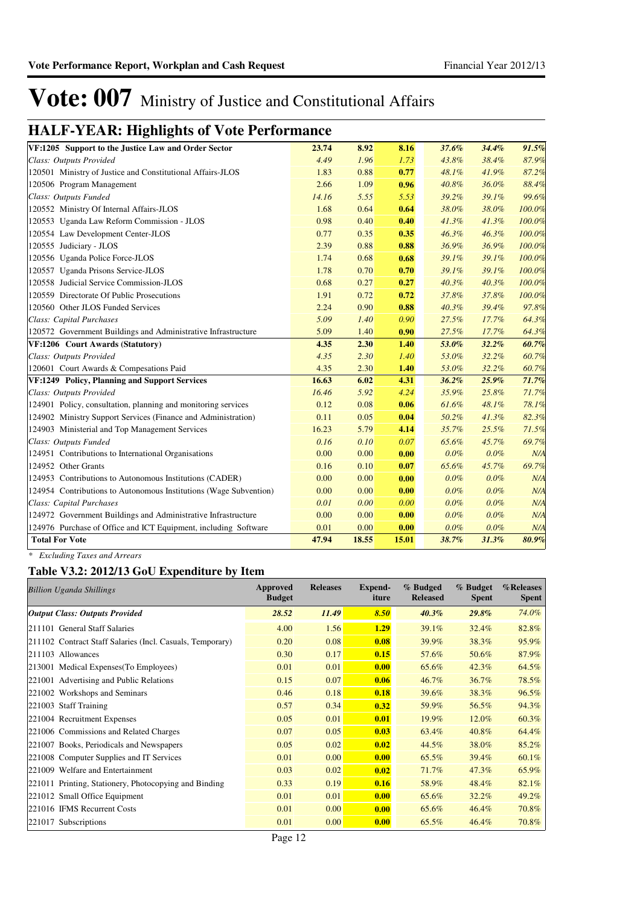### **HALF-YEAR: Highlights of Vote Performance**

| VF:1205 Support to the Justice Law and Order Sector               | 23.74 | 8.92  | 8.16  | 37.6%   | 34.4% | 91.5%  |
|-------------------------------------------------------------------|-------|-------|-------|---------|-------|--------|
| Class: Outputs Provided                                           | 4.49  | 1.96  | 1.73  | 43.8%   | 38.4% | 87.9%  |
| 120501 Ministry of Justice and Constitutional Affairs-JLOS        | 1.83  | 0.88  | 0.77  | 48.1%   | 41.9% | 87.2%  |
| 120506 Program Management                                         | 2.66  | 1.09  | 0.96  | 40.8%   | 36.0% | 88.4%  |
| Class: Outputs Funded                                             | 14.16 | 5.55  | 5.53  | 39.2%   | 39.1% | 99.6%  |
| 120552 Ministry Of Internal Affairs-JLOS                          | 1.68  | 0.64  | 0.64  | 38.0%   | 38.0% | 100.0% |
| 120553 Uganda Law Reform Commission - JLOS                        | 0.98  | 0.40  | 0.40  | 41.3%   | 41.3% | 100.0% |
| 120554 Law Development Center-JLOS                                | 0.77  | 0.35  | 0.35  | 46.3%   | 46.3% | 100.0% |
| 120555 Judiciary - JLOS                                           | 2.39  | 0.88  | 0.88  | 36.9%   | 36.9% | 100.0% |
| 120556 Uganda Police Force-JLOS                                   | 1.74  | 0.68  | 0.68  | 39.1%   | 39.1% | 100.0% |
| 120557 Uganda Prisons Service-JLOS                                | 1.78  | 0.70  | 0.70  | 39.1%   | 39.1% | 100.0% |
| 120558 Judicial Service Commission-JLOS                           | 0.68  | 0.27  | 0.27  | 40.3%   | 40.3% | 100.0% |
| 120559 Directorate Of Public Prosecutions                         | 1.91  | 0.72  | 0.72  | 37.8%   | 37.8% | 100.0% |
| 120560 Other JLOS Funded Services                                 | 2.24  | 0.90  | 0.88  | 40.3%   | 39.4% | 97.8%  |
| Class: Capital Purchases                                          | 5.09  | 1.40  | 0.90  | 27.5%   | 17.7% | 64.3%  |
| 120572 Government Buildings and Administrative Infrastructure     | 5.09  | 1.40  | 0.90  | 27.5%   | 17.7% | 64.3%  |
| VF:1206 Court Awards (Statutory)                                  | 4.35  | 2.30  | 1.40  | 53.0%   | 32.2% | 60.7%  |
| Class: Outputs Provided                                           | 4.35  | 2.30  | 1.40  | 53.0%   | 32.2% | 60.7%  |
| 120601 Court Awards & Compesations Paid                           | 4.35  | 2.30  | 1.40  | 53.0%   | 32.2% | 60.7%  |
| VF:1249 Policy, Planning and Support Services                     | 16.63 | 6.02  | 4.31  | 36.2%   | 25.9% | 71.7%  |
| Class: Outputs Provided                                           | 16.46 | 5.92  | 4.24  | 35.9%   | 25.8% | 71.7%  |
| 124901 Policy, consultation, planning and monitoring services     | 0.12  | 0.08  | 0.06  | 61.6%   | 48.1% | 78.1%  |
| 124902 Ministry Support Services (Finance and Administration)     | 0.11  | 0.05  | 0.04  | 50.2%   | 41.3% | 82.3%  |
| 124903 Ministerial and Top Management Services                    | 16.23 | 5.79  | 4.14  | 35.7%   | 25.5% | 71.5%  |
| Class: Outputs Funded                                             | 0.16  | 0.10  | 0.07  | 65.6%   | 45.7% | 69.7%  |
| 124951 Contributions to International Organisations               | 0.00  | 0.00  | 0.00  | 0.0%    | 0.0%  | N/A    |
| 124952 Other Grants                                               | 0.16  | 0.10  | 0.07  | 65.6%   | 45.7% | 69.7%  |
| 124953 Contributions to Autonomous Institutions (CADER)           | 0.00  | 0.00  | 0.00  | 0.0%    | 0.0%  | N/A    |
| 124954 Contributions to Autonomous Institutions (Wage Subvention) | 0.00  | 0.00  | 0.00  | 0.0%    | 0.0%  | N/A    |
| Class: Capital Purchases                                          | 0.01  | 0.00  | 0.00  | $0.0\%$ | 0.0%  | N/A    |
| 124972 Government Buildings and Administrative Infrastructure     | 0.00  | 0.00  | 0.00  | 0.0%    | 0.0%  | N/A    |
| 124976 Purchase of Office and ICT Equipment, including Software   | 0.01  | 0.00  | 0.00  | 0.0%    | 0.0%  | N/A    |
| <b>Total For Vote</b>                                             | 47.94 | 18.55 | 15.01 | 38.7%   | 31.3% | 80.9%  |

*\* Excluding Taxes and Arrears*

#### **Table V3.2: 2012/13 GoU Expenditure by Item**

| <b>Billion Uganda Shillings</b>                           | Approved<br><b>Budget</b> | <b>Releases</b> | Expend-<br>iture | % Budged<br><b>Released</b> | % Budget<br><b>Spent</b> | %Releases<br>Spent |
|-----------------------------------------------------------|---------------------------|-----------------|------------------|-----------------------------|--------------------------|--------------------|
| <b>Output Class: Outputs Provided</b>                     | 28.52                     | 11.49           | 8.50             | 40.3%                       | 29.8%                    | 74.0%              |
| 211101 General Staff Salaries                             | 4.00                      | 1.56            | 1.29             | 39.1%                       | 32.4%                    | 82.8%              |
| 211102 Contract Staff Salaries (Incl. Casuals, Temporary) | 0.20                      | 0.08            | 0.08             | 39.9%                       | 38.3%                    | 95.9%              |
| 211103 Allowances                                         | 0.30                      | 0.17            | 0.15             | 57.6%                       | 50.6%                    | 87.9%              |
| 213001 Medical Expenses (To Employees)                    | 0.01                      | 0.01            | 0.00             | 65.6%                       | 42.3%                    | 64.5%              |
| 221001 Advertising and Public Relations                   | 0.15                      | 0.07            | 0.06             | 46.7%                       | 36.7%                    | 78.5%              |
| 221002 Workshops and Seminars                             | 0.46                      | 0.18            | 0.18             | 39.6%                       | 38.3%                    | 96.5%              |
| 221003 Staff Training                                     | 0.57                      | 0.34            | 0.32             | 59.9%                       | 56.5%                    | 94.3%              |
| 221004 Recruitment Expenses                               | 0.05                      | 0.01            | 0.01             | 19.9%                       | 12.0%                    | 60.3%              |
| 221006 Commissions and Related Charges                    | 0.07                      | 0.05            | 0.03             | 63.4%                       | 40.8%                    | 64.4%              |
| 221007 Books, Periodicals and Newspapers                  | 0.05                      | 0.02            | 0.02             | 44.5%                       | 38.0%                    | 85.2%              |
| 221008 Computer Supplies and IT Services                  | 0.01                      | 0.00            | 0.00             | 65.5%                       | 39.4%                    | $60.1\%$           |
| 221009 Welfare and Entertainment                          | 0.03                      | 0.02            | 0.02             | 71.7%                       | 47.3%                    | 65.9%              |
| 221011 Printing, Stationery, Photocopying and Binding     | 0.33                      | 0.19            | 0.16             | 58.9%                       | 48.4%                    | 82.1%              |
| 221012 Small Office Equipment                             | 0.01                      | 0.01            | 0.00             | 65.6%                       | 32.2%                    | 49.2%              |
| 221016 IFMS Recurrent Costs                               | 0.01                      | 0.00            | 0.00             | 65.6%                       | 46.4%                    | 70.8%              |
| 221017<br>Subscriptions                                   | 0.01                      | 0.00            | 0.00             | 65.5%                       | 46.4%                    | 70.8%              |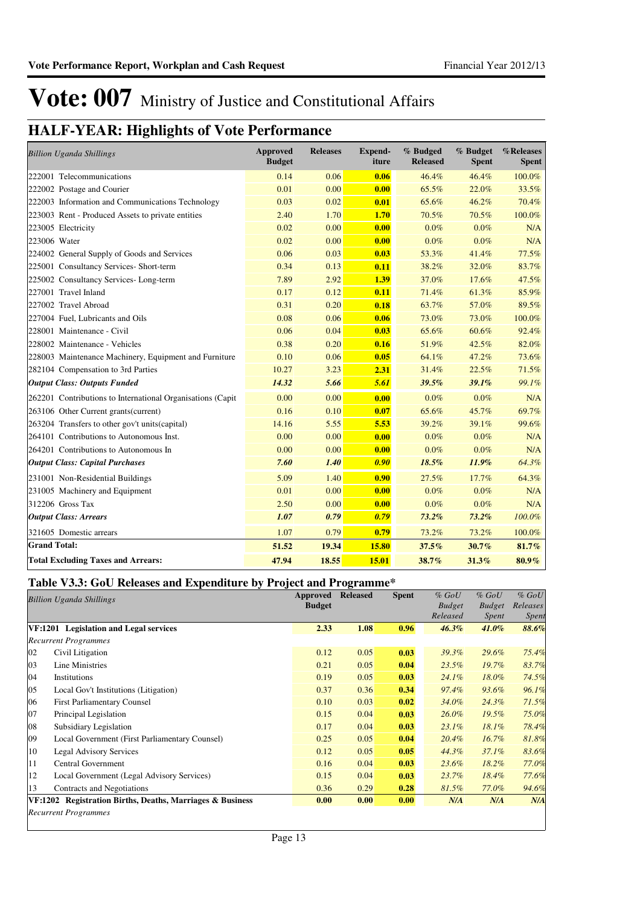### **HALF-YEAR: Highlights of Vote Performance**

| <b>Billion Uganda Shillings</b>                             | <b>Approved</b><br><b>Budget</b> | <b>Releases</b> | <b>Expend-</b><br>iture | % Budged<br><b>Released</b> | % Budget<br><b>Spent</b> | %Releases<br><b>Spent</b> |
|-------------------------------------------------------------|----------------------------------|-----------------|-------------------------|-----------------------------|--------------------------|---------------------------|
| 222001 Telecommunications                                   | 0.14                             | 0.06            | 0.06                    | 46.4%                       | 46.4%                    | 100.0%                    |
| 222002 Postage and Courier                                  | 0.01                             | 0.00            | 0.00                    | 65.5%                       | 22.0%                    | 33.5%                     |
| 222003 Information and Communications Technology            | 0.03                             | 0.02            | 0.01                    | 65.6%                       | 46.2%                    | 70.4%                     |
| 223003 Rent - Produced Assets to private entities           | 2.40                             | 1.70            | 1.70                    | 70.5%                       | 70.5%                    | 100.0%                    |
| 223005 Electricity                                          | 0.02                             | 0.00            | 0.00                    | $0.0\%$                     | $0.0\%$                  | N/A                       |
| 223006 Water                                                | 0.02                             | 0.00            | 0.00                    | 0.0%                        | 0.0%                     | N/A                       |
| 224002 General Supply of Goods and Services                 | 0.06                             | 0.03            | 0.03                    | 53.3%                       | 41.4%                    | 77.5%                     |
| 225001 Consultancy Services- Short-term                     | 0.34                             | 0.13            | 0.11                    | 38.2%                       | 32.0%                    | 83.7%                     |
| 225002 Consultancy Services-Long-term                       | 7.89                             | 2.92            | 1.39                    | 37.0%                       | 17.6%                    | 47.5%                     |
| 227001 Travel Inland                                        | 0.17                             | 0.12            | 0.11                    | 71.4%                       | 61.3%                    | 85.9%                     |
| 227002 Travel Abroad                                        | 0.31                             | 0.20            | 0.18                    | 63.7%                       | 57.0%                    | 89.5%                     |
| 227004 Fuel, Lubricants and Oils                            | 0.08                             | 0.06            | 0.06                    | 73.0%                       | 73.0%                    | 100.0%                    |
| 228001 Maintenance - Civil                                  | 0.06                             | 0.04            | 0.03                    | 65.6%                       | 60.6%                    | 92.4%                     |
| 228002 Maintenance - Vehicles                               | 0.38                             | 0.20            | 0.16                    | 51.9%                       | 42.5%                    | 82.0%                     |
| 228003 Maintenance Machinery, Equipment and Furniture       | 0.10                             | 0.06            | 0.05                    | 64.1%                       | 47.2%                    | 73.6%                     |
| 282104 Compensation to 3rd Parties                          | 10.27                            | 3.23            | 2.31                    | 31.4%                       | 22.5%                    | 71.5%                     |
| <b>Output Class: Outputs Funded</b>                         | 14.32                            | 5.66            | 5.61                    | 39.5%                       | 39.1%                    | 99.1%                     |
| 262201 Contributions to International Organisations (Capit) | 0.00                             | 0.00            | 0.00                    | 0.0%                        | 0.0%                     | N/A                       |
| 263106 Other Current grants(current)                        | 0.16                             | 0.10            | 0.07                    | 65.6%                       | 45.7%                    | 69.7%                     |
| 263204 Transfers to other gov't units(capital)              | 14.16                            | 5.55            | 5.53                    | 39.2%                       | 39.1%                    | 99.6%                     |
| 264101 Contributions to Autonomous Inst.                    | 0.00                             | 0.00            | 0.00                    | 0.0%                        | 0.0%                     | N/A                       |
| 264201 Contributions to Autonomous In                       | 0.00                             | 0.00            | 0.00                    | 0.0%                        | 0.0%                     | N/A                       |
| <b>Output Class: Capital Purchases</b>                      | 7.60                             | 1.40            | 0.90                    | 18.5%                       | 11.9%                    | 64.3%                     |
| 231001 Non-Residential Buildings                            | 5.09                             | 1.40            | 0.90                    | 27.5%                       | 17.7%                    | 64.3%                     |
| 231005 Machinery and Equipment                              | 0.01                             | 0.00            | 0.00                    | 0.0%                        | $0.0\%$                  | N/A                       |
| 312206 Gross Tax                                            | 2.50                             | 0.00            | 0.00                    | 0.0%                        | $0.0\%$                  | N/A                       |
| <b>Output Class: Arrears</b>                                | 1.07                             | 0.79            | 0.79                    | $73.2\%$                    | $73.2\%$                 | 100.0%                    |
| 321605 Domestic arrears                                     | 1.07                             | 0.79            | 0.79                    | 73.2%                       | 73.2%                    | 100.0%                    |
| <b>Grand Total:</b>                                         | 51.52                            | 19.34           | 15.80                   | 37.5%                       | 30.7%                    | 81.7%                     |
| <b>Total Excluding Taxes and Arrears:</b>                   | 47.94                            | 18.55           | 15.01                   | 38.7%                       | 31.3%                    | $80.9\%$                  |

#### **Table V3.3: GoU Releases and Expenditure by Project and Programme\***

|    | <b>Billion Uganda Shillings</b>                           | <b>Approved</b><br><b>Budget</b> | <b>Released</b> | <b>Spent</b> | $%$ GoU<br><b>Budget</b><br>Released | $%$ GoU<br><b>Budget</b><br><b>Spent</b> | $%$ GoU<br>Releases<br>Spent |
|----|-----------------------------------------------------------|----------------------------------|-----------------|--------------|--------------------------------------|------------------------------------------|------------------------------|
|    | VF:1201 Legislation and Legal services                    | 2.33                             | 1.08            | 0.96         | $46.3\%$                             | $41.0\%$                                 | 88.6%                        |
|    | <b>Recurrent Programmes</b>                               |                                  |                 |              |                                      |                                          |                              |
| 02 | Civil Litigation                                          | 0.12                             | 0.05            | 0.03         | 39.3%                                | 29.6%                                    | 75.4%                        |
| 03 | Line Ministries                                           | 0.21                             | 0.05            | 0.04         | 23.5%                                | $19.7\%$                                 | 83.7%                        |
| 04 | Institutions                                              | 0.19                             | 0.05            | 0.03         | 24.1%                                | 18.0%                                    | 74.5%                        |
| 05 | Local Gov't Institutions (Litigation)                     | 0.37                             | 0.36            | 0.34         | 97.4%                                | 93.6%                                    | 96.1%                        |
| 06 | <b>First Parliamentary Counsel</b>                        | 0.10                             | 0.03            | 0.02         | 34.0%                                | 24.3%                                    | 71.5%                        |
| 07 | Principal Legislation                                     | 0.15                             | 0.04            | 0.03         | $26.0\%$                             | 19.5%                                    | 75.0%                        |
| 08 | Subsidiary Legislation                                    | 0.17                             | 0.04            | 0.03         | 23.1%                                | 18.1%                                    | 78.4%                        |
| 09 | Local Government (First Parliamentary Counsel)            | 0.25                             | 0.05            | 0.04         | 20.4%                                | 16.7%                                    | 81.8%                        |
| 10 | <b>Legal Advisory Services</b>                            | 0.12                             | 0.05            | 0.05         | 44.3%                                | 37.1%                                    | 83.6%                        |
| 11 | Central Government                                        | 0.16                             | 0.04            | 0.03         | 23.6%                                | $18.2\%$                                 | 77.0%                        |
| 12 | Local Government (Legal Advisory Services)                | 0.15                             | 0.04            | 0.03         | 23.7%                                | 18.4%                                    | 77.6%                        |
| 13 | Contracts and Negotiations                                | 0.36                             | 0.29            | 0.28         | 81.5%                                | 77.0%                                    | 94.6%                        |
|    | VF:1202 Registration Births, Deaths, Marriages & Business | 0.00                             | 0.00            | 0.00         | N/A                                  | N/A                                      | N/A                          |
|    | <b>Recurrent Programmes</b>                               |                                  |                 |              |                                      |                                          |                              |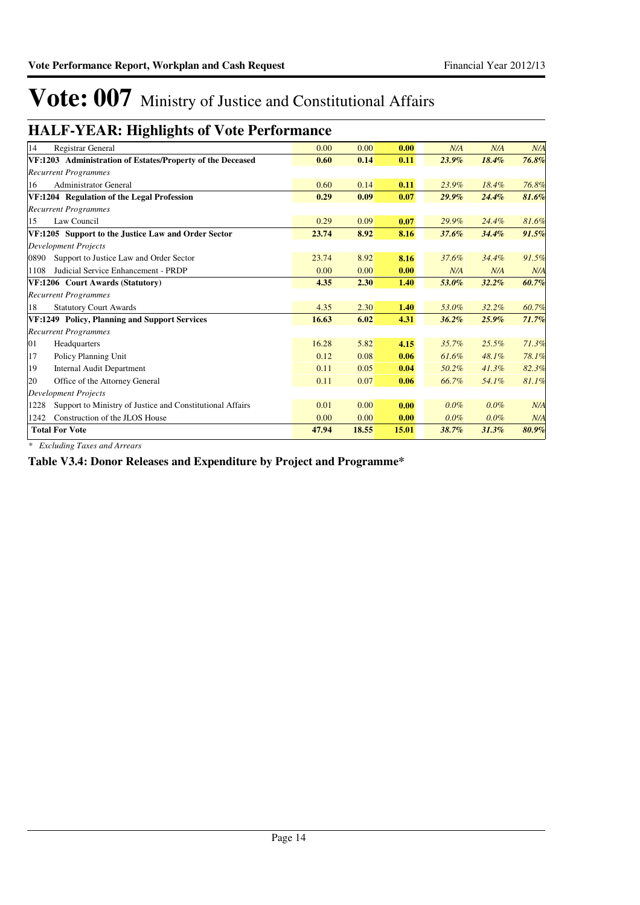### **HALF-YEAR: Highlights of Vote Performance**

| 14<br>Registrar General                                           | 0.00  | 0.00  | 0.00  | N/A      | N/A      | N/A   |
|-------------------------------------------------------------------|-------|-------|-------|----------|----------|-------|
| VF:1203 Administration of Estates/Property of the Deceased        | 0.60  | 0.14  | 0.11  | $23.9\%$ | 18.4%    | 76.8% |
| <b>Recurrent Programmes</b>                                       |       |       |       |          |          |       |
| <b>Administrator General</b><br>16                                | 0.60  | 0.14  | 0.11  | 23.9%    | 18.4%    | 76.8% |
| VF:1204 Regulation of the Legal Profession                        | 0.29  | 0.09  | 0.07  | $29.9\%$ | 24.4%    | 81.6% |
| <b>Recurrent Programmes</b>                                       |       |       |       |          |          |       |
| Law Council<br>15                                                 | 0.29  | 0.09  | 0.07  | 29.9%    | 24.4%    | 81.6% |
| VF:1205 Support to the Justice Law and Order Sector               | 23.74 | 8.92  | 8.16  | 37.6%    | 34.4%    | 91.5% |
| <b>Development Projects</b>                                       |       |       |       |          |          |       |
| Support to Justice Law and Order Sector<br>0890                   | 23.74 | 8.92  | 8.16  | 37.6%    | 34.4%    | 91.5% |
| Judicial Service Enhancement - PRDP<br>1108                       | 0.00  | 0.00  | 0.00  | N/A      | N/A      | N/A   |
| VF:1206 Court Awards (Statutory)                                  | 4.35  | 2.30  | 1.40  | 53.0%    | $32.2\%$ | 60.7% |
| <b>Recurrent Programmes</b>                                       |       |       |       |          |          |       |
| 18<br><b>Statutory Court Awards</b>                               | 4.35  | 2.30  | 1.40  | 53.0%    | 32.2%    | 60.7% |
| VF:1249 Policy, Planning and Support Services                     | 16.63 | 6.02  | 4.31  | 36.2%    | $25.9\%$ | 71.7% |
| <b>Recurrent Programmes</b>                                       |       |       |       |          |          |       |
| 01<br>Headquarters                                                | 16.28 | 5.82  | 4.15  | 35.7%    | 25.5%    | 71.3% |
| 17<br>Policy Planning Unit                                        | 0.12  | 0.08  | 0.06  | 61.6%    | 48.1%    | 78.1% |
| 19<br><b>Internal Audit Department</b>                            | 0.11  | 0.05  | 0.04  | 50.2%    | $41.3\%$ | 82.3% |
| 20<br>Office of the Attorney General                              | 0.11  | 0.07  | 0.06  | 66.7%    | 54.1%    | 81.1% |
| <b>Development Projects</b>                                       |       |       |       |          |          |       |
| Support to Ministry of Justice and Constitutional Affairs<br>1228 | 0.01  | 0.00  | 0.00  | 0.0%     | $0.0\%$  | N/A   |
| Construction of the JLOS House<br>1242                            | 0.00  | 0.00  | 0.00  | 0.0%     | 0.0%     | N/A   |
| <b>Total For Vote</b>                                             | 47.94 | 18.55 | 15.01 | 38.7%    | 31.3%    | 80.9% |
|                                                                   |       |       |       |          |          |       |

*\* Excluding Taxes and Arrears*

**Table V3.4: Donor Releases and Expenditure by Project and Programme\***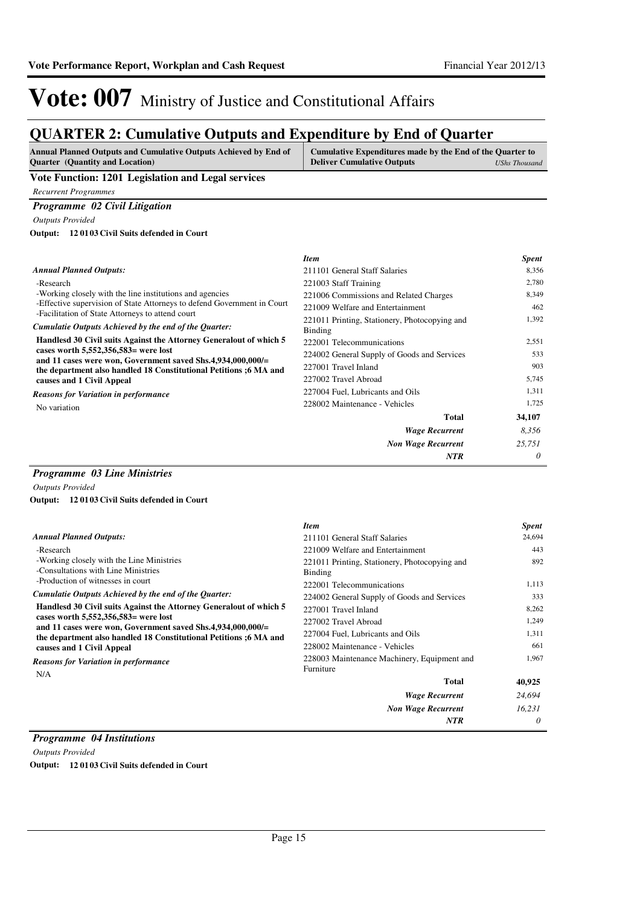### **QUARTER 2: Cumulative Outputs and Expenditure by End of Quarter**

| <b>Annual Planned Outputs and Cumulative Outputs Achieved by End of</b> | Cumulative Expenditures made by the End of the Quarter to |
|-------------------------------------------------------------------------|-----------------------------------------------------------|
| <b>Quarter</b> (Quantity and Location)                                  | <b>Deliver Cumulative Outputs</b><br>UShs Thousand        |
| Vote Eunstian: 1201 Legislation and Legal convices                      |                                                           |

**Vote Function: 1201 Legislation and Legal services**

*Recurrent Programmes*

#### *Programme 02 Civil Litigation*

*Outputs Provided*

**12 0103 Civil Suits defended in Court Output:**

#### -Research -Working closely with the line institutions and agencies -Effective supervision of State Attorneys to defend Government in Court -Facilitation of State Attorneys to attend court **Handlesd 30 Civil suits Against the Attorney Generalout of which 5 cases worth 5,552,356,583= were lost and 11 cases were won, Government saved Shs.4,934,000,000/= the department also handled 18 Constitutional Petitions ;6 MA and causes and 1 Civil Appeal** *Wage Recurrent Non Wage Recurrent* **Total** *8,356 25,751 0* **34,107** *Cumulatie Outputs Achieved by the end of the Quarter: Annual Planned Outputs: NTR* No variation *Reasons for Variation in performance Item Spent* 211101 General Staff Salaries 8,356 221003 Staff Training 2,780 221006 Commissions and Related Charges 8,349 221009 Welfare and Entertainment 462 221011 Printing, Stationery, Photocopying and Binding 1,392 222001 Telecommunications 2,551 224002 General Supply of Goods and Services 533 227001 Travel Inland 903 227002 Travel Abroad 5,745 227004 Fuel, Lubricants and Oils 1,311 228002 Maintenance - Vehicles 1,725

#### *Programme 03 Line Ministries*

*Outputs Provided*

**12 0103 Civil Suits defended in Court Output:**

|                                                                                                                                                                             | <b>Item</b>                                              | <b>Spent</b> |
|-----------------------------------------------------------------------------------------------------------------------------------------------------------------------------|----------------------------------------------------------|--------------|
| <b>Annual Planned Outputs:</b>                                                                                                                                              | 211101 General Staff Salaries                            | 24.694       |
| -Research                                                                                                                                                                   | 221009 Welfare and Entertainment                         | 443          |
| -Working closely with the Line Ministries<br>-Consultations with Line Ministries                                                                                            | 221011 Printing, Stationery, Photocopying and<br>Binding | 892          |
| -Production of witnesses in court                                                                                                                                           | 222001 Telecommunications                                | 1,113        |
| Cumulatie Outputs Achieved by the end of the Quarter:                                                                                                                       | 224002 General Supply of Goods and Services              | 333          |
| Handlesd 30 Civil suits Against the Attorney General out of which 5<br>cases worth $5,552,356,583$ were lost<br>and 11 cases were won, Government saved Shs.4,934,000,000/= | 227001 Travel Inland                                     | 8,262        |
|                                                                                                                                                                             | 227002 Travel Abroad                                     | 1,249        |
| the department also handled 18 Constitutional Petitions ;6 MA and                                                                                                           | 227004 Fuel, Lubricants and Oils                         | 1,311        |
| causes and 1 Civil Appeal                                                                                                                                                   | 228002 Maintenance - Vehicles                            | 661          |
| <b>Reasons for Variation in performance</b><br>N/A                                                                                                                          | 228003 Maintenance Machinery, Equipment and<br>Furniture | 1,967        |
|                                                                                                                                                                             | <b>Total</b>                                             | 40,925       |
|                                                                                                                                                                             | <b>Wage Recurrent</b>                                    | 24,694       |
|                                                                                                                                                                             | <b>Non Wage Recurrent</b>                                | 16,231       |
|                                                                                                                                                                             | <b>NTR</b>                                               | 0            |

#### *Programme 04 Institutions*

*Outputs Provided* **Output: 12 0103 Civil Suits defended in Court**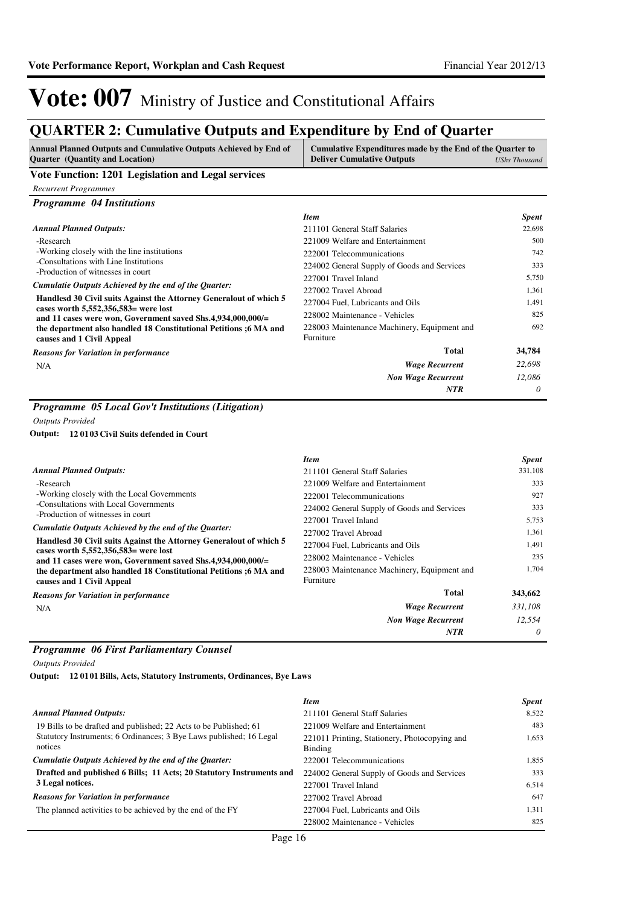### **QUARTER 2: Cumulative Outputs and Expenditure by End of Quarter**

| Annual Planned Outputs and Cumulative Outputs Achieved by End of<br><b>Ouarter</b> (Quantity and Location) | Cumulative Expenditures made by the End of the Quarter to<br><b>Deliver Cumulative Outputs</b> | UShs Thousand |
|------------------------------------------------------------------------------------------------------------|------------------------------------------------------------------------------------------------|---------------|
| Vote Function: 1201 Legislation and Legal services                                                         |                                                                                                |               |

### *Recurrent Programmes*

| <b>Programme</b> 04 Institutions                                                                     |                                             |              |
|------------------------------------------------------------------------------------------------------|---------------------------------------------|--------------|
|                                                                                                      | <b>Item</b>                                 | <b>Spent</b> |
| <b>Annual Planned Outputs:</b>                                                                       | 211101 General Staff Salaries               | 22,698       |
| -Research                                                                                            | 221009 Welfare and Entertainment            | 500          |
| -Working closely with the line institutions                                                          | 222001 Telecommunications                   | 742          |
| -Consultations with Line Institutions                                                                | 224002 General Supply of Goods and Services | 333          |
| -Production of witnesses in court<br>Cumulatie Outputs Achieved by the end of the Quarter:           | 227001 Travel Inland                        | 5,750        |
|                                                                                                      | 227002 Travel Abroad                        | 1,361        |
| Handlesd 30 Civil suits Against the Attorney General out of which 5                                  | 227004 Fuel, Lubricants and Oils            | 1,491        |
| cases worth $5,552,356,583$ were lost<br>and 11 cases were won, Government saved Shs.4,934,000,000/= | 228002 Maintenance - Vehicles               | 825          |
| the department also handled 18 Constitutional Petitions ;6 MA and                                    | 228003 Maintenance Machinery, Equipment and | 692          |
| causes and 1 Civil Appeal                                                                            | Furniture                                   |              |
| <b>Reasons for Variation in performance</b>                                                          | Total                                       | 34,784       |
| N/A                                                                                                  | <b>Wage Recurrent</b>                       | 22,698       |
|                                                                                                      | <b>Non Wage Recurrent</b>                   | 12.086       |
|                                                                                                      | <b>NTR</b>                                  | 0            |

### *Programme 05 Local Gov't Institutions (Litigation)*

*Outputs Provided*

#### **12 0103 Civil Suits defended in Court Output:**

|                                                                                                                                                                   | <b>Item</b>                                              | <b>Spent</b> |
|-------------------------------------------------------------------------------------------------------------------------------------------------------------------|----------------------------------------------------------|--------------|
| <b>Annual Planned Outputs:</b>                                                                                                                                    | 211101 General Staff Salaries                            | 331,108      |
| -Research                                                                                                                                                         | 221009 Welfare and Entertainment                         | 333          |
| -Working closely with the Local Governments                                                                                                                       | 222001 Telecommunications                                | 927          |
| -Consultations with Local Governments                                                                                                                             | 224002 General Supply of Goods and Services              | 333          |
| -Production of witnesses in court<br>Cumulatie Outputs Achieved by the end of the Quarter:<br>Handlesd 30 Civil suits Against the Attorney General out of which 5 | 227001 Travel Inland                                     | 5,753        |
|                                                                                                                                                                   | 227002 Travel Abroad                                     | 1,361        |
|                                                                                                                                                                   | 227004 Fuel, Lubricants and Oils                         | 1.491        |
| cases worth $5,552,356,583$ were lost<br>and 11 cases were won, Government saved Shs.4,934,000,000/ $=$                                                           | 228002 Maintenance - Vehicles                            | 235          |
| the department also handled 18 Constitutional Petitions :6 MA and<br>causes and 1 Civil Appeal                                                                    | 228003 Maintenance Machinery, Equipment and<br>Furniture | 1.704        |
| <b>Reasons for Variation in performance</b>                                                                                                                       | <b>Total</b>                                             | 343,662      |
| N/A                                                                                                                                                               | <b>Wage Recurrent</b>                                    | 331,108      |
|                                                                                                                                                                   | <b>Non Wage Recurrent</b>                                | 12,554       |
|                                                                                                                                                                   | <b>NTR</b>                                               | 0            |

#### *Programme 06 First Parliamentary Counsel*

*Outputs Provided*

**12 0101 Bills, Acts, Statutory Instruments, Ordinances, Bye Laws Output:**

|                                                                                | <b>Item</b>                                              | <b>Spent</b> |
|--------------------------------------------------------------------------------|----------------------------------------------------------|--------------|
| <b>Annual Planned Outputs:</b>                                                 | 211101 General Staff Salaries                            | 8.522        |
| 19 Bills to be drafted and published; 22 Acts to be Published; 61              | 221009 Welfare and Entertainment                         | 483          |
| Statutory Instruments; 6 Ordinances; 3 Bye Laws published; 16 Legal<br>notices | 221011 Printing, Stationery, Photocopying and<br>Binding | 1,653        |
| Cumulatie Outputs Achieved by the end of the Quarter:                          | 222001 Telecommunications                                | 1.855        |
| Drafted and published 6 Bills; 11 Acts; 20 Statutory Instruments and           | 224002 General Supply of Goods and Services              | 333          |
| 3 Legal notices.                                                               | 227001 Travel Inland                                     | 6.514        |
| <b>Reasons for Variation in performance</b>                                    | 227002 Travel Abroad                                     | 647          |
| The planned activities to be achieved by the end of the FY                     | 227004 Fuel, Lubricants and Oils                         | 1.311        |
|                                                                                | 228002 Maintenance - Vehicles                            | 825          |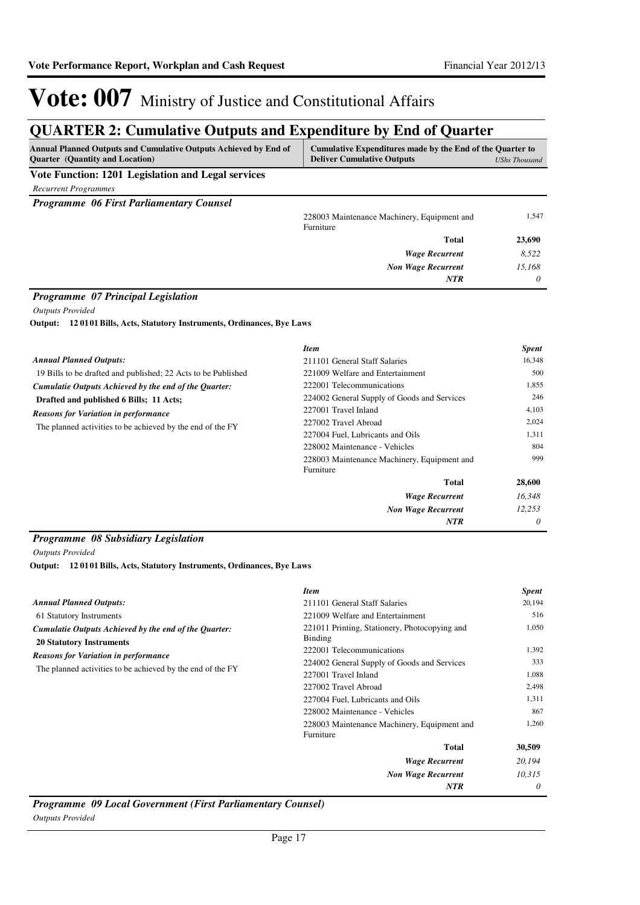### **QUARTER 2: Cumulative Outputs and Expenditure by End of Quarter**

| <b>Annual Planned Outputs and Cumulative Outputs Achieved by End of</b><br><b>Ouarter</b> (Quantity and Location) | Cumulative Expenditures made by the End of the Quarter to<br><b>Deliver Cumulative Outputs</b> | <b>UShs Thousand</b> |
|-------------------------------------------------------------------------------------------------------------------|------------------------------------------------------------------------------------------------|----------------------|
| Vote Function: 1201 Legislation and Legal services                                                                |                                                                                                |                      |
| <b>Recurrent Programmes</b>                                                                                       |                                                                                                |                      |
| <b>Programme 06 First Parliamentary Counsel</b>                                                                   |                                                                                                |                      |
|                                                                                                                   | 228003 Maintenance Machinery, Equipment and<br>Furniture                                       | 1,547                |
|                                                                                                                   | <b>Total</b>                                                                                   | 23,690               |
|                                                                                                                   | <b>Wage Recurrent</b>                                                                          | 8,522                |
|                                                                                                                   | <b>Non Wage Recurrent</b>                                                                      | 15.168               |
|                                                                                                                   | <b>NTR</b>                                                                                     | 0                    |

#### *Programme 07 Principal Legislation*

*Outputs Provided*

**12 0101 Bills, Acts, Statutory Instruments, Ordinances, Bye Laws Output:**

|                                                               | <b>Item</b>                                              | <b>Spent</b> |
|---------------------------------------------------------------|----------------------------------------------------------|--------------|
| <b>Annual Planned Outputs:</b>                                | 211101 General Staff Salaries                            | 16,348       |
| 19 Bills to be drafted and published; 22 Acts to be Published | 221009 Welfare and Entertainment                         | 500          |
| Cumulatie Outputs Achieved by the end of the Quarter:         | 222001 Telecommunications                                | 1,855        |
| Drafted and published 6 Bills; 11 Acts;                       | 224002 General Supply of Goods and Services              | 246          |
| <b>Reasons for Variation in performance</b>                   | 227001 Travel Inland                                     | 4,103        |
| The planned activities to be achieved by the end of the FY    | 227002 Travel Abroad                                     | 2,024        |
|                                                               | 227004 Fuel, Lubricants and Oils                         | 1,311        |
|                                                               | 228002 Maintenance - Vehicles                            | 804          |
|                                                               | 228003 Maintenance Machinery, Equipment and<br>Furniture | 999          |
|                                                               | Total                                                    | 28,600       |
|                                                               | <b>Wage Recurrent</b>                                    | 16,348       |
|                                                               | <b>Non Wage Recurrent</b>                                | 12,253       |
|                                                               | <b>NTR</b>                                               | $\theta$     |

#### *Programme 08 Subsidiary Legislation*

*Outputs Provided*

**12 0101 Bills, Acts, Statutory Instruments, Ordinances, Bye Laws Output:**

|                                                                                          | <b>Item</b>                                              | <b>Spent</b> |
|------------------------------------------------------------------------------------------|----------------------------------------------------------|--------------|
| <b>Annual Planned Outputs:</b>                                                           | 211101 General Staff Salaries                            | 20,194       |
| 61 Statutory Instruments                                                                 | 221009 Welfare and Entertainment                         | 516          |
| Cumulatie Outputs Achieved by the end of the Quarter:<br><b>20 Statutory Instruments</b> | 221011 Printing, Stationery, Photocopying and<br>Binding | 1,050        |
|                                                                                          | 222001 Telecommunications                                | 1,392        |
| <b>Reasons for Variation in performance</b>                                              | 224002 General Supply of Goods and Services              | 333          |
| The planned activities to be achieved by the end of the FY                               | 227001 Travel Inland                                     | 1,088        |
|                                                                                          | 227002 Travel Abroad                                     | 2,498        |
|                                                                                          | 227004 Fuel, Lubricants and Oils                         | 1,311        |
|                                                                                          | 228002 Maintenance - Vehicles                            | 867          |
|                                                                                          | 228003 Maintenance Machinery, Equipment and<br>Furniture | 1,260        |
|                                                                                          | <b>Total</b>                                             | 30,509       |
|                                                                                          | <b>Wage Recurrent</b>                                    | 20,194       |
|                                                                                          | <b>Non Wage Recurrent</b>                                | 10,315       |
|                                                                                          | NTR                                                      | 0            |

*Programme 09 Local Government (First Parliamentary Counsel) Outputs Provided*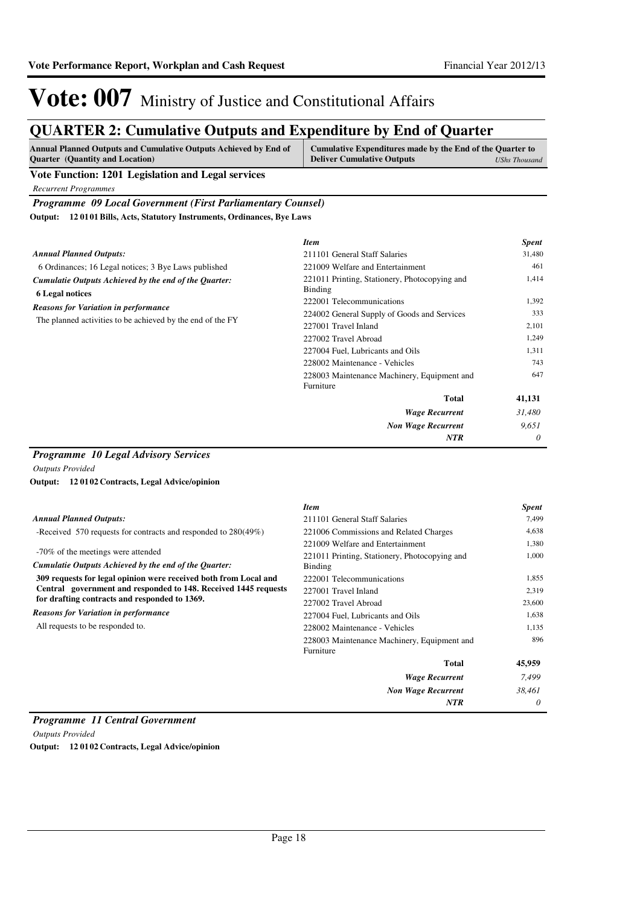### **QUARTER 2: Cumulative Outputs and Expenditure by End of Quarter**

| <b>Annual Planned Outputs and Cumulative Outputs Achieved by End of</b> | Cumulative Expenditures made by the End of the Quarter to |               |
|-------------------------------------------------------------------------|-----------------------------------------------------------|---------------|
| <b>Ouarter</b> (Quantity and Location)                                  | <b>Deliver Cumulative Outputs</b>                         | UShs Thousand |

#### **Vote Function: 1201 Legislation and Legal services**

*Recurrent Programmes*

#### *Programme 09 Local Government (First Parliamentary Counsel)*

**12 0101 Bills, Acts, Statutory Instruments, Ordinances, Bye Laws Output:**

|                                                                                 | <b>Item</b>                                              | <b>Spent</b> |
|---------------------------------------------------------------------------------|----------------------------------------------------------|--------------|
| <b>Annual Planned Outputs:</b>                                                  | 211101 General Staff Salaries                            | 31,480       |
| 6 Ordinances; 16 Legal notices; 3 Bye Laws published                            | 221009 Welfare and Entertainment                         | 461          |
| Cumulatie Outputs Achieved by the end of the Quarter:<br><b>6 Legal notices</b> | 221011 Printing, Stationery, Photocopying and<br>Binding | 1,414        |
|                                                                                 | 222001 Telecommunications                                | 1,392        |
| <b>Reasons for Variation in performance</b>                                     | 224002 General Supply of Goods and Services              | 333          |
| The planned activities to be achieved by the end of the FY                      | 227001 Travel Inland                                     | 2,101        |
|                                                                                 | 227002 Travel Abroad                                     | 1,249        |
|                                                                                 | 227004 Fuel, Lubricants and Oils                         | 1,311        |
|                                                                                 | 228002 Maintenance - Vehicles                            | 743          |
|                                                                                 | 228003 Maintenance Machinery, Equipment and<br>Furniture | 647          |
|                                                                                 | <b>Total</b>                                             | 41,131       |
|                                                                                 | <b>Wage Recurrent</b>                                    | 31,480       |
|                                                                                 | <b>Non Wage Recurrent</b>                                | 9,651        |
|                                                                                 | <b>NTR</b>                                               | 0            |

#### *Programme 10 Legal Advisory Services*

*Outputs Provided*

#### **12 0102 Contracts, Legal Advice/opinion Output:**

|                                                                  | <b>Item</b>                                   | <b>Spent</b> |
|------------------------------------------------------------------|-----------------------------------------------|--------------|
| <b>Annual Planned Outputs:</b>                                   | 211101 General Staff Salaries                 | 7,499        |
| -Received 570 requests for contracts and responded to 280(49%)   | 221006 Commissions and Related Charges        | 4,638        |
|                                                                  | 221009 Welfare and Entertainment              | 1,380        |
| -70% of the meetings were attended                               | 221011 Printing, Stationery, Photocopying and | 1,000        |
| Cumulatie Outputs Achieved by the end of the Quarter:            | Binding                                       |              |
| 309 requests for legal opinion were received both from Local and | 222001 Telecommunications                     | 1,855        |
| Central government and responded to 148. Received 1445 requests  | 227001 Travel Inland                          | 2,319        |
| for drafting contracts and responded to 1369.                    | 227002 Travel Abroad                          | 23,600       |
| <b>Reasons for Variation in performance</b>                      | 227004 Fuel, Lubricants and Oils              | 1,638        |
| All requests to be responded to.                                 | 228002 Maintenance - Vehicles                 | 1,135        |
|                                                                  | 228003 Maintenance Machinery, Equipment and   | 896          |
|                                                                  | Furniture                                     |              |
|                                                                  | <b>Total</b>                                  | 45,959       |
|                                                                  | <b>Wage Recurrent</b>                         | 7,499        |
|                                                                  | <b>Non Wage Recurrent</b>                     | 38,461       |
|                                                                  | <b>NTR</b>                                    | 0            |

#### *Programme 11 Central Government*

*Outputs Provided*

**Output: 12 0102 Contracts, Legal Advice/opinion**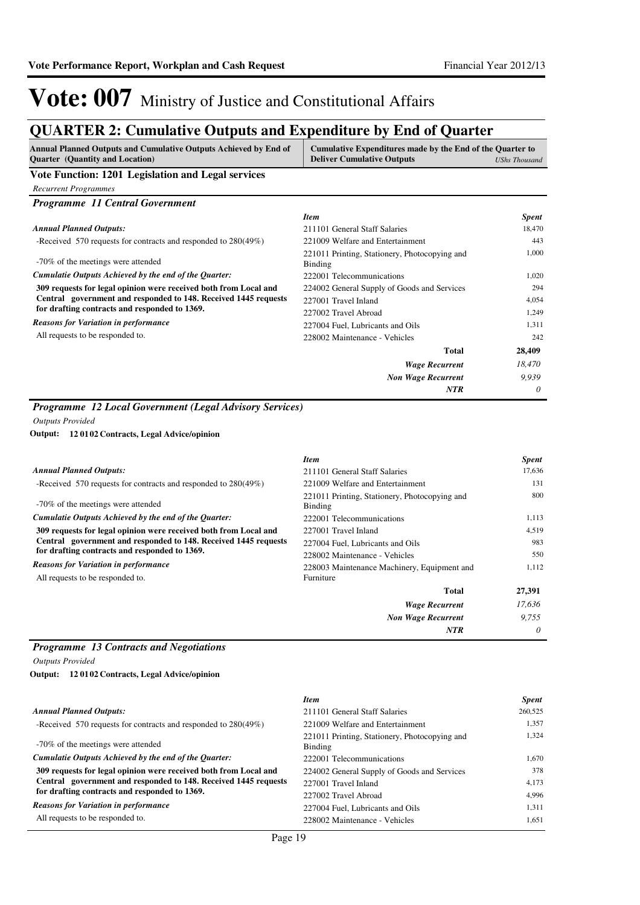### **QUARTER 2: Cumulative Outputs and Expenditure by End of Quarter**

| <b>Annual Planned Outputs and Cumulative Outputs Achieved by End of</b><br><b>Quarter</b> (Quantity and Location) | Cumulative Expenditures made by the End of the Quarter to<br><b>Deliver Cumulative Outputs</b> | <b>UShs Thousand</b> |
|-------------------------------------------------------------------------------------------------------------------|------------------------------------------------------------------------------------------------|----------------------|
| Vote Function: 1201 Legislation and Legal services                                                                |                                                                                                |                      |
| <b>Recurrent Programmes</b>                                                                                       |                                                                                                |                      |
| <b>Programme 11 Central Government</b>                                                                            |                                                                                                |                      |
|                                                                                                                   | <b>Item</b>                                                                                    | <b>Spent</b>         |
| <b>Annual Planned Outputs:</b>                                                                                    | 211101 General Staff Salaries                                                                  | 18,470               |
| -Received 570 requests for contracts and responded to 280(49%)                                                    | 221009 Welfare and Entertainment                                                               | 443                  |
| -70% of the meetings were attended                                                                                | 221011 Printing, Stationery, Photocopying and<br>Binding                                       | 1.000                |
| Cumulatie Outputs Achieved by the end of the Quarter:                                                             | 222001 Telecommunications                                                                      | 1,020                |
| 309 requests for legal opinion were received both from Local and                                                  | 224002 General Supply of Goods and Services                                                    | 294                  |
| Central government and responded to 148. Received 1445 requests                                                   | 227001 Travel Inland                                                                           | 4,054                |
| for drafting contracts and responded to 1369.                                                                     | 227002 Travel Abroad                                                                           | 1,249                |
| <b>Reasons for Variation in performance</b>                                                                       | 227004 Fuel, Lubricants and Oils                                                               | 1,311                |
| All requests to be responded to.                                                                                  | 228002 Maintenance - Vehicles                                                                  | 242                  |
|                                                                                                                   | <b>Total</b>                                                                                   | 28,409               |
|                                                                                                                   | <b>Wage Recurrent</b>                                                                          | 18,470               |
|                                                                                                                   | <b>Non Wage Recurrent</b>                                                                      | 9,939                |
|                                                                                                                   | <b>NTR</b>                                                                                     | 0                    |

#### *Programme 12 Local Government (Legal Advisory Services)*

*Outputs Provided*

#### **12 0102 Contracts, Legal Advice/opinion Output:**

|                                                                                                                                                                                      | <b>Item</b>                                              | <b>Spent</b> |
|--------------------------------------------------------------------------------------------------------------------------------------------------------------------------------------|----------------------------------------------------------|--------------|
| <b>Annual Planned Outputs:</b>                                                                                                                                                       | 211101 General Staff Salaries                            | 17,636       |
| -Received 570 requests for contracts and responded to $280(49\%)$                                                                                                                    | 221009 Welfare and Entertainment                         | 131          |
| -70% of the meetings were attended                                                                                                                                                   | 221011 Printing, Stationery, Photocopying and<br>Binding | 800          |
| Cumulatie Outputs Achieved by the end of the Ouarter:                                                                                                                                | 222001 Telecommunications                                | 1,113        |
| 309 requests for legal opinion were received both from Local and<br>Central government and responded to 148. Received 1445 requests<br>for drafting contracts and responded to 1369. | 227001 Travel Inland                                     | 4,519        |
|                                                                                                                                                                                      | 227004 Fuel, Lubricants and Oils                         | 983          |
|                                                                                                                                                                                      | 228002 Maintenance - Vehicles                            | 550          |
| <b>Reasons for Variation in performance</b>                                                                                                                                          | 228003 Maintenance Machinery, Equipment and              | 1,112        |
| All requests to be responded to.                                                                                                                                                     | Furniture                                                |              |
|                                                                                                                                                                                      | <b>Total</b>                                             | 27,391       |
|                                                                                                                                                                                      | <b>Wage Recurrent</b>                                    | 17,636       |
|                                                                                                                                                                                      | <b>Non Wage Recurrent</b>                                | 9.755        |
|                                                                                                                                                                                      | <b>NTR</b>                                               | 0            |

### *Programme 13 Contracts and Negotiations*

*Outputs Provided*

**12 0102 Contracts, Legal Advice/opinion Output:**

| <b>Item</b>                                              | <b>Spent</b> |
|----------------------------------------------------------|--------------|
| 211101 General Staff Salaries                            | 260,525      |
| 221009 Welfare and Entertainment                         | 1.357        |
| 221011 Printing, Stationery, Photocopying and<br>Binding | 1,324        |
| 222001 Telecommunications                                | 1.670        |
| 224002 General Supply of Goods and Services              | 378          |
| 227001 Travel Inland                                     | 4,173        |
| 227002 Travel Abroad                                     | 4.996        |
| 227004 Fuel, Lubricants and Oils                         | 1.311        |
| 228002 Maintenance - Vehicles                            | 1.651        |
|                                                          |              |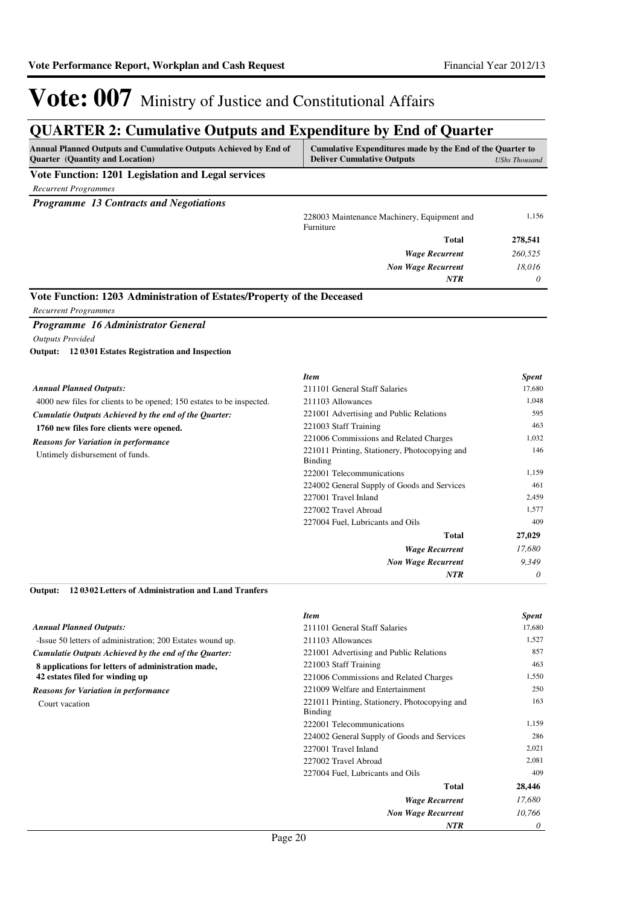### **QUARTER 2: Cumulative Outputs and Expenditure by End of Quarter**

| Vote Function: 1201 Legislation and Legal services<br><b>Recurrent Programmes</b><br><b>Programme 13 Contracts and Negotiations</b><br>1,156<br>228003 Maintenance Machinery, Equipment and<br>Furniture<br>Total<br>278,541<br>260,525<br><b>Wage Recurrent</b><br><b>Non Wage Recurrent</b><br>18,016<br><b>NTR</b><br>0<br>Vote Function: 1203 Administration of Estates/Property of the Deceased<br><b>Recurrent Programmes</b><br>Programme 16 Administrator General<br><b>Outputs Provided</b><br>Output: 12 0301 Estates Registration and Inspection<br><b>Item</b><br>Spent<br><b>Annual Planned Outputs:</b><br>17,680<br>211101 General Staff Salaries<br>4000 new files for clients to be opened; 150 estates to be inspected.<br>211103 Allowances<br>1,048<br>595<br>221001 Advertising and Public Relations<br>Cumulatie Outputs Achieved by the end of the Quarter:<br>463<br>221003 Staff Training<br>1760 new files fore clients were opened.<br>221006 Commissions and Related Charges<br>1,032<br><b>Reasons for Variation in performance</b><br>221011 Printing, Stationery, Photocopying and<br>146<br>Untimely disbursement of funds.<br><b>Binding</b><br>222001 Telecommunications<br>1,159<br>224002 General Supply of Goods and Services<br>461<br>2,459<br>227001 Travel Inland<br>227002 Travel Abroad<br>1,577<br>409<br>227004 Fuel, Lubricants and Oils<br>27,029<br>Total<br><b>Wage Recurrent</b><br>17,680<br>9,349<br>Non Wage Recurrent<br><b>NTR</b><br>0<br>120302 Letters of Administration and Land Tranfers<br>Output:<br><b>Item</b><br><b>Spent</b><br><b>Annual Planned Outputs:</b><br>17,680<br>211101 General Staff Salaries<br>1,527<br>-Issue 50 letters of administration; 200 Estates wound up.<br>211103 Allowances<br>857<br>221001 Advertising and Public Relations<br>Cumulatie Outputs Achieved by the end of the Quarter:<br>463<br>221003 Staff Training<br>8 applications for letters of administration made,<br>42 estates filed for winding up<br>221006 Commissions and Related Charges<br>1,550<br>221009 Welfare and Entertainment<br>250<br><b>Reasons for Variation in performance</b><br>221011 Printing, Stationery, Photocopying and<br>163<br>Court vacation<br>Binding<br>1,159<br>222001 Telecommunications<br>286<br>224002 General Supply of Goods and Services<br>227001 Travel Inland<br>2,021<br>2,081<br>227002 Travel Abroad<br>409<br>227004 Fuel, Lubricants and Oils<br><b>Total</b><br>28,446<br><b>Wage Recurrent</b><br>17,680<br>10,766<br><b>Non Wage Recurrent</b><br>NTR<br>0 | Annual Planned Outputs and Cumulative Outputs Achieved by End of<br>Quarter (Quantity and Location) | Cumulative Expenditures made by the End of the Quarter to<br><b>Deliver Cumulative Outputs</b> | <b>UShs Thousand</b> |
|------------------------------------------------------------------------------------------------------------------------------------------------------------------------------------------------------------------------------------------------------------------------------------------------------------------------------------------------------------------------------------------------------------------------------------------------------------------------------------------------------------------------------------------------------------------------------------------------------------------------------------------------------------------------------------------------------------------------------------------------------------------------------------------------------------------------------------------------------------------------------------------------------------------------------------------------------------------------------------------------------------------------------------------------------------------------------------------------------------------------------------------------------------------------------------------------------------------------------------------------------------------------------------------------------------------------------------------------------------------------------------------------------------------------------------------------------------------------------------------------------------------------------------------------------------------------------------------------------------------------------------------------------------------------------------------------------------------------------------------------------------------------------------------------------------------------------------------------------------------------------------------------------------------------------------------------------------------------------------------------------------------------------------------------------------------------------------------------------------------------------------------------------------------------------------------------------------------------------------------------------------------------------------------------------------------------------------------------------------------------------------------------------------------------------------------------------------------------------------------------------------------------------------------------------------------------|-----------------------------------------------------------------------------------------------------|------------------------------------------------------------------------------------------------|----------------------|
|                                                                                                                                                                                                                                                                                                                                                                                                                                                                                                                                                                                                                                                                                                                                                                                                                                                                                                                                                                                                                                                                                                                                                                                                                                                                                                                                                                                                                                                                                                                                                                                                                                                                                                                                                                                                                                                                                                                                                                                                                                                                                                                                                                                                                                                                                                                                                                                                                                                                                                                                                                        |                                                                                                     |                                                                                                |                      |
|                                                                                                                                                                                                                                                                                                                                                                                                                                                                                                                                                                                                                                                                                                                                                                                                                                                                                                                                                                                                                                                                                                                                                                                                                                                                                                                                                                                                                                                                                                                                                                                                                                                                                                                                                                                                                                                                                                                                                                                                                                                                                                                                                                                                                                                                                                                                                                                                                                                                                                                                                                        |                                                                                                     |                                                                                                |                      |
|                                                                                                                                                                                                                                                                                                                                                                                                                                                                                                                                                                                                                                                                                                                                                                                                                                                                                                                                                                                                                                                                                                                                                                                                                                                                                                                                                                                                                                                                                                                                                                                                                                                                                                                                                                                                                                                                                                                                                                                                                                                                                                                                                                                                                                                                                                                                                                                                                                                                                                                                                                        |                                                                                                     |                                                                                                |                      |
|                                                                                                                                                                                                                                                                                                                                                                                                                                                                                                                                                                                                                                                                                                                                                                                                                                                                                                                                                                                                                                                                                                                                                                                                                                                                                                                                                                                                                                                                                                                                                                                                                                                                                                                                                                                                                                                                                                                                                                                                                                                                                                                                                                                                                                                                                                                                                                                                                                                                                                                                                                        |                                                                                                     |                                                                                                |                      |
|                                                                                                                                                                                                                                                                                                                                                                                                                                                                                                                                                                                                                                                                                                                                                                                                                                                                                                                                                                                                                                                                                                                                                                                                                                                                                                                                                                                                                                                                                                                                                                                                                                                                                                                                                                                                                                                                                                                                                                                                                                                                                                                                                                                                                                                                                                                                                                                                                                                                                                                                                                        |                                                                                                     |                                                                                                |                      |
|                                                                                                                                                                                                                                                                                                                                                                                                                                                                                                                                                                                                                                                                                                                                                                                                                                                                                                                                                                                                                                                                                                                                                                                                                                                                                                                                                                                                                                                                                                                                                                                                                                                                                                                                                                                                                                                                                                                                                                                                                                                                                                                                                                                                                                                                                                                                                                                                                                                                                                                                                                        |                                                                                                     |                                                                                                |                      |
|                                                                                                                                                                                                                                                                                                                                                                                                                                                                                                                                                                                                                                                                                                                                                                                                                                                                                                                                                                                                                                                                                                                                                                                                                                                                                                                                                                                                                                                                                                                                                                                                                                                                                                                                                                                                                                                                                                                                                                                                                                                                                                                                                                                                                                                                                                                                                                                                                                                                                                                                                                        |                                                                                                     |                                                                                                |                      |
|                                                                                                                                                                                                                                                                                                                                                                                                                                                                                                                                                                                                                                                                                                                                                                                                                                                                                                                                                                                                                                                                                                                                                                                                                                                                                                                                                                                                                                                                                                                                                                                                                                                                                                                                                                                                                                                                                                                                                                                                                                                                                                                                                                                                                                                                                                                                                                                                                                                                                                                                                                        |                                                                                                     |                                                                                                |                      |
|                                                                                                                                                                                                                                                                                                                                                                                                                                                                                                                                                                                                                                                                                                                                                                                                                                                                                                                                                                                                                                                                                                                                                                                                                                                                                                                                                                                                                                                                                                                                                                                                                                                                                                                                                                                                                                                                                                                                                                                                                                                                                                                                                                                                                                                                                                                                                                                                                                                                                                                                                                        |                                                                                                     |                                                                                                |                      |
|                                                                                                                                                                                                                                                                                                                                                                                                                                                                                                                                                                                                                                                                                                                                                                                                                                                                                                                                                                                                                                                                                                                                                                                                                                                                                                                                                                                                                                                                                                                                                                                                                                                                                                                                                                                                                                                                                                                                                                                                                                                                                                                                                                                                                                                                                                                                                                                                                                                                                                                                                                        |                                                                                                     |                                                                                                |                      |
|                                                                                                                                                                                                                                                                                                                                                                                                                                                                                                                                                                                                                                                                                                                                                                                                                                                                                                                                                                                                                                                                                                                                                                                                                                                                                                                                                                                                                                                                                                                                                                                                                                                                                                                                                                                                                                                                                                                                                                                                                                                                                                                                                                                                                                                                                                                                                                                                                                                                                                                                                                        |                                                                                                     |                                                                                                |                      |
|                                                                                                                                                                                                                                                                                                                                                                                                                                                                                                                                                                                                                                                                                                                                                                                                                                                                                                                                                                                                                                                                                                                                                                                                                                                                                                                                                                                                                                                                                                                                                                                                                                                                                                                                                                                                                                                                                                                                                                                                                                                                                                                                                                                                                                                                                                                                                                                                                                                                                                                                                                        |                                                                                                     |                                                                                                |                      |
|                                                                                                                                                                                                                                                                                                                                                                                                                                                                                                                                                                                                                                                                                                                                                                                                                                                                                                                                                                                                                                                                                                                                                                                                                                                                                                                                                                                                                                                                                                                                                                                                                                                                                                                                                                                                                                                                                                                                                                                                                                                                                                                                                                                                                                                                                                                                                                                                                                                                                                                                                                        |                                                                                                     |                                                                                                |                      |
|                                                                                                                                                                                                                                                                                                                                                                                                                                                                                                                                                                                                                                                                                                                                                                                                                                                                                                                                                                                                                                                                                                                                                                                                                                                                                                                                                                                                                                                                                                                                                                                                                                                                                                                                                                                                                                                                                                                                                                                                                                                                                                                                                                                                                                                                                                                                                                                                                                                                                                                                                                        |                                                                                                     |                                                                                                |                      |
|                                                                                                                                                                                                                                                                                                                                                                                                                                                                                                                                                                                                                                                                                                                                                                                                                                                                                                                                                                                                                                                                                                                                                                                                                                                                                                                                                                                                                                                                                                                                                                                                                                                                                                                                                                                                                                                                                                                                                                                                                                                                                                                                                                                                                                                                                                                                                                                                                                                                                                                                                                        |                                                                                                     |                                                                                                |                      |
|                                                                                                                                                                                                                                                                                                                                                                                                                                                                                                                                                                                                                                                                                                                                                                                                                                                                                                                                                                                                                                                                                                                                                                                                                                                                                                                                                                                                                                                                                                                                                                                                                                                                                                                                                                                                                                                                                                                                                                                                                                                                                                                                                                                                                                                                                                                                                                                                                                                                                                                                                                        |                                                                                                     |                                                                                                |                      |
|                                                                                                                                                                                                                                                                                                                                                                                                                                                                                                                                                                                                                                                                                                                                                                                                                                                                                                                                                                                                                                                                                                                                                                                                                                                                                                                                                                                                                                                                                                                                                                                                                                                                                                                                                                                                                                                                                                                                                                                                                                                                                                                                                                                                                                                                                                                                                                                                                                                                                                                                                                        |                                                                                                     |                                                                                                |                      |
|                                                                                                                                                                                                                                                                                                                                                                                                                                                                                                                                                                                                                                                                                                                                                                                                                                                                                                                                                                                                                                                                                                                                                                                                                                                                                                                                                                                                                                                                                                                                                                                                                                                                                                                                                                                                                                                                                                                                                                                                                                                                                                                                                                                                                                                                                                                                                                                                                                                                                                                                                                        |                                                                                                     |                                                                                                |                      |
|                                                                                                                                                                                                                                                                                                                                                                                                                                                                                                                                                                                                                                                                                                                                                                                                                                                                                                                                                                                                                                                                                                                                                                                                                                                                                                                                                                                                                                                                                                                                                                                                                                                                                                                                                                                                                                                                                                                                                                                                                                                                                                                                                                                                                                                                                                                                                                                                                                                                                                                                                                        |                                                                                                     |                                                                                                |                      |
|                                                                                                                                                                                                                                                                                                                                                                                                                                                                                                                                                                                                                                                                                                                                                                                                                                                                                                                                                                                                                                                                                                                                                                                                                                                                                                                                                                                                                                                                                                                                                                                                                                                                                                                                                                                                                                                                                                                                                                                                                                                                                                                                                                                                                                                                                                                                                                                                                                                                                                                                                                        |                                                                                                     |                                                                                                |                      |
|                                                                                                                                                                                                                                                                                                                                                                                                                                                                                                                                                                                                                                                                                                                                                                                                                                                                                                                                                                                                                                                                                                                                                                                                                                                                                                                                                                                                                                                                                                                                                                                                                                                                                                                                                                                                                                                                                                                                                                                                                                                                                                                                                                                                                                                                                                                                                                                                                                                                                                                                                                        |                                                                                                     |                                                                                                |                      |
|                                                                                                                                                                                                                                                                                                                                                                                                                                                                                                                                                                                                                                                                                                                                                                                                                                                                                                                                                                                                                                                                                                                                                                                                                                                                                                                                                                                                                                                                                                                                                                                                                                                                                                                                                                                                                                                                                                                                                                                                                                                                                                                                                                                                                                                                                                                                                                                                                                                                                                                                                                        |                                                                                                     |                                                                                                |                      |
|                                                                                                                                                                                                                                                                                                                                                                                                                                                                                                                                                                                                                                                                                                                                                                                                                                                                                                                                                                                                                                                                                                                                                                                                                                                                                                                                                                                                                                                                                                                                                                                                                                                                                                                                                                                                                                                                                                                                                                                                                                                                                                                                                                                                                                                                                                                                                                                                                                                                                                                                                                        |                                                                                                     |                                                                                                |                      |
|                                                                                                                                                                                                                                                                                                                                                                                                                                                                                                                                                                                                                                                                                                                                                                                                                                                                                                                                                                                                                                                                                                                                                                                                                                                                                                                                                                                                                                                                                                                                                                                                                                                                                                                                                                                                                                                                                                                                                                                                                                                                                                                                                                                                                                                                                                                                                                                                                                                                                                                                                                        |                                                                                                     |                                                                                                |                      |
|                                                                                                                                                                                                                                                                                                                                                                                                                                                                                                                                                                                                                                                                                                                                                                                                                                                                                                                                                                                                                                                                                                                                                                                                                                                                                                                                                                                                                                                                                                                                                                                                                                                                                                                                                                                                                                                                                                                                                                                                                                                                                                                                                                                                                                                                                                                                                                                                                                                                                                                                                                        |                                                                                                     |                                                                                                |                      |
|                                                                                                                                                                                                                                                                                                                                                                                                                                                                                                                                                                                                                                                                                                                                                                                                                                                                                                                                                                                                                                                                                                                                                                                                                                                                                                                                                                                                                                                                                                                                                                                                                                                                                                                                                                                                                                                                                                                                                                                                                                                                                                                                                                                                                                                                                                                                                                                                                                                                                                                                                                        |                                                                                                     |                                                                                                |                      |
|                                                                                                                                                                                                                                                                                                                                                                                                                                                                                                                                                                                                                                                                                                                                                                                                                                                                                                                                                                                                                                                                                                                                                                                                                                                                                                                                                                                                                                                                                                                                                                                                                                                                                                                                                                                                                                                                                                                                                                                                                                                                                                                                                                                                                                                                                                                                                                                                                                                                                                                                                                        |                                                                                                     |                                                                                                |                      |
|                                                                                                                                                                                                                                                                                                                                                                                                                                                                                                                                                                                                                                                                                                                                                                                                                                                                                                                                                                                                                                                                                                                                                                                                                                                                                                                                                                                                                                                                                                                                                                                                                                                                                                                                                                                                                                                                                                                                                                                                                                                                                                                                                                                                                                                                                                                                                                                                                                                                                                                                                                        |                                                                                                     |                                                                                                |                      |
|                                                                                                                                                                                                                                                                                                                                                                                                                                                                                                                                                                                                                                                                                                                                                                                                                                                                                                                                                                                                                                                                                                                                                                                                                                                                                                                                                                                                                                                                                                                                                                                                                                                                                                                                                                                                                                                                                                                                                                                                                                                                                                                                                                                                                                                                                                                                                                                                                                                                                                                                                                        |                                                                                                     |                                                                                                |                      |
|                                                                                                                                                                                                                                                                                                                                                                                                                                                                                                                                                                                                                                                                                                                                                                                                                                                                                                                                                                                                                                                                                                                                                                                                                                                                                                                                                                                                                                                                                                                                                                                                                                                                                                                                                                                                                                                                                                                                                                                                                                                                                                                                                                                                                                                                                                                                                                                                                                                                                                                                                                        |                                                                                                     |                                                                                                |                      |
|                                                                                                                                                                                                                                                                                                                                                                                                                                                                                                                                                                                                                                                                                                                                                                                                                                                                                                                                                                                                                                                                                                                                                                                                                                                                                                                                                                                                                                                                                                                                                                                                                                                                                                                                                                                                                                                                                                                                                                                                                                                                                                                                                                                                                                                                                                                                                                                                                                                                                                                                                                        |                                                                                                     |                                                                                                |                      |
|                                                                                                                                                                                                                                                                                                                                                                                                                                                                                                                                                                                                                                                                                                                                                                                                                                                                                                                                                                                                                                                                                                                                                                                                                                                                                                                                                                                                                                                                                                                                                                                                                                                                                                                                                                                                                                                                                                                                                                                                                                                                                                                                                                                                                                                                                                                                                                                                                                                                                                                                                                        |                                                                                                     |                                                                                                |                      |
|                                                                                                                                                                                                                                                                                                                                                                                                                                                                                                                                                                                                                                                                                                                                                                                                                                                                                                                                                                                                                                                                                                                                                                                                                                                                                                                                                                                                                                                                                                                                                                                                                                                                                                                                                                                                                                                                                                                                                                                                                                                                                                                                                                                                                                                                                                                                                                                                                                                                                                                                                                        |                                                                                                     |                                                                                                |                      |
|                                                                                                                                                                                                                                                                                                                                                                                                                                                                                                                                                                                                                                                                                                                                                                                                                                                                                                                                                                                                                                                                                                                                                                                                                                                                                                                                                                                                                                                                                                                                                                                                                                                                                                                                                                                                                                                                                                                                                                                                                                                                                                                                                                                                                                                                                                                                                                                                                                                                                                                                                                        |                                                                                                     |                                                                                                |                      |
|                                                                                                                                                                                                                                                                                                                                                                                                                                                                                                                                                                                                                                                                                                                                                                                                                                                                                                                                                                                                                                                                                                                                                                                                                                                                                                                                                                                                                                                                                                                                                                                                                                                                                                                                                                                                                                                                                                                                                                                                                                                                                                                                                                                                                                                                                                                                                                                                                                                                                                                                                                        |                                                                                                     |                                                                                                |                      |
|                                                                                                                                                                                                                                                                                                                                                                                                                                                                                                                                                                                                                                                                                                                                                                                                                                                                                                                                                                                                                                                                                                                                                                                                                                                                                                                                                                                                                                                                                                                                                                                                                                                                                                                                                                                                                                                                                                                                                                                                                                                                                                                                                                                                                                                                                                                                                                                                                                                                                                                                                                        |                                                                                                     |                                                                                                |                      |
|                                                                                                                                                                                                                                                                                                                                                                                                                                                                                                                                                                                                                                                                                                                                                                                                                                                                                                                                                                                                                                                                                                                                                                                                                                                                                                                                                                                                                                                                                                                                                                                                                                                                                                                                                                                                                                                                                                                                                                                                                                                                                                                                                                                                                                                                                                                                                                                                                                                                                                                                                                        |                                                                                                     |                                                                                                |                      |
|                                                                                                                                                                                                                                                                                                                                                                                                                                                                                                                                                                                                                                                                                                                                                                                                                                                                                                                                                                                                                                                                                                                                                                                                                                                                                                                                                                                                                                                                                                                                                                                                                                                                                                                                                                                                                                                                                                                                                                                                                                                                                                                                                                                                                                                                                                                                                                                                                                                                                                                                                                        |                                                                                                     |                                                                                                |                      |
|                                                                                                                                                                                                                                                                                                                                                                                                                                                                                                                                                                                                                                                                                                                                                                                                                                                                                                                                                                                                                                                                                                                                                                                                                                                                                                                                                                                                                                                                                                                                                                                                                                                                                                                                                                                                                                                                                                                                                                                                                                                                                                                                                                                                                                                                                                                                                                                                                                                                                                                                                                        |                                                                                                     |                                                                                                |                      |
|                                                                                                                                                                                                                                                                                                                                                                                                                                                                                                                                                                                                                                                                                                                                                                                                                                                                                                                                                                                                                                                                                                                                                                                                                                                                                                                                                                                                                                                                                                                                                                                                                                                                                                                                                                                                                                                                                                                                                                                                                                                                                                                                                                                                                                                                                                                                                                                                                                                                                                                                                                        |                                                                                                     |                                                                                                |                      |
|                                                                                                                                                                                                                                                                                                                                                                                                                                                                                                                                                                                                                                                                                                                                                                                                                                                                                                                                                                                                                                                                                                                                                                                                                                                                                                                                                                                                                                                                                                                                                                                                                                                                                                                                                                                                                                                                                                                                                                                                                                                                                                                                                                                                                                                                                                                                                                                                                                                                                                                                                                        |                                                                                                     |                                                                                                |                      |
|                                                                                                                                                                                                                                                                                                                                                                                                                                                                                                                                                                                                                                                                                                                                                                                                                                                                                                                                                                                                                                                                                                                                                                                                                                                                                                                                                                                                                                                                                                                                                                                                                                                                                                                                                                                                                                                                                                                                                                                                                                                                                                                                                                                                                                                                                                                                                                                                                                                                                                                                                                        |                                                                                                     |                                                                                                |                      |
|                                                                                                                                                                                                                                                                                                                                                                                                                                                                                                                                                                                                                                                                                                                                                                                                                                                                                                                                                                                                                                                                                                                                                                                                                                                                                                                                                                                                                                                                                                                                                                                                                                                                                                                                                                                                                                                                                                                                                                                                                                                                                                                                                                                                                                                                                                                                                                                                                                                                                                                                                                        |                                                                                                     |                                                                                                |                      |
|                                                                                                                                                                                                                                                                                                                                                                                                                                                                                                                                                                                                                                                                                                                                                                                                                                                                                                                                                                                                                                                                                                                                                                                                                                                                                                                                                                                                                                                                                                                                                                                                                                                                                                                                                                                                                                                                                                                                                                                                                                                                                                                                                                                                                                                                                                                                                                                                                                                                                                                                                                        |                                                                                                     |                                                                                                |                      |
|                                                                                                                                                                                                                                                                                                                                                                                                                                                                                                                                                                                                                                                                                                                                                                                                                                                                                                                                                                                                                                                                                                                                                                                                                                                                                                                                                                                                                                                                                                                                                                                                                                                                                                                                                                                                                                                                                                                                                                                                                                                                                                                                                                                                                                                                                                                                                                                                                                                                                                                                                                        |                                                                                                     |                                                                                                |                      |
|                                                                                                                                                                                                                                                                                                                                                                                                                                                                                                                                                                                                                                                                                                                                                                                                                                                                                                                                                                                                                                                                                                                                                                                                                                                                                                                                                                                                                                                                                                                                                                                                                                                                                                                                                                                                                                                                                                                                                                                                                                                                                                                                                                                                                                                                                                                                                                                                                                                                                                                                                                        |                                                                                                     |                                                                                                |                      |
|                                                                                                                                                                                                                                                                                                                                                                                                                                                                                                                                                                                                                                                                                                                                                                                                                                                                                                                                                                                                                                                                                                                                                                                                                                                                                                                                                                                                                                                                                                                                                                                                                                                                                                                                                                                                                                                                                                                                                                                                                                                                                                                                                                                                                                                                                                                                                                                                                                                                                                                                                                        |                                                                                                     |                                                                                                |                      |
|                                                                                                                                                                                                                                                                                                                                                                                                                                                                                                                                                                                                                                                                                                                                                                                                                                                                                                                                                                                                                                                                                                                                                                                                                                                                                                                                                                                                                                                                                                                                                                                                                                                                                                                                                                                                                                                                                                                                                                                                                                                                                                                                                                                                                                                                                                                                                                                                                                                                                                                                                                        |                                                                                                     |                                                                                                |                      |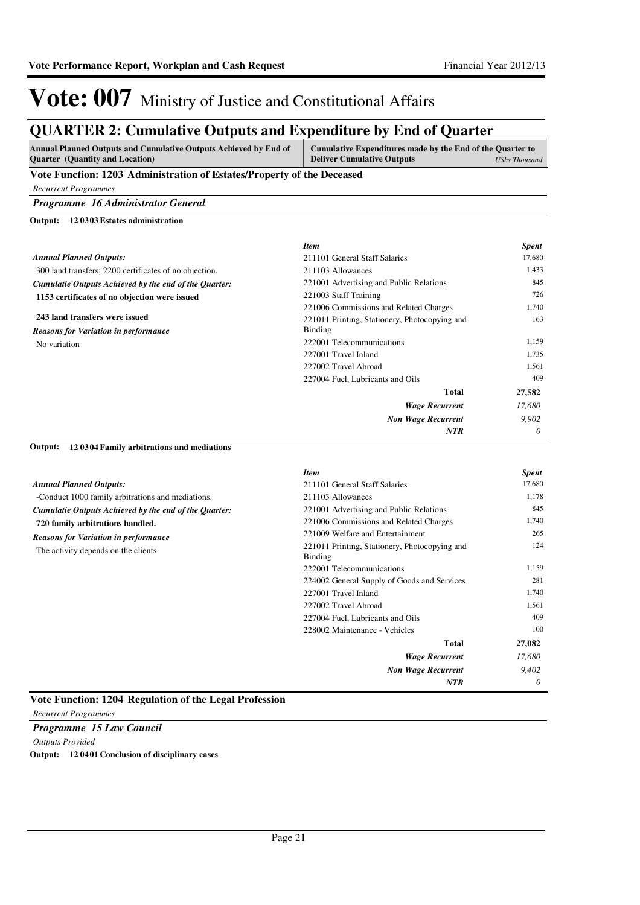### **QUARTER 2: Cumulative Outputs and Expenditure by End of Quarter**

| <b>Annual Planned Outputs and Cumulative Outputs Achieved by End of</b> | Cumulative Expenditures made by the End of the Quarter to |               |  |
|-------------------------------------------------------------------------|-----------------------------------------------------------|---------------|--|
| <b>Ouarter</b> (Quantity and Location)                                  | <b>Deliver Cumulative Outputs</b>                         | UShs Thousand |  |
| Vote Eunction: 1203, Administration of Estates/Droporty of the Decessed |                                                           |               |  |

#### **Vote Function: 1203 Administration of Estates/Property of the Deceased**

*Recurrent Programmes*

### *Programme 16 Administrator General*

**12 0303 Estates administration Output:**

|                                                        | <b>Item</b>                                   | <b>Spent</b> |
|--------------------------------------------------------|-----------------------------------------------|--------------|
| <b>Annual Planned Outputs:</b>                         | 211101 General Staff Salaries                 | 17,680       |
| 300 land transfers; 2200 certificates of no objection. | 211103 Allowances                             | 1,433        |
| Cumulatie Outputs Achieved by the end of the Quarter:  | 221001 Advertising and Public Relations       | 845          |
| 1153 certificates of no objection were issued          | 221003 Staff Training                         | 726          |
|                                                        | 221006 Commissions and Related Charges        | 1,740        |
| 243 land transfers were issued                         | 221011 Printing, Stationery, Photocopying and | 163          |
| <b>Reasons for Variation in performance</b>            | Binding                                       |              |
| No variation                                           | 222001 Telecommunications                     | 1,159        |
|                                                        | 227001 Travel Inland                          | 1,735        |
|                                                        | 227002 Travel Abroad                          | 1,561        |
|                                                        | 227004 Fuel, Lubricants and Oils              | 409          |
|                                                        | <b>Total</b>                                  | 27,582       |
|                                                        | <b>Wage Recurrent</b>                         | 17.680       |
|                                                        | <b>Non Wage Recurrent</b>                     | 9.902        |
|                                                        | <b>NTR</b>                                    | $\theta$     |

#### **12 0304 Family arbitrations and mediations Output:**

|                                                       | <b>Item</b>                                              | <b>Spent</b> |
|-------------------------------------------------------|----------------------------------------------------------|--------------|
| <b>Annual Planned Outputs:</b>                        | 211101 General Staff Salaries                            | 17,680       |
| -Conduct 1000 family arbitrations and mediations.     | 211103 Allowances                                        | 1,178        |
| Cumulatie Outputs Achieved by the end of the Quarter: | 221001 Advertising and Public Relations                  | 845          |
| 720 family arbitrations handled.                      | 221006 Commissions and Related Charges                   | 1,740        |
| <b>Reasons for Variation in performance</b>           | 221009 Welfare and Entertainment                         | 265          |
| The activity depends on the clients                   | 221011 Printing, Stationery, Photocopying and<br>Binding | 124          |
|                                                       | 222001 Telecommunications                                | 1,159        |
|                                                       | 224002 General Supply of Goods and Services              | 281          |
|                                                       | 227001 Travel Inland                                     | 1,740        |
|                                                       | 227002 Travel Abroad                                     | 1,561        |
|                                                       | 227004 Fuel, Lubricants and Oils                         | 409          |
|                                                       | 228002 Maintenance - Vehicles                            | 100          |
|                                                       | <b>Total</b>                                             | 27,082       |
|                                                       | <b>Wage Recurrent</b>                                    | 17,680       |
|                                                       | <b>Non Wage Recurrent</b>                                | 9,402        |
|                                                       | NTR                                                      | 0            |

#### **Vote Function: 1204 Regulation of the Legal Profession**

*Recurrent Programmes*

*Programme 15 Law Council Outputs Provided* **Output: 12 0401 Conclusion of disciplinary cases**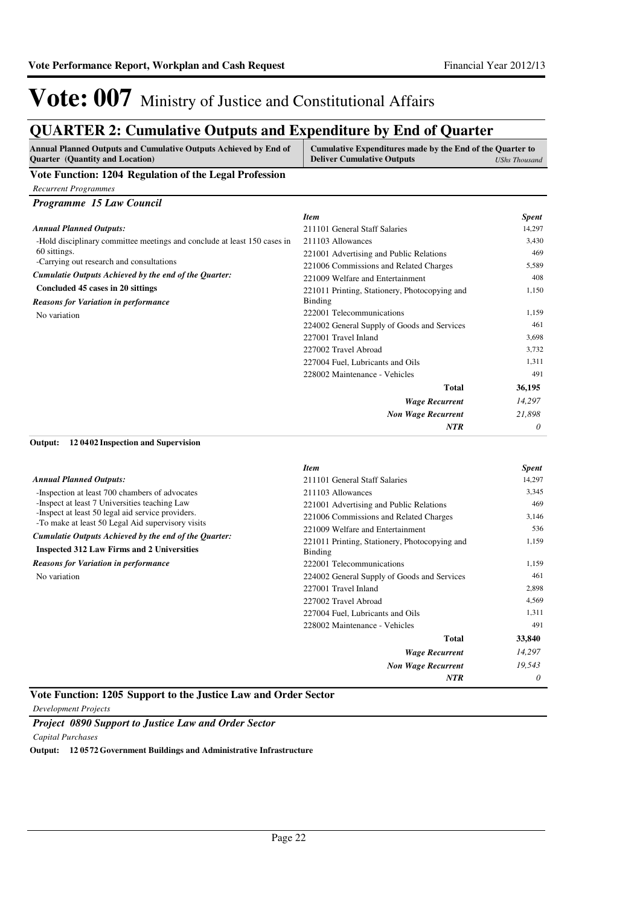*Wage Recurrent Non Wage Recurrent*

227002 Travel Abroad 4,569 227004 Fuel, Lubricants and Oils 1,311 228002 Maintenance - Vehicles 491

**Total**

*NTR*

*14,297 19,543 0*

**33,840**

# Vote: 007 Ministry of Justice and Constitutional Affairs

### **QUARTER 2: Cumulative Outputs and Expenditure by End of Quarter**

| Vote Function: 1204 Regulation of the Legal Profession<br><b>Recurrent Programmes</b><br>Programme 15 Law Council<br><b>Item</b><br><b>Spent</b><br><b>Annual Planned Outputs:</b><br>14,297<br>211101 General Staff Salaries<br>211103 Allowances<br>-Hold disciplinary committee meetings and conclude at least 150 cases in<br>3,430<br>60 sittings.<br>469<br>221001 Advertising and Public Relations<br>-Carrying out research and consultations<br>5,589<br>221006 Commissions and Related Charges<br>Cumulatie Outputs Achieved by the end of the Quarter:<br>221009 Welfare and Entertainment<br>408<br>Concluded 45 cases in 20 sittings<br>1,150<br>221011 Printing, Stationery, Photocopying and<br><b>Binding</b><br><b>Reasons for Variation in performance</b><br>222001 Telecommunications<br>1,159<br>No variation<br>461<br>224002 General Supply of Goods and Services<br>227001 Travel Inland<br>3,698<br>227002 Travel Abroad<br>3.732<br>1,311<br>227004 Fuel. Lubricants and Oils<br>228002 Maintenance - Vehicles<br>491<br>Total<br>36,195<br><b>Wage Recurrent</b><br>14,297<br>21,898<br><b>Non Wage Recurrent</b><br>0<br><b>NTR</b><br>120402 Inspection and Supervision<br><b>Item</b><br><b>Spent</b><br><b>Annual Planned Outputs:</b><br>211101 General Staff Salaries<br>14,297<br>-Inspection at least 700 chambers of advocates<br>3,345<br>211103 Allowances<br>-Inspect at least 7 Universities teaching Law<br>469<br>221001 Advertising and Public Relations<br>-Inspect at least 50 legal aid service providers.<br>221006 Commissions and Related Charges<br>3,146<br>-To make at least 50 Legal Aid supervisory visits<br>221009 Welfare and Entertainment<br>536<br>Cumulatie Outputs Achieved by the end of the Quarter:<br>1,159<br>221011 Printing, Stationery, Photocopying and<br><b>Inspected 312 Law Firms and 2 Universities</b><br>Binding<br><b>Reasons for Variation in performance</b><br>222001 Telecommunications<br>1,159 | Annual Planned Outputs and Cumulative Outputs Achieved by End of<br>Quarter (Quantity and Location) | Cumulative Expenditures made by the End of the Quarter to<br><b>Deliver Cumulative Outputs</b> | <b>UShs Thousand</b> |
|-------------------------------------------------------------------------------------------------------------------------------------------------------------------------------------------------------------------------------------------------------------------------------------------------------------------------------------------------------------------------------------------------------------------------------------------------------------------------------------------------------------------------------------------------------------------------------------------------------------------------------------------------------------------------------------------------------------------------------------------------------------------------------------------------------------------------------------------------------------------------------------------------------------------------------------------------------------------------------------------------------------------------------------------------------------------------------------------------------------------------------------------------------------------------------------------------------------------------------------------------------------------------------------------------------------------------------------------------------------------------------------------------------------------------------------------------------------------------------------------------------------------------------------------------------------------------------------------------------------------------------------------------------------------------------------------------------------------------------------------------------------------------------------------------------------------------------------------------------------------------------------------------------------------------------------------------------------------------------------|-----------------------------------------------------------------------------------------------------|------------------------------------------------------------------------------------------------|----------------------|
|                                                                                                                                                                                                                                                                                                                                                                                                                                                                                                                                                                                                                                                                                                                                                                                                                                                                                                                                                                                                                                                                                                                                                                                                                                                                                                                                                                                                                                                                                                                                                                                                                                                                                                                                                                                                                                                                                                                                                                                     |                                                                                                     |                                                                                                |                      |
|                                                                                                                                                                                                                                                                                                                                                                                                                                                                                                                                                                                                                                                                                                                                                                                                                                                                                                                                                                                                                                                                                                                                                                                                                                                                                                                                                                                                                                                                                                                                                                                                                                                                                                                                                                                                                                                                                                                                                                                     |                                                                                                     |                                                                                                |                      |
|                                                                                                                                                                                                                                                                                                                                                                                                                                                                                                                                                                                                                                                                                                                                                                                                                                                                                                                                                                                                                                                                                                                                                                                                                                                                                                                                                                                                                                                                                                                                                                                                                                                                                                                                                                                                                                                                                                                                                                                     |                                                                                                     |                                                                                                |                      |
|                                                                                                                                                                                                                                                                                                                                                                                                                                                                                                                                                                                                                                                                                                                                                                                                                                                                                                                                                                                                                                                                                                                                                                                                                                                                                                                                                                                                                                                                                                                                                                                                                                                                                                                                                                                                                                                                                                                                                                                     |                                                                                                     |                                                                                                |                      |
|                                                                                                                                                                                                                                                                                                                                                                                                                                                                                                                                                                                                                                                                                                                                                                                                                                                                                                                                                                                                                                                                                                                                                                                                                                                                                                                                                                                                                                                                                                                                                                                                                                                                                                                                                                                                                                                                                                                                                                                     |                                                                                                     |                                                                                                |                      |
|                                                                                                                                                                                                                                                                                                                                                                                                                                                                                                                                                                                                                                                                                                                                                                                                                                                                                                                                                                                                                                                                                                                                                                                                                                                                                                                                                                                                                                                                                                                                                                                                                                                                                                                                                                                                                                                                                                                                                                                     |                                                                                                     |                                                                                                |                      |
|                                                                                                                                                                                                                                                                                                                                                                                                                                                                                                                                                                                                                                                                                                                                                                                                                                                                                                                                                                                                                                                                                                                                                                                                                                                                                                                                                                                                                                                                                                                                                                                                                                                                                                                                                                                                                                                                                                                                                                                     |                                                                                                     |                                                                                                |                      |
|                                                                                                                                                                                                                                                                                                                                                                                                                                                                                                                                                                                                                                                                                                                                                                                                                                                                                                                                                                                                                                                                                                                                                                                                                                                                                                                                                                                                                                                                                                                                                                                                                                                                                                                                                                                                                                                                                                                                                                                     |                                                                                                     |                                                                                                |                      |
|                                                                                                                                                                                                                                                                                                                                                                                                                                                                                                                                                                                                                                                                                                                                                                                                                                                                                                                                                                                                                                                                                                                                                                                                                                                                                                                                                                                                                                                                                                                                                                                                                                                                                                                                                                                                                                                                                                                                                                                     |                                                                                                     |                                                                                                |                      |
|                                                                                                                                                                                                                                                                                                                                                                                                                                                                                                                                                                                                                                                                                                                                                                                                                                                                                                                                                                                                                                                                                                                                                                                                                                                                                                                                                                                                                                                                                                                                                                                                                                                                                                                                                                                                                                                                                                                                                                                     |                                                                                                     |                                                                                                |                      |
|                                                                                                                                                                                                                                                                                                                                                                                                                                                                                                                                                                                                                                                                                                                                                                                                                                                                                                                                                                                                                                                                                                                                                                                                                                                                                                                                                                                                                                                                                                                                                                                                                                                                                                                                                                                                                                                                                                                                                                                     |                                                                                                     |                                                                                                |                      |
|                                                                                                                                                                                                                                                                                                                                                                                                                                                                                                                                                                                                                                                                                                                                                                                                                                                                                                                                                                                                                                                                                                                                                                                                                                                                                                                                                                                                                                                                                                                                                                                                                                                                                                                                                                                                                                                                                                                                                                                     |                                                                                                     |                                                                                                |                      |
|                                                                                                                                                                                                                                                                                                                                                                                                                                                                                                                                                                                                                                                                                                                                                                                                                                                                                                                                                                                                                                                                                                                                                                                                                                                                                                                                                                                                                                                                                                                                                                                                                                                                                                                                                                                                                                                                                                                                                                                     |                                                                                                     |                                                                                                |                      |
|                                                                                                                                                                                                                                                                                                                                                                                                                                                                                                                                                                                                                                                                                                                                                                                                                                                                                                                                                                                                                                                                                                                                                                                                                                                                                                                                                                                                                                                                                                                                                                                                                                                                                                                                                                                                                                                                                                                                                                                     |                                                                                                     |                                                                                                |                      |
|                                                                                                                                                                                                                                                                                                                                                                                                                                                                                                                                                                                                                                                                                                                                                                                                                                                                                                                                                                                                                                                                                                                                                                                                                                                                                                                                                                                                                                                                                                                                                                                                                                                                                                                                                                                                                                                                                                                                                                                     |                                                                                                     |                                                                                                |                      |
|                                                                                                                                                                                                                                                                                                                                                                                                                                                                                                                                                                                                                                                                                                                                                                                                                                                                                                                                                                                                                                                                                                                                                                                                                                                                                                                                                                                                                                                                                                                                                                                                                                                                                                                                                                                                                                                                                                                                                                                     |                                                                                                     |                                                                                                |                      |
|                                                                                                                                                                                                                                                                                                                                                                                                                                                                                                                                                                                                                                                                                                                                                                                                                                                                                                                                                                                                                                                                                                                                                                                                                                                                                                                                                                                                                                                                                                                                                                                                                                                                                                                                                                                                                                                                                                                                                                                     |                                                                                                     |                                                                                                |                      |
|                                                                                                                                                                                                                                                                                                                                                                                                                                                                                                                                                                                                                                                                                                                                                                                                                                                                                                                                                                                                                                                                                                                                                                                                                                                                                                                                                                                                                                                                                                                                                                                                                                                                                                                                                                                                                                                                                                                                                                                     |                                                                                                     |                                                                                                |                      |
|                                                                                                                                                                                                                                                                                                                                                                                                                                                                                                                                                                                                                                                                                                                                                                                                                                                                                                                                                                                                                                                                                                                                                                                                                                                                                                                                                                                                                                                                                                                                                                                                                                                                                                                                                                                                                                                                                                                                                                                     |                                                                                                     |                                                                                                |                      |
|                                                                                                                                                                                                                                                                                                                                                                                                                                                                                                                                                                                                                                                                                                                                                                                                                                                                                                                                                                                                                                                                                                                                                                                                                                                                                                                                                                                                                                                                                                                                                                                                                                                                                                                                                                                                                                                                                                                                                                                     |                                                                                                     |                                                                                                |                      |
|                                                                                                                                                                                                                                                                                                                                                                                                                                                                                                                                                                                                                                                                                                                                                                                                                                                                                                                                                                                                                                                                                                                                                                                                                                                                                                                                                                                                                                                                                                                                                                                                                                                                                                                                                                                                                                                                                                                                                                                     |                                                                                                     |                                                                                                |                      |
|                                                                                                                                                                                                                                                                                                                                                                                                                                                                                                                                                                                                                                                                                                                                                                                                                                                                                                                                                                                                                                                                                                                                                                                                                                                                                                                                                                                                                                                                                                                                                                                                                                                                                                                                                                                                                                                                                                                                                                                     | Output:                                                                                             |                                                                                                |                      |
|                                                                                                                                                                                                                                                                                                                                                                                                                                                                                                                                                                                                                                                                                                                                                                                                                                                                                                                                                                                                                                                                                                                                                                                                                                                                                                                                                                                                                                                                                                                                                                                                                                                                                                                                                                                                                                                                                                                                                                                     |                                                                                                     |                                                                                                |                      |
|                                                                                                                                                                                                                                                                                                                                                                                                                                                                                                                                                                                                                                                                                                                                                                                                                                                                                                                                                                                                                                                                                                                                                                                                                                                                                                                                                                                                                                                                                                                                                                                                                                                                                                                                                                                                                                                                                                                                                                                     |                                                                                                     |                                                                                                |                      |
|                                                                                                                                                                                                                                                                                                                                                                                                                                                                                                                                                                                                                                                                                                                                                                                                                                                                                                                                                                                                                                                                                                                                                                                                                                                                                                                                                                                                                                                                                                                                                                                                                                                                                                                                                                                                                                                                                                                                                                                     |                                                                                                     |                                                                                                |                      |
|                                                                                                                                                                                                                                                                                                                                                                                                                                                                                                                                                                                                                                                                                                                                                                                                                                                                                                                                                                                                                                                                                                                                                                                                                                                                                                                                                                                                                                                                                                                                                                                                                                                                                                                                                                                                                                                                                                                                                                                     |                                                                                                     |                                                                                                |                      |
|                                                                                                                                                                                                                                                                                                                                                                                                                                                                                                                                                                                                                                                                                                                                                                                                                                                                                                                                                                                                                                                                                                                                                                                                                                                                                                                                                                                                                                                                                                                                                                                                                                                                                                                                                                                                                                                                                                                                                                                     |                                                                                                     |                                                                                                |                      |
|                                                                                                                                                                                                                                                                                                                                                                                                                                                                                                                                                                                                                                                                                                                                                                                                                                                                                                                                                                                                                                                                                                                                                                                                                                                                                                                                                                                                                                                                                                                                                                                                                                                                                                                                                                                                                                                                                                                                                                                     |                                                                                                     |                                                                                                |                      |
|                                                                                                                                                                                                                                                                                                                                                                                                                                                                                                                                                                                                                                                                                                                                                                                                                                                                                                                                                                                                                                                                                                                                                                                                                                                                                                                                                                                                                                                                                                                                                                                                                                                                                                                                                                                                                                                                                                                                                                                     |                                                                                                     |                                                                                                |                      |
|                                                                                                                                                                                                                                                                                                                                                                                                                                                                                                                                                                                                                                                                                                                                                                                                                                                                                                                                                                                                                                                                                                                                                                                                                                                                                                                                                                                                                                                                                                                                                                                                                                                                                                                                                                                                                                                                                                                                                                                     |                                                                                                     |                                                                                                |                      |
|                                                                                                                                                                                                                                                                                                                                                                                                                                                                                                                                                                                                                                                                                                                                                                                                                                                                                                                                                                                                                                                                                                                                                                                                                                                                                                                                                                                                                                                                                                                                                                                                                                                                                                                                                                                                                                                                                                                                                                                     |                                                                                                     |                                                                                                |                      |
| 2,898<br>227001 Travel Inland                                                                                                                                                                                                                                                                                                                                                                                                                                                                                                                                                                                                                                                                                                                                                                                                                                                                                                                                                                                                                                                                                                                                                                                                                                                                                                                                                                                                                                                                                                                                                                                                                                                                                                                                                                                                                                                                                                                                                       | No variation                                                                                        | 224002 General Supply of Goods and Services                                                    | 461                  |

#### **Vote Function: 1205 Support to the Justice Law and Order Sector**

*Development Projects*

*Project 0890 Support to Justice Law and Order Sector Capital Purchases*

**Output: 12 0572 Government Buildings and Administrative Infrastructure**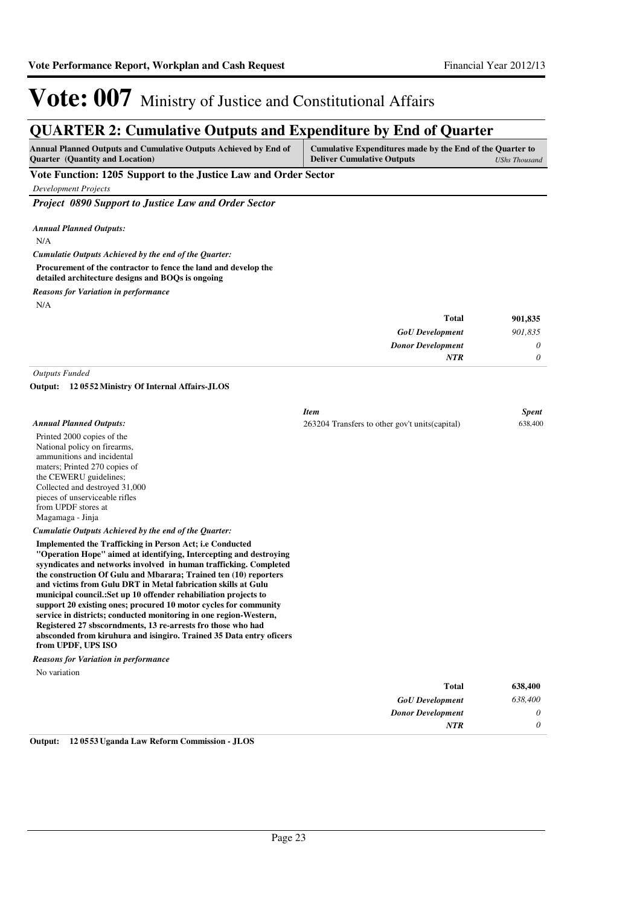### **QUARTER 2: Cumulative Outputs and Expenditure by End of Quarter**

| <b>Annual Planned Outputs and Cumulative Outputs Achieved by End of</b> | Cumulative Expenditures made by the End of the Quarter to |
|-------------------------------------------------------------------------|-----------------------------------------------------------|
| <b>Ouarter</b> (Quantity and Location)                                  | <b>Deliver Cumulative Outputs</b><br>UShs Thousand        |
| -- - -                                                                  |                                                           |

**Vote Function: 1205 Support to the Justice Law and Order Sector**

*Development Projects*

*Project 0890 Support to Justice Law and Order Sector*

*Annual Planned Outputs:*

N/A

*Cumulatie Outputs Achieved by the end of the Quarter:*

**Procurement of the contractor to fence the land and develop the** 

**detailed architecture designs and BOQs is ongoing**

*Reasons for Variation in performance*

N/A

| 901,835  | Total                    |
|----------|--------------------------|
| 901,835  | <b>GoU</b> Development   |
| $\theta$ | <b>Donor Development</b> |
|          | <b>NTR</b>               |
|          |                          |

*Outputs Funded*

**12 0552 Ministry Of Internal Affairs-JLOS Output:**

|                                                                                                                                                                                                                                                                                                                                                                                                                                                                                                                                                                                                                                                                                                                            | <b>Item</b>                                     | <b>Spent</b> |
|----------------------------------------------------------------------------------------------------------------------------------------------------------------------------------------------------------------------------------------------------------------------------------------------------------------------------------------------------------------------------------------------------------------------------------------------------------------------------------------------------------------------------------------------------------------------------------------------------------------------------------------------------------------------------------------------------------------------------|-------------------------------------------------|--------------|
| <b>Annual Planned Outputs:</b>                                                                                                                                                                                                                                                                                                                                                                                                                                                                                                                                                                                                                                                                                             | 263204 Transfers to other gov't units (capital) | 638,400      |
| Printed 2000 copies of the                                                                                                                                                                                                                                                                                                                                                                                                                                                                                                                                                                                                                                                                                                 |                                                 |              |
| National policy on firearms,                                                                                                                                                                                                                                                                                                                                                                                                                                                                                                                                                                                                                                                                                               |                                                 |              |
| ammunitions and incidental                                                                                                                                                                                                                                                                                                                                                                                                                                                                                                                                                                                                                                                                                                 |                                                 |              |
| maters; Printed 270 copies of                                                                                                                                                                                                                                                                                                                                                                                                                                                                                                                                                                                                                                                                                              |                                                 |              |
| the CEWERU guidelines;                                                                                                                                                                                                                                                                                                                                                                                                                                                                                                                                                                                                                                                                                                     |                                                 |              |
| Collected and destroyed 31,000                                                                                                                                                                                                                                                                                                                                                                                                                                                                                                                                                                                                                                                                                             |                                                 |              |
| pieces of unserviceable rifles<br>from UPDF stores at                                                                                                                                                                                                                                                                                                                                                                                                                                                                                                                                                                                                                                                                      |                                                 |              |
| Magamaga - Jinja                                                                                                                                                                                                                                                                                                                                                                                                                                                                                                                                                                                                                                                                                                           |                                                 |              |
|                                                                                                                                                                                                                                                                                                                                                                                                                                                                                                                                                                                                                                                                                                                            |                                                 |              |
| Cumulatie Outputs Achieved by the end of the Quarter:                                                                                                                                                                                                                                                                                                                                                                                                                                                                                                                                                                                                                                                                      |                                                 |              |
| <b>Implemented the Trafficking in Person Act; i.e Conducted</b><br>"Operation Hope" aimed at identifying, Intercepting and destroying<br>syyndicates and networks involved in human trafficking. Completed<br>the construction Of Gulu and Mbarara; Trained ten (10) reporters<br>and victims from Gulu DRT in Metal fabrication skills at Gulu<br>municipal council.: Set up 10 offender rehabiliation projects to<br>support 20 existing ones; procured 10 motor cycles for community<br>service in districts; conducted monitoring in one region-Western,<br>Registered 27 sbscorndments, 13 re-arrests fro those who had<br>absconded from kiruhura and isingiro. Trained 35 Data entry officers<br>from UPDF, UPS ISO |                                                 |              |
| <b>Reasons for Variation in performance</b>                                                                                                                                                                                                                                                                                                                                                                                                                                                                                                                                                                                                                                                                                |                                                 |              |
| No variation                                                                                                                                                                                                                                                                                                                                                                                                                                                                                                                                                                                                                                                                                                               |                                                 |              |
|                                                                                                                                                                                                                                                                                                                                                                                                                                                                                                                                                                                                                                                                                                                            | <b>Total</b>                                    | 638,400      |
|                                                                                                                                                                                                                                                                                                                                                                                                                                                                                                                                                                                                                                                                                                                            | <b>GoU</b> Development                          | 638,400      |
|                                                                                                                                                                                                                                                                                                                                                                                                                                                                                                                                                                                                                                                                                                                            | <b>Donor Development</b>                        | 0            |
|                                                                                                                                                                                                                                                                                                                                                                                                                                                                                                                                                                                                                                                                                                                            | <b>NTR</b>                                      | 0            |

**Output: 12 0553 Uganda Law Reform Commission - JLOS**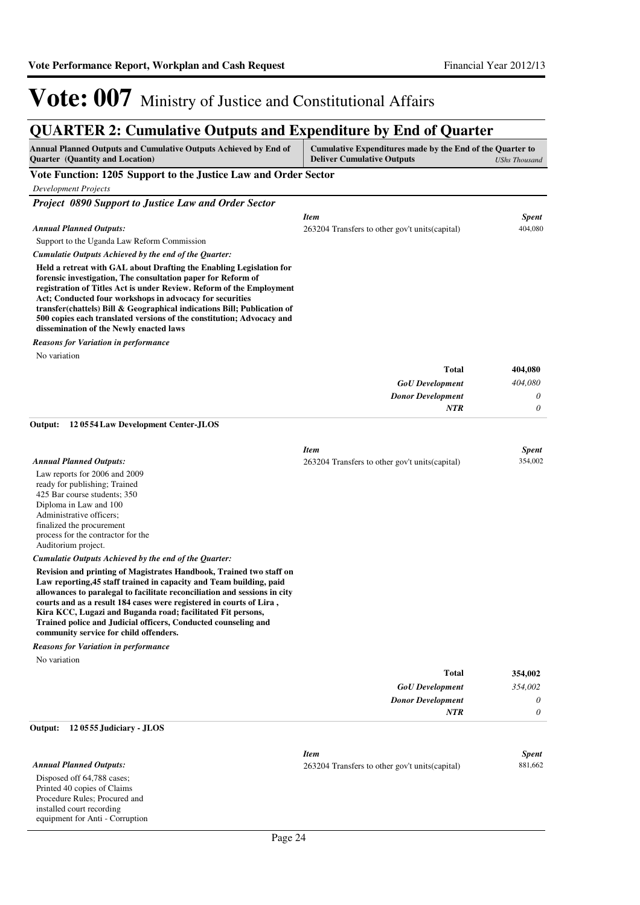### **QUARTER 2: Cumulative Outputs and Expenditure by End of Quarter**

| QUARTER 2: Cumulative Outputs and Expenditure by End of Quarter                                                                                                                                                                                                                                                                                                                                                                                                                                                                                                                                                                                                                                                                                                                                                                                                                       |                                                                                                          |                                               |
|---------------------------------------------------------------------------------------------------------------------------------------------------------------------------------------------------------------------------------------------------------------------------------------------------------------------------------------------------------------------------------------------------------------------------------------------------------------------------------------------------------------------------------------------------------------------------------------------------------------------------------------------------------------------------------------------------------------------------------------------------------------------------------------------------------------------------------------------------------------------------------------|----------------------------------------------------------------------------------------------------------|-----------------------------------------------|
| Annual Planned Outputs and Cumulative Outputs Achieved by End of<br><b>Quarter</b> (Quantity and Location)                                                                                                                                                                                                                                                                                                                                                                                                                                                                                                                                                                                                                                                                                                                                                                            | Cumulative Expenditures made by the End of the Quarter to<br><b>Deliver Cumulative Outputs</b>           | <b>UShs Thousand</b>                          |
| Vote Function: 1205 Support to the Justice Law and Order Sector                                                                                                                                                                                                                                                                                                                                                                                                                                                                                                                                                                                                                                                                                                                                                                                                                       |                                                                                                          |                                               |
| <b>Development Projects</b>                                                                                                                                                                                                                                                                                                                                                                                                                                                                                                                                                                                                                                                                                                                                                                                                                                                           |                                                                                                          |                                               |
| Project 0890 Support to Justice Law and Order Sector                                                                                                                                                                                                                                                                                                                                                                                                                                                                                                                                                                                                                                                                                                                                                                                                                                  |                                                                                                          |                                               |
|                                                                                                                                                                                                                                                                                                                                                                                                                                                                                                                                                                                                                                                                                                                                                                                                                                                                                       | <b>Item</b>                                                                                              | <b>Spent</b>                                  |
| <b>Annual Planned Outputs:</b>                                                                                                                                                                                                                                                                                                                                                                                                                                                                                                                                                                                                                                                                                                                                                                                                                                                        | 263204 Transfers to other gov't units (capital)                                                          | 404,080                                       |
| Support to the Uganda Law Reform Commission                                                                                                                                                                                                                                                                                                                                                                                                                                                                                                                                                                                                                                                                                                                                                                                                                                           |                                                                                                          |                                               |
| Cumulatie Outputs Achieved by the end of the Quarter:                                                                                                                                                                                                                                                                                                                                                                                                                                                                                                                                                                                                                                                                                                                                                                                                                                 |                                                                                                          |                                               |
| Held a retreat with GAL about Drafting the Enabling Legislation for<br>forensic investigation, The consultation paper for Reform of<br>registration of Titles Act is under Review. Reform of the Employment<br>Act; Conducted four workshops in advocacy for securities<br>transfer(chattels) Bill & Geographical indications Bill; Publication of<br>500 copies each translated versions of the constitution; Advocacy and<br>dissemination of the Newly enacted laws                                                                                                                                                                                                                                                                                                                                                                                                                |                                                                                                          |                                               |
| <b>Reasons for Variation in performance</b>                                                                                                                                                                                                                                                                                                                                                                                                                                                                                                                                                                                                                                                                                                                                                                                                                                           |                                                                                                          |                                               |
| No variation                                                                                                                                                                                                                                                                                                                                                                                                                                                                                                                                                                                                                                                                                                                                                                                                                                                                          |                                                                                                          |                                               |
|                                                                                                                                                                                                                                                                                                                                                                                                                                                                                                                                                                                                                                                                                                                                                                                                                                                                                       | <b>Total</b>                                                                                             | 404,080                                       |
|                                                                                                                                                                                                                                                                                                                                                                                                                                                                                                                                                                                                                                                                                                                                                                                                                                                                                       | <b>GoU</b> Development                                                                                   | 404,080                                       |
|                                                                                                                                                                                                                                                                                                                                                                                                                                                                                                                                                                                                                                                                                                                                                                                                                                                                                       | <b>Donor Development</b>                                                                                 | 0                                             |
|                                                                                                                                                                                                                                                                                                                                                                                                                                                                                                                                                                                                                                                                                                                                                                                                                                                                                       | NTR                                                                                                      | 0                                             |
| 120554 Law Development Center-JLOS<br>Output:                                                                                                                                                                                                                                                                                                                                                                                                                                                                                                                                                                                                                                                                                                                                                                                                                                         |                                                                                                          |                                               |
| <b>Annual Planned Outputs:</b><br>Law reports for 2006 and 2009<br>ready for publishing; Trained<br>425 Bar course students; 350<br>Diploma in Law and 100<br>Administrative officers;<br>finalized the procurement<br>process for the contractor for the<br>Auditorium project.<br>Cumulatie Outputs Achieved by the end of the Quarter:<br>Revision and printing of Magistrates Handbook, Trained two staff on<br>Law reporting, 45 staff trained in capacity and Team building, paid<br>allowances to paralegal to facilitate reconciliation and sessions in city<br>courts and as a result 184 cases were registered in courts of Lira,<br>Kira KCC, Lugazi and Buganda road; facilitated Fit persons,<br>Trained police and Judicial officers, Conducted counseling and<br>community service for child offenders.<br><b>Reasons for Variation in performance</b><br>No variation | <b>Item</b><br>263204 Transfers to other gov't units (capital)<br><b>Total</b><br><b>GoU</b> Development | <b>Spent</b><br>354,002<br>354,002<br>354,002 |
|                                                                                                                                                                                                                                                                                                                                                                                                                                                                                                                                                                                                                                                                                                                                                                                                                                                                                       | <b>Donor Development</b><br><b>NTR</b>                                                                   | 0<br>0                                        |
| Output:<br>120555 Judiciary - JLOS                                                                                                                                                                                                                                                                                                                                                                                                                                                                                                                                                                                                                                                                                                                                                                                                                                                    |                                                                                                          |                                               |
| <b>Annual Planned Outputs:</b><br>Disposed off 64,788 cases;<br>Printed 40 copies of Claims                                                                                                                                                                                                                                                                                                                                                                                                                                                                                                                                                                                                                                                                                                                                                                                           | <b>Item</b><br>263204 Transfers to other gov't units (capital)                                           | <b>Spent</b><br>881,662                       |

Procedure Rules; Procured and installed court recording equipment for Anti - Corruption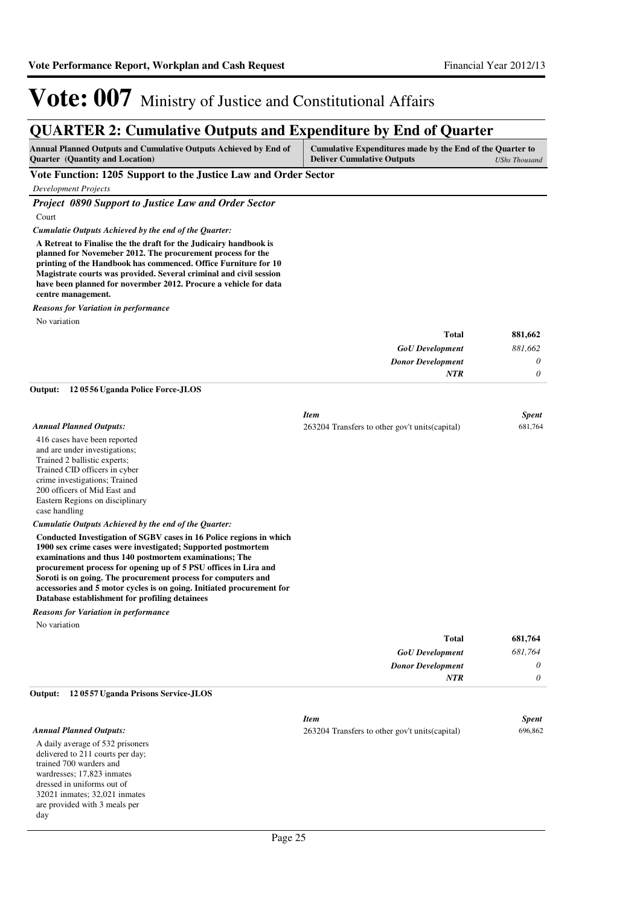**Total**

**681,764**

## Vote: 007 Ministry of Justice and Constitutional Affairs

### **QUARTER 2: Cumulative Outputs and Expenditure by End of Quarter**

| <b>Annual Planned Outputs and Cumulative Outputs Achieved by End of</b>     | Cumulative Expenditures made by the End of the Quarter to |
|-----------------------------------------------------------------------------|-----------------------------------------------------------|
| <b>Deliver Cumulative Outputs</b><br><b>Ouarter</b> (Quantity and Location) | UShs Thousand                                             |

#### **Vote Function: 1205 Support to the Justice Law and Order Sector**

*Development Projects*

*Project 0890 Support to Justice Law and Order Sector*

Court

*Cumulatie Outputs Achieved by the end of the Quarter:*

**A Retreat to Finalise the the draft for the Judicairy handbook is planned for Novemeber 2012. The procurement process for the printing of the Handbook has commenced. Office Furniture for 10 Magistrate courts was provided. Several criminal and civil session have been planned for novermber 2012. Procure a vehicle for data centre management.**

*Reasons for Variation in performance*

No variation

| 881,662  | <b>Total</b>             |
|----------|--------------------------|
| 881,662  | <b>GoU</b> Development   |
| $\theta$ | <b>Donor Development</b> |
| 0        | NTR                      |

### **12 0556 Uganda Police Force-JLOS Output:**

|                                | <b>Item</b>                                     | <b>Spent</b> |
|--------------------------------|-------------------------------------------------|--------------|
| <b>Annual Planned Outputs:</b> | 263204 Transfers to other gov't units (capital) | 681,764      |
| 416 cases have been reported   |                                                 |              |
| and are under investigations;  |                                                 |              |
| Trained 2 ballistic experts;   |                                                 |              |
| Trained CID officers in cyber  |                                                 |              |
| crime investigations; Trained  |                                                 |              |
| 200 officers of Mid East and   |                                                 |              |

*Cumulatie Outputs Achieved by the end of the Quarter:*

**Conducted Investigation of SGBV cases in 16 Police regions in which 1900 sex crime cases were investigated; Supported postmortem examinations and thus 140 postmortem examinations; The procurement process for opening up of 5 PSU offices in Lira and Soroti is on going. The procurement process for computers and accessories and 5 motor cycles is on going. Initiated procurement for Database establishment for profiling detainees**

*Reasons for Variation in performance*

Eastern Regions on disciplinary

No variation

case handling

| 681,764 | Total                    |
|---------|--------------------------|
| 681,764 | <b>GoU</b> Development   |
| 0       | <b>Donor Development</b> |
| 0       | <b>NTR</b>               |
|         |                          |

### **12 0557 Uganda Prisons Service-JLOS Output:**

|                                  | <b>Item</b>                                     | <b>Spent</b> |
|----------------------------------|-------------------------------------------------|--------------|
| Annual Planned Outputs:          | 263204 Transfers to other gov't units (capital) | 696,862      |
| A daily average of 532 prisoners |                                                 |              |
| delivered to 211 courts per day; |                                                 |              |
| trained 700 warders and          |                                                 |              |
| wardresses; 17,823 inmates       |                                                 |              |
| dressed in uniforms out of       |                                                 |              |
| 32021 inmates; 32,021 inmates    |                                                 |              |
| are provided with 3 meals per    |                                                 |              |
| day                              |                                                 |              |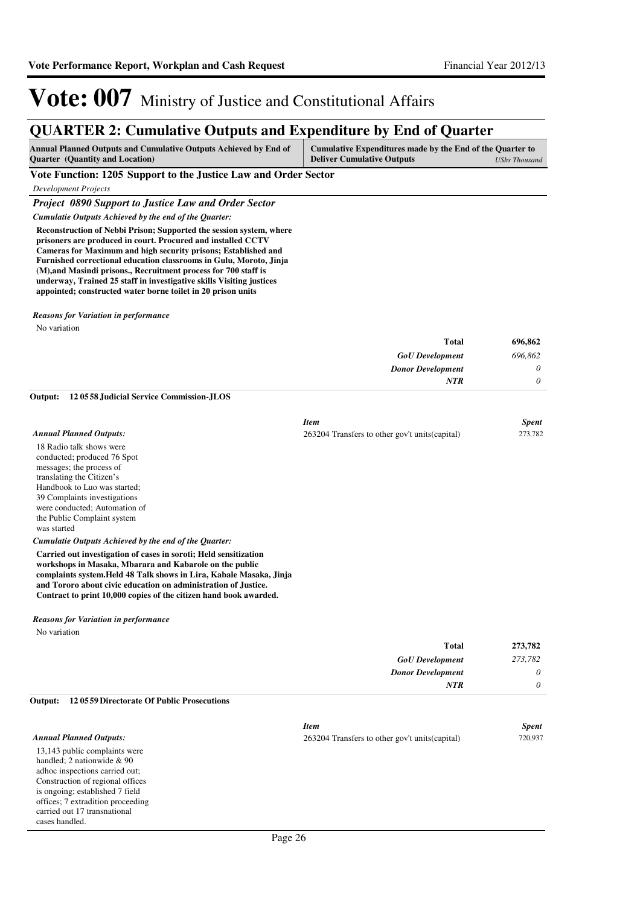### **QUARTER 2: Cumulative Outputs and Expenditure by End of Quarter**

| <b>Annual Planned Outputs and Cumulative Outputs Achieved by End of</b> | Cumulative Expenditures made by the End of the Quarter to |               |
|-------------------------------------------------------------------------|-----------------------------------------------------------|---------------|
| <b>Quarter</b> (Quantity and Location)                                  | <b>Deliver Cumulative Outputs</b>                         | UShs Thousand |

#### **Vote Function: 1205 Support to the Justice Law and Order Sector**

*Development Projects*

#### *Project 0890 Support to Justice Law and Order Sector*

*Cumulatie Outputs Achieved by the end of the Quarter:*

**Reconstruction of Nebbi Prison; Supported the session system, where prisoners are produced in court. Procured and installed CCTV Cameras for Maximum and high security prisons; Established and Furnished correctional education classrooms in Gulu, Moroto, Jinja (M),and Masindi prisons., Recruitment process for 700 staff is underway, Trained 25 staff in investigative skills Visiting justices appointed; constructed water borne toilet in 20 prison units**

#### *Reasons for Variation in performance*

No variation

| 696,862 |
|---------|
| 696,862 |
| 0       |
| 0       |
|         |

**12 0558 Judicial Service Commission-JLOS Output:**

|                                | <b>Item</b>                                     | <b>Spent</b> |
|--------------------------------|-------------------------------------------------|--------------|
| <b>Annual Planned Outputs:</b> | 263204 Transfers to other gov't units (capital) | 273,782      |
| 18 Radio talk shows were       |                                                 |              |
| conducted; produced 76 Spot    |                                                 |              |
| messages; the process of       |                                                 |              |
| translating the Citizen's      |                                                 |              |
| Handbook to Luo was started;   |                                                 |              |
| 39 Complaints investigations   |                                                 |              |
| were conducted; Automation of  |                                                 |              |
| the Public Complaint system    |                                                 |              |

was started

#### *Cumulatie Outputs Achieved by the end of the Quarter:*

**Carried out investigation of cases in soroti; Held sensitization workshops in Masaka, Mbarara and Kabarole on the public complaints system.Held 48 Talk shows in Lira, Kabale Masaka, Jinja and Tororo about civic education on administration of Justice. Contract to print 10,000 copies of the citizen hand book awarded.**

#### *Reasons for Variation in performance*

No variation

| Total                    | 273,782  |
|--------------------------|----------|
| <b>GoU</b> Development   | 273,782  |
| <b>Donor Development</b> | $\theta$ |
| <b>NTR</b>               | 0        |

#### **12 0559 Directorate Of Public Prosecutions Output:**

|                                   | <b>Item</b>                                     | <b>Spent</b> |
|-----------------------------------|-------------------------------------------------|--------------|
| <b>Annual Planned Outputs:</b>    | 263204 Transfers to other gov't units (capital) | 720,937      |
| 13,143 public complaints were     |                                                 |              |
| handled: 2 nationwide $& 90$      |                                                 |              |
| adhoc inspections carried out;    |                                                 |              |
| Construction of regional offices  |                                                 |              |
| is ongoing; established 7 field   |                                                 |              |
| offices; 7 extradition proceeding |                                                 |              |
| carried out 17 transnational      |                                                 |              |
| cases handled.                    |                                                 |              |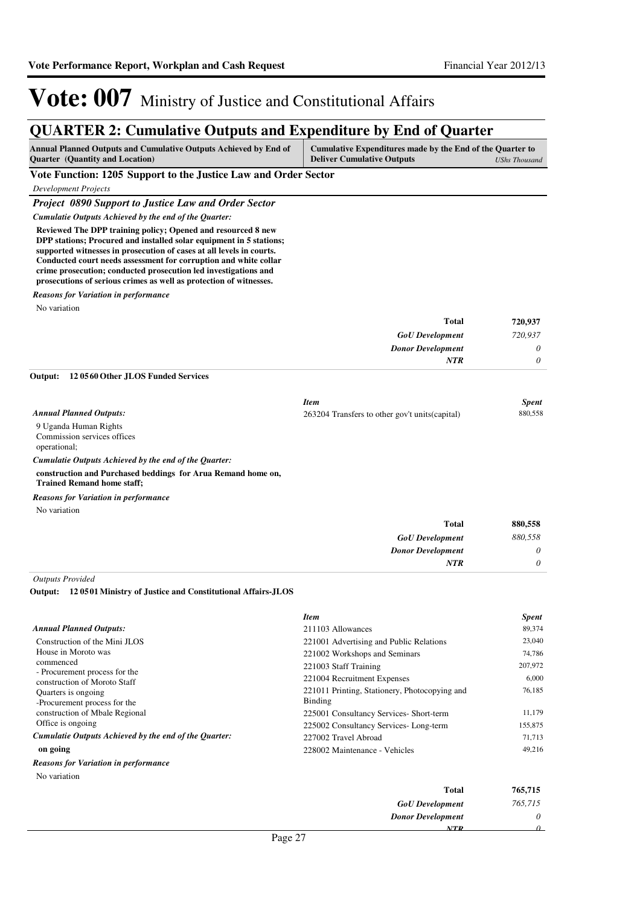*GoU Development Donor Development*

*NTR*

*0 0*

## Vote: 007 Ministry of Justice and Constitutional Affairs

### **QUARTER 2: Cumulative Outputs and Expenditure by End of Quarter**

| Annual Planned Outputs and Cumulative Outputs Achieved by End of<br><b>Quarter</b> (Quantity and Location)                                                                                                                                                                                                                                                                                                               | Cumulative Expenditures made by the End of the Quarter to<br><b>Deliver Cumulative Outputs</b> | <b>UShs Thousand</b> |
|--------------------------------------------------------------------------------------------------------------------------------------------------------------------------------------------------------------------------------------------------------------------------------------------------------------------------------------------------------------------------------------------------------------------------|------------------------------------------------------------------------------------------------|----------------------|
| Vote Function: 1205 Support to the Justice Law and Order Sector                                                                                                                                                                                                                                                                                                                                                          |                                                                                                |                      |
| <b>Development Projects</b>                                                                                                                                                                                                                                                                                                                                                                                              |                                                                                                |                      |
| <b>Project 0890 Support to Justice Law and Order Sector</b>                                                                                                                                                                                                                                                                                                                                                              |                                                                                                |                      |
| Cumulatie Outputs Achieved by the end of the Quarter:                                                                                                                                                                                                                                                                                                                                                                    |                                                                                                |                      |
| Reviewed The DPP training policy; Opened and resourced 8 new<br>DPP stations; Procured and installed solar equipment in 5 stations;<br>supported witnesses in prosecution of cases at all levels in courts.<br>Conducted court needs assessment for corruption and white collar<br>crime prosecution; conducted prosecution led investigations and<br>prosecutions of serious crimes as well as protection of witnesses. |                                                                                                |                      |
| <b>Reasons for Variation in performance</b>                                                                                                                                                                                                                                                                                                                                                                              |                                                                                                |                      |
| No variation                                                                                                                                                                                                                                                                                                                                                                                                             |                                                                                                |                      |
|                                                                                                                                                                                                                                                                                                                                                                                                                          | <b>Total</b>                                                                                   | 720,937              |
|                                                                                                                                                                                                                                                                                                                                                                                                                          | <b>GoU</b> Development                                                                         | 720,937              |
|                                                                                                                                                                                                                                                                                                                                                                                                                          | <b>Donor Development</b>                                                                       | 0                    |
|                                                                                                                                                                                                                                                                                                                                                                                                                          | <b>NTR</b>                                                                                     | 0                    |
| Output:<br>120560 Other JLOS Funded Services                                                                                                                                                                                                                                                                                                                                                                             |                                                                                                |                      |
|                                                                                                                                                                                                                                                                                                                                                                                                                          | <b>Item</b>                                                                                    | <b>Spent</b>         |
| <b>Annual Planned Outputs:</b>                                                                                                                                                                                                                                                                                                                                                                                           | 263204 Transfers to other gov't units (capital)                                                | 880,558              |
| 9 Uganda Human Rights<br>Commission services offices<br>operational;                                                                                                                                                                                                                                                                                                                                                     |                                                                                                |                      |
| Cumulatie Outputs Achieved by the end of the Quarter:                                                                                                                                                                                                                                                                                                                                                                    |                                                                                                |                      |
| construction and Purchased beddings for Arua Remand home on,<br><b>Trained Remand home staff;</b>                                                                                                                                                                                                                                                                                                                        |                                                                                                |                      |
| <b>Reasons for Variation in performance</b>                                                                                                                                                                                                                                                                                                                                                                              |                                                                                                |                      |
| No variation                                                                                                                                                                                                                                                                                                                                                                                                             |                                                                                                |                      |
|                                                                                                                                                                                                                                                                                                                                                                                                                          | <b>Total</b>                                                                                   | 880,558              |
|                                                                                                                                                                                                                                                                                                                                                                                                                          | <b>GoU</b> Development                                                                         | 880.558              |

*Outputs Provided*

#### **12 0501 Ministry of Justice and Constitutional Affairs-JLOS Output:**

|                                                               | <b>Item</b>                                              | <b>Spent</b> |
|---------------------------------------------------------------|----------------------------------------------------------|--------------|
| <b>Annual Planned Outputs:</b>                                | 211103 Allowances                                        | 89,374       |
| Construction of the Mini JLOS                                 | 221001 Advertising and Public Relations                  | 23,040       |
| House in Moroto was                                           | 221002 Workshops and Seminars                            | 74.786       |
| commenced                                                     | 221003 Staff Training                                    | 207,972      |
| - Procurement process for the<br>construction of Moroto Staff | 221004 Recruitment Expenses                              | 6,000        |
| Quarters is ongoing.<br>-Procurement process for the          | 221011 Printing, Stationery, Photocopying and<br>Binding | 76,185       |
| construction of Mbale Regional                                | 225001 Consultancy Services- Short-term                  | 11,179       |
| Office is ongoing                                             | 225002 Consultancy Services-Long-term                    | 155,875      |
| Cumulatie Outputs Achieved by the end of the Ouarter:         | 227002 Travel Abroad                                     | 71,713       |
| on going                                                      | 228002 Maintenance - Vehicles                            | 49.216       |
| <b>Reasons for Variation in performance</b>                   |                                                          |              |
| No variation                                                  |                                                          |              |

| 765,715 | <b>Total</b>             |
|---------|--------------------------|
| 765,715 | <b>GoU</b> Development   |
| 0       | <b>Donor Development</b> |
|         | NTP                      |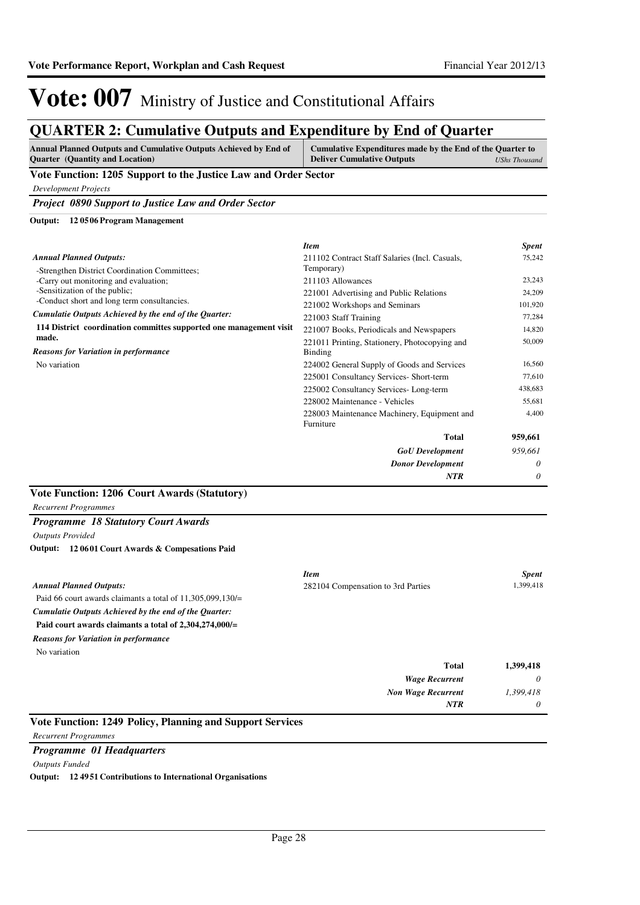| <b>QUARTER 2: Cumulative Outputs and Expenditure by End of Quarter</b>                                     |                                                                                                |                      |  |
|------------------------------------------------------------------------------------------------------------|------------------------------------------------------------------------------------------------|----------------------|--|
| Annual Planned Outputs and Cumulative Outputs Achieved by End of<br><b>Ouarter</b> (Quantity and Location) | Cumulative Expenditures made by the End of the Quarter to<br><b>Deliver Cumulative Outputs</b> | <b>UShs Thousand</b> |  |
| Vote Function: 1205 Support to the Justice Law and Order Sector                                            |                                                                                                |                      |  |
| <b>Development Projects</b>                                                                                |                                                                                                |                      |  |
| <b>Project 0890 Support to Justice Law and Order Sector</b>                                                |                                                                                                |                      |  |
| 120506 Program Management<br>Output:                                                                       |                                                                                                |                      |  |
|                                                                                                            | <b>Item</b>                                                                                    | <b>Spent</b>         |  |
| <b>Annual Planned Outputs:</b>                                                                             | 211102 Contract Staff Salaries (Incl. Casuals,                                                 | 75,242               |  |
| -Strengthen District Coordination Committees;                                                              | Temporary)                                                                                     |                      |  |
| -Carry out monitoring and evaluation;                                                                      | 211103 Allowances                                                                              | 23,243               |  |
| -Sensitization of the public;<br>-Conduct short and long term consultancies.                               | 221001 Advertising and Public Relations                                                        | 24.209               |  |
|                                                                                                            | 221002 Workshops and Seminars                                                                  | 101,920              |  |
| Cumulatie Outputs Achieved by the end of the Quarter:                                                      | 221003 Staff Training                                                                          | 77,284               |  |
| 114 District coordination committes supported one management visit                                         | 221007 Books, Periodicals and Newspapers                                                       | 14,820               |  |
| made.                                                                                                      | 221011 Printing, Stationery, Photocopying and                                                  | 50,009               |  |
| <b>Reasons for Variation in performance</b>                                                                | Binding                                                                                        |                      |  |
| No variation                                                                                               | 224002 General Supply of Goods and Services                                                    | 16,560               |  |
|                                                                                                            | 225001 Consultancy Services- Short-term                                                        | 77,610               |  |
|                                                                                                            | 225002 Consultancy Services-Long-term                                                          | 438,683              |  |
|                                                                                                            | 228002 Maintenance - Vehicles                                                                  | 55,681               |  |
|                                                                                                            | 228003 Maintenance Machinery, Equipment and                                                    | 4,400                |  |
|                                                                                                            | Furniture                                                                                      |                      |  |
|                                                                                                            | <b>Total</b>                                                                                   | 959,661              |  |
|                                                                                                            | <b>GoU</b> Development                                                                         | 959,661              |  |
|                                                                                                            | <b>Donor Development</b>                                                                       | 0                    |  |
|                                                                                                            | <b>NTR</b>                                                                                     | 0                    |  |

#### **Vote Function: 1206 Court Awards (Statutory)**

*Recurrent Programmes*

#### *Programme 18 Statutory Court Awards*

*Outputs Provided*

**12 0601 Court Awards & Compesations Paid Output:**

|                                                              | <b>Item</b>                        | <b>Spent</b> |
|--------------------------------------------------------------|------------------------------------|--------------|
| <b>Annual Planned Outputs:</b>                               | 282104 Compensation to 3rd Parties | 1,399,418    |
| Paid 66 court awards claimants a total of $11,305,099,130/=$ |                                    |              |
| Cumulatie Outputs Achieved by the end of the Ouarter:        |                                    |              |
| Paid court awards claimants a total of $2,304,274,000/=$     |                                    |              |
| <b>Reasons for Variation in performance</b>                  |                                    |              |
| No variation                                                 |                                    |              |
|                                                              | <b>Total</b>                       | 1,399,418    |
|                                                              | <b>Wage Recurrent</b>              | $\theta$     |
|                                                              | <b>Non Wage Recurrent</b>          | 1.399,418    |
|                                                              | <b>NTR</b>                         | $\theta$     |
| Vote Function: 1249 Policy, Planning and Support Services    |                                    |              |

*Recurrent Programmes*

*Programme 01 Headquarters*

*Outputs Funded*

**Output: 12 4951 Contributions to International Organisations**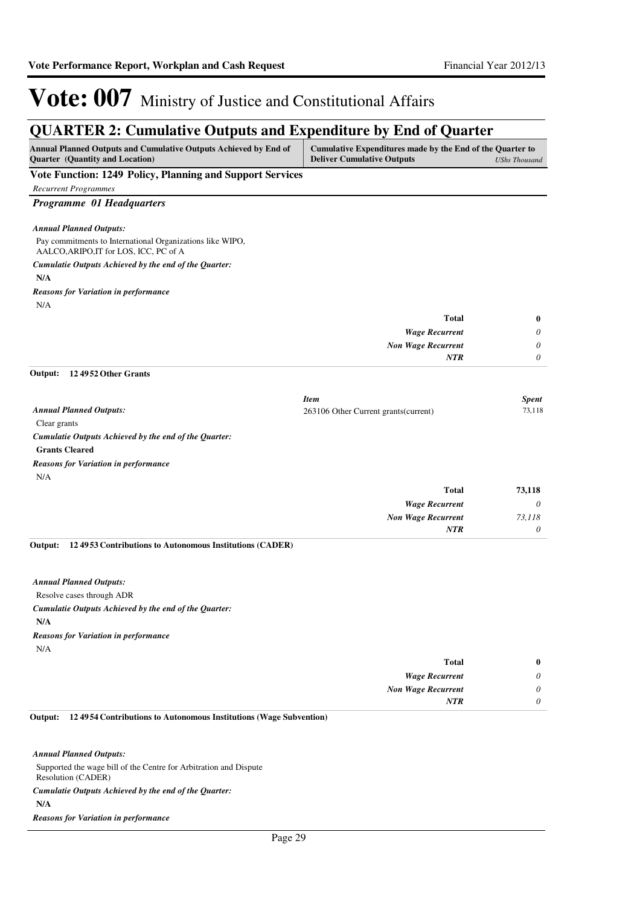### **QUARTER 2: Cumulative Outputs and Expenditure by End of Quarter**

| <b>Annual Planned Outputs and Cumulative Outputs Achieved by End of</b><br>Quarter (Quantity and Location) | Cumulative Expenditures made by the End of the Quarter to<br><b>Deliver Cumulative Outputs</b> | <b>UShs Thousand</b> |
|------------------------------------------------------------------------------------------------------------|------------------------------------------------------------------------------------------------|----------------------|
| <b>Vote Function: 1249 Policy, Planning and Support Services</b>                                           |                                                                                                |                      |
| <b>Recurrent Programmes</b>                                                                                |                                                                                                |                      |
| Programme 01 Headquarters                                                                                  |                                                                                                |                      |
| <b>Annual Planned Outputs:</b>                                                                             |                                                                                                |                      |
| Pay commitments to International Organizations like WIPO,<br>AALCO, ARIPO, IT for LOS, ICC, PC of A        |                                                                                                |                      |
| Cumulatie Outputs Achieved by the end of the Quarter:                                                      |                                                                                                |                      |
| N/A                                                                                                        |                                                                                                |                      |
| <b>Reasons for Variation in performance</b>                                                                |                                                                                                |                      |
| N/A                                                                                                        |                                                                                                |                      |
|                                                                                                            | <b>Total</b>                                                                                   | $\bf{0}$             |
|                                                                                                            | <b>Wage Recurrent</b>                                                                          | 0                    |
|                                                                                                            | <b>Non Wage Recurrent</b>                                                                      | 0                    |
| 124952 Other Grants<br>Output:                                                                             | <b>NTR</b>                                                                                     | 0                    |
|                                                                                                            |                                                                                                |                      |
|                                                                                                            | <b>Item</b>                                                                                    | <b>Spent</b>         |
| <b>Annual Planned Outputs:</b>                                                                             | 263106 Other Current grants (current)                                                          | 73,118               |
| Clear grants                                                                                               |                                                                                                |                      |
| Cumulatie Outputs Achieved by the end of the Quarter:                                                      |                                                                                                |                      |
| <b>Grants Cleared</b>                                                                                      |                                                                                                |                      |
| <b>Reasons for Variation in performance</b>                                                                |                                                                                                |                      |
| N/A                                                                                                        |                                                                                                |                      |
|                                                                                                            | <b>Total</b>                                                                                   | 73,118               |
|                                                                                                            | <b>Wage Recurrent</b>                                                                          | 0                    |
|                                                                                                            | <b>Non Wage Recurrent</b>                                                                      | 73,118               |
|                                                                                                            | NTR                                                                                            | 0                    |
| 124953 Contributions to Autonomous Institutions (CADER)<br>Output:                                         |                                                                                                |                      |
| <b>Annual Planned Outputs:</b>                                                                             |                                                                                                |                      |
| Resolve cases through ADR                                                                                  |                                                                                                |                      |
| Cumulatie Outputs Achieved by the end of the Quarter:                                                      |                                                                                                |                      |
| N/A                                                                                                        |                                                                                                |                      |
| <b>Reasons for Variation in performance</b>                                                                |                                                                                                |                      |
| N/A                                                                                                        |                                                                                                |                      |
|                                                                                                            | <b>Total</b>                                                                                   | $\bf{0}$             |
|                                                                                                            | <b>Wage Recurrent</b>                                                                          | 0                    |
|                                                                                                            | <b>Non Wage Recurrent</b>                                                                      | 0                    |
|                                                                                                            | <b>NTR</b>                                                                                     | $\theta$             |
| Output:<br>12 49 54 Contributions to Autonomous Institutions (Wage Subvention)                             |                                                                                                |                      |

Supported the wage bill of the Centre for Arbitration and Dispute Resolution (CADER) **N/A** *Cumulatie Outputs Achieved by the end of the Quarter: Reasons for Variation in performance*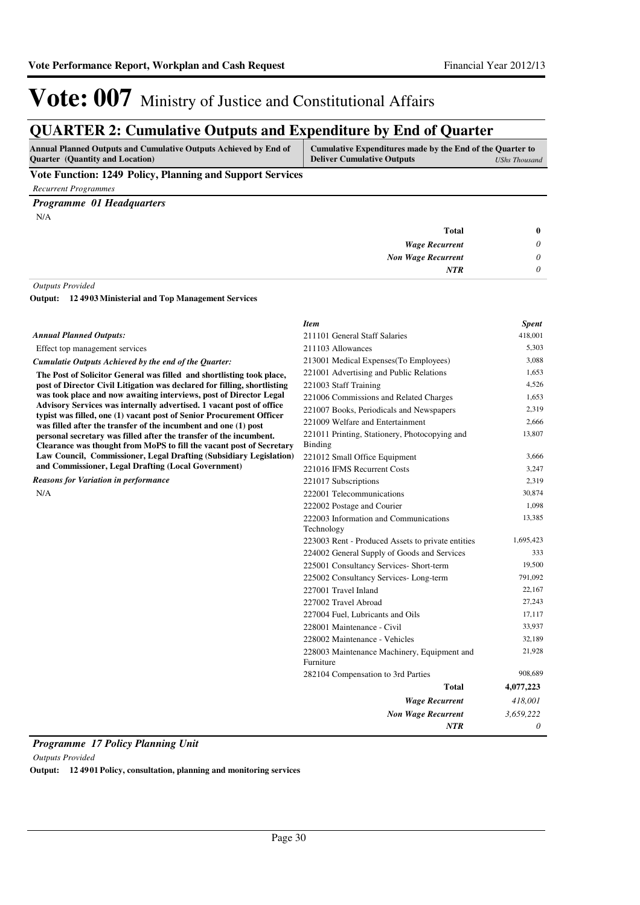### **QUARTER 2: Cumulative Outputs and Expenditure by End of Quarter**

| <b>Annual Planned Outputs and Cumulative Outputs Achieved by End of</b> | Cumulative Expenditures made by the End of the Quarter to |               |
|-------------------------------------------------------------------------|-----------------------------------------------------------|---------------|
| <b>Ouarter</b> (Quantity and Location)                                  | <b>Deliver Cumulative Outputs</b>                         | UShs Thousand |

### **Vote Function: 1249 Policy, Planning and Support Services**

*Recurrent Programmes*

### *Programme 01 Headquarters*

N/A

| $\bf{0}$ | Total                     |
|----------|---------------------------|
| $\theta$ | <b>Wage Recurrent</b>     |
| $\theta$ | <b>Non Wage Recurrent</b> |
| $\theta$ | <b>NTR</b>                |
|          |                           |

#### *Outputs Provided*

**12 4903 Ministerial and Top Management Services Output:**

|                                                                                                                                              | <b>Item</b>                                              | <b>Spent</b> |
|----------------------------------------------------------------------------------------------------------------------------------------------|----------------------------------------------------------|--------------|
| <b>Annual Planned Outputs:</b>                                                                                                               | 211101 General Staff Salaries                            | 418,001      |
| Effect top management services                                                                                                               | 211103 Allowances                                        | 5,303        |
| Cumulatie Outputs Achieved by the end of the Quarter:                                                                                        | 213001 Medical Expenses (To Employees)                   | 3,088        |
| The Post of Solicitor General was filled and shortlisting took place,                                                                        | 221001 Advertising and Public Relations                  | 1,653        |
| post of Director Civil Litigation was declared for filling, shortlisting                                                                     | 221003 Staff Training                                    | 4,526        |
| was took place and now awaiting interviews, post of Director Legal                                                                           | 221006 Commissions and Related Charges                   | 1,653        |
| Advisory Services was internally advertised. 1 vacant post of office<br>typist was filled, one (1) vacant post of Senior Procurement Officer | 221007 Books, Periodicals and Newspapers                 | 2,319        |
| was filled after the transfer of the incumbent and one (1) post                                                                              | 221009 Welfare and Entertainment                         | 2,666        |
| personal secretary was filled after the transfer of the incumbent.                                                                           | 221011 Printing, Stationery, Photocopying and            | 13,807       |
| Clearance was thought from MoPS to fill the vacant post of Secretary                                                                         | <b>Binding</b>                                           |              |
| Law Council, Commissioner, Legal Drafting (Subsidiary Legislation)                                                                           | 221012 Small Office Equipment                            | 3,666        |
| and Commissioner, Legal Drafting (Local Government)                                                                                          | 221016 IFMS Recurrent Costs                              | 3,247        |
| <b>Reasons for Variation in performance</b>                                                                                                  | 221017 Subscriptions                                     | 2,319        |
| N/A                                                                                                                                          | 222001 Telecommunications                                | 30,874       |
|                                                                                                                                              | 222002 Postage and Courier                               | 1,098        |
|                                                                                                                                              | 222003 Information and Communications                    | 13,385       |
|                                                                                                                                              | Technology                                               |              |
|                                                                                                                                              | 223003 Rent - Produced Assets to private entities        | 1,695,423    |
|                                                                                                                                              | 224002 General Supply of Goods and Services              | 333          |
|                                                                                                                                              | 225001 Consultancy Services- Short-term                  | 19,500       |
|                                                                                                                                              | 225002 Consultancy Services-Long-term                    | 791,092      |
|                                                                                                                                              | 227001 Travel Inland                                     | 22,167       |
|                                                                                                                                              | 227002 Travel Abroad                                     | 27,243       |
|                                                                                                                                              | 227004 Fuel, Lubricants and Oils                         | 17,117       |
|                                                                                                                                              | 228001 Maintenance - Civil                               | 33,937       |
|                                                                                                                                              | 228002 Maintenance - Vehicles                            | 32,189       |
|                                                                                                                                              | 228003 Maintenance Machinery, Equipment and<br>Furniture | 21,928       |
|                                                                                                                                              | 282104 Compensation to 3rd Parties                       | 908,689      |
|                                                                                                                                              | <b>Total</b>                                             | 4,077,223    |
|                                                                                                                                              | <b>Wage Recurrent</b>                                    | 418,001      |
|                                                                                                                                              | <b>Non Wage Recurrent</b>                                | 3,659,222    |
|                                                                                                                                              | <b>NTR</b>                                               | 0            |

*Programme 17 Policy Planning Unit*

*Outputs Provided*

**Output: 12 4901 Policy, consultation, planning and monitoring services**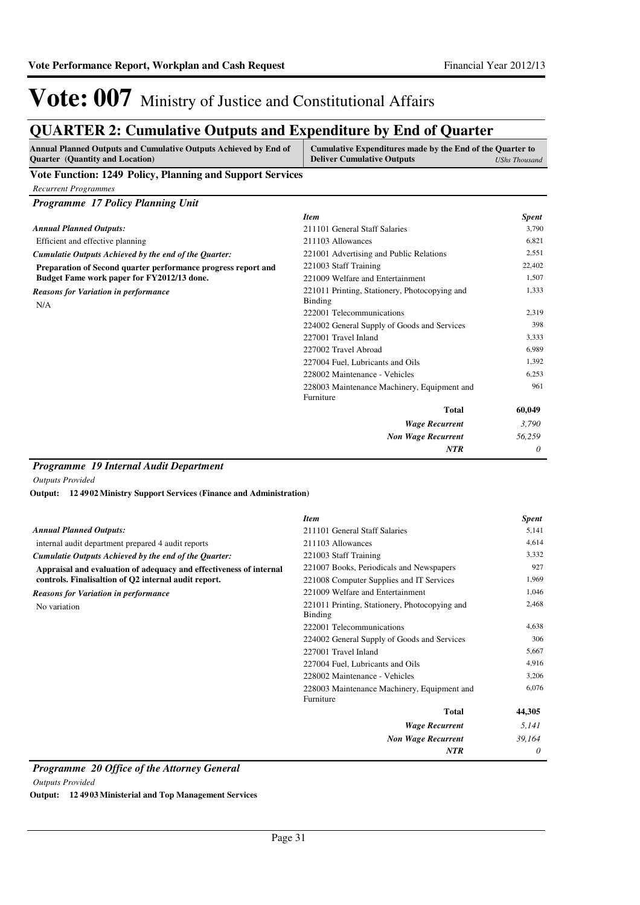### **QUARTER 2: Cumulative Outputs and Expenditure by End of Quarter**

| Annual Planned Outputs and Cumulative Outputs Achieved by End of<br><b>Ouarter</b> (Quantity and Location) | Cumulative Expenditures made by the End of the Quarter to<br><b>Deliver Cumulative Outputs</b> | UShs Thousand |
|------------------------------------------------------------------------------------------------------------|------------------------------------------------------------------------------------------------|---------------|
| Vote Function: 1249 Policy, Planning and Support Services                                                  |                                                                                                |               |

*Recurrent Programmes*

| <b>Programme 17 Policy Planning Unit</b>                      |                                                          |              |
|---------------------------------------------------------------|----------------------------------------------------------|--------------|
|                                                               | <b>Item</b>                                              | <b>Spent</b> |
| <b>Annual Planned Outputs:</b>                                | 211101 General Staff Salaries                            | 3,790        |
| Efficient and effective planning                              | 211103 Allowances                                        | 6,821        |
| Cumulatie Outputs Achieved by the end of the Quarter:         | 221001 Advertising and Public Relations                  | 2,551        |
| Preparation of Second quarter performance progress report and | 221003 Staff Training                                    | 22,402       |
| Budget Fame work paper for FY2012/13 done.                    | 221009 Welfare and Entertainment                         | 1.507        |
| <b>Reasons for Variation in performance</b><br>N/A            | 221011 Printing, Stationery, Photocopying and<br>Binding | 1.333        |
|                                                               | 222001 Telecommunications                                | 2,319        |
|                                                               | 224002 General Supply of Goods and Services              | 398          |
|                                                               | 227001 Travel Inland                                     | 3,333        |
|                                                               | 227002 Travel Abroad                                     | 6.989        |
|                                                               | 227004 Fuel, Lubricants and Oils                         | 1,392        |
|                                                               | 228002 Maintenance - Vehicles                            | 6.253        |
|                                                               | 228003 Maintenance Machinery, Equipment and<br>Furniture | 961          |
|                                                               | <b>Total</b>                                             | 60,049       |
|                                                               | <b>Wage Recurrent</b>                                    | 3,790        |
|                                                               | <b>Non Wage Recurrent</b>                                | 56,259       |
|                                                               | <b>NTR</b>                                               | 0            |

#### *Programme 19 Internal Audit Department*

*Outputs Provided*

**12 4902 Ministry Support Services (Finance and Administration) Output:**

|                                                                    | <b>Item</b>                                              | <b>Spent</b> |
|--------------------------------------------------------------------|----------------------------------------------------------|--------------|
| <b>Annual Planned Outputs:</b>                                     | 211101 General Staff Salaries                            | 5,141        |
| internal audit department prepared 4 audit reports                 | 211103 Allowances                                        | 4.614        |
| Cumulatie Outputs Achieved by the end of the Quarter:              | 221003 Staff Training                                    | 3,332        |
| Appraisal and evaluation of adequacy and effectiveness of internal | 221007 Books, Periodicals and Newspapers                 | 927          |
| controls. Finalisaltion of Q2 internal audit report.               | 221008 Computer Supplies and IT Services                 | 1,969        |
| <b>Reasons for Variation in performance</b>                        | 221009 Welfare and Entertainment                         | 1,046        |
| No variation                                                       | 221011 Printing, Stationery, Photocopying and<br>Binding | 2.468        |
|                                                                    | 222001 Telecommunications                                | 4,638        |
|                                                                    | 224002 General Supply of Goods and Services              | 306          |
|                                                                    | 227001 Travel Inland                                     | 5,667        |
|                                                                    | 227004 Fuel, Lubricants and Oils                         | 4.916        |
|                                                                    | 228002 Maintenance - Vehicles                            | 3,206        |
|                                                                    | 228003 Maintenance Machinery, Equipment and              | 6,076        |
|                                                                    | Furniture                                                |              |
|                                                                    | <b>Total</b>                                             | 44,305       |
|                                                                    | <b>Wage Recurrent</b>                                    | 5,141        |
|                                                                    | <b>Non Wage Recurrent</b>                                | 39,164       |
|                                                                    | <b>NTR</b>                                               | 0            |

*Programme 20 Office of the Attorney General*

*Outputs Provided*

**Output: 12 4903 Ministerial and Top Management Services**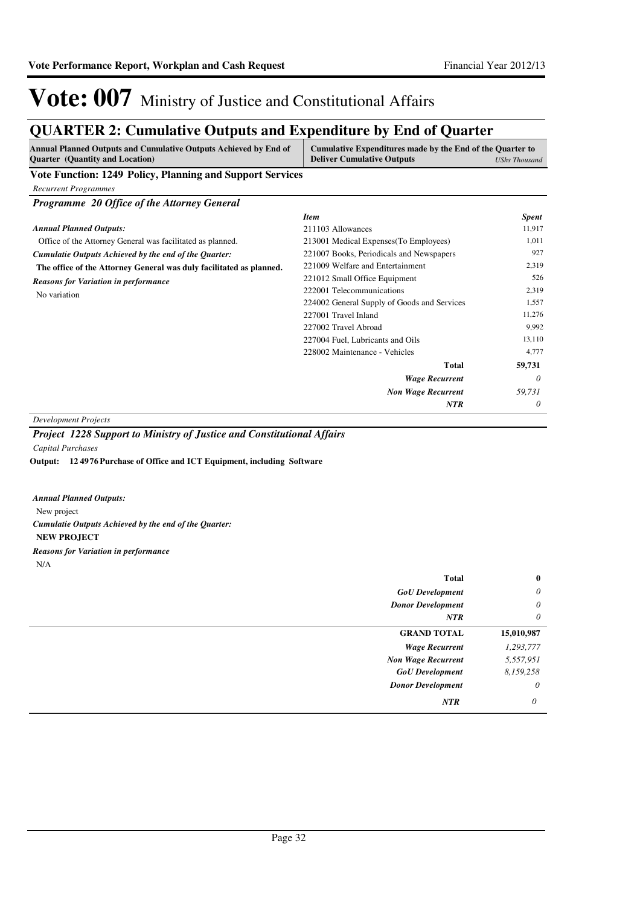### **QUARTER 2: Cumulative Outputs and Expenditure by End of Quarter**

| <b>Annual Planned Outputs and Cumulative Outputs Achieved by End of</b><br><b>Quarter</b> (Quantity and Location) | Cumulative Expenditures made by the End of the Quarter to<br><b>Deliver Cumulative Outputs</b> | <b>UShs Thousand</b> |
|-------------------------------------------------------------------------------------------------------------------|------------------------------------------------------------------------------------------------|----------------------|
| <b>Vote Function: 1249 Policy, Planning and Support Services</b>                                                  |                                                                                                |                      |
| <b>Recurrent Programmes</b>                                                                                       |                                                                                                |                      |
| Programme 20 Office of the Attorney General                                                                       |                                                                                                |                      |
|                                                                                                                   | <b>Item</b>                                                                                    | <b>Spent</b>         |
| <b>Annual Planned Outputs:</b>                                                                                    | 211103 Allowances                                                                              | 11,917               |
| Office of the Attorney General was facilitated as planned.                                                        | 213001 Medical Expenses(To Employees)                                                          | 1,011                |
| Cumulatie Outputs Achieved by the end of the Quarter:                                                             | 221007 Books, Periodicals and Newspapers                                                       | 927                  |
| The office of the Attorney General was duly facilitated as planned.                                               | 221009 Welfare and Entertainment                                                               | 2,319                |
| <b>Reasons for Variation in performance</b>                                                                       | 221012 Small Office Equipment                                                                  | 526                  |
| No variation                                                                                                      | 222001 Telecommunications                                                                      | 2,319                |
|                                                                                                                   | 224002 General Supply of Goods and Services                                                    | 1,557                |
|                                                                                                                   | 227001 Travel Inland                                                                           | 11,276               |
|                                                                                                                   | 227002 Travel Abroad                                                                           | 9,992                |
|                                                                                                                   | 227004 Fuel, Lubricants and Oils                                                               | 13,110               |
|                                                                                                                   | 228002 Maintenance - Vehicles                                                                  | 4,777                |
|                                                                                                                   | <b>Total</b>                                                                                   | 59,731               |
|                                                                                                                   | <b>Wage Recurrent</b>                                                                          | 0                    |
|                                                                                                                   | <b>Non Wage Recurrent</b>                                                                      | 59,731               |
|                                                                                                                   | <b>NTR</b>                                                                                     | 0                    |

*Development Projects*

**12 4976 Purchase of Office and ICT Equipment, including Software Output:**

| <b>Annual Planned Outputs:</b>                        |  |
|-------------------------------------------------------|--|
| New project                                           |  |
| Cumulatie Outputs Achieved by the end of the Quarter: |  |
| <b>NEW PROJECT</b>                                    |  |
| <b>Reasons for Variation in performance</b>           |  |
| N/A                                                   |  |

| <b>Total</b>              | $\bf{0}$   |
|---------------------------|------------|
| <b>GoU</b> Development    | $\theta$   |
| <b>Donor Development</b>  | $\theta$   |
| NTR                       | $\theta$   |
| <b>GRAND TOTAL</b>        | 15,010,987 |
| <b>Wage Recurrent</b>     | 1,293,777  |
| <b>Non Wage Recurrent</b> | 5,557,951  |
| <b>GoU</b> Development    | 8,159,258  |
| <b>Donor Development</b>  | $\theta$   |
| NTR                       | 0          |

*Project 1228 Support to Ministry of Justice and Constitutional Affairs Capital Purchases*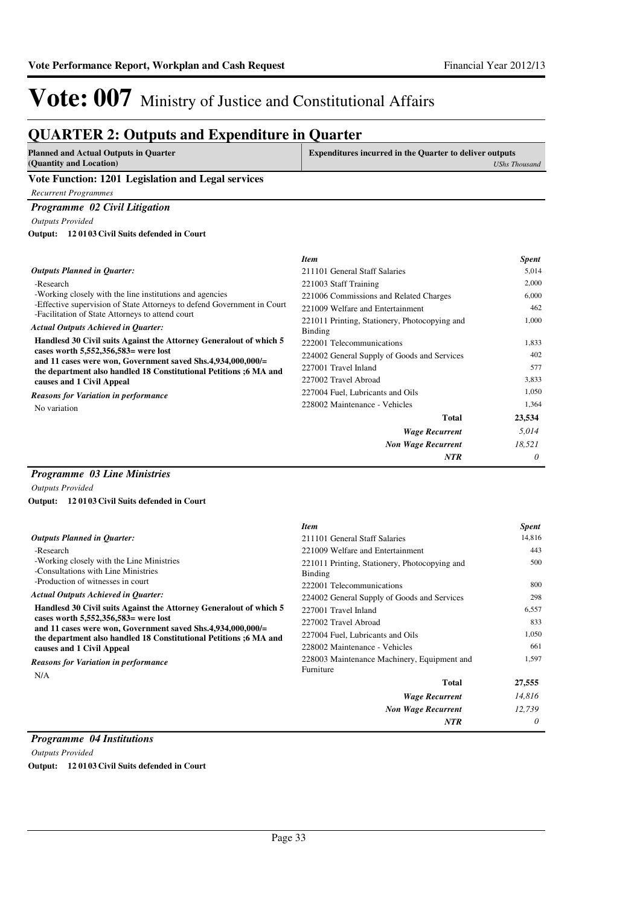### **QUARTER 2: Outputs and Expenditure in Quarter**

| <b>Planned and Actual Outputs in Quarter</b>       | <b>Expenditures incurred in the Quarter to deliver outputs</b> |
|----------------------------------------------------|----------------------------------------------------------------|
| (Quantity and Location)                            | UShs Thousand                                                  |
| Vote Function: 1201 Legislation and Legal services |                                                                |
| Recurrent Programmes                               |                                                                |

#### *Programme 02 Civil Litigation*

*Outputs Provided*

**12 0103 Civil Suits defended in Court Output:**

|                                                                                                                                  | <b>Item</b>                                              | <i>Spent</i> |
|----------------------------------------------------------------------------------------------------------------------------------|----------------------------------------------------------|--------------|
| <b>Outputs Planned in Quarter:</b>                                                                                               | 211101 General Staff Salaries                            | 5,014        |
| -Research                                                                                                                        | 221003 Staff Training                                    | 2,000        |
| -Working closely with the line institutions and agencies                                                                         | 221006 Commissions and Related Charges                   | 6,000        |
| -Effective supervision of State Attorneys to defend Government in Court<br>-Facilitation of State Attorneys to attend court      | 221009 Welfare and Entertainment                         | 462          |
| <b>Actual Outputs Achieved in Quarter:</b>                                                                                       | 221011 Printing, Stationery, Photocopying and<br>Binding | 1,000        |
| Handlesd 30 Civil suits Against the Attorney General out of which 5                                                              | 222001 Telecommunications                                | 1,833        |
| cases worth $5,552,356,583$ = were lost                                                                                          | 224002 General Supply of Goods and Services              | 402          |
| and 11 cases were won, Government saved Shs.4,934,000,000/=<br>the department also handled 18 Constitutional Petitions ;6 MA and | 227001 Travel Inland                                     | 577          |
| causes and 1 Civil Appeal                                                                                                        | 227002 Travel Abroad                                     | 3,833        |
| <b>Reasons for Variation in performance</b>                                                                                      | 227004 Fuel, Lubricants and Oils                         | 1,050        |
| No variation                                                                                                                     | 228002 Maintenance - Vehicles                            | 1,364        |
|                                                                                                                                  | <b>Total</b>                                             | 23,534       |
|                                                                                                                                  | <b>Wage Recurrent</b>                                    | 5,014        |
|                                                                                                                                  | <b>Non Wage Recurrent</b>                                | 18,521       |
|                                                                                                                                  | <b>NTR</b>                                               | 0            |
|                                                                                                                                  |                                                          |              |

#### *Programme 03 Line Ministries*

*Outputs Provided*

**12 0103 Civil Suits defended in Court Output:**

|                                                                                                         | <b>Item</b>                                              | <b>Spent</b> |
|---------------------------------------------------------------------------------------------------------|----------------------------------------------------------|--------------|
| <b>Outputs Planned in Quarter:</b>                                                                      | 211101 General Staff Salaries                            | 14,816       |
| -Research                                                                                               | 221009 Welfare and Entertainment                         | 443          |
| -Working closely with the Line Ministries<br>-Consultations with Line Ministries                        | 221011 Printing, Stationery, Photocopying and<br>Binding | 500          |
| -Production of witnesses in court                                                                       | 222001 Telecommunications                                | 800          |
| <b>Actual Outputs Achieved in Quarter:</b>                                                              | 224002 General Supply of Goods and Services              | 298          |
| Handlesd 30 Civil suits Against the Attorney General out of which 5                                     | 227001 Travel Inland                                     | 6,557        |
| cases worth $5,552,356,583$ were lost<br>and 11 cases were won, Government saved Shs.4,934,000,000/ $=$ | 227002 Travel Abroad                                     | 833          |
| the department also handled 18 Constitutional Petitions ;6 MA and                                       | 227004 Fuel, Lubricants and Oils                         | 1,050        |
| causes and 1 Civil Appeal                                                                               | 228002 Maintenance - Vehicles                            | 661          |
| <b>Reasons for Variation in performance</b><br>N/A                                                      | 228003 Maintenance Machinery, Equipment and<br>Furniture | 1,597        |
|                                                                                                         | Total                                                    | 27,555       |
|                                                                                                         | <b>Wage Recurrent</b>                                    | 14,816       |
|                                                                                                         | <b>Non Wage Recurrent</b>                                | 12,739       |
|                                                                                                         | <b>NTR</b>                                               | 0            |

#### *Programme 04 Institutions*

*Outputs Provided* **Output: 12 0103 Civil Suits defended in Court**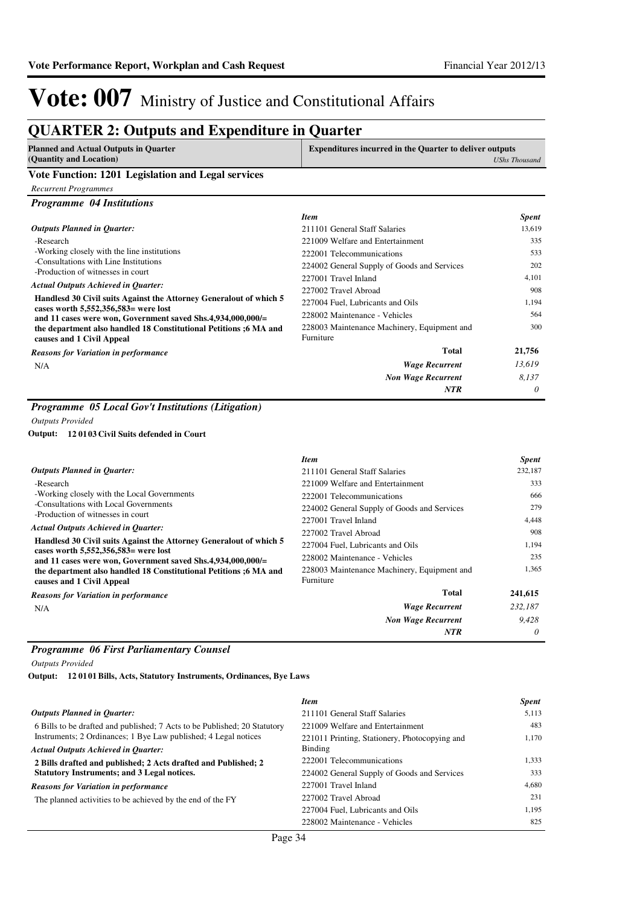### **QUARTER 2: Outputs and Expenditure in Quarter**

| <b>Planned and Actual Outputs in Quarter</b>       | <b>Expenditures incurred in the Quarter to deliver outputs</b> |
|----------------------------------------------------|----------------------------------------------------------------|
| (Quantity and Location)                            | <b>UShs Thousand</b>                                           |
| Vote Function, 1201 Legislation and Legal services |                                                                |

#### **Vote Function: 1201 Legislation and Legal services**

*Recurrent Programmes*

*Programme 04 Institutions*

|                                                                                                             | <b>Item</b>                                              | <b>Spent</b> |
|-------------------------------------------------------------------------------------------------------------|----------------------------------------------------------|--------------|
| <b>Outputs Planned in Quarter:</b>                                                                          | 211101 General Staff Salaries                            | 13,619       |
| -Research                                                                                                   | 221009 Welfare and Entertainment                         | 335          |
| -Working closely with the line institutions                                                                 | 222001 Telecommunications                                | 533          |
| -Consultations with Line Institutions<br>-Production of witnesses in court                                  | 224002 General Supply of Goods and Services              | 202          |
|                                                                                                             | 227001 Travel Inland                                     | 4,101        |
| <b>Actual Outputs Achieved in Quarter:</b>                                                                  | 227002 Travel Abroad                                     | 908          |
| Handlesd 30 Civil suits Against the Attorney General out of which 5<br>cases worth 5,552,356,583= were lost | 227004 Fuel, Lubricants and Oils                         | 1,194        |
| and 11 cases were won, Government saved Shs.4,934,000,000/=                                                 | 228002 Maintenance - Vehicles                            | 564          |
| the department also handled 18 Constitutional Petitions ;6 MA and<br>causes and 1 Civil Appeal              | 228003 Maintenance Machinery, Equipment and<br>Furniture | 300          |
| <b>Reasons for Variation in performance</b>                                                                 | <b>Total</b>                                             | 21,756       |
| N/A                                                                                                         | <b>Wage Recurrent</b>                                    | 13,619       |
|                                                                                                             | <b>Non Wage Recurrent</b>                                | 8.137        |
|                                                                                                             | <b>NTR</b>                                               | $\theta$     |

#### *Programme 05 Local Gov't Institutions (Litigation)*

*Outputs Provided*

**12 0103 Civil Suits defended in Court Output:**

|                                                                                                                                                                                                                                                                                 | <b>Item</b>                                              | <b>Spent</b> |
|---------------------------------------------------------------------------------------------------------------------------------------------------------------------------------------------------------------------------------------------------------------------------------|----------------------------------------------------------|--------------|
| <b>Outputs Planned in Quarter:</b>                                                                                                                                                                                                                                              | 211101 General Staff Salaries                            | 232,187      |
| -Research                                                                                                                                                                                                                                                                       | 221009 Welfare and Entertainment                         | 333          |
| -Working closely with the Local Governments                                                                                                                                                                                                                                     | 222001 Telecommunications                                | 666          |
| -Consultations with Local Governments                                                                                                                                                                                                                                           | 224002 General Supply of Goods and Services              | 279          |
| -Production of witnesses in court                                                                                                                                                                                                                                               | 227001 Travel Inland                                     | 4,448        |
| <b>Actual Outputs Achieved in Quarter:</b>                                                                                                                                                                                                                                      | 227002 Travel Abroad                                     | 908          |
| Handlesd 30 Civil suits Against the Attorney General out of which 5<br>cases worth $5,552,356,583$ were lost<br>and 11 cases were won, Government saved $Shs.4,934,000,000/=$<br>the department also handled 18 Constitutional Petitions ;6 MA and<br>causes and 1 Civil Appeal | 227004 Fuel, Lubricants and Oils                         | 1.194        |
|                                                                                                                                                                                                                                                                                 | 228002 Maintenance - Vehicles                            | 235          |
|                                                                                                                                                                                                                                                                                 | 228003 Maintenance Machinery, Equipment and<br>Furniture | 1.365        |
| <b>Reasons for Variation in performance</b>                                                                                                                                                                                                                                     | <b>Total</b>                                             | 241,615      |
| N/A                                                                                                                                                                                                                                                                             | <b>Wage Recurrent</b>                                    | 232,187      |
|                                                                                                                                                                                                                                                                                 | <b>Non Wage Recurrent</b>                                | 9,428        |
|                                                                                                                                                                                                                                                                                 | <b>NTR</b>                                               | 0            |

#### *Programme 06 First Parliamentary Counsel*

*Outputs Provided*

**12 0101 Bills, Acts, Statutory Instruments, Ordinances, Bye Laws Output:**

|                                                                           | <b>Item</b>                                   | <b>Spent</b> |
|---------------------------------------------------------------------------|-----------------------------------------------|--------------|
| <b>Outputs Planned in Ouarter:</b>                                        | 211101 General Staff Salaries                 | 5.113        |
| 6 Bills to be drafted and published; 7 Acts to be Published; 20 Statutory | 221009 Welfare and Entertainment              | 483          |
| Instruments; 2 Ordinances; 1 Bye Law published; 4 Legal notices           | 221011 Printing, Stationery, Photocopying and | 1.170        |
| <b>Actual Outputs Achieved in Ouarter:</b>                                | Binding                                       |              |
| 2 Bills drafted and published; 2 Acts drafted and Published; 2            | 222001 Telecommunications                     | 1.333        |
| Statutory Instruments; and 3 Legal notices.                               | 224002 General Supply of Goods and Services   | 333          |
| <b>Reasons for Variation in performance</b>                               | 227001 Travel Inland                          | 4.680        |
| The planned activities to be achieved by the end of the FY                | 227002 Travel Abroad                          | 231          |
|                                                                           | 227004 Fuel. Lubricants and Oils              | 1.195        |
|                                                                           | 228002 Maintenance - Vehicles                 | 825          |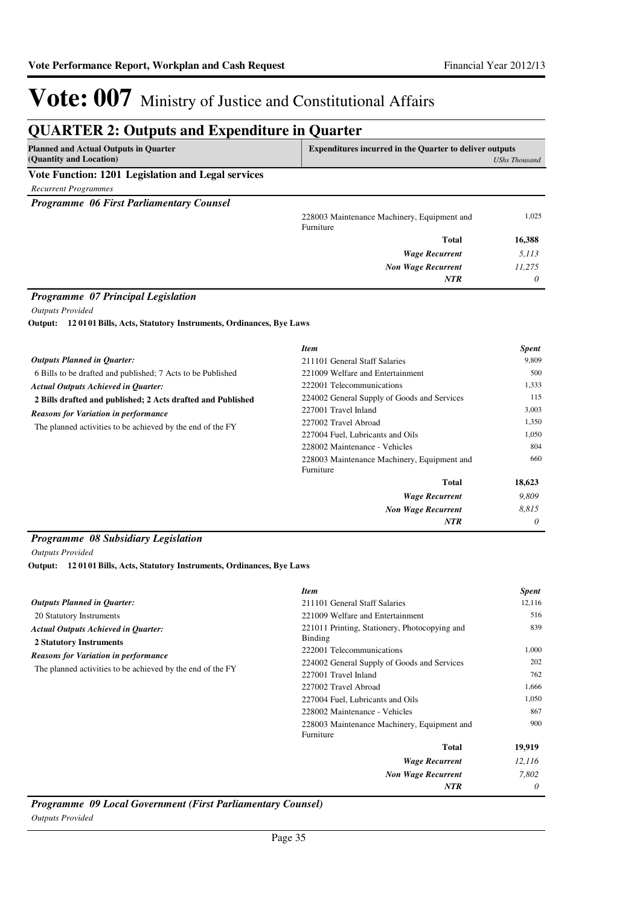*0*

*NTR*

## Vote: 007 Ministry of Justice and Constitutional Affairs

### **QUARTER 2: Outputs and Expenditure in Quarter**

| <b>Planned and Actual Outputs in Quarter</b>       | <b>Expenditures incurred in the Quarter to deliver outputs</b> |               |
|----------------------------------------------------|----------------------------------------------------------------|---------------|
| (Quantity and Location)                            |                                                                | UShs Thousand |
| Vote Function: 1201 Legislation and Legal services |                                                                |               |
| <b>Recurrent Programmes</b>                        |                                                                |               |
| <b>Programme 06 First Parliamentary Counsel</b>    |                                                                |               |
|                                                    | 228003 Maintenance Machinery, Equipment and<br>Furniture       | 1.025         |
|                                                    | <b>Total</b>                                                   | 16,388        |
|                                                    | <b>Wage Recurrent</b>                                          | 5,113         |
|                                                    | <b>Non Wage Recurrent</b>                                      | 11,275        |

#### *Programme 07 Principal Legislation*

*Outputs Provided*

**12 0101 Bills, Acts, Statutory Instruments, Ordinances, Bye Laws Output:**

|                                                             | <b>Item</b>                                 | <b>Spent</b> |
|-------------------------------------------------------------|---------------------------------------------|--------------|
| <b>Outputs Planned in Ouarter:</b>                          | 211101 General Staff Salaries               | 9,809        |
| 6 Bills to be drafted and published; 7 Acts to be Published | 221009 Welfare and Entertainment            | 500          |
| <b>Actual Outputs Achieved in Quarter:</b>                  | 222001 Telecommunications                   | 1,333        |
| 2 Bills drafted and published; 2 Acts drafted and Published | 224002 General Supply of Goods and Services | 115          |
| <b>Reasons for Variation in performance</b>                 | 227001 Travel Inland                        | 3,003        |
| The planned activities to be achieved by the end of the FY  | 227002 Travel Abroad                        | 1,350        |
|                                                             | 227004 Fuel, Lubricants and Oils            | 1.050        |
|                                                             | 228002 Maintenance - Vehicles               | 804          |
|                                                             | 228003 Maintenance Machinery, Equipment and | 660          |
|                                                             | Furniture                                   |              |
|                                                             | <b>Total</b>                                | 18,623       |
|                                                             | <b>Wage Recurrent</b>                       | 9.809        |
|                                                             | <b>Non Wage Recurrent</b>                   | 8,815        |
|                                                             | <b>NTR</b>                                  | 0            |

#### *Programme 08 Subsidiary Legislation*

*Outputs Provided*

**12 0101 Bills, Acts, Statutory Instruments, Ordinances, Bye Laws Output:**

|                                                                              | <b>Item</b>                                              | <b>Spent</b> |
|------------------------------------------------------------------------------|----------------------------------------------------------|--------------|
| <b>Outputs Planned in Quarter:</b>                                           | 211101 General Staff Salaries                            | 12,116       |
| 20 Statutory Instruments                                                     | 221009 Welfare and Entertainment                         | 516          |
| <b>Actual Outputs Achieved in Quarter:</b><br><b>2 Statutory Instruments</b> | 221011 Printing, Stationery, Photocopying and<br>Binding | 839          |
|                                                                              | 222001 Telecommunications                                | 1,000        |
| <b>Reasons for Variation in performance</b>                                  | 224002 General Supply of Goods and Services              | 202          |
| The planned activities to be achieved by the end of the FY                   | 227001 Travel Inland                                     | 762          |
|                                                                              | 227002 Travel Abroad                                     | 1,666        |
|                                                                              | 227004 Fuel, Lubricants and Oils                         | 1,050        |
|                                                                              | 228002 Maintenance - Vehicles                            | 867          |
|                                                                              | 228003 Maintenance Machinery, Equipment and<br>Furniture | 900          |
|                                                                              | <b>Total</b>                                             | 19,919       |
|                                                                              | <b>Wage Recurrent</b>                                    | 12,116       |
|                                                                              | <b>Non Wage Recurrent</b>                                | 7,802        |
|                                                                              | <b>NTR</b>                                               | 0            |

*Programme 09 Local Government (First Parliamentary Counsel) Outputs Provided*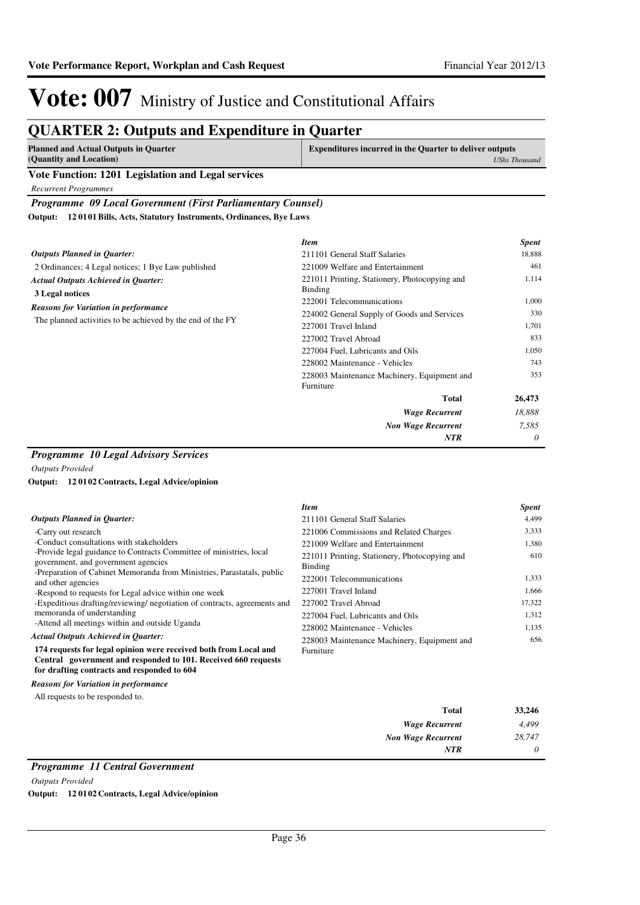### **QUARTER 2: Outputs and Expenditure in Quarter**

| Planned and Actual Outputs in Quarter                        | <b>Expenditures incurred in the Quarter to deliver outputs</b> |  |
|--------------------------------------------------------------|----------------------------------------------------------------|--|
| (Quantity and Location)                                      | UShs Thousand                                                  |  |
| Vide Barrell and 1901. In the Calledge and I would be a find |                                                                |  |

### **Vote Function: 1201 Legislation and Legal services**

*Recurrent Programmes*

*Programme 09 Local Government (First Parliamentary Counsel)*

**12 0101 Bills, Acts, Statutory Instruments, Ordinances, Bye Laws Output:**

|                                                            | <b>Item</b>                                   | <b>Spent</b> |
|------------------------------------------------------------|-----------------------------------------------|--------------|
| <b>Outputs Planned in Quarter:</b>                         | 211101 General Staff Salaries                 | 18,888       |
| 2 Ordinances; 4 Legal notices; 1 Bye Law published         | 221009 Welfare and Entertainment              | 461          |
| <b>Actual Outputs Achieved in Quarter:</b>                 | 221011 Printing, Stationery, Photocopying and | 1,114        |
| 3 Legal notices                                            | <b>Binding</b>                                |              |
| <b>Reasons for Variation in performance</b>                | 222001 Telecommunications                     | 1,000        |
|                                                            | 224002 General Supply of Goods and Services   | 330          |
| The planned activities to be achieved by the end of the FY | 227001 Travel Inland                          | 1,701        |
|                                                            | 227002 Travel Abroad                          | 833          |
|                                                            | 227004 Fuel, Lubricants and Oils              | 1,050        |
|                                                            | 228002 Maintenance - Vehicles                 | 743          |
|                                                            | 228003 Maintenance Machinery, Equipment and   | 353          |
|                                                            | Furniture                                     |              |
|                                                            | <b>Total</b>                                  | 26,473       |
|                                                            | <b>Wage Recurrent</b>                         | 18,888       |
|                                                            | <b>Non Wage Recurrent</b>                     | 7,585        |
|                                                            | <b>NTR</b>                                    | $\theta$     |

#### *Programme 10 Legal Advisory Services*

*Outputs Provided*

#### **12 0102 Contracts, Legal Advice/opinion Output:**

|                                                                                                                                                                                   | <b>Item</b>                                              | <b>Spent</b> |
|-----------------------------------------------------------------------------------------------------------------------------------------------------------------------------------|----------------------------------------------------------|--------------|
| <b>Outputs Planned in Quarter:</b>                                                                                                                                                | 211101 General Staff Salaries                            | 4.499        |
| -Carry out research                                                                                                                                                               | 221006 Commissions and Related Charges                   | 3,333        |
| -Conduct consultations with stakeholders                                                                                                                                          | 221009 Welfare and Entertainment                         | 1,380        |
| -Provide legal guidance to Contracts Committee of ministries, local<br>government, and government agencies                                                                        | 221011 Printing, Stationery, Photocopying and<br>Binding | 610          |
| -Preparation of Cabinet Memoranda from Ministries, Parastatals, public<br>and other agencies                                                                                      | 222001 Telecommunications                                | 1,333        |
| -Respond to requests for Legal advice within one week                                                                                                                             | 227001 Travel Inland                                     | 1,666        |
| -Expeditious drafting/reviewing/ negotiation of contracts, agreements and                                                                                                         | 227002 Travel Abroad                                     | 17,322       |
| memoranda of understanding                                                                                                                                                        | 227004 Fuel, Lubricants and Oils                         | 1,312        |
| -Attend all meetings within and outside Uganda                                                                                                                                    | 228002 Maintenance - Vehicles                            | 1,135        |
| <b>Actual Outputs Achieved in Quarter:</b>                                                                                                                                        | 228003 Maintenance Machinery, Equipment and              | 656          |
| 174 requests for legal opinion were received both from Local and<br>Central government and responded to 101. Received 660 requests<br>for drafting contracts and responded to 604 | Furniture                                                |              |
| <b>Reasons for Variation in performance</b>                                                                                                                                       |                                                          |              |

All requests to be responded to.

|          | and the contract of the con- |
|----------|------------------------------|
| 33,246   | <b>Total</b>                 |
| 4,499    | <b>Wage Recurrent</b>        |
| 28,747   | <b>Non Wage Recurrent</b>    |
| $\theta$ | <b>NTR</b>                   |
|          |                              |

#### *Programme 11 Central Government*

*Outputs Provided*

**Output: 12 0102 Contracts, Legal Advice/opinion**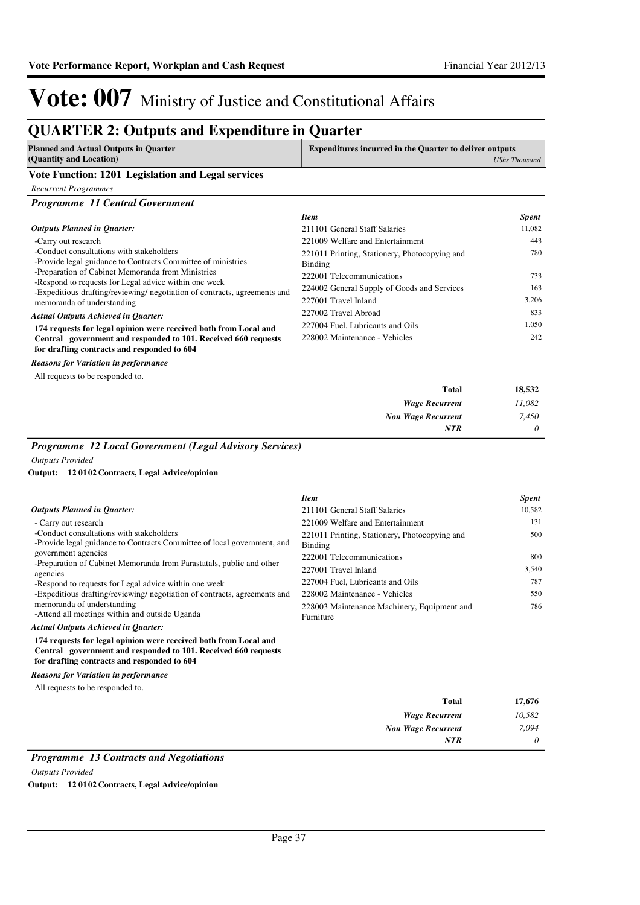### **QUARTER 2: Outputs and Expenditure in Quarter**

| Planned and Actual Outputs in Quarter<br>(Quantity and Location) | <b>Expenditures incurred in the Quarter to deliver outputs</b><br><b>UShs Thousand</b> |
|------------------------------------------------------------------|----------------------------------------------------------------------------------------|
| Vote Function: 1201 Legislation and Legal services               |                                                                                        |
| Recurrent Programmes                                             |                                                                                        |

#### *Programme 11 Central Government*

|                                                                                                                                    | <b>Item</b>                                                     | <b>Spent</b> |
|------------------------------------------------------------------------------------------------------------------------------------|-----------------------------------------------------------------|--------------|
| <b>Outputs Planned in Ouarter:</b>                                                                                                 | 211101 General Staff Salaries                                   | 11,082       |
| -Carry out research                                                                                                                | 221009 Welfare and Entertainment                                | 443          |
| -Conduct consultations with stakeholders<br>-Provide legal guidance to Contracts Committee of ministries                           | 221011 Printing, Stationery, Photocopying and<br><b>Binding</b> | 780          |
| -Preparation of Cabinet Memoranda from Ministries                                                                                  | 222001 Telecommunications                                       | 733          |
| -Respond to requests for Legal advice within one week<br>-Expeditious drafting/reviewing/ negotiation of contracts, agreements and | 224002 General Supply of Goods and Services                     | 163          |
| memoranda of understanding                                                                                                         | 227001 Travel Inland                                            | 3,206        |
| <b>Actual Outputs Achieved in Ouarter:</b>                                                                                         | 227002 Travel Abroad                                            | 833          |
| 174 requests for legal opinion were received both from Local and                                                                   | 227004 Fuel, Lubricants and Oils                                | 1.050        |
| Central government and responded to 101. Received 660 requests<br>for drafting contracts and responded to 604                      | 228002 Maintenance - Vehicles                                   | 242          |
|                                                                                                                                    |                                                                 |              |

*Reasons for Variation in performance*

All requests to be responded to.

| 18,532   | <b>Total</b>              |
|----------|---------------------------|
| 11,082   | <b>Wage Recurrent</b>     |
| 7,450    | <b>Non Wage Recurrent</b> |
| $\theta$ | <b>NTR</b>                |

### *Programme 12 Local Government (Legal Advisory Services)*

*Outputs Provided*

#### **12 0102 Contracts, Legal Advice/opinion Output:**

|                                                                                                                                    | <b>Item</b>                                   | <b>Spent</b> |
|------------------------------------------------------------------------------------------------------------------------------------|-----------------------------------------------|--------------|
| <b>Outputs Planned in Ouarter:</b>                                                                                                 | 211101 General Staff Salaries                 | 10,582       |
| - Carry out research                                                                                                               | 221009 Welfare and Entertainment              | 131          |
| -Conduct consultations with stakeholders                                                                                           | 221011 Printing, Stationery, Photocopying and | 500          |
| -Provide legal guidance to Contracts Committee of local government, and                                                            | Binding                                       |              |
| government agencies                                                                                                                | 222001 Telecommunications                     | 800          |
| -Preparation of Cabinet Memoranda from Parastatals, public and other<br>agencies                                                   | 227001 Travel Inland                          | 3,540        |
| -Respond to requests for Legal advice within one week                                                                              | 227004 Fuel, Lubricants and Oils              | 787          |
| -Expeditious drafting/reviewing/ negotiation of contracts, agreements and                                                          | 228002 Maintenance - Vehicles                 | 550          |
| memoranda of understanding                                                                                                         | 228003 Maintenance Machinery, Equipment and   | 786          |
| -Attend all meetings within and outside Uganda                                                                                     | Furniture                                     |              |
| <b>Actual Outputs Achieved in Ouarter:</b>                                                                                         |                                               |              |
| 174 requests for legal opinion were received both from Local and<br>Central government and responded to 101. Received 660 requests |                                               |              |

#### **for drafting contracts and responded to 604**

*Reasons for Variation in performance*

All requests to be responded to.

| <b>Total</b>              | 17,676   |
|---------------------------|----------|
| <b>Wage Recurrent</b>     | 10,582   |
| <b>Non Wage Recurrent</b> | 7,094    |
| <b>NTR</b>                | $\theta$ |

### *Programme 13 Contracts and Negotiations*

*Outputs Provided*

**Output: 12 0102 Contracts, Legal Advice/opinion**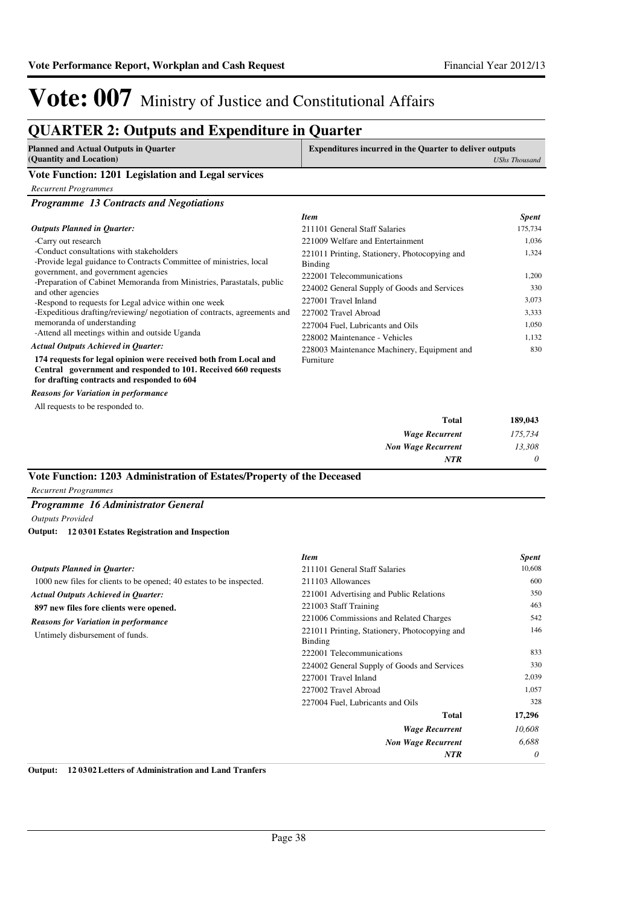### **QUARTER 2: Outputs and Expenditure in Quarter**

| <b>Planned and Actual Outputs in Quarter</b>       | <b>Expenditures incurred in the Quarter to deliver outputs</b> |
|----------------------------------------------------|----------------------------------------------------------------|
| (Quantity and Location)                            | UShs Thousand                                                  |
| Vote Function: 1201 Legislation and Legal services |                                                                |

*Recurrent Programmes*

| <b>Programme 13 Contracts and Negotiations</b>                                                                                                                                    |                                                          |              |
|-----------------------------------------------------------------------------------------------------------------------------------------------------------------------------------|----------------------------------------------------------|--------------|
|                                                                                                                                                                                   | <b>Item</b>                                              | <b>Spent</b> |
| <b>Outputs Planned in Quarter:</b>                                                                                                                                                | 211101 General Staff Salaries                            | 175,734      |
| -Carry out research                                                                                                                                                               | 221009 Welfare and Entertainment                         | 1,036        |
| -Conduct consultations with stakeholders<br>-Provide legal guidance to Contracts Committee of ministries, local                                                                   | 221011 Printing, Stationery, Photocopying and<br>Binding | 1,324        |
| government, and government agencies                                                                                                                                               | 222001 Telecommunications                                | 1,200        |
| -Preparation of Cabinet Memoranda from Ministries, Parastatals, public<br>and other agencies                                                                                      | 224002 General Supply of Goods and Services              | 330          |
| -Respond to requests for Legal advice within one week                                                                                                                             | 227001 Travel Inland                                     | 3,073        |
| -Expeditious drafting/reviewing/ negotiation of contracts, agreements and                                                                                                         | 227002 Travel Abroad                                     | 3,333        |
| memoranda of understanding                                                                                                                                                        | 227004 Fuel, Lubricants and Oils                         | 1,050        |
| -Attend all meetings within and outside Uganda                                                                                                                                    | 228002 Maintenance - Vehicles                            | 1,132        |
| <b>Actual Outputs Achieved in Quarter:</b>                                                                                                                                        | 228003 Maintenance Machinery, Equipment and              | 830          |
| 174 requests for legal opinion were received both from Local and<br>Central government and responded to 101. Received 660 requests<br>for drafting contracts and responded to 604 | Furniture                                                |              |
| <b>Reasons for Variation in performance</b>                                                                                                                                       |                                                          |              |
| All requests to be responded to.                                                                                                                                                  |                                                          |              |
|                                                                                                                                                                                   | <b>Total</b>                                             | 189,043      |

| 189,043  | Total                     |
|----------|---------------------------|
| 175,734  | <b>Wage Recurrent</b>     |
| 13,308   | <b>Non Wage Recurrent</b> |
| $\theta$ | <b>NTR</b>                |

#### **Vote Function: 1203 Administration of Estates/Property of the Deceased**

*Recurrent Programmes*

#### *Programme 16 Administrator General*

*Outputs Provided* **12 0301 Estates Registration and Inspection Output:**

|                                                                      | <b>Item</b>                                                     | <b>Spent</b> |
|----------------------------------------------------------------------|-----------------------------------------------------------------|--------------|
| <b>Outputs Planned in Quarter:</b>                                   | 211101 General Staff Salaries                                   | 10,608       |
| 1000 new files for clients to be opened; 40 estates to be inspected. | 211103 Allowances                                               | 600          |
| <b>Actual Outputs Achieved in Quarter:</b>                           | 221001 Advertising and Public Relations                         | 350          |
| 897 new files fore clients were opened.                              | 221003 Staff Training                                           | 463          |
| <b>Reasons for Variation in performance</b>                          | 221006 Commissions and Related Charges                          | 542          |
| Untimely disbursement of funds.                                      | 221011 Printing, Stationery, Photocopying and<br><b>Binding</b> | 146          |
|                                                                      | 222001 Telecommunications                                       | 833          |
|                                                                      | 224002 General Supply of Goods and Services                     | 330          |
|                                                                      | 227001 Travel Inland                                            | 2,039        |
|                                                                      | 227002 Travel Abroad                                            | 1,057        |
|                                                                      | 227004 Fuel, Lubricants and Oils                                | 328          |
|                                                                      | <b>Total</b>                                                    | 17,296       |
|                                                                      | <b>Wage Recurrent</b>                                           | 10,608       |
|                                                                      | <b>Non Wage Recurrent</b>                                       | 6,688        |
|                                                                      | <b>NTR</b>                                                      | 0            |

**Output: 12 0302 Letters of Administration and Land Tranfers**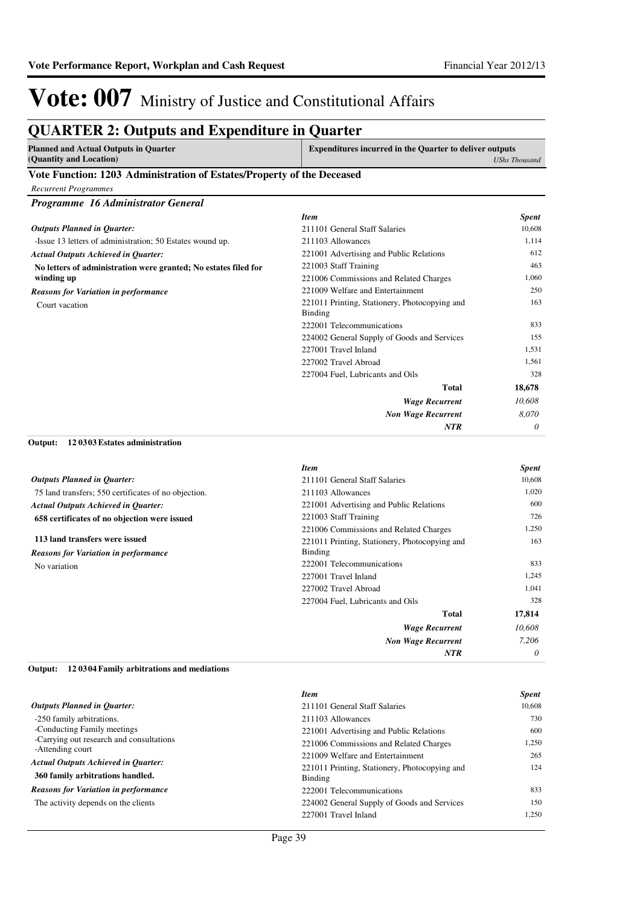### **QUARTER 2: Outputs and Expenditure in Quarter**

| Planned and Actual Outputs in Quarter                                                                                               | <b>Expenditures incurred in the Quarter to deliver outputs</b> |
|-------------------------------------------------------------------------------------------------------------------------------------|----------------------------------------------------------------|
| (Quantity and Location)                                                                                                             | UShs Thousand                                                  |
| $\mathbf{v}$ and $\mathbf{v}$ and $\mathbf{v}$ and $\mathbf{v}$ and $\mathbf{v}$ and $\mathbf{v}$ and $\mathbf{v}$ and $\mathbf{v}$ |                                                                |

#### **Vote Function: 1203 Administration of Estates/Property of the Deceased**

*Recurrent Programmes*

| Programme 16 Administrator General                              |                                                          |              |
|-----------------------------------------------------------------|----------------------------------------------------------|--------------|
|                                                                 | <b>Item</b>                                              | <b>Spent</b> |
| <b>Outputs Planned in Quarter:</b>                              | 211101 General Staff Salaries                            | 10,608       |
| -Issue 13 letters of administration; 50 Estates wound up.       | 211103 Allowances                                        | 1,114        |
| <b>Actual Outputs Achieved in Quarter:</b>                      | 221001 Advertising and Public Relations                  | 612          |
| No letters of administration were granted; No estates filed for | 221003 Staff Training                                    | 463          |
| winding up                                                      | 221006 Commissions and Related Charges                   | 1,060        |
| <b>Reasons for Variation in performance</b>                     | 221009 Welfare and Entertainment                         | 250          |
| Court vacation                                                  | 221011 Printing, Stationery, Photocopying and<br>Binding | 163          |
|                                                                 | 222001 Telecommunications                                | 833          |
|                                                                 | 224002 General Supply of Goods and Services              | 155          |
|                                                                 | 227001 Travel Inland                                     | 1,531        |
|                                                                 | 227002 Travel Abroad                                     | 1.561        |
|                                                                 | 227004 Fuel, Lubricants and Oils                         | 328          |
|                                                                 | <b>Total</b>                                             | 18,678       |
|                                                                 | <b>Wage Recurrent</b>                                    | 10,608       |
|                                                                 | <b>Non Wage Recurrent</b>                                | 8,070        |
|                                                                 | <b>NTR</b>                                               | 0            |
|                                                                 |                                                          |              |

#### **12 0303 Estates administration Output:**

|                                                      | <b>Item</b>                                   | <b>Spent</b> |
|------------------------------------------------------|-----------------------------------------------|--------------|
| <b>Outputs Planned in Quarter:</b>                   | 211101 General Staff Salaries                 | 10,608       |
| 75 land transfers; 550 certificates of no objection. | 211103 Allowances                             | 1,020        |
| <b>Actual Outputs Achieved in Quarter:</b>           | 221001 Advertising and Public Relations       | 600          |
| 658 certificates of no objection were issued         | 221003 Staff Training                         | 726          |
|                                                      | 221006 Commissions and Related Charges        | 1,250        |
| 113 land transfers were issued                       | 221011 Printing, Stationery, Photocopying and | 163          |
| <b>Reasons for Variation in performance</b>          | <b>Binding</b>                                |              |
| No variation                                         | 222001 Telecommunications                     | 833          |
|                                                      | 227001 Travel Inland                          | 1,245        |
|                                                      | 227002 Travel Abroad                          | 1,041        |
|                                                      | 227004 Fuel, Lubricants and Oils              | 328          |
|                                                      | <b>Total</b>                                  | 17,814       |
|                                                      | <b>Wage Recurrent</b>                         | 10,608       |
|                                                      | <b>Non Wage Recurrent</b>                     | 7.206        |
|                                                      | <b>NTR</b>                                    | $\theta$     |

#### **12 0304 Family arbitrations and mediations Output:**

|                                                              | <b>Item</b>                                   | <b>Spent</b> |
|--------------------------------------------------------------|-----------------------------------------------|--------------|
| <b>Outputs Planned in Quarter:</b>                           | 211101 General Staff Salaries                 | 10.608       |
| -250 family arbitrations.                                    | 211103 Allowances                             | 730          |
| -Conducting Family meetings                                  | 221001 Advertising and Public Relations       | 600          |
| -Carrying out research and consultations<br>-Attending court | 221006 Commissions and Related Charges        | 1.250        |
|                                                              | 221009 Welfare and Entertainment              | 265          |
| <b>Actual Outputs Achieved in Ouarter:</b>                   | 221011 Printing, Stationery, Photocopying and | 124          |
| 360 family arbitrations handled.                             | Binding                                       |              |
| <b>Reasons for Variation in performance</b>                  | 222001 Telecommunications                     | 833          |
| The activity depends on the clients                          | 224002 General Supply of Goods and Services   | 150          |
|                                                              | 227001 Travel Inland                          | 1.250        |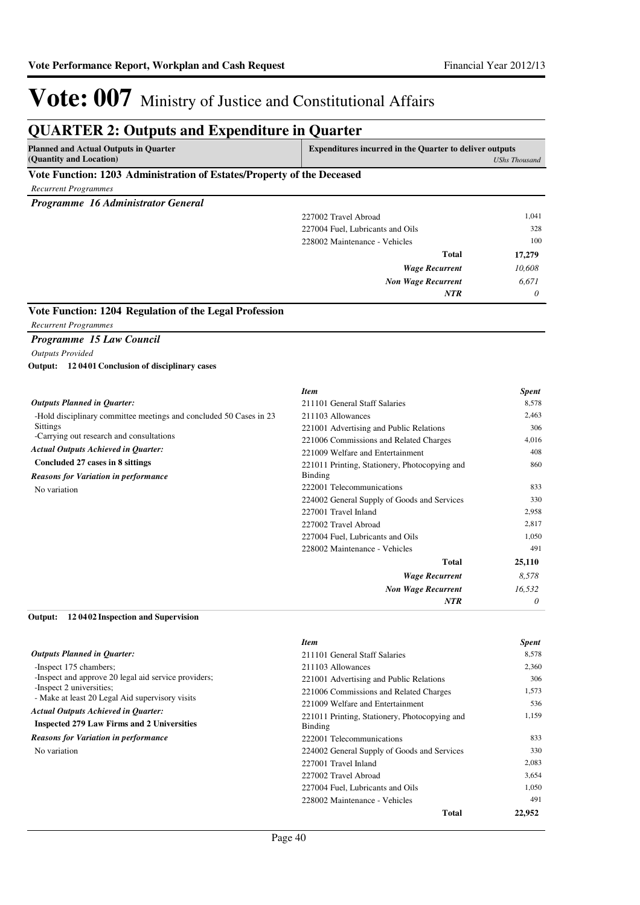| <b>Planned and Actual Outputs in Quarter</b><br>(Quantity and Location) | <b>Expenditures incurred in the Quarter to deliver outputs</b> | <b>UShs Thousand</b> |
|-------------------------------------------------------------------------|----------------------------------------------------------------|----------------------|
| Vote Function: 1203 Administration of Estates/Property of the Deceased  |                                                                |                      |
| <b>Recurrent Programmes</b>                                             |                                                                |                      |
| Programme 16 Administrator General                                      |                                                                |                      |
|                                                                         | 227002 Travel Abroad                                           | 1,041                |
|                                                                         | 227004 Fuel, Lubricants and Oils                               | 328                  |
|                                                                         | 228002 Maintenance - Vehicles                                  | 100                  |
|                                                                         | <b>Total</b>                                                   | 17,279               |
|                                                                         | <b>Wage Recurrent</b>                                          | 10,608               |
|                                                                         | <b>Non Wage Recurrent</b>                                      | 6.671                |
|                                                                         | <b>NTR</b>                                                     | 0                    |
|                                                                         |                                                                |                      |
| Vote Function: 1204 Regulation of the Legal Profession                  |                                                                |                      |
| <b>Recurrent Programmes</b>                                             |                                                                |                      |
| Programme 15 Law Council                                                |                                                                |                      |
| <b>Outputs Provided</b>                                                 |                                                                |                      |
| Output: 12 0401 Conclusion of disciplinary cases                        |                                                                |                      |
|                                                                         | <b>Item</b>                                                    | <b>Spent</b>         |
| <b>Outputs Planned in Quarter:</b>                                      | 211101 General Staff Salaries                                  | 8,578                |
| -Hold disciplinary committee meetings and concluded 50 Cases in 23      | 211103 Allowances                                              | 2,463                |
| <b>Sittings</b>                                                         | 221001 Advertising and Public Relations                        | 306                  |
| -Carrying out research and consultations                                | 221006 Commissions and Related Charges                         | 4.016                |
| <b>Actual Outputs Achieved in Quarter:</b>                              | 221009 Welfare and Entertainment                               | 408                  |
| Concluded 27 cases in 8 sittings                                        | 221011 Printing, Stationery, Photocopying and                  | 860                  |
| <b>Reasons for Variation in performance</b>                             | <b>Binding</b>                                                 |                      |
| No variation                                                            | 222001 Telecommunications                                      | 833                  |
|                                                                         | 224002 General Supply of Goods and Services                    | 330                  |
|                                                                         | 227001 Travel Inland                                           | 2,958                |
|                                                                         | 227002 Travel Abroad                                           | 2,817                |
|                                                                         | 227004 Fuel, Lubricants and Oils                               | 1,050                |
|                                                                         | 228002 Maintenance - Vehicles                                  | 491                  |
|                                                                         | <b>Total</b>                                                   | 25,110               |
|                                                                         | <b>Wage Recurrent</b>                                          | 8,578                |
|                                                                         | <b>Non Wage Recurrent</b>                                      | 16,532               |
|                                                                         |                                                                |                      |

|                                                      | <b>Item</b>                                   | <b>Spent</b> |
|------------------------------------------------------|-----------------------------------------------|--------------|
| <b>Outputs Planned in Ouarter:</b>                   | 211101 General Staff Salaries                 | 8,578        |
| -Inspect 175 chambers;                               | 211103 Allowances                             | 2,360        |
| -Inspect and approve 20 legal aid service providers; | 221001 Advertising and Public Relations       | 306          |
| -Inspect 2 universities;                             | 221006 Commissions and Related Charges        | 1,573        |
| - Make at least 20 Legal Aid supervisory visits      | 221009 Welfare and Entertainment              | 536          |
| <b>Actual Outputs Achieved in Ouarter:</b>           | 221011 Printing, Stationery, Photocopying and | 1,159        |
| <b>Inspected 279 Law Firms and 2 Universities</b>    | Binding                                       |              |
| <b>Reasons for Variation in performance</b>          | 222001 Telecommunications                     | 833          |
| No variation                                         | 224002 General Supply of Goods and Services   | 330          |
|                                                      | 227001 Travel Inland                          | 2,083        |
|                                                      | 227002 Travel Abroad                          | 3,654        |
|                                                      | 227004 Fuel, Lubricants and Oils              | 1,050        |
|                                                      | 228002 Maintenance - Vehicles                 | 491          |
|                                                      | Total                                         | 22,952       |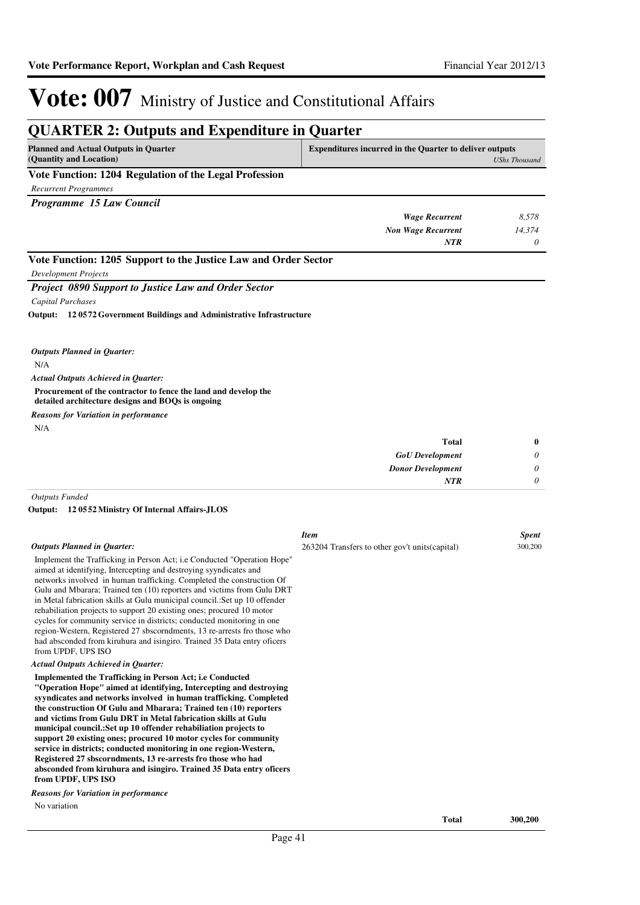| <b>QUARTER 2: Outputs and Expenditure in Quarter</b>                                                                 |                                                                |                      |
|----------------------------------------------------------------------------------------------------------------------|----------------------------------------------------------------|----------------------|
| <b>Planned and Actual Outputs in Ouarter</b><br>(Quantity and Location)                                              | <b>Expenditures incurred in the Quarter to deliver outputs</b> | <b>UShs Thousand</b> |
| Vote Function: 1204 Regulation of the Legal Profession                                                               |                                                                |                      |
| <b>Recurrent Programmes</b>                                                                                          |                                                                |                      |
| Programme 15 Law Council                                                                                             |                                                                |                      |
|                                                                                                                      | <b>Wage Recurrent</b>                                          | 8,578                |
|                                                                                                                      | <b>Non Wage Recurrent</b>                                      | 14,374               |
|                                                                                                                      | <b>NTR</b>                                                     | 0                    |
| Vote Function: 1205 Support to the Justice Law and Order Sector                                                      |                                                                |                      |
| <b>Development Projects</b>                                                                                          |                                                                |                      |
| <b>Project 0890 Support to Justice Law and Order Sector</b>                                                          |                                                                |                      |
| Capital Purchases                                                                                                    |                                                                |                      |
| Output: 120572 Government Buildings and Administrative Infrastructure                                                |                                                                |                      |
| <b>Outputs Planned in Quarter:</b>                                                                                   |                                                                |                      |
| N/A                                                                                                                  |                                                                |                      |
| <b>Actual Outputs Achieved in Quarter:</b>                                                                           |                                                                |                      |
| Procurement of the contractor to fence the land and develop the<br>detailed architecture designs and BOQs is ongoing |                                                                |                      |
| <b>Reasons for Variation in performance</b>                                                                          |                                                                |                      |
| N/A                                                                                                                  |                                                                |                      |
|                                                                                                                      | <b>Total</b>                                                   | $\bf{0}$             |
|                                                                                                                      | <b>GoU</b> Development                                         | 0                    |
|                                                                                                                      | <b>Donor Development</b>                                       | 0                    |
|                                                                                                                      | <b>NTR</b>                                                     | $\theta$             |
| <b>Outputs Funded</b>                                                                                                |                                                                |                      |
| Output:<br>120552 Ministry Of Internal Affairs-JLOS                                                                  |                                                                |                      |
|                                                                                                                      | <b>Item</b>                                                    | <b>Spent</b>         |
| <b>Outputs Planned in Quarter:</b>                                                                                   | 263204 Transfers to other gov't units (capital)                | 300,200              |

Implement the Trafficking in Person Act; i.e Conducted "Operation Hope" aimed at identifying, Intercepting and destroying syyndicates and networks involved in human trafficking. Completed the construction Of Gulu and Mbarara; Trained ten (10) reporters and victims from Gulu DRT in Metal fabrication skills at Gulu municipal council.:Set up 10 offender rehabiliation projects to support 20 existing ones; procured 10 motor cycles for community service in districts; conducted monitoring in one region-Western, Registered 27 sbscorndments, 13 re-arrests fro those who had absconded from kiruhura and isingiro. Trained 35 Data entry oficers from UPDF, UPS ISO

#### *Actual Outputs Achieved in Quarter:*

**Implemented the Trafficking in Person Act; i.e Conducted "Operation Hope" aimed at identifying, Intercepting and destroying syyndicates and networks involved in human trafficking. Completed the construction Of Gulu and Mbarara; Trained ten (10) reporters and victims from Gulu DRT in Metal fabrication skills at Gulu municipal council.:Set up 10 offender rehabiliation projects to support 20 existing ones; procured 10 motor cycles for community service in districts; conducted monitoring in one region-Western, Registered 27 sbscorndments, 13 re-arrests fro those who had absconded from kiruhura and isingiro. Trained 35 Data entry oficers from UPDF, UPS ISO**

#### *Reasons for Variation in performance*

No variation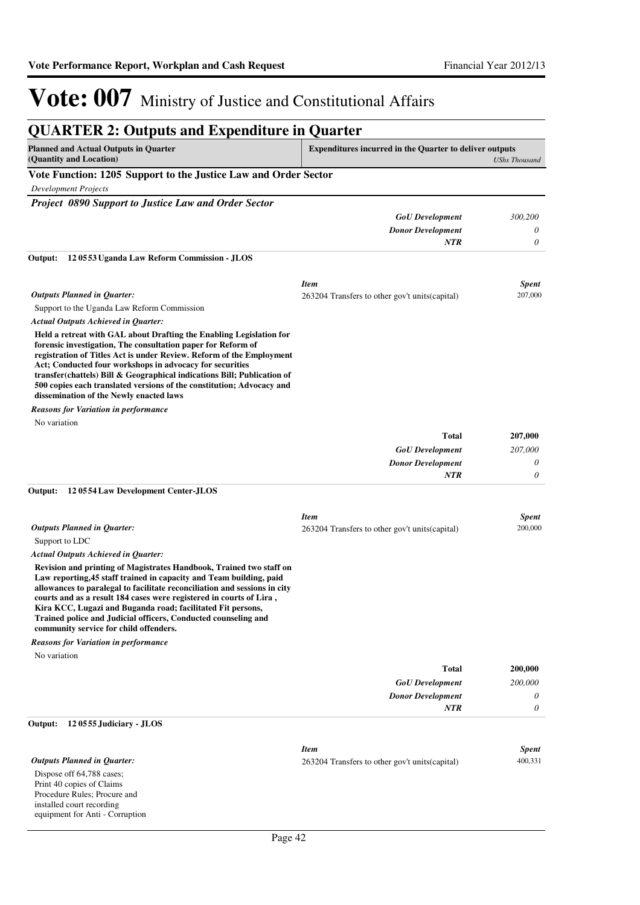| <b>QUARTER 2: Outputs and Expenditure in Quarter</b>                                                                                                                                                                                                                                                                                                                                                                                                                      |                                                                |                         |
|---------------------------------------------------------------------------------------------------------------------------------------------------------------------------------------------------------------------------------------------------------------------------------------------------------------------------------------------------------------------------------------------------------------------------------------------------------------------------|----------------------------------------------------------------|-------------------------|
| <b>Planned and Actual Outputs in Quarter</b><br>(Quantity and Location)                                                                                                                                                                                                                                                                                                                                                                                                   | <b>Expenditures incurred in the Quarter to deliver outputs</b> | <b>UShs Thousand</b>    |
| Vote Function: 1205 Support to the Justice Law and Order Sector                                                                                                                                                                                                                                                                                                                                                                                                           |                                                                |                         |
| <b>Development Projects</b>                                                                                                                                                                                                                                                                                                                                                                                                                                               |                                                                |                         |
| Project 0890 Support to Justice Law and Order Sector                                                                                                                                                                                                                                                                                                                                                                                                                      |                                                                |                         |
|                                                                                                                                                                                                                                                                                                                                                                                                                                                                           | <b>GoU</b> Development                                         | 300,200                 |
|                                                                                                                                                                                                                                                                                                                                                                                                                                                                           | <b>Donor Development</b>                                       | 0                       |
|                                                                                                                                                                                                                                                                                                                                                                                                                                                                           | NTR                                                            | 0                       |
| Output:<br>120553 Uganda Law Reform Commission - JLOS                                                                                                                                                                                                                                                                                                                                                                                                                     |                                                                |                         |
| <b>Outputs Planned in Quarter:</b>                                                                                                                                                                                                                                                                                                                                                                                                                                        | <b>Item</b><br>263204 Transfers to other gov't units (capital) | <b>Spent</b><br>207,000 |
| Support to the Uganda Law Reform Commission                                                                                                                                                                                                                                                                                                                                                                                                                               |                                                                |                         |
| Actual Outputs Achieved in Quarter:                                                                                                                                                                                                                                                                                                                                                                                                                                       |                                                                |                         |
| Held a retreat with GAL about Drafting the Enabling Legislation for<br>forensic investigation, The consultation paper for Reform of<br>registration of Titles Act is under Review. Reform of the Employment<br>Act; Conducted four workshops in advocacy for securities<br>transfer(chattels) Bill & Geographical indications Bill; Publication of<br>500 copies each translated versions of the constitution; Advocacy and<br>dissemination of the Newly enacted laws    |                                                                |                         |
| <b>Reasons for Variation in performance</b>                                                                                                                                                                                                                                                                                                                                                                                                                               |                                                                |                         |
| No variation                                                                                                                                                                                                                                                                                                                                                                                                                                                              |                                                                |                         |
|                                                                                                                                                                                                                                                                                                                                                                                                                                                                           | <b>Total</b>                                                   | 207,000                 |
|                                                                                                                                                                                                                                                                                                                                                                                                                                                                           | <b>GoU</b> Development                                         | 207,000                 |
|                                                                                                                                                                                                                                                                                                                                                                                                                                                                           | <b>Donor Development</b>                                       | 0                       |
| Output:<br>120554 Law Development Center-JLOS                                                                                                                                                                                                                                                                                                                                                                                                                             | <b>NTR</b>                                                     | 0                       |
| <b>Outputs Planned in Quarter:</b>                                                                                                                                                                                                                                                                                                                                                                                                                                        | <b>Item</b><br>263204 Transfers to other gov't units (capital) | <b>Spent</b><br>200,000 |
| Support to LDC                                                                                                                                                                                                                                                                                                                                                                                                                                                            |                                                                |                         |
| <b>Actual Outputs Achieved in Quarter:</b>                                                                                                                                                                                                                                                                                                                                                                                                                                |                                                                |                         |
| Revision and printing of Magistrates Handbook, Trained two staff on<br>Law reporting, 45 staff trained in capacity and Team building, paid<br>allowances to paralegal to facilitate reconciliation and sessions in city<br>courts and as a result 184 cases were registered in courts of Lira,<br>Kira KCC, Lugazi and Buganda road; facilitated Fit persons,<br>Trained police and Judicial officers, Conducted counseling and<br>community service for child offenders. |                                                                |                         |
| <b>Reasons for Variation in performance</b>                                                                                                                                                                                                                                                                                                                                                                                                                               |                                                                |                         |
| No variation                                                                                                                                                                                                                                                                                                                                                                                                                                                              |                                                                |                         |
|                                                                                                                                                                                                                                                                                                                                                                                                                                                                           | <b>Total</b>                                                   | 200,000                 |
|                                                                                                                                                                                                                                                                                                                                                                                                                                                                           | <b>GoU</b> Development                                         | 200,000                 |
|                                                                                                                                                                                                                                                                                                                                                                                                                                                                           | <b>Donor Development</b>                                       | 0                       |
|                                                                                                                                                                                                                                                                                                                                                                                                                                                                           | <b>NTR</b>                                                     | 0                       |
| Output:<br>120555 Judiciary - JLOS                                                                                                                                                                                                                                                                                                                                                                                                                                        |                                                                |                         |
| <b>Outputs Planned in Quarter:</b>                                                                                                                                                                                                                                                                                                                                                                                                                                        | <b>Item</b><br>263204 Transfers to other gov't units (capital) | <b>Spent</b><br>400,331 |
| Dispose off 64,788 cases;<br>Print 40 copies of Claims<br>Procedure Rules; Procure and<br>installed court recording<br>equipment for Anti - Corruption                                                                                                                                                                                                                                                                                                                    |                                                                |                         |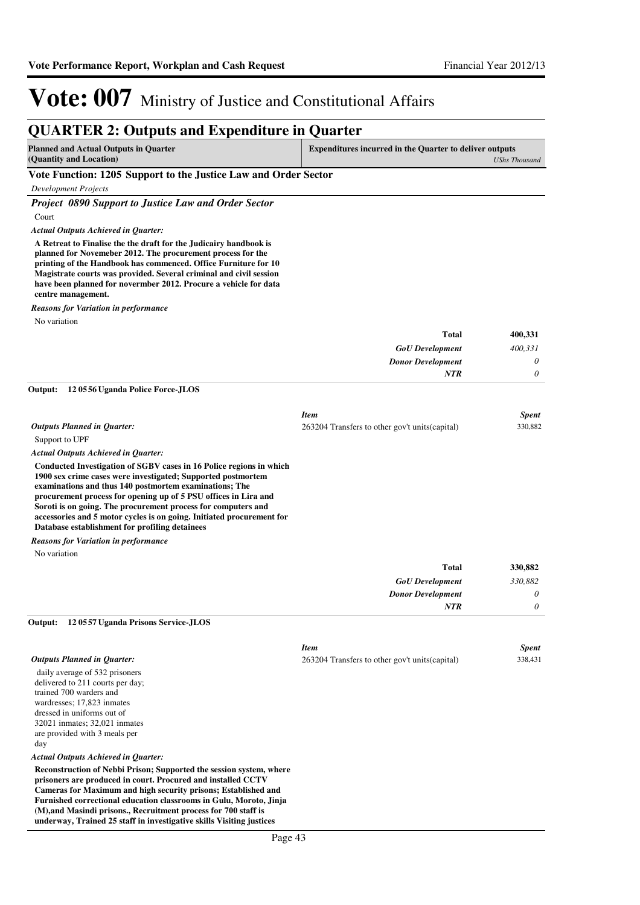#### **QUARTER 2: Outputs and Expenditure in Quarter Planned and Actual Outputs in Quarter (Quantity and Location) Expenditures incurred in the Quarter to deliver outputs**  *UShs Thousand* **Vote Function: 1205 Support to the Justice Law and Order Sector** *Development Projects Project 0890 Support to Justice Law and Order Sector* Court **A Retreat to Finalise the the draft for the Judicairy handbook is planned for Novemeber 2012. The procurement process for the printing of the Handbook has commenced. Office Furniture for 10 Magistrate courts was provided. Several criminal and civil session have been planned for novermber 2012. Procure a vehicle for data centre management.** *GoU Development Donor Development* **Total** *400,331 0 0* **400,331** *Actual Outputs Achieved in Quarter: NTR* No variation *Reasons for Variation in performance* Support to UPF **Conducted Investigation of SGBV cases in 16 Police regions in which 1900 sex crime cases were investigated; Supported postmortem examinations and thus 140 postmortem examinations; The procurement process for opening up of 5 PSU offices in Lira and Soroti is on going. The procurement process for computers and accessories and 5 motor cycles is on going. Initiated procurement for Database establishment for profiling detainees 12 0556 Uganda Police Force-JLOS Output:** *GoU Development Donor Development* **Total** *330,882 0 0* **330,882** *Actual Outputs Achieved in Quarter: Outputs Planned in Quarter: NTR* No variation *Reasons for Variation in performance Item Spent* 263204 Transfers to other gov't units(capital) 330,882 daily average of 532 prisoners delivered to 211 courts per day; trained 700 warders and wardresses; 17,823 inmates dressed in uniforms out of 32021 inmates; 32,021 inmates are provided with 3 meals per day **Reconstruction of Nebbi Prison; Supported the session system, where prisoners are produced in court. Procured and installed CCTV Cameras for Maximum and high security prisons; Established and 12 0557 Uganda Prisons Service-JLOS Output:** *Actual Outputs Achieved in Quarter: Outputs Planned in Quarter: Item Spent* 263204 Transfers to other gov't units(capital) 338,431

**Furnished correctional education classrooms in Gulu, Moroto, Jinja (M),and Masindi prisons., Recruitment process for 700 staff is underway, Trained 25 staff in investigative skills Visiting justices**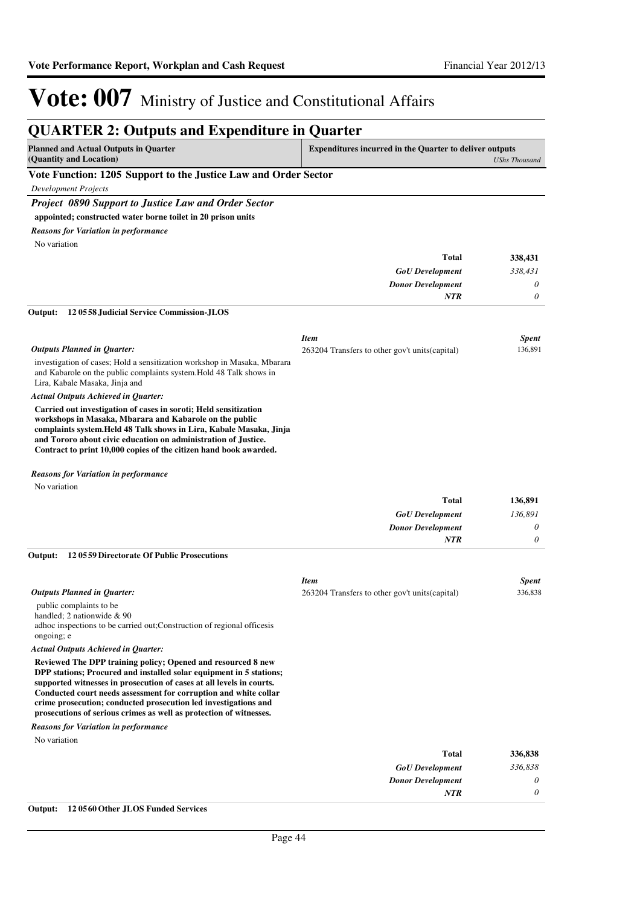| <b>QUARTER 2: Outputs and Expenditure in Quarter</b>                                                                                                                                                                                                                                                                                               |                                                                |                      |
|----------------------------------------------------------------------------------------------------------------------------------------------------------------------------------------------------------------------------------------------------------------------------------------------------------------------------------------------------|----------------------------------------------------------------|----------------------|
| <b>Planned and Actual Outputs in Quarter</b><br>(Quantity and Location)                                                                                                                                                                                                                                                                            | <b>Expenditures incurred in the Quarter to deliver outputs</b> | <b>UShs Thousand</b> |
| Vote Function: 1205 Support to the Justice Law and Order Sector                                                                                                                                                                                                                                                                                    |                                                                |                      |
| <b>Development Projects</b>                                                                                                                                                                                                                                                                                                                        |                                                                |                      |
| <b>Project 0890 Support to Justice Law and Order Sector</b>                                                                                                                                                                                                                                                                                        |                                                                |                      |
| appointed; constructed water borne toilet in 20 prison units                                                                                                                                                                                                                                                                                       |                                                                |                      |
| <b>Reasons for Variation in performance</b>                                                                                                                                                                                                                                                                                                        |                                                                |                      |
| No variation                                                                                                                                                                                                                                                                                                                                       |                                                                |                      |
|                                                                                                                                                                                                                                                                                                                                                    | <b>Total</b>                                                   | 338,431              |
|                                                                                                                                                                                                                                                                                                                                                    | <b>GoU</b> Development                                         | 338,431              |
|                                                                                                                                                                                                                                                                                                                                                    | <b>Donor Development</b>                                       | 0                    |
|                                                                                                                                                                                                                                                                                                                                                    | NTR                                                            | 0                    |
| Output:<br>120558 Judicial Service Commission-JLOS                                                                                                                                                                                                                                                                                                 |                                                                |                      |
|                                                                                                                                                                                                                                                                                                                                                    | <b>Item</b>                                                    | <b>Spent</b>         |
| <b>Outputs Planned in Quarter:</b>                                                                                                                                                                                                                                                                                                                 | 263204 Transfers to other gov't units (capital)                | 136,891              |
| investigation of cases; Hold a sensitization workshop in Masaka, Mbarara<br>and Kabarole on the public complaints system. Hold 48 Talk shows in<br>Lira, Kabale Masaka, Jinja and                                                                                                                                                                  |                                                                |                      |
| Actual Outputs Achieved in Quarter:                                                                                                                                                                                                                                                                                                                |                                                                |                      |
| Carried out investigation of cases in soroti; Held sensitization<br>workshops in Masaka, Mbarara and Kabarole on the public<br>complaints system. Held 48 Talk shows in Lira, Kabale Masaka, Jinja<br>and Tororo about civic education on administration of Justice.<br>Contract to print 10,000 copies of the citizen hand book awarded.          |                                                                |                      |
| <b>Reasons for Variation in performance</b>                                                                                                                                                                                                                                                                                                        |                                                                |                      |
| No variation                                                                                                                                                                                                                                                                                                                                       |                                                                |                      |
|                                                                                                                                                                                                                                                                                                                                                    | Total                                                          | 136,891              |
|                                                                                                                                                                                                                                                                                                                                                    | <b>GoU</b> Development                                         | 136,891              |
|                                                                                                                                                                                                                                                                                                                                                    | <b>Donor Development</b>                                       | 0                    |
|                                                                                                                                                                                                                                                                                                                                                    | <b>NTR</b>                                                     | 0                    |
| 120559 Directorate Of Public Prosecutions<br>Output:                                                                                                                                                                                                                                                                                               |                                                                |                      |
|                                                                                                                                                                                                                                                                                                                                                    | <b>Item</b>                                                    | <b>Spent</b>         |
| <b>Outputs Planned in Quarter:</b>                                                                                                                                                                                                                                                                                                                 | 263204 Transfers to other gov't units (capital)                | 336,838              |
|                                                                                                                                                                                                                                                                                                                                                    |                                                                |                      |
| public complaints to be                                                                                                                                                                                                                                                                                                                            |                                                                |                      |
| handled; 2 nationwide & 90                                                                                                                                                                                                                                                                                                                         |                                                                |                      |
| adhoc inspections to be carried out; Construction of regional officesis<br>ongoing; e                                                                                                                                                                                                                                                              |                                                                |                      |
| Actual Outputs Achieved in Quarter:                                                                                                                                                                                                                                                                                                                |                                                                |                      |
| Reviewed The DPP training policy; Opened and resourced 8 new<br>DPP stations; Procured and installed solar equipment in 5 stations;<br>supported witnesses in prosecution of cases at all levels in courts.<br>Conducted court needs assessment for corruption and white collar<br>crime prosecution; conducted prosecution led investigations and |                                                                |                      |
| prosecutions of serious crimes as well as protection of witnesses.                                                                                                                                                                                                                                                                                 |                                                                |                      |
| <b>Reasons for Variation in performance</b>                                                                                                                                                                                                                                                                                                        |                                                                |                      |
| No variation                                                                                                                                                                                                                                                                                                                                       |                                                                |                      |
|                                                                                                                                                                                                                                                                                                                                                    | <b>Total</b>                                                   | 336,838              |
|                                                                                                                                                                                                                                                                                                                                                    | <b>GoU</b> Development<br><b>Donor Development</b>             | 336,838<br>0         |

#### **Output: 12 0560 Other JLOS Funded Services**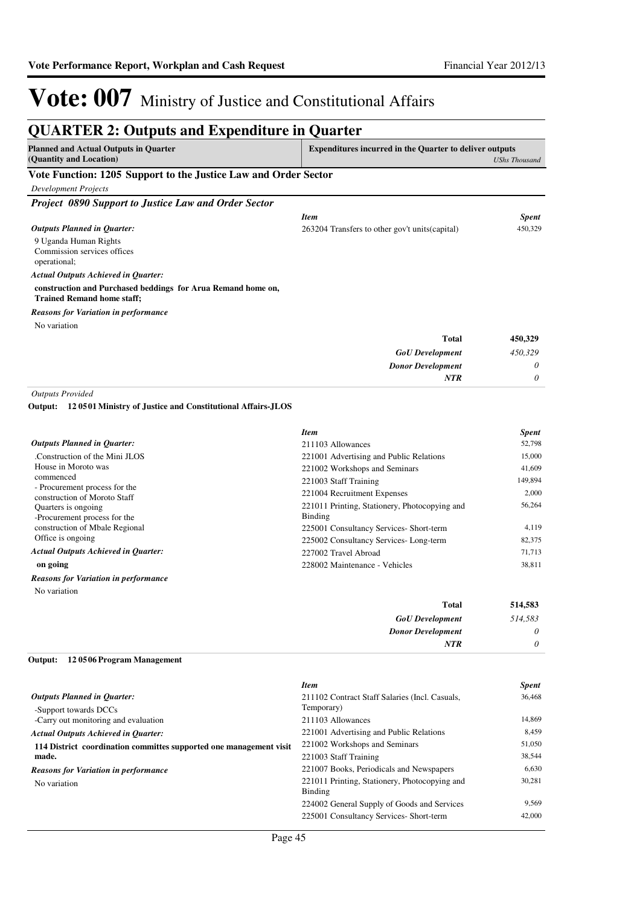| <b>QUARTER 2: Outputs and Expenditure in Quarter</b>                                              |                                                                |                      |  |
|---------------------------------------------------------------------------------------------------|----------------------------------------------------------------|----------------------|--|
| <b>Planned and Actual Outputs in Quarter</b><br>(Quantity and Location)                           | <b>Expenditures incurred in the Quarter to deliver outputs</b> | <b>UShs Thousand</b> |  |
| Vote Function: 1205 Support to the Justice Law and Order Sector                                   |                                                                |                      |  |
| <b>Development Projects</b>                                                                       |                                                                |                      |  |
| Project 0890 Support to Justice Law and Order Sector                                              |                                                                |                      |  |
|                                                                                                   | <b>Item</b>                                                    | <b>Spent</b>         |  |
| <b>Outputs Planned in Quarter:</b>                                                                | 263204 Transfers to other gov't units (capital)                | 450,329              |  |
| 9 Uganda Human Rights<br>Commission services offices<br>operational;                              |                                                                |                      |  |
| <b>Actual Outputs Achieved in Ouarter:</b>                                                        |                                                                |                      |  |
| construction and Purchased beddings for Arua Remand home on,<br><b>Trained Remand home staff;</b> |                                                                |                      |  |
| <b>Reasons for Variation in performance</b>                                                       |                                                                |                      |  |
| No variation                                                                                      |                                                                |                      |  |
|                                                                                                   | <b>Total</b>                                                   | 450,329              |  |
|                                                                                                   | <b>GoU</b> Development                                         | 450.329              |  |
|                                                                                                   | <b>Donor Development</b>                                       | 0                    |  |
|                                                                                                   | <b>NTR</b>                                                     | 0                    |  |
| <b>Outputs Provided</b>                                                                           |                                                                |                      |  |
| 120501 Ministry of Justice and Constitutional Affairs-JLOS<br>Output:                             |                                                                |                      |  |
|                                                                                                   | <b>Item</b>                                                    | <b>Spent</b>         |  |

| <b>Outputs Planned in Ouarter:</b>                            | 211103 Allowances                             | 52,798  |
|---------------------------------------------------------------|-----------------------------------------------|---------|
| Construction of the Mini JLOS                                 | 221001 Advertising and Public Relations       | 15,000  |
| House in Moroto was                                           | 221002 Workshops and Seminars                 | 41,609  |
| commenced                                                     | 221003 Staff Training                         | 149,894 |
| - Procurement process for the<br>construction of Moroto Staff | 221004 Recruitment Expenses                   | 2,000   |
| Quarters is ongoing.                                          | 221011 Printing, Stationery, Photocopying and | 56,264  |
| -Procurement process for the                                  | Binding                                       |         |
| construction of Mbale Regional                                | 225001 Consultancy Services- Short-term       | 4,119   |
| Office is ongoing                                             | 225002 Consultancy Services-Long-term         | 82,375  |
| <b>Actual Outputs Achieved in Ouarter:</b>                    | 227002 Travel Abroad                          | 71,713  |
| on going                                                      | 228002 Maintenance - Vehicles                 | 38,811  |
| <b>Reasons for Variation in performance</b>                   |                                               |         |
| No variation                                                  |                                               |         |

| 514,583  | Total                    |
|----------|--------------------------|
| 514,583  | <b>GoU</b> Development   |
| $\theta$ | <b>Donor Development</b> |
| $\theta$ | <b>NTR</b>               |
|          |                          |

#### **12 0506 Program Management Output:**

|                                                                    | <b>Item</b>                                    | <b>Spent</b> |
|--------------------------------------------------------------------|------------------------------------------------|--------------|
| <b>Outputs Planned in Quarter:</b>                                 | 211102 Contract Staff Salaries (Incl. Casuals, | 36,468       |
| -Support towards DCCs                                              | Temporary)                                     |              |
| -Carry out monitoring and evaluation                               | 211103 Allowances                              | 14.869       |
| <b>Actual Outputs Achieved in Ouarter:</b>                         | 221001 Advertising and Public Relations        | 8,459        |
| 114 District coordination committes supported one management visit | 221002 Workshops and Seminars                  | 51,050       |
| made.                                                              | 221003 Staff Training                          | 38,544       |
| <b>Reasons for Variation in performance</b>                        | 221007 Books, Periodicals and Newspapers       | 6.630        |
| No variation                                                       | 221011 Printing, Stationery, Photocopying and  | 30,281       |
|                                                                    | Binding                                        |              |
|                                                                    | 224002 General Supply of Goods and Services    | 9.569        |
|                                                                    | 225001 Consultancy Services- Short-term        | 42,000       |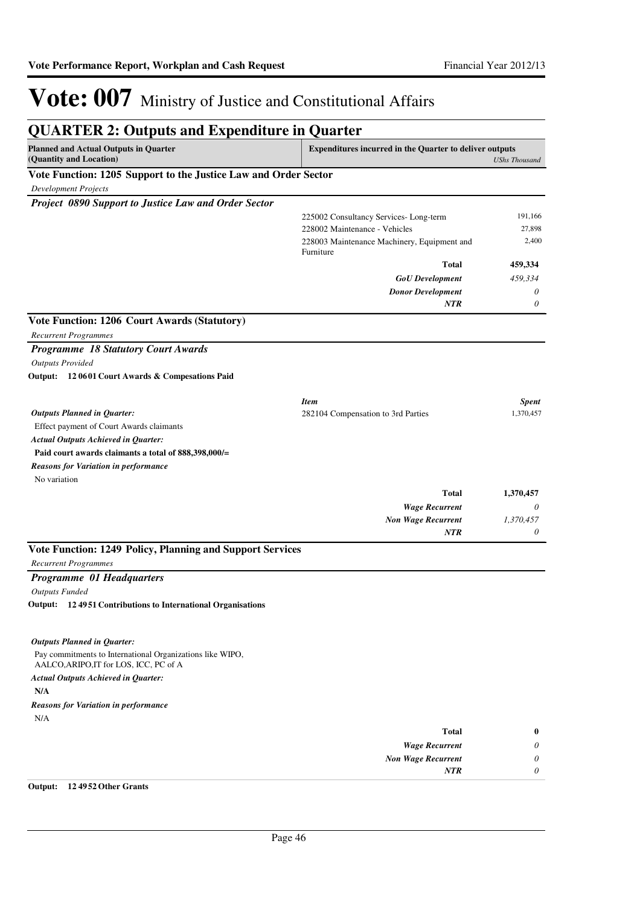| <b>QUARTER 2: Outputs and Expenditure in Quarter</b>                                                |                                                                |                      |
|-----------------------------------------------------------------------------------------------------|----------------------------------------------------------------|----------------------|
| <b>Planned and Actual Outputs in Quarter</b><br>(Quantity and Location)                             | <b>Expenditures incurred in the Quarter to deliver outputs</b> | <b>UShs Thousand</b> |
| Vote Function: 1205 Support to the Justice Law and Order Sector                                     |                                                                |                      |
| <b>Development Projects</b>                                                                         |                                                                |                      |
| Project 0890 Support to Justice Law and Order Sector                                                |                                                                |                      |
|                                                                                                     | 225002 Consultancy Services-Long-term                          | 191,166              |
|                                                                                                     | 228002 Maintenance - Vehicles                                  | 27,898               |
|                                                                                                     | 228003 Maintenance Machinery, Equipment and<br>Furniture       | 2,400                |
|                                                                                                     | <b>Total</b>                                                   | 459,334              |
|                                                                                                     | <b>GoU</b> Development                                         | 459,334              |
|                                                                                                     | <b>Donor Development</b>                                       | 0                    |
|                                                                                                     | <b>NTR</b>                                                     | $\theta$             |
| <b>Vote Function: 1206 Court Awards (Statutory)</b>                                                 |                                                                |                      |
| Recurrent Programmes                                                                                |                                                                |                      |
| <b>Programme 18 Statutory Court Awards</b>                                                          |                                                                |                      |
| <b>Outputs Provided</b>                                                                             |                                                                |                      |
| Output: 12 0601 Court Awards & Compesations Paid                                                    |                                                                |                      |
|                                                                                                     | <b>Item</b>                                                    | <b>Spent</b>         |
| <b>Outputs Planned in Quarter:</b>                                                                  | 282104 Compensation to 3rd Parties                             | 1,370,457            |
| Effect payment of Court Awards claimants                                                            |                                                                |                      |
| <b>Actual Outputs Achieved in Quarter:</b>                                                          |                                                                |                      |
| Paid court awards claimants a total of 888,398,000/=                                                |                                                                |                      |
| <b>Reasons for Variation in performance</b>                                                         |                                                                |                      |
| No variation                                                                                        |                                                                |                      |
|                                                                                                     | <b>Total</b>                                                   | 1,370,457            |
|                                                                                                     | <b>Wage Recurrent</b>                                          | 0                    |
|                                                                                                     | <b>Non Wage Recurrent</b><br><b>NTR</b>                        | 1,370,457<br>0       |
|                                                                                                     |                                                                |                      |
| Vote Function: 1249 Policy, Planning and Support Services                                           |                                                                |                      |
| <b>Recurrent Programmes</b>                                                                         |                                                                |                      |
| <b>Programme 01 Headquarters</b>                                                                    |                                                                |                      |
| <b>Outputs Funded</b>                                                                               |                                                                |                      |
| Output: 12 4951 Contributions to International Organisations                                        |                                                                |                      |
|                                                                                                     |                                                                |                      |
| <b>Outputs Planned in Quarter:</b>                                                                  |                                                                |                      |
| Pay commitments to International Organizations like WIPO,<br>AALCO, ARIPO, IT for LOS, ICC, PC of A |                                                                |                      |
| <b>Actual Outputs Achieved in Quarter:</b>                                                          |                                                                |                      |
| N/A                                                                                                 |                                                                |                      |
| Reasons for Variation in performance                                                                |                                                                |                      |
| N/A                                                                                                 |                                                                |                      |
|                                                                                                     | <b>Total</b>                                                   | $\bf{0}$             |
|                                                                                                     | <b>Wage Recurrent</b><br><b>Non Wage Recurrent</b>             | 0<br>0               |
|                                                                                                     | NTR                                                            | 0                    |

**Output: 12 4952 Other Grants**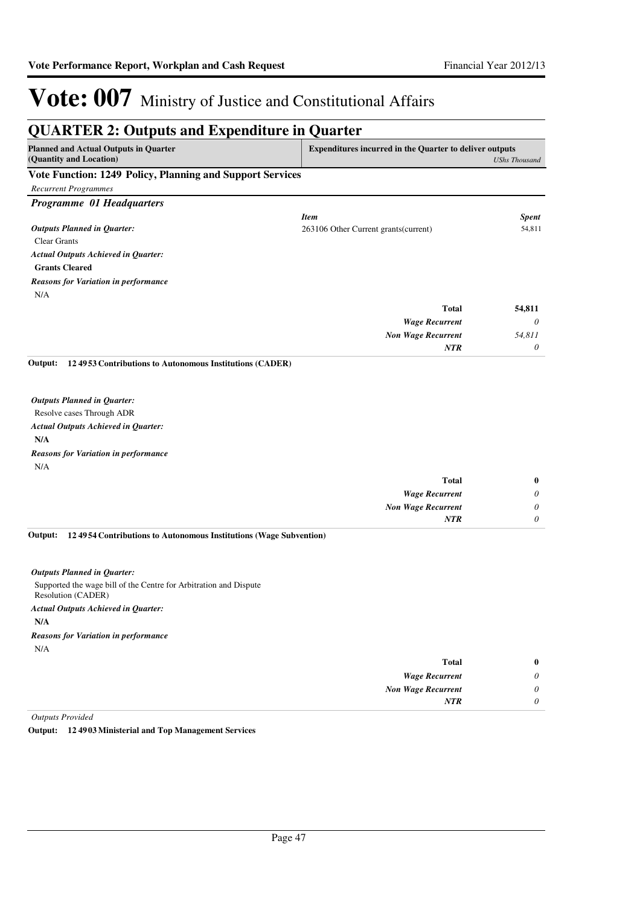| <b>QUARTER 2: Outputs and Expenditure in Quarter</b>                    |                                                                |                      |
|-------------------------------------------------------------------------|----------------------------------------------------------------|----------------------|
| <b>Planned and Actual Outputs in Quarter</b><br>(Quantity and Location) | <b>Expenditures incurred in the Quarter to deliver outputs</b> | <b>UShs Thousand</b> |
| Vote Function: 1249 Policy, Planning and Support Services               |                                                                |                      |
| <b>Recurrent Programmes</b>                                             |                                                                |                      |
| Programme 01 Headquarters                                               |                                                                |                      |
|                                                                         | <b>Item</b>                                                    | <b>Spent</b>         |
| <b>Outputs Planned in Quarter:</b>                                      | 263106 Other Current grants (current)                          | 54,811               |
| <b>Clear Grants</b>                                                     |                                                                |                      |
| <b>Actual Outputs Achieved in Quarter:</b>                              |                                                                |                      |
| <b>Grants Cleared</b>                                                   |                                                                |                      |
| <b>Reasons for Variation in performance</b>                             |                                                                |                      |
| N/A                                                                     |                                                                |                      |
|                                                                         | <b>Total</b>                                                   | 54,811               |
|                                                                         | <b>Wage Recurrent</b>                                          | $\theta$             |
|                                                                         | <b>Non Wage Recurrent</b>                                      | 54,811               |
|                                                                         | NTR                                                            | 0                    |
| 124953 Contributions to Autonomous Institutions (CADER)<br>Output:      |                                                                |                      |
|                                                                         |                                                                |                      |
| <b>Outputs Planned in Quarter:</b>                                      |                                                                |                      |
| Resolve cases Through ADR                                               |                                                                |                      |
| <b>Actual Outputs Achieved in Quarter:</b>                              |                                                                |                      |
| N/A                                                                     |                                                                |                      |
| <b>Reasons for Variation in performance</b>                             |                                                                |                      |

N/A

| $\bf{0}$ | <b>Total</b>              |
|----------|---------------------------|
| 0        | <b>Wage Recurrent</b>     |
| 0        | <b>Non Wage Recurrent</b> |
|          | <b>NTR</b>                |
|          |                           |

**12 4954 Contributions to Autonomous Institutions (Wage Subvention) Output:**

#### *Outputs Planned in Quarter:*

Supported the wage bill of the Centre for Arbitration and Dispute Resolution (CADER) **N/A** *Actual Outputs Achieved in Quarter:* N/A *Reasons for Variation in performance*

| $\bf{0}$ | <b>Total</b>              |
|----------|---------------------------|
| 0        | <b>Wage Recurrent</b>     |
| $\theta$ | <b>Non Wage Recurrent</b> |
| 0        | <b>NTR</b>                |

*Outputs Provided*

**Output: 12 4903 Ministerial and Top Management Services**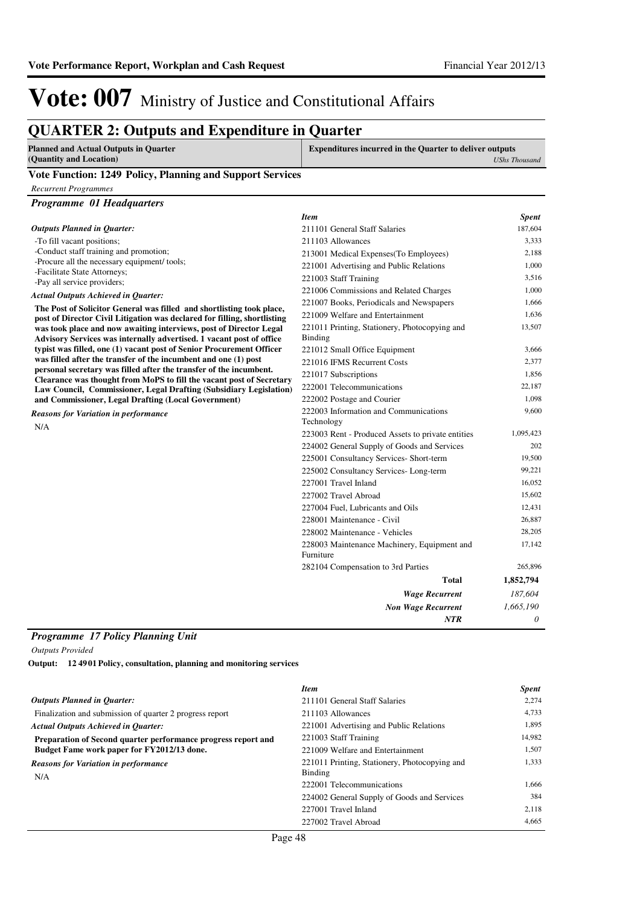### **QUARTER 2: Outputs and Expenditure in Quarter**

| Planned and Actual Outputs in Ouarter                     | <b>Expenditures incurred in the Quarter to deliver outputs</b> |  |
|-----------------------------------------------------------|----------------------------------------------------------------|--|
| (Quantity and Location)                                   | UShs Thousand                                                  |  |
| Vote Eurotion, 1940 Delieu, Dlanning and Cunnaut Couriess |                                                                |  |

#### **Vote Function: 1249 Policy, Planning and Support Services**

*Recurrent Programmes*

| Programme 01 Headquarters |
|---------------------------|
|                           |

|                                                                                                                                                   | <b>Item</b>                                              | <b>Spent</b> |
|---------------------------------------------------------------------------------------------------------------------------------------------------|----------------------------------------------------------|--------------|
| <b>Outputs Planned in Quarter:</b>                                                                                                                | 211101 General Staff Salaries                            | 187,604      |
| -To fill vacant positions;                                                                                                                        | 211103 Allowances                                        | 3,333        |
| -Conduct staff training and promotion;                                                                                                            | 213001 Medical Expenses (To Employees)                   | 2,188        |
| -Procure all the necessary equipment/ tools;                                                                                                      | 221001 Advertising and Public Relations                  | 1,000        |
| -Facilitate State Attorneys;<br>-Pay all service providers;                                                                                       | 221003 Staff Training                                    | 3,516        |
| <b>Actual Outputs Achieved in Quarter:</b>                                                                                                        | 221006 Commissions and Related Charges                   | 1,000        |
|                                                                                                                                                   | 221007 Books, Periodicals and Newspapers                 | 1,666        |
| The Post of Solicitor General was filled and shortlisting took place,<br>post of Director Civil Litigation was declared for filling, shortlisting | 221009 Welfare and Entertainment                         | 1,636        |
| was took place and now awaiting interviews, post of Director Legal                                                                                | 221011 Printing, Stationery, Photocopying and            | 13,507       |
| Advisory Services was internally advertised. 1 vacant post of office                                                                              | <b>Binding</b>                                           |              |
| typist was filled, one (1) vacant post of Senior Procurement Officer                                                                              | 221012 Small Office Equipment                            | 3,666        |
| was filled after the transfer of the incumbent and one (1) post                                                                                   | 221016 IFMS Recurrent Costs                              | 2,377        |
| personal secretary was filled after the transfer of the incumbent.<br>Clearance was thought from MoPS to fill the vacant post of Secretary        | 221017 Subscriptions                                     | 1,856        |
| Law Council, Commissioner, Legal Drafting (Subsidiary Legislation)                                                                                | 222001 Telecommunications                                | 22,187       |
| and Commissioner, Legal Drafting (Local Government)                                                                                               | 222002 Postage and Courier                               | 1,098        |
| <b>Reasons for Variation in performance</b>                                                                                                       | 222003 Information and Communications                    | 9.600        |
| N/A                                                                                                                                               | Technology                                               |              |
|                                                                                                                                                   | 223003 Rent - Produced Assets to private entities        | 1,095,423    |
|                                                                                                                                                   | 224002 General Supply of Goods and Services              | 202          |
|                                                                                                                                                   | 225001 Consultancy Services- Short-term                  | 19,500       |
|                                                                                                                                                   | 225002 Consultancy Services-Long-term                    | 99,221       |
|                                                                                                                                                   | 227001 Travel Inland                                     | 16,052       |
|                                                                                                                                                   | 227002 Travel Abroad                                     | 15,602       |
|                                                                                                                                                   | 227004 Fuel, Lubricants and Oils                         | 12,431       |
|                                                                                                                                                   | 228001 Maintenance - Civil                               | 26,887       |
|                                                                                                                                                   | 228002 Maintenance - Vehicles                            | 28,205       |
|                                                                                                                                                   | 228003 Maintenance Machinery, Equipment and<br>Furniture | 17,142       |
|                                                                                                                                                   | 282104 Compensation to 3rd Parties                       | 265,896      |
|                                                                                                                                                   | <b>Total</b>                                             | 1,852,794    |
|                                                                                                                                                   | <b>Wage Recurrent</b>                                    | 187,604      |
|                                                                                                                                                   | <b>Non Wage Recurrent</b>                                | 1,665,190    |
|                                                                                                                                                   | <b>NTR</b>                                               | 0            |
|                                                                                                                                                   |                                                          |              |

#### *Programme 17 Policy Planning Unit*

*Outputs Provided*

**12 4901 Policy, consultation, planning and monitoring services Output:**

|                                                               | <b>Item</b>                                   | <b>Spent</b> |
|---------------------------------------------------------------|-----------------------------------------------|--------------|
| <b>Outputs Planned in Ouarter:</b>                            | 211101 General Staff Salaries                 | 2.274        |
| Finalization and submission of quarter 2 progress report      | 211103 Allowances                             | 4,733        |
| <b>Actual Outputs Achieved in Ouarter:</b>                    | 221001 Advertising and Public Relations       | 1,895        |
| Preparation of Second quarter performance progress report and | 221003 Staff Training                         | 14,982       |
| Budget Fame work paper for FY2012/13 done.                    | 221009 Welfare and Entertainment              | 1.507        |
| <b>Reasons for Variation in performance</b>                   | 221011 Printing, Stationery, Photocopying and | 1,333        |
| N/A                                                           | Binding                                       |              |
|                                                               | 222001 Telecommunications                     | 1.666        |
|                                                               | 224002 General Supply of Goods and Services   | 384          |
|                                                               | 227001 Travel Inland                          | 2,118        |
|                                                               | 227002 Travel Abroad                          | 4.665        |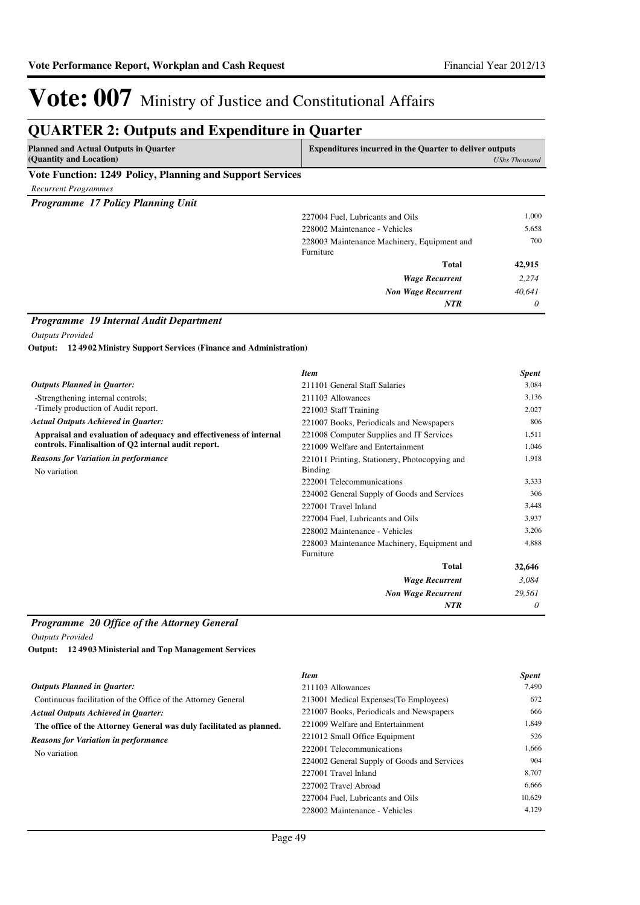### **QUARTER 2: Outputs and Expenditure in Quarter**

| <b>Planned and Actual Outputs in Quarter</b>              | <b>Expenditures incurred in the Quarter to deliver outputs</b> |  |
|-----------------------------------------------------------|----------------------------------------------------------------|--|
| (Quantity and Location)                                   | UShs Thousand                                                  |  |
| Vote Function: 1249 Policy, Planning and Support Services |                                                                |  |

*Recurrent Programmes*

*Programme 17 Policy Planning Unit*

| 227004 Fuel, Lubricants and Oils                         | 1,000    |
|----------------------------------------------------------|----------|
| 228002 Maintenance - Vehicles                            | 5,658    |
| 228003 Maintenance Machinery, Equipment and<br>Furniture | 700      |
| <b>Total</b>                                             | 42,915   |
| <b>Wage Recurrent</b>                                    | 2,274    |
| <b>Non Wage Recurrent</b>                                | 40,641   |
| <b>NTR</b>                                               | $\theta$ |
|                                                          |          |

#### *Programme 19 Internal Audit Department*

*Outputs Provided*

**12 4902 Ministry Support Services (Finance and Administration) Output:**

|                                                                    | <b>Item</b>                                              | <b>Spent</b> |
|--------------------------------------------------------------------|----------------------------------------------------------|--------------|
| <b>Outputs Planned in Quarter:</b>                                 | 211101 General Staff Salaries                            | 3,084        |
| -Strengthening internal controls;                                  | 211103 Allowances                                        | 3,136        |
| -Timely production of Audit report.                                | 221003 Staff Training                                    | 2,027        |
| <b>Actual Outputs Achieved in Quarter:</b>                         | 221007 Books, Periodicals and Newspapers                 | 806          |
| Appraisal and evaluation of adequacy and effectiveness of internal | 221008 Computer Supplies and IT Services                 | 1,511        |
| controls. Finalisaltion of Q2 internal audit report.               | 221009 Welfare and Entertainment                         | 1,046        |
| <b>Reasons for Variation in performance</b>                        | 221011 Printing, Stationery, Photocopying and            | 1,918        |
| No variation                                                       | Binding                                                  |              |
|                                                                    | 222001 Telecommunications                                | 3,333        |
|                                                                    | 224002 General Supply of Goods and Services              | 306          |
|                                                                    | 227001 Travel Inland                                     | 3,448        |
|                                                                    | 227004 Fuel, Lubricants and Oils                         | 3,937        |
|                                                                    | 228002 Maintenance - Vehicles                            | 3,206        |
|                                                                    | 228003 Maintenance Machinery, Equipment and<br>Furniture | 4,888        |
|                                                                    | <b>Total</b>                                             | 32,646       |
|                                                                    | <b>Wage Recurrent</b>                                    | 3,084        |
|                                                                    | <b>Non Wage Recurrent</b>                                | 29,561       |
|                                                                    | <b>NTR</b>                                               | 0            |

#### *Programme 20 Office of the Attorney General*

*Outputs Provided*

**12 4903 Ministerial and Top Management Services Output:**

|                                                                     | <b>Item</b>                                 | <b>Spent</b> |
|---------------------------------------------------------------------|---------------------------------------------|--------------|
| <b>Outputs Planned in Quarter:</b>                                  | 211103 Allowances                           | 7.490        |
| Continuous facilitation of the Office of the Attorney General       | 213001 Medical Expenses (To Employees)      | 672          |
| <b>Actual Outputs Achieved in Ouarter:</b>                          | 221007 Books, Periodicals and Newspapers    | 666          |
| The office of the Attorney General was duly facilitated as planned. | 221009 Welfare and Entertainment            | 1.849        |
| <b>Reasons for Variation in performance</b>                         | 221012 Small Office Equipment               | 526          |
| No variation                                                        | 222001 Telecommunications                   | 1.666        |
|                                                                     | 224002 General Supply of Goods and Services | 904          |
|                                                                     | 227001 Travel Inland                        | 8.707        |
|                                                                     | 227002 Travel Abroad                        | 6,666        |
|                                                                     | 227004 Fuel. Lubricants and Oils            | 10,629       |
|                                                                     | 228002 Maintenance - Vehicles               | 4,129        |
|                                                                     |                                             |              |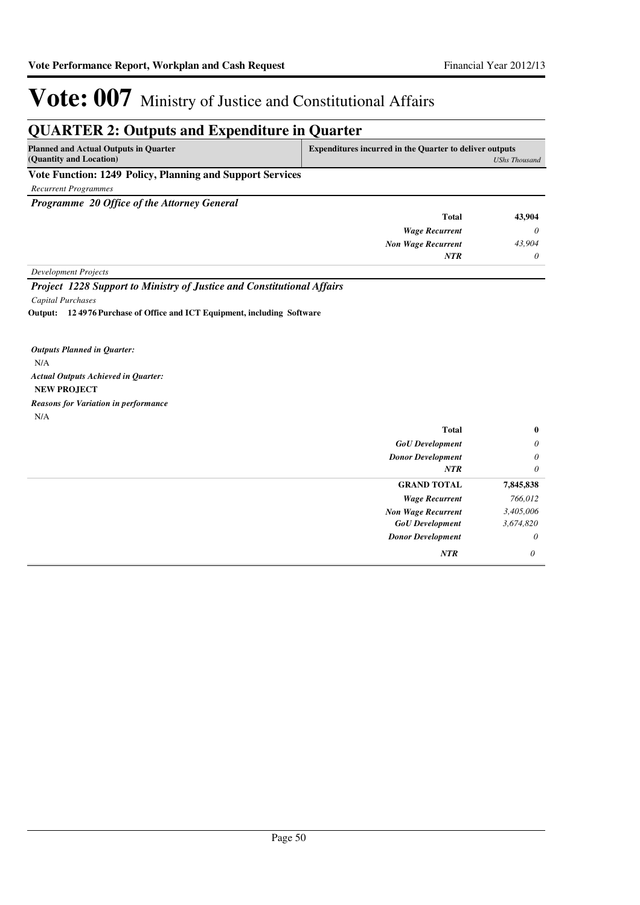### **QUARTER 2: Outputs and Expenditure in Quarter**

| <b>Planned and Actual Outputs in Quarter</b><br>(Quantity and Location) | <b>Expenditures incurred in the Quarter to deliver outputs</b><br>UShs Thousand |  |
|-------------------------------------------------------------------------|---------------------------------------------------------------------------------|--|
| Vote Function: 1249 Policy, Planning and Support Services               |                                                                                 |  |
| Recurrent Programmes                                                    |                                                                                 |  |

*Programme 20 Office of the Attorney General*

| 43,904   | <b>Total</b>              |
|----------|---------------------------|
| $\theta$ | <b>Wage Recurrent</b>     |
| 43,904   | <b>Non Wage Recurrent</b> |
| $\theta$ | <b>NTR</b>                |
|          |                           |

*Development Projects*

*Project 1228 Support to Ministry of Justice and Constitutional Affairs Capital Purchases*

**12 4976 Purchase of Office and ICT Equipment, including Software Output:**

N/A **NEW PROJECT** *Actual Outputs Achieved in Quarter: Outputs Planned in Quarter:* N/A *Reasons for Variation in performance*

| <b>Total</b>              | $\bf{0}$  |
|---------------------------|-----------|
| <b>GoU</b> Development    | $\theta$  |
| <b>Donor Development</b>  | $\theta$  |
| <b>NTR</b>                | $\theta$  |
| <b>GRAND TOTAL</b>        | 7,845,838 |
| <b>Wage Recurrent</b>     | 766,012   |
| <b>Non Wage Recurrent</b> | 3,405,006 |
| <b>GoU</b> Development    | 3,674,820 |
| <b>Donor Development</b>  | $\theta$  |
| <b>NTR</b>                | 0         |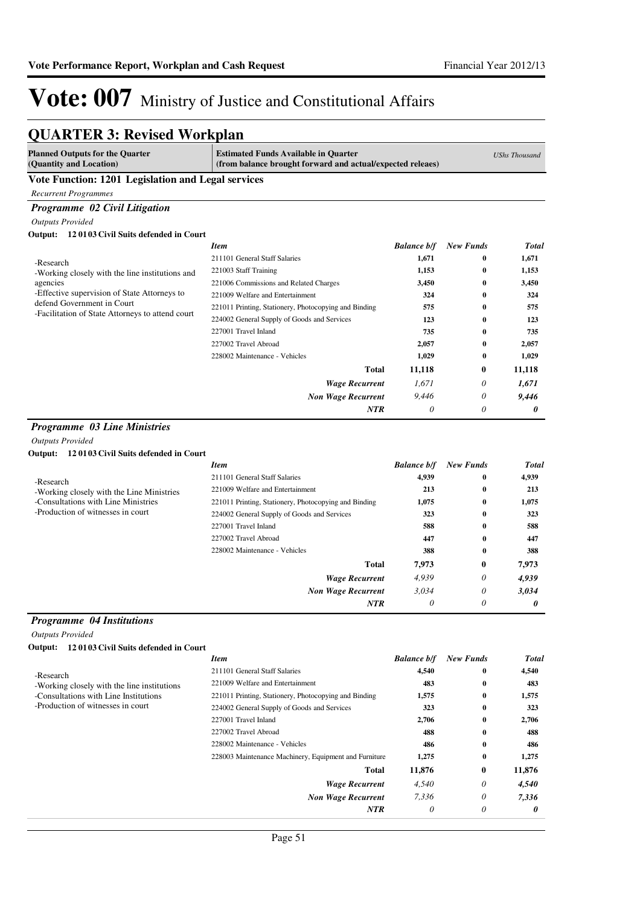## Vote: 007 Ministry of Justice and Constitutional Affairs

# **QUARTER 3: Revised Workplan**

| <b>Planned Outputs for the Quarter</b><br>(Quantity and Location)              | <b>Estimated Funds Available in Quarter</b><br>(from balance brought forward and actual/expected releaes) |                    | <b>UShs Thousand</b> |              |
|--------------------------------------------------------------------------------|-----------------------------------------------------------------------------------------------------------|--------------------|----------------------|--------------|
| Vote Function: 1201 Legislation and Legal services                             |                                                                                                           |                    |                      |              |
| <b>Recurrent Programmes</b>                                                    |                                                                                                           |                    |                      |              |
| Programme 02 Civil Litigation                                                  |                                                                                                           |                    |                      |              |
| <b>Outputs Provided</b>                                                        |                                                                                                           |                    |                      |              |
| Output: 120103 Civil Suits defended in Court                                   |                                                                                                           |                    |                      |              |
|                                                                                | <b>Item</b>                                                                                               | <b>Balance b/f</b> | <b>New Funds</b>     | <b>Total</b> |
| -Research                                                                      | 211101 General Staff Salaries                                                                             | 1,671              | 0                    | 1,671        |
| -Working closely with the line institutions and                                | 221003 Staff Training                                                                                     | 1,153              | $\bf{0}$             | 1,153        |
| agencies                                                                       | 221006 Commissions and Related Charges                                                                    | 3,450              | $\bf{0}$             | 3,450        |
| -Effective supervision of State Attorneys to                                   | 221009 Welfare and Entertainment                                                                          | 324                | $\bf{0}$             | 324          |
| defend Government in Court<br>-Facilitation of State Attorneys to attend court | 221011 Printing, Stationery, Photocopying and Binding                                                     | 575                | $\bf{0}$             | 575          |
|                                                                                | 224002 General Supply of Goods and Services                                                               | 123                | 0                    | 123          |
|                                                                                | 227001 Travel Inland                                                                                      | 735                | 0                    | 735          |
|                                                                                | 227002 Travel Abroad                                                                                      | 2,057              | 0                    | 2,057        |
|                                                                                | 228002 Maintenance - Vehicles                                                                             | 1,029              | $\bf{0}$             | 1,029        |
|                                                                                | Total                                                                                                     | 11,118             | $\bf{0}$             | 11,118       |
|                                                                                | <b>Wage Recurrent</b>                                                                                     | 1,671              | $\theta$             | 1,671        |
|                                                                                | <b>Non Wage Recurrent</b>                                                                                 | 9,446              | $\theta$             | 9,446        |
|                                                                                | NTR                                                                                                       | 0                  | 0                    | 0            |
| <b>Programme 03 Line Ministries</b>                                            |                                                                                                           |                    |                      |              |
| <b>Outputs Provided</b>                                                        |                                                                                                           |                    |                      |              |
| Output: 120103 Civil Suits defended in Court                                   |                                                                                                           |                    |                      |              |
|                                                                                | <b>Item</b>                                                                                               | <b>Balance b/f</b> | <b>New Funds</b>     | <b>Total</b> |
| -Research                                                                      | 211101 General Staff Salaries                                                                             | 4,939              | 0                    | 4,939        |
| -Working closely with the Line Ministries                                      | 221009 Welfare and Entertainment                                                                          | 213                | $\bf{0}$             | 213          |
| -Consultations with Line Ministries                                            | 221011 Printing, Stationery, Photocopying and Binding                                                     | 1,075              | $\bf{0}$             | 1,075        |
| -Production of witnesses in court                                              | 224002 General Supply of Goods and Services                                                               | 323                | $\bf{0}$             | 323          |
|                                                                                | 227001 Travel Inland                                                                                      | 588                | $\bf{0}$             | 588          |
|                                                                                | 227002 Travel Abroad                                                                                      | 447                | 0                    | 447          |
|                                                                                | 228002 Maintenance - Vehicles                                                                             | 388                | $\bf{0}$             | 388          |
|                                                                                | Total                                                                                                     | 7,973              | $\bf{0}$             | 7,973        |
|                                                                                | <b>Wage Recurrent</b>                                                                                     | 4,939              | $\theta$             | 4,939        |
|                                                                                | <b>Non Wage Recurrent</b>                                                                                 | 3,034              | $\theta$             | 3,034        |
|                                                                                | NTR                                                                                                       | 0                  | $\theta$             | 0            |
| <b>Programme</b> 04 Institutions                                               |                                                                                                           |                    |                      |              |
| <b>Outputs Provided</b>                                                        |                                                                                                           |                    |                      |              |
| Output:<br>120103 Civil Suits defended in Court                                |                                                                                                           |                    |                      |              |
|                                                                                | <b>Item</b>                                                                                               | <b>Balance b/f</b> | <b>New Funds</b>     | <b>Total</b> |
|                                                                                | 211101 General Staff Salaries                                                                             | 4,540              | 0                    | 4,540        |
| -Research<br>-Working closely with the line institutions                       | 221009 Welfare and Entertainment                                                                          | 483                | 0                    | 483          |
| -Consultations with Line Institutions                                          | 221011 Printing, Stationery, Photocopying and Binding                                                     | 1,575              | 0                    | 1,575        |
| -Production of witnesses in court                                              | 224002 General Supply of Goods and Services                                                               | 323                | 0                    | 323          |
|                                                                                | 227001 Travel Inland                                                                                      | 2,706              | 0                    | 2,706        |
|                                                                                | 227002 Travel Abroad                                                                                      | 488                | 0                    | 488          |
|                                                                                | 228002 Maintenance - Vehicles                                                                             | 486                | 0                    | 486          |
|                                                                                | 228003 Maintenance Machinery, Equipment and Furniture                                                     | 1,275              | 0                    | 1,275        |
|                                                                                | <b>Total</b>                                                                                              | 11,876             | $\bf{0}$             | 11,876       |
|                                                                                | <b>Wage Recurrent</b>                                                                                     | 4,540              | 0                    | 4,540        |
|                                                                                | <b>Non Wage Recurrent</b>                                                                                 | 7,336              | 0                    | 7,336        |
|                                                                                | NTR                                                                                                       | 0                  | 0                    | 0            |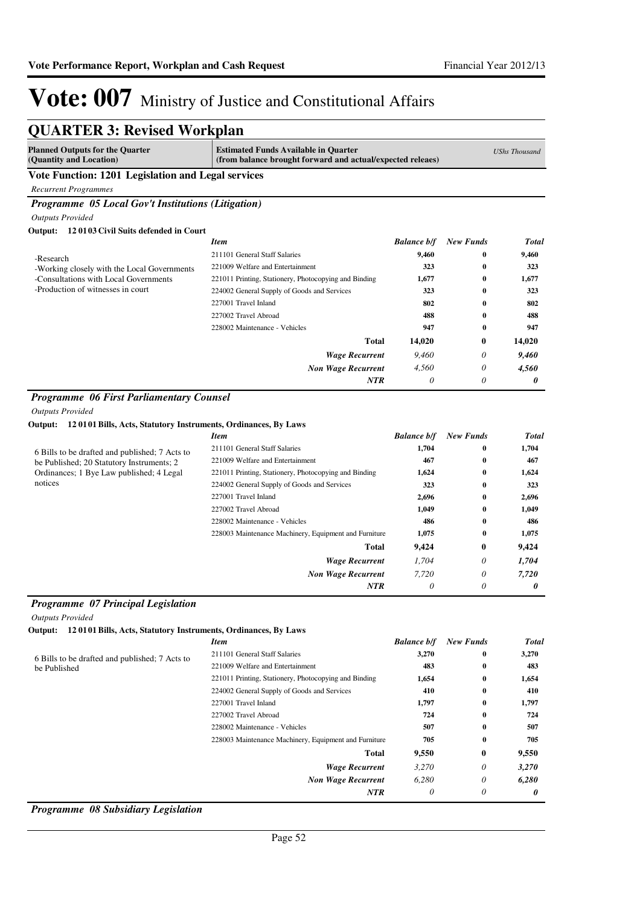| <b>QUARTER 3: Revised Workplan</b>                                     |                                                                                                           |                    |                  |                      |
|------------------------------------------------------------------------|-----------------------------------------------------------------------------------------------------------|--------------------|------------------|----------------------|
| <b>Planned Outputs for the Quarter</b><br>(Quantity and Location)      | <b>Estimated Funds Available in Quarter</b><br>(from balance brought forward and actual/expected releaes) |                    |                  | <b>UShs Thousand</b> |
| Vote Function: 1201 Legislation and Legal services                     |                                                                                                           |                    |                  |                      |
| <b>Recurrent Programmes</b>                                            |                                                                                                           |                    |                  |                      |
| Programme 05 Local Gov't Institutions (Litigation)                     |                                                                                                           |                    |                  |                      |
| <b>Outputs Provided</b>                                                |                                                                                                           |                    |                  |                      |
| Output: 12 0103 Civil Suits defended in Court                          |                                                                                                           |                    |                  |                      |
|                                                                        | <b>Item</b>                                                                                               | <b>Balance b/f</b> | <b>New Funds</b> | <b>Total</b>         |
| -Research                                                              | 211101 General Staff Salaries                                                                             | 9,460              | 0                | 9,460                |
| -Working closely with the Local Governments                            | 221009 Welfare and Entertainment                                                                          | 323                | 0                | 323                  |
| -Consultations with Local Governments                                  | 221011 Printing, Stationery, Photocopying and Binding                                                     | 1,677              | 0                | 1,677                |
| -Production of witnesses in court                                      | 224002 General Supply of Goods and Services                                                               | 323                | $\bf{0}$         | 323                  |
|                                                                        | 227001 Travel Inland                                                                                      | 802                | 0                | 802                  |
|                                                                        | 227002 Travel Abroad                                                                                      | 488                | 0                | 488                  |
|                                                                        | 228002 Maintenance - Vehicles                                                                             | 947                | 0                | 947                  |
|                                                                        | Total                                                                                                     | 14.020             | 0                | 14,020               |
|                                                                        | <b>Wage Recurrent</b>                                                                                     | 9,460              | 0                | 9,460                |
|                                                                        | <b>Non Wage Recurrent</b>                                                                                 | 4,560              | 0                | 4,560                |
|                                                                        | NTR                                                                                                       | 0                  | 0                | 0                    |
| Output: 120101 Bills, Acts, Statutory Instruments, Ordinances, By Laws | <b>Item</b>                                                                                               | <b>Balance b/f</b> | <b>New Funds</b> | <b>Total</b>         |
| 6 Bills to be drafted and published; 7 Acts to                         | 211101 General Staff Salaries                                                                             | 1,704              | 0                | 1,704                |
| be Published; 20 Statutory Instruments; 2                              | 221009 Welfare and Entertainment                                                                          | 467                | 0                | 467                  |
| Ordinances; 1 Bye Law published; 4 Legal                               | 221011 Printing, Stationery, Photocopying and Binding                                                     | 1,624              | 0                | 1,624                |
| notices                                                                | 224002 General Supply of Goods and Services                                                               | 323                | 0                | 323                  |
|                                                                        | 227001 Travel Inland                                                                                      | 2,696              | 0                | 2,696                |
|                                                                        | 227002 Travel Abroad                                                                                      | 1,049              | 0                | 1,049                |
|                                                                        | 228002 Maintenance - Vehicles                                                                             | 486                | 0                | 486                  |
|                                                                        | 228003 Maintenance Machinery, Equipment and Furniture                                                     | 1,075              | 0                | 1,075                |
|                                                                        | Total                                                                                                     | 9,424              | 0                | 9,424                |
|                                                                        | <b>Wage Recurrent</b>                                                                                     | 1,704              | 0                | 1,704                |
|                                                                        | <b>Non Wage Recurrent</b>                                                                                 | 7,720              | 0                | 7,720                |
|                                                                        | <b>NTR</b>                                                                                                | $\theta$           | 0                | 0                    |
| Programme 07 Principal Legislation                                     |                                                                                                           |                    |                  |                      |
| <b>Outputs Provided</b>                                                |                                                                                                           |                    |                  |                      |
| Output: 120101 Bills, Acts, Statutory Instruments, Ordinances, By Laws |                                                                                                           |                    |                  |                      |
|                                                                        | <b>Item</b>                                                                                               | <b>Balance b/f</b> | <b>New Funds</b> | <b>Total</b>         |
| 6 Bills to be drafted and published; 7 Acts to                         | 211101 General Staff Salaries                                                                             | 3,270              | 0                | 3,270                |
| be Published                                                           | 221009 Welfare and Entertainment                                                                          | 483                | 0                | 483                  |
|                                                                        | 221011 Printing, Stationery, Photocopying and Binding                                                     | 1,654              | 0                | 1,654                |
|                                                                        | 224002 General Supply of Goods and Services                                                               | 410                | 0                | 410                  |
|                                                                        | 227001 Travel Inland                                                                                      | 1,797              | 0                | 1,797                |

#### *Programme 08 Subsidiary Legislation*

*Wage Recurrent Non Wage Recurrent*

**Total**

227002 Travel Abroad **724 0 724** 228002 Maintenance - Vehicles **507 0 507** 228003 Maintenance Machinery, Equipment and Furniture **705 0 705**

> *3,270 6,280 0*

> **9,550**

*NTR*

*3,270 6,280 0*

*0 0 0*

**0**

**9,550**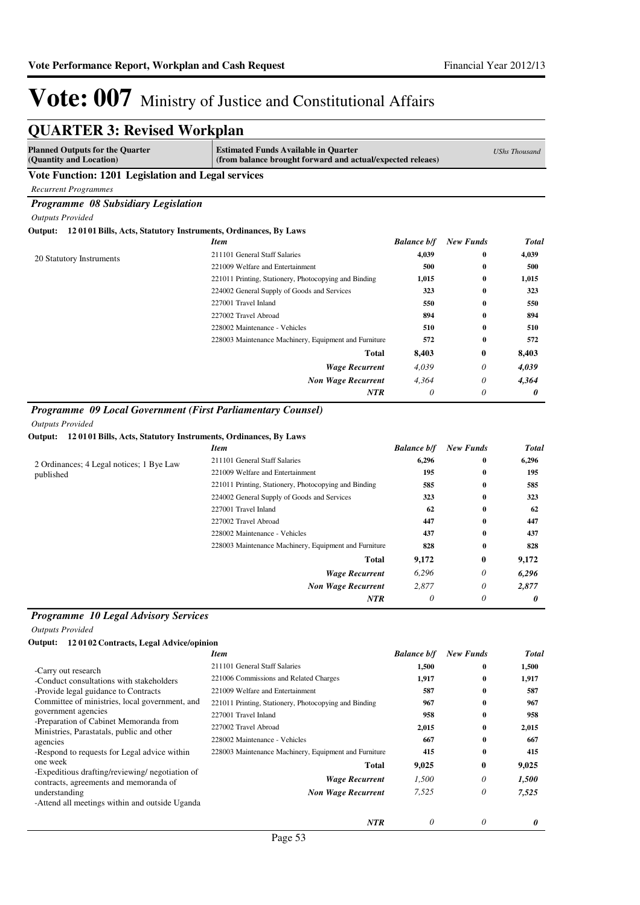| <b>Planned Outputs for the Quarter</b><br>(Quantity and Location)         | <b>Estimated Funds Available in Quarter</b><br>(from balance brought forward and actual/expected releaes) |                    |                  | <b>UShs Thousand</b>  |
|---------------------------------------------------------------------------|-----------------------------------------------------------------------------------------------------------|--------------------|------------------|-----------------------|
| Vote Function: 1201 Legislation and Legal services                        |                                                                                                           |                    |                  |                       |
| <b>Recurrent Programmes</b>                                               |                                                                                                           |                    |                  |                       |
| Programme 08 Subsidiary Legislation                                       |                                                                                                           |                    |                  |                       |
| <b>Outputs Provided</b>                                                   |                                                                                                           |                    |                  |                       |
| 120101 Bills, Acts, Statutory Instruments, Ordinances, By Laws<br>Output: |                                                                                                           |                    |                  |                       |
|                                                                           | <b>Item</b>                                                                                               | <b>Balance b/f</b> | <b>New Funds</b> | <b>Total</b>          |
| 20 Statutory Instruments                                                  | 211101 General Staff Salaries                                                                             | 4,039              | $\bf{0}$         | 4,039                 |
|                                                                           | 221009 Welfare and Entertainment                                                                          | 500                | $\bf{0}$         | 500                   |
|                                                                           | 221011 Printing, Stationery, Photocopying and Binding                                                     | 1,015              | $\bf{0}$         | 1,015                 |
|                                                                           | 224002 General Supply of Goods and Services                                                               | 323                | $\bf{0}$         | 323                   |
|                                                                           | 227001 Travel Inland                                                                                      | 550                | $\bf{0}$         | 550                   |
|                                                                           | 227002 Travel Abroad                                                                                      | 894                | $\bf{0}$         | 894                   |
|                                                                           | 228002 Maintenance - Vehicles                                                                             | 510                | $\bf{0}$         | 510                   |
|                                                                           | 228003 Maintenance Machinery, Equipment and Furniture                                                     | 572                | $\bf{0}$         | 572                   |
|                                                                           | <b>Total</b>                                                                                              | 8,403              | $\bf{0}$         | 8,403                 |
|                                                                           | <b>Wage Recurrent</b>                                                                                     | 4,039              | 0                | 4,039                 |
|                                                                           | <b>Non Wage Recurrent</b>                                                                                 | 4,364              | 0                | 4,364                 |
|                                                                           | NTR                                                                                                       | 0                  | 0                | 0                     |
| Programme 09 Local Government (First Parliamentary Counsel)               |                                                                                                           |                    |                  |                       |
| <b>Outputs Provided</b>                                                   |                                                                                                           |                    |                  |                       |
| 120101 Bills, Acts, Statutory Instruments, Ordinances, By Laws<br>Output: |                                                                                                           |                    |                  |                       |
|                                                                           | <b>Item</b>                                                                                               | <b>Balance b/f</b> | <b>New Funds</b> | <b>Total</b>          |
| 2 Ordinances; 4 Legal notices; 1 Bye Law                                  | 211101 General Staff Salaries                                                                             | 6,296              | $\bf{0}$         | 6,296                 |
| published                                                                 | 221009 Welfare and Entertainment                                                                          | 195                | $\bf{0}$         | 195                   |
|                                                                           | 221011 Printing, Stationery, Photocopying and Binding                                                     | 585                | 0                | 585                   |
|                                                                           | 224002 General Supply of Goods and Services                                                               | 323                | $\bf{0}$         | 323                   |
|                                                                           | 227001 Travel Inland                                                                                      | 62                 | $\bf{0}$         | 62                    |
|                                                                           | 227002 Travel Abroad                                                                                      | 447                | $\bf{0}$         | 447                   |
|                                                                           | 228002 Maintenance - Vehicles                                                                             | 437                | $\bf{0}$         | 437                   |
|                                                                           | 228003 Maintenance Machinery, Equipment and Furniture                                                     | 828                | $\bf{0}$         | 828                   |
|                                                                           | Total                                                                                                     | 9,172              | $\bf{0}$         | 9,172                 |
|                                                                           | <b>Wage Recurrent</b>                                                                                     | 6,296              | $\theta$         | 6,296                 |
|                                                                           | <b>Non Wage Recurrent</b>                                                                                 | 2,877              | $\theta$         | 2,877                 |
|                                                                           | <b>NTR</b>                                                                                                | 0                  | $\theta$         | $\boldsymbol{\theta}$ |

#### *Programme 10 Legal Advisory Services*

*Outputs Provided*

 $\overline{a}$ 

| 120102 Contracts, Legal Advice/opinion<br>Output:                                                                                                                                                                                                                                                                                               |                                                                                                                                                                                                                                                                                                                                |                                                                     |                                                                                                          |                                                                     |
|-------------------------------------------------------------------------------------------------------------------------------------------------------------------------------------------------------------------------------------------------------------------------------------------------------------------------------------------------|--------------------------------------------------------------------------------------------------------------------------------------------------------------------------------------------------------------------------------------------------------------------------------------------------------------------------------|---------------------------------------------------------------------|----------------------------------------------------------------------------------------------------------|---------------------------------------------------------------------|
|                                                                                                                                                                                                                                                                                                                                                 | <b>Item</b>                                                                                                                                                                                                                                                                                                                    | <b>Balance b/f</b>                                                  | <b>New Funds</b>                                                                                         | <b>Total</b>                                                        |
| -Carry out research<br>-Conduct consultations with stakeholders<br>-Provide legal guidance to Contracts<br>Committee of ministries, local government, and<br>government agencies<br>-Preparation of Cabinet Memoranda from<br>Ministries, Parastatals, public and other<br>agencies<br>-Respond to requests for Legal advice within<br>one week | 211101 General Staff Salaries<br>221006 Commissions and Related Charges<br>221009 Welfare and Entertainment<br>221011 Printing, Stationery, Photocopying and Binding<br>227001 Travel Inland<br>227002 Travel Abroad<br>228002 Maintenance - Vehicles<br>228003 Maintenance Machinery, Equipment and Furniture<br><b>Total</b> | 1,500<br>1,917<br>587<br>967<br>958<br>2,015<br>667<br>415<br>9,025 | $\bf{0}$<br>$\bf{0}$<br>$\bf{0}$<br>$\bf{0}$<br>$\bf{0}$<br>$\bf{0}$<br>$\bf{0}$<br>$\bf{0}$<br>$\bf{0}$ | 1,500<br>1,917<br>587<br>967<br>958<br>2,015<br>667<br>415<br>9,025 |
| -Expeditious drafting/reviewing/ negotiation of<br>contracts, agreements and memoranda of<br>understanding<br>-Attend all meetings within and outside Uganda                                                                                                                                                                                    | <b>Wage Recurrent</b><br><b>Non Wage Recurrent</b>                                                                                                                                                                                                                                                                             | 1,500<br>7,525                                                      | 0<br>0                                                                                                   | 1,500<br>7,525                                                      |
|                                                                                                                                                                                                                                                                                                                                                 | <b>NTR</b>                                                                                                                                                                                                                                                                                                                     | 0                                                                   | 0                                                                                                        | 0                                                                   |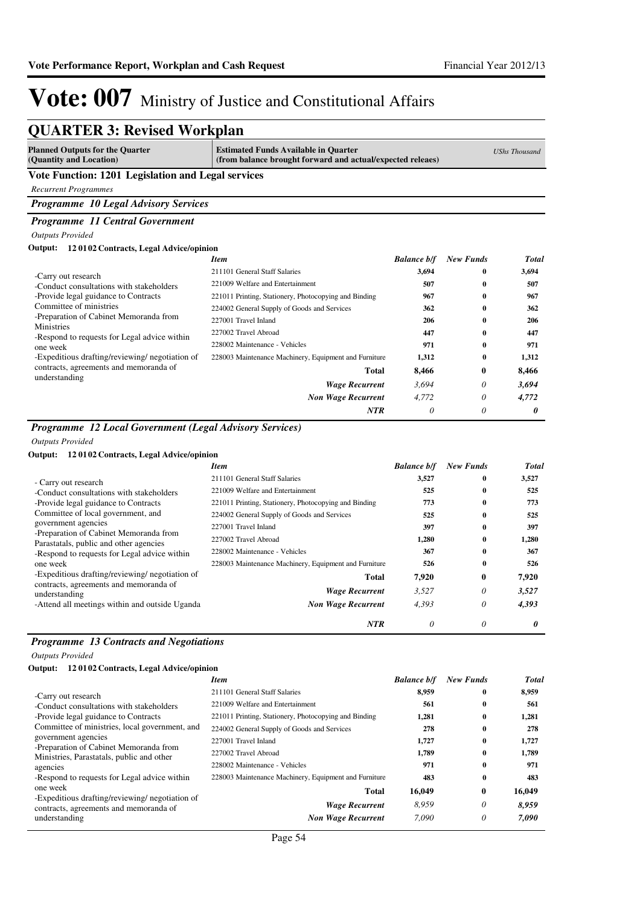| <b>Planned Outputs for the Quarter</b><br>(Quantity and Location) | <b>Estimated Funds Available in Quarter</b><br>(from balance brought forward and actual/expected releaes) |                    |                  | <b>UShs Thousand</b> |
|-------------------------------------------------------------------|-----------------------------------------------------------------------------------------------------------|--------------------|------------------|----------------------|
| Vote Function: 1201 Legislation and Legal services                |                                                                                                           |                    |                  |                      |
| <b>Recurrent Programmes</b>                                       |                                                                                                           |                    |                  |                      |
| Programme 10 Legal Advisory Services                              |                                                                                                           |                    |                  |                      |
| Programme 11 Central Government                                   |                                                                                                           |                    |                  |                      |
| <b>Outputs Provided</b>                                           |                                                                                                           |                    |                  |                      |
| 120102 Contracts, Legal Advice/opinion<br>Output:                 |                                                                                                           |                    |                  |                      |
|                                                                   | <b>Item</b>                                                                                               | <b>Balance b/f</b> | <b>New Funds</b> | <b>Total</b>         |
| -Carry out research                                               | 211101 General Staff Salaries                                                                             | 3,694              | 0                | 3,694                |
| -Conduct consultations with stakeholders                          | 221009 Welfare and Entertainment                                                                          | 507                | 0                | 507                  |
| -Provide legal guidance to Contracts                              | 221011 Printing, Stationery, Photocopying and Binding                                                     | 967                | 0                | 967                  |
| Committee of ministries                                           | 224002 General Supply of Goods and Services                                                               | 362                | 0                | 362                  |
| -Preparation of Cabinet Memoranda from                            | 227001 Travel Inland                                                                                      | 206                | 0                | 206                  |
| Ministries<br>-Respond to requests for Legal advice within        | 227002 Travel Abroad                                                                                      | 447                | 0                | 447                  |
| one week                                                          | 228002 Maintenance - Vehicles                                                                             | 971                | 0                | 971                  |
| -Expeditious drafting/reviewing/ negotiation of                   | 228003 Maintenance Machinery, Equipment and Furniture                                                     | 1,312              | $\bf{0}$         | 1,312                |
| contracts, agreements and memoranda of                            | <b>Total</b>                                                                                              | 8,466              | $\bf{0}$         | 8,466                |
| understanding                                                     | <b>Wage Recurrent</b>                                                                                     | 3,694              | 0                | 3,694                |
|                                                                   | <b>Non Wage Recurrent</b>                                                                                 | 4.772              | 0                | 4,772                |
|                                                                   | <b>NTR</b>                                                                                                | $\theta$           | 0                | 0                    |

#### *Outputs Provided*

#### **Output: 12 0102 Contracts, Legal Advice/opinion**

|                                                               | <b>Item</b>                                           | <b>Balance b/f</b> | <b>New Funds</b> | <b>Total</b> |
|---------------------------------------------------------------|-------------------------------------------------------|--------------------|------------------|--------------|
| - Carry out research                                          | 211101 General Staff Salaries                         | 3,527              | 0                | 3,527        |
| -Conduct consultations with stakeholders                      | 221009 Welfare and Entertainment                      | 525                | 0                | 525          |
| -Provide legal guidance to Contracts                          | 221011 Printing, Stationery, Photocopying and Binding | 773                | 0                | 773          |
| Committee of local government, and                            | 224002 General Supply of Goods and Services           | 525                | $\mathbf{0}$     | 525          |
| government agencies<br>-Preparation of Cabinet Memoranda from | 227001 Travel Inland                                  | 397                | $\bf{0}$         | 397          |
| Parastatals, public and other agencies                        | 227002 Travel Abroad                                  | 1,280              | $\mathbf{0}$     | 1,280        |
| -Respond to requests for Legal advice within                  | 228002 Maintenance - Vehicles                         | 367                | 0                | 367          |
| one week                                                      | 228003 Maintenance Machinery, Equipment and Furniture | 526                | 0                | 526          |
| -Expeditious drafting/reviewing/ negotiation of               | Total                                                 | 7,920              | $\bf{0}$         | 7,920        |
| contracts, agreements and memoranda of<br>understanding       | <b>Wage Recurrent</b>                                 | 3,527              | 0                | 3,527        |
| -Attend all meetings within and outside Uganda                | <b>Non Wage Recurrent</b>                             | 4,393              | 0                | 4,393        |
|                                                               | <b>NTR</b>                                            | 0                  | 0                | 0            |

### *Programme 13 Contracts and Negotiations*

*Outputs Provided*

| Output: | 12 01 02 Contracts, Legal Advice/opinion |  |
|---------|------------------------------------------|--|
|---------|------------------------------------------|--|

| <b>Item</b>                                           | <b>Balance b/f</b> | <b>New Funds</b> | <b>Total</b> |
|-------------------------------------------------------|--------------------|------------------|--------------|
| 211101 General Staff Salaries                         | 8,959              | $\mathbf{0}$     | 8,959        |
| 221009 Welfare and Entertainment                      | 561                | $\bf{0}$         | 561          |
| 221011 Printing, Stationery, Photocopying and Binding | 1,281              | $\bf{0}$         | 1,281        |
| 224002 General Supply of Goods and Services           | 278                | $\mathbf{0}$     | 278          |
| 227001 Travel Inland                                  | 1,727              | $\bf{0}$         | 1,727        |
| 227002 Travel Abroad                                  | 1,789              | $\bf{0}$         | 1.789        |
| 228002 Maintenance - Vehicles                         | 971                | $\mathbf{0}$     | 971          |
| 228003 Maintenance Machinery, Equipment and Furniture | 483                | $\mathbf{0}$     | 483          |
| Total                                                 | 16,049             | $\bf{0}$         | 16,049       |
| <b>Wage Recurrent</b>                                 | 8.959              | 0                | 8,959        |
| <b>Non Wage Recurrent</b>                             | 7.090              | 0                | 7,090        |
|                                                       |                    |                  |              |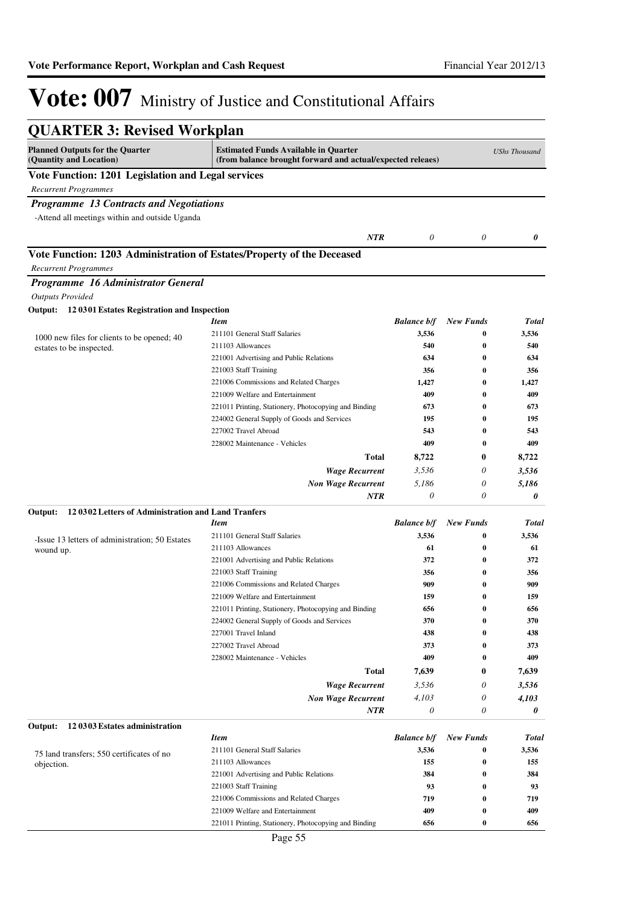| <b>QUARTER 3: Revised Workplan</b>                                                                    |                                                                                                           |                    |                  |                      |
|-------------------------------------------------------------------------------------------------------|-----------------------------------------------------------------------------------------------------------|--------------------|------------------|----------------------|
| <b>Planned Outputs for the Quarter</b><br>(Quantity and Location)                                     | <b>Estimated Funds Available in Quarter</b><br>(from balance brought forward and actual/expected releaes) |                    |                  | <b>UShs Thousand</b> |
| Vote Function: 1201 Legislation and Legal services                                                    |                                                                                                           |                    |                  |                      |
| <b>Recurrent Programmes</b>                                                                           |                                                                                                           |                    |                  |                      |
| <b>Programme 13 Contracts and Negotiations</b>                                                        |                                                                                                           |                    |                  |                      |
| -Attend all meetings within and outside Uganda                                                        |                                                                                                           |                    |                  |                      |
|                                                                                                       |                                                                                                           |                    |                  |                      |
|                                                                                                       | <b>NTR</b>                                                                                                | 0                  | 0                | 0                    |
| Vote Function: 1203 Administration of Estates/Property of the Deceased<br><b>Recurrent Programmes</b> |                                                                                                           |                    |                  |                      |
| Programme 16 Administrator General                                                                    |                                                                                                           |                    |                  |                      |
| <b>Outputs Provided</b>                                                                               |                                                                                                           |                    |                  |                      |
| Output: 12 0301 Estates Registration and Inspection                                                   |                                                                                                           |                    |                  |                      |
|                                                                                                       | <b>Item</b>                                                                                               | <b>Balance b/f</b> | <b>New Funds</b> | <b>Total</b>         |
| 1000 new files for clients to be opened; 40                                                           | 211101 General Staff Salaries                                                                             | 3,536              | 0                | 3,536                |
| estates to be inspected.                                                                              | 211103 Allowances                                                                                         | 540                | 0                | 540                  |
|                                                                                                       | 221001 Advertising and Public Relations                                                                   | 634                | 0                | 634                  |
|                                                                                                       | 221003 Staff Training                                                                                     | 356                | $\bf{0}$         | 356                  |
|                                                                                                       | 221006 Commissions and Related Charges                                                                    | 1,427              | $\bf{0}$         | 1,427                |
|                                                                                                       | 221009 Welfare and Entertainment                                                                          | 409                | 0                | 409                  |
|                                                                                                       | 221011 Printing, Stationery, Photocopying and Binding                                                     | 673                | 0                | 673                  |
|                                                                                                       | 224002 General Supply of Goods and Services                                                               | 195                | 0                | 195                  |
|                                                                                                       | 227002 Travel Abroad                                                                                      | 543                | $\bf{0}$         | 543                  |
|                                                                                                       | 228002 Maintenance - Vehicles                                                                             | 409                | 0                | 409                  |
|                                                                                                       | Total                                                                                                     | 8,722              | 0                | 8,722                |
|                                                                                                       | <b>Wage Recurrent</b>                                                                                     | 3,536              | 0                | 3,536                |
|                                                                                                       | <b>Non Wage Recurrent</b>                                                                                 | 5,186              | 0                | 5,186                |
|                                                                                                       | <b>NTR</b>                                                                                                | $\theta$           | 0                | 0                    |
| 12 0302 Letters of Administration and Land Tranfers<br>Output:                                        |                                                                                                           |                    |                  |                      |
|                                                                                                       | <b>Item</b>                                                                                               | <b>Balance b/f</b> | <b>New Funds</b> | <b>Total</b>         |
| -Issue 13 letters of administration; 50 Estates                                                       | 211101 General Staff Salaries                                                                             | 3,536              | 0                | 3,536                |
| wound up.                                                                                             | 211103 Allowances                                                                                         | 61                 | 0                | 61                   |
|                                                                                                       | 221001 Advertising and Public Relations                                                                   | 372                | $\bf{0}$         | 372                  |
|                                                                                                       | 221003 Staff Training                                                                                     | 356                | $\bf{0}$         | 356                  |
|                                                                                                       | 221006 Commissions and Related Charges                                                                    | 909                | 0                | 909                  |
|                                                                                                       | 221009 Welfare and Entertainment                                                                          | 159                | 0                | 159                  |
|                                                                                                       | 221011 Printing, Stationery, Photocopying and Binding                                                     | 656                | 0                | 656                  |
|                                                                                                       | 224002 General Supply of Goods and Services                                                               | 370                | 0                | 370                  |
|                                                                                                       | 227001 Travel Inland<br>227002 Travel Abroad                                                              | 438<br>373         | 0<br>0           | 438<br>373           |
|                                                                                                       | 228002 Maintenance - Vehicles                                                                             | 409                | 0                | 409                  |
|                                                                                                       |                                                                                                           |                    |                  |                      |
|                                                                                                       | Total                                                                                                     | 7,639              | 0                | 7,639                |
|                                                                                                       | <b>Wage Recurrent</b>                                                                                     | 3,536              | 0                | 3,536                |
|                                                                                                       | <b>Non Wage Recurrent</b>                                                                                 | 4,103              | 0                | 4,103                |
|                                                                                                       | <b>NTR</b>                                                                                                | 0                  | 0                | 0                    |
| 12 0303 Estates administration<br>Output:                                                             |                                                                                                           |                    |                  |                      |
|                                                                                                       | <b>Item</b>                                                                                               | <b>Balance b/f</b> | <b>New Funds</b> | Total                |
| 75 land transfers; 550 certificates of no                                                             | 211101 General Staff Salaries                                                                             | 3,536              | 0                | 3,536                |
| objection.                                                                                            | 211103 Allowances                                                                                         | 155                | $\bf{0}$         | 155                  |
|                                                                                                       | 221001 Advertising and Public Relations                                                                   | 384                | $\bf{0}$         | 384                  |
|                                                                                                       | 221003 Staff Training<br>221006 Commissions and Related Charges                                           | 93<br>719          | 0<br>$\bf{0}$    | 93<br>719            |
|                                                                                                       | 221009 Welfare and Entertainment                                                                          | 409                | 0                | 409                  |
|                                                                                                       | 221011 Printing, Stationery, Photocopying and Binding                                                     | 656                | 0                | 656                  |
|                                                                                                       |                                                                                                           |                    |                  |                      |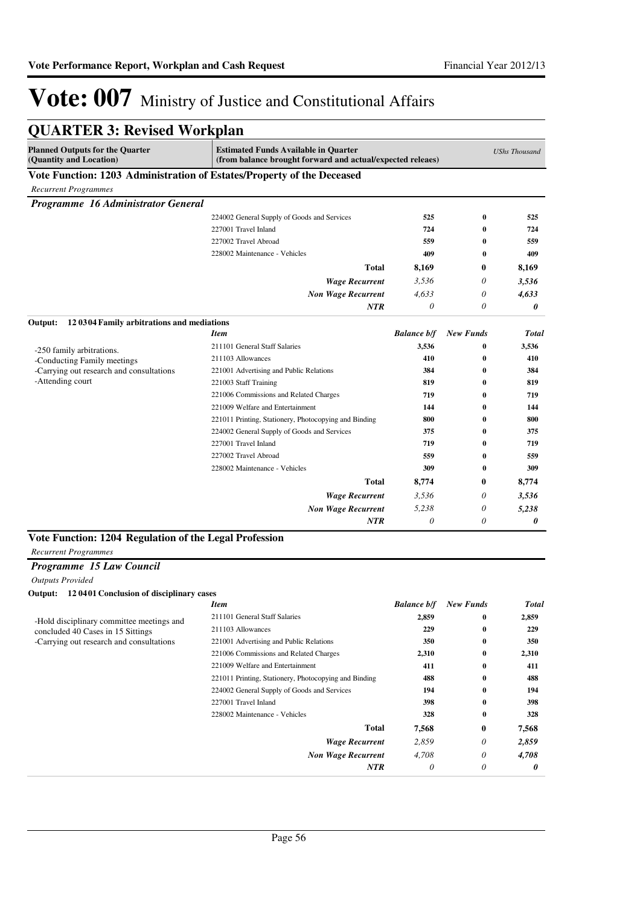| <b>Planned Outputs for the Quarter</b><br>(Quantity and Location) | <b>Estimated Funds Available in Quarter</b><br>(from balance brought forward and actual/expected releaes) |                       |                              | <b>UShs Thousand</b> |
|-------------------------------------------------------------------|-----------------------------------------------------------------------------------------------------------|-----------------------|------------------------------|----------------------|
|                                                                   | Vote Function: 1203 Administration of Estates/Property of the Deceased                                    |                       |                              |                      |
| <b>Recurrent Programmes</b>                                       |                                                                                                           |                       |                              |                      |
| Programme 16 Administrator General                                |                                                                                                           |                       |                              |                      |
|                                                                   | 224002 General Supply of Goods and Services                                                               | 525                   | $\bf{0}$                     | 525                  |
|                                                                   | 227001 Travel Inland                                                                                      | 724                   | $\bf{0}$                     | 724                  |
|                                                                   | 227002 Travel Abroad                                                                                      | 559                   | $\bf{0}$                     | 559                  |
|                                                                   | 228002 Maintenance - Vehicles                                                                             | 409                   | 0                            | 409                  |
|                                                                   | Total                                                                                                     | 8,169                 | 0                            | 8,169                |
|                                                                   | <b>Wage Recurrent</b>                                                                                     | 3,536                 | 0                            | 3,536                |
|                                                                   | <b>Non Wage Recurrent</b>                                                                                 | 4,633                 | 0                            | 4,633                |
|                                                                   | <b>NTR</b>                                                                                                | $\theta$              | 0                            | 0                    |
| Output:<br>120304 Family arbitrations and mediations              |                                                                                                           |                       |                              |                      |
|                                                                   | <b>Item</b>                                                                                               | <b>Balance b/f</b>    | <b>New Funds</b>             | <b>Total</b>         |
| -250 family arbitrations.                                         | 211101 General Staff Salaries                                                                             | 3,536                 | $\bf{0}$                     | 3,536                |
| -Conducting Family meetings                                       | 211103 Allowances                                                                                         | 410                   | $\bf{0}$                     | 410                  |
| -Carrying out research and consultations                          | 221001 Advertising and Public Relations                                                                   | 384                   | $\bf{0}$                     | 384                  |
| -Attending court                                                  | 221003 Staff Training                                                                                     | 819                   | $\bf{0}$                     | 819                  |
|                                                                   | 221006 Commissions and Related Charges                                                                    | 719                   | $\bf{0}$                     | 719                  |
|                                                                   | 221009 Welfare and Entertainment                                                                          | 144                   | $\bf{0}$                     | 144                  |
|                                                                   | 221011 Printing, Stationery, Photocopying and Binding                                                     | 800                   | $\bf{0}$                     | 800                  |
|                                                                   | 224002 General Supply of Goods and Services                                                               | 375                   | $\bf{0}$                     | 375                  |
|                                                                   | 227001 Travel Inland                                                                                      | 719                   | $\bf{0}$                     | 719                  |
|                                                                   | 227002 Travel Abroad                                                                                      | 559                   | $\bf{0}$                     | 559                  |
|                                                                   | 228002 Maintenance - Vehicles                                                                             | 309                   | $\bf{0}$                     | 309                  |
|                                                                   | <b>Total</b>                                                                                              | 8,774                 | 0                            | 8,774                |
|                                                                   | Wage Recurrent                                                                                            | 3,536                 | 0                            | 3,536                |
|                                                                   | <b>Non Wage Recurrent</b>                                                                                 | 5,238                 | 0                            | 5,238                |
|                                                                   | NTR                                                                                                       | $\boldsymbol{\theta}$ | 0                            | 0                    |
| Vote Function: 1204 Regulation of the Legal Profession            |                                                                                                           |                       |                              |                      |
| <b>Recurrent Programmes</b>                                       |                                                                                                           |                       |                              |                      |
| Programme 15 Law Council                                          |                                                                                                           |                       |                              |                      |
| <b>Outputs Provided</b>                                           |                                                                                                           |                       |                              |                      |
| Output: 12 0401 Conclusion of disciplinary cases                  |                                                                                                           |                       |                              |                      |
|                                                                   | Itom                                                                                                      |                       | <b>Ralance h/f</b> New Funds | Total                |

|                                                                                       | <b>Item</b>                                           | <b>Balance b/f</b> | <b>New Funds</b> | Total |
|---------------------------------------------------------------------------------------|-------------------------------------------------------|--------------------|------------------|-------|
|                                                                                       | 211101 General Staff Salaries                         | 2,859              | $\bf{0}$         | 2,859 |
| concluded 40 Cases in 15 Sittings                                                     | 211103 Allowances                                     | 229                | $\bf{0}$         | 229   |
| -Hold disciplinary committee meetings and<br>-Carrying out research and consultations | 221001 Advertising and Public Relations               | 350                | $\bf{0}$         | 350   |
|                                                                                       | 221006 Commissions and Related Charges                | 2,310              | $\bf{0}$         | 2,310 |
|                                                                                       | 221009 Welfare and Entertainment                      | 411                | $\bf{0}$         | 411   |
|                                                                                       | 221011 Printing, Stationery, Photocopying and Binding | 488                | $\bf{0}$         | 488   |
|                                                                                       | 224002 General Supply of Goods and Services           | 194                | $\bf{0}$         | 194   |
|                                                                                       | 227001 Travel Inland                                  | 398                | $\bf{0}$         | 398   |
|                                                                                       | 228002 Maintenance - Vehicles                         | 328                | $\bf{0}$         | 328   |
|                                                                                       | <b>Total</b>                                          | 7,568              | $\bf{0}$         | 7,568 |
|                                                                                       | <b>Wage Recurrent</b>                                 | 2,859              | 0                | 2,859 |
|                                                                                       | <b>Non Wage Recurrent</b>                             | 4,708              | 0                | 4,708 |
|                                                                                       | <b>NTR</b>                                            | $\theta$           | 0                | 0     |
|                                                                                       |                                                       |                    |                  |       |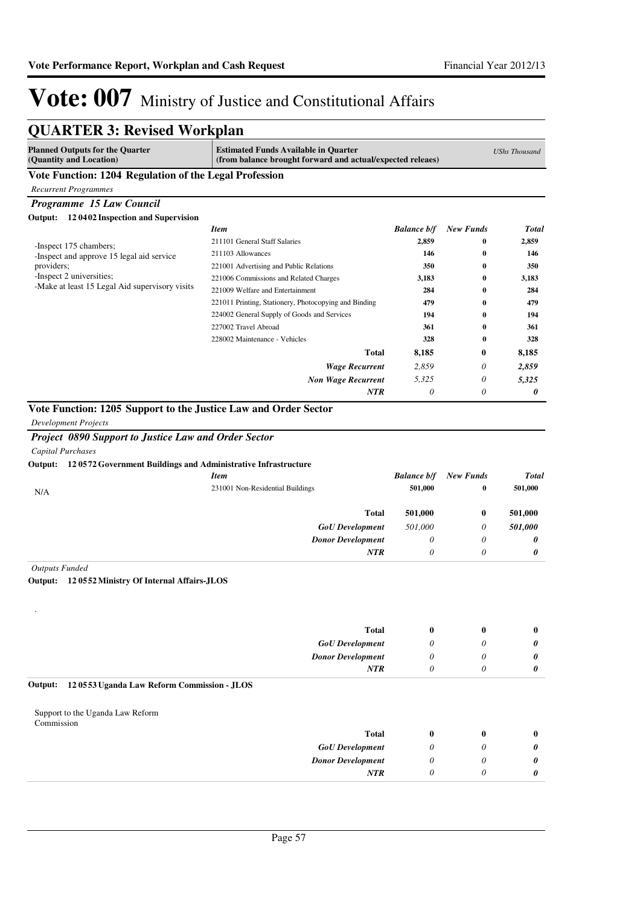| <b>QUARTER 3: Revised Workplan</b>                                           |                                                                                                           |                    |                  |                      |
|------------------------------------------------------------------------------|-----------------------------------------------------------------------------------------------------------|--------------------|------------------|----------------------|
| <b>Planned Outputs for the Quarter</b><br>(Quantity and Location)            | <b>Estimated Funds Available in Quarter</b><br>(from balance brought forward and actual/expected releaes) |                    |                  | <b>UShs Thousand</b> |
| Vote Function: 1204 Regulation of the Legal Profession                       |                                                                                                           |                    |                  |                      |
| <b>Recurrent Programmes</b>                                                  |                                                                                                           |                    |                  |                      |
| Programme 15 Law Council                                                     |                                                                                                           |                    |                  |                      |
| Output: 12 0402 Inspection and Supervision                                   |                                                                                                           |                    |                  |                      |
|                                                                              | Item                                                                                                      | <b>Balance b/f</b> | <b>New Funds</b> | <b>Total</b>         |
| -Inspect 175 chambers;                                                       | 211101 General Staff Salaries                                                                             | 2,859              | $\bf{0}$         | 2,859                |
| -Inspect and approve 15 legal aid service                                    | 211103 Allowances                                                                                         | 146                | 0                | 146                  |
| providers;                                                                   | 221001 Advertising and Public Relations                                                                   | 350                | 0                | 350                  |
| -Inspect 2 universities;<br>-Make at least 15 Legal Aid supervisory visits   | 221006 Commissions and Related Charges                                                                    | 3,183              | $\bf{0}$         | 3,183                |
|                                                                              | 221009 Welfare and Entertainment                                                                          | 284                | $\bf{0}$         | 284                  |
|                                                                              | 221011 Printing, Stationery, Photocopying and Binding                                                     | 479                | 0                | 479                  |
|                                                                              | 224002 General Supply of Goods and Services                                                               | 194                | $\bf{0}$         | 194                  |
|                                                                              | 227002 Travel Abroad                                                                                      | 361                | 0                | 361                  |
|                                                                              | 228002 Maintenance - Vehicles                                                                             | 328                | $\bf{0}$         | 328                  |
|                                                                              | <b>Total</b>                                                                                              | 8,185              | 0                | 8,185                |
|                                                                              | <b>Wage Recurrent</b>                                                                                     | 2,859              | 0                | 2,859                |
|                                                                              | <b>Non Wage Recurrent</b>                                                                                 | 5,325              | 0                | 5,325                |
|                                                                              | NTR                                                                                                       | 0                  | 0                | 0                    |
| Output: 120572 Government Buildings and Administrative Infrastructure        | Item                                                                                                      | <b>Balance b/f</b> | <b>New Funds</b> | Total                |
| N/A                                                                          | 231001 Non-Residential Buildings                                                                          | 501,000            | $\bf{0}$         | 501,000              |
|                                                                              | <b>Total</b>                                                                                              | 501,000            | $\bf{0}$         | 501,000              |
|                                                                              | <b>GoU</b> Development                                                                                    | 501,000            | 0                | 501,000              |
|                                                                              | <b>Donor Development</b>                                                                                  | 0                  | 0                | 0                    |
|                                                                              | <b>NTR</b>                                                                                                | 0                  | 0                | 0                    |
| <b>Outputs Funded</b><br>120552 Ministry Of Internal Affairs-JLOS<br>Output: |                                                                                                           |                    |                  |                      |
|                                                                              |                                                                                                           |                    |                  |                      |
|                                                                              | <b>Total</b>                                                                                              | $\bf{0}$           | $\bf{0}$         | $\bf{0}$             |
|                                                                              | <b>GoU</b> Development                                                                                    | 0                  | 0                | 0                    |
|                                                                              | <b>Donor Development</b>                                                                                  | 0                  | 0                | 0                    |
|                                                                              | <b>NTR</b>                                                                                                | 0                  | 0                | 0                    |
| 120553 Uganda Law Reform Commission - JLOS<br>Output:                        |                                                                                                           |                    |                  |                      |
| Support to the Uganda Law Reform<br>Commission                               |                                                                                                           |                    |                  |                      |
|                                                                              | <b>Total</b>                                                                                              | $\bf{0}$           | $\bf{0}$         | $\bf{0}$             |
|                                                                              | <b>GoU</b> Development                                                                                    | 0                  | 0                | 0                    |
|                                                                              | <b>Donor Development</b>                                                                                  | 0                  | 0                | 0                    |
|                                                                              | NTR                                                                                                       | 0                  | 0                | 0                    |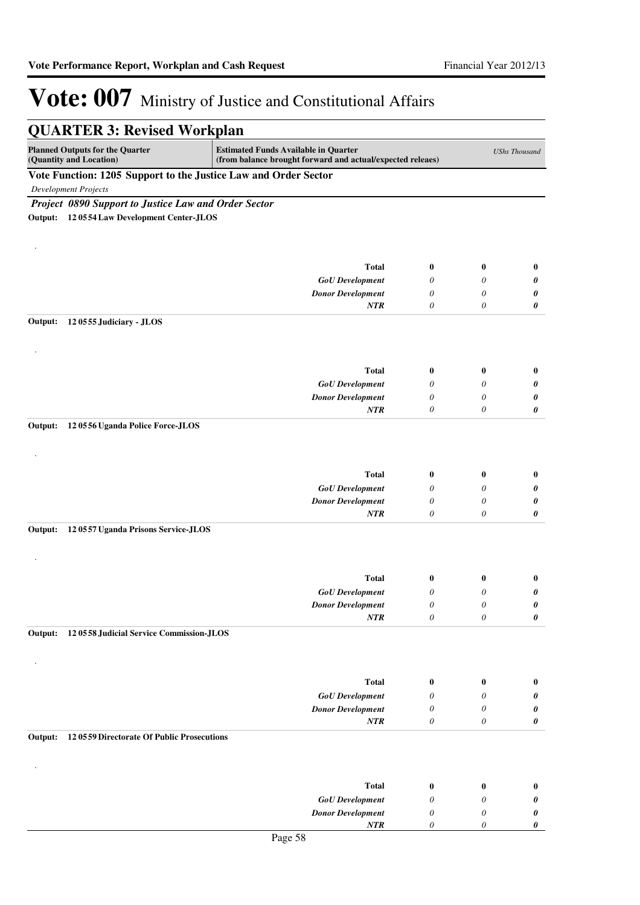|                                                                                                                                                                                | <b>QUARTER 3: Revised Workplan</b>                              |                          |                           |                       |                      |
|--------------------------------------------------------------------------------------------------------------------------------------------------------------------------------|-----------------------------------------------------------------|--------------------------|---------------------------|-----------------------|----------------------|
| <b>Planned Outputs for the Quarter</b><br><b>Estimated Funds Available in Quarter</b><br>(Quantity and Location)<br>(from balance brought forward and actual/expected releaes) |                                                                 |                          |                           |                       | <b>UShs Thousand</b> |
|                                                                                                                                                                                | Vote Function: 1205 Support to the Justice Law and Order Sector |                          |                           |                       |                      |
|                                                                                                                                                                                | <b>Development Projects</b>                                     |                          |                           |                       |                      |
|                                                                                                                                                                                | Project 0890 Support to Justice Law and Order Sector            |                          |                           |                       |                      |
|                                                                                                                                                                                | Output: 12 0554 Law Development Center-JLOS                     |                          |                           |                       |                      |
|                                                                                                                                                                                |                                                                 |                          |                           |                       |                      |
|                                                                                                                                                                                |                                                                 |                          |                           |                       |                      |
|                                                                                                                                                                                |                                                                 |                          |                           |                       |                      |
|                                                                                                                                                                                |                                                                 | <b>Total</b>             | $\bf{0}$                  | $\bf{0}$              | $\bf{0}$             |
|                                                                                                                                                                                |                                                                 | <b>GoU</b> Development   | 0                         | 0                     | 0                    |
|                                                                                                                                                                                |                                                                 | <b>Donor Development</b> | 0<br>0                    | 0<br>0                | 0                    |
|                                                                                                                                                                                |                                                                 | <b>NTR</b>               |                           |                       | 0                    |
| Output:                                                                                                                                                                        | 120555 Judiciary - JLOS                                         |                          |                           |                       |                      |
|                                                                                                                                                                                |                                                                 |                          |                           |                       |                      |
|                                                                                                                                                                                |                                                                 |                          |                           |                       |                      |
|                                                                                                                                                                                |                                                                 | <b>Total</b>             | 0                         | $\bf{0}$              | $\bf{0}$             |
|                                                                                                                                                                                |                                                                 | <b>GoU</b> Development   | 0                         | 0                     | 0                    |
|                                                                                                                                                                                |                                                                 | <b>Donor Development</b> | 0                         | 0                     | 0                    |
|                                                                                                                                                                                |                                                                 | <b>NTR</b>               | 0                         | 0                     | 0                    |
| Output:                                                                                                                                                                        |                                                                 |                          |                           |                       |                      |
|                                                                                                                                                                                | 120556 Uganda Police Force-JLOS                                 |                          |                           |                       |                      |
|                                                                                                                                                                                |                                                                 |                          |                           |                       |                      |
|                                                                                                                                                                                |                                                                 |                          |                           |                       |                      |
|                                                                                                                                                                                |                                                                 | <b>Total</b>             | 0                         | 0                     | $\bf{0}$             |
|                                                                                                                                                                                |                                                                 | <b>GoU</b> Development   | 0                         | 0                     | 0                    |
|                                                                                                                                                                                |                                                                 | <b>Donor Development</b> | 0                         | 0                     | 0                    |
|                                                                                                                                                                                |                                                                 | NTR                      | 0                         | 0                     | 0                    |
| Output:                                                                                                                                                                        | 120557 Uganda Prisons Service-JLOS                              |                          |                           |                       |                      |
|                                                                                                                                                                                |                                                                 |                          |                           |                       |                      |
|                                                                                                                                                                                |                                                                 |                          |                           |                       |                      |
|                                                                                                                                                                                |                                                                 |                          |                           |                       |                      |
|                                                                                                                                                                                |                                                                 | <b>Total</b>             | $\bf{0}$                  | $\bf{0}$              | $\bf{0}$             |
|                                                                                                                                                                                |                                                                 | <b>GoU</b> Development   | 0                         | 0                     | 0                    |
|                                                                                                                                                                                |                                                                 | <b>Donor Development</b> | $\boldsymbol{\mathit{0}}$ | $\boldsymbol{\theta}$ | 0                    |
|                                                                                                                                                                                |                                                                 | NTR                      | $\theta$                  | $\theta$              | 0                    |
| Output:                                                                                                                                                                        | 12 0558 Judicial Service Commission-JLOS                        |                          |                           |                       |                      |
|                                                                                                                                                                                |                                                                 |                          |                           |                       |                      |
|                                                                                                                                                                                |                                                                 |                          |                           |                       |                      |
|                                                                                                                                                                                |                                                                 |                          |                           |                       |                      |
|                                                                                                                                                                                |                                                                 | <b>Total</b>             | 0                         | $\bf{0}$              | $\bf{0}$             |
|                                                                                                                                                                                |                                                                 | <b>GoU</b> Development   | 0                         | 0                     | 0                    |
|                                                                                                                                                                                |                                                                 | <b>Donor Development</b> | 0                         | 0                     | 0                    |
|                                                                                                                                                                                |                                                                 | $\it NTR$                | $\boldsymbol{\theta}$     | 0                     | $\pmb{\theta}$       |
| Output:                                                                                                                                                                        | 12 0559 Directorate Of Public Prosecutions                      |                          |                           |                       |                      |
|                                                                                                                                                                                |                                                                 |                          |                           |                       |                      |
|                                                                                                                                                                                |                                                                 |                          |                           |                       |                      |
|                                                                                                                                                                                |                                                                 | <b>Total</b>             | 0                         | 0                     | $\bf{0}$             |
|                                                                                                                                                                                |                                                                 | <b>GoU</b> Development   | 0                         | 0                     | 0                    |
|                                                                                                                                                                                |                                                                 | <b>Donor Development</b> | 0                         | 0                     | $\pmb{\theta}$       |
|                                                                                                                                                                                |                                                                 | NTR                      | 0                         | 0                     | 0                    |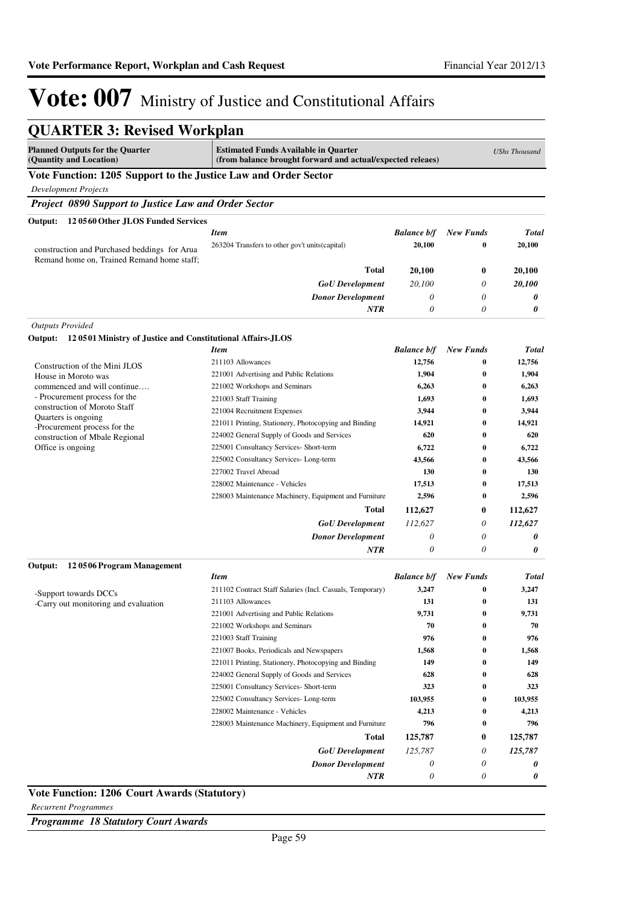| <b>QUARTER 3: Revised Workplan</b>                                                         |                                                                                                           |                    |                      |                      |
|--------------------------------------------------------------------------------------------|-----------------------------------------------------------------------------------------------------------|--------------------|----------------------|----------------------|
| <b>Planned Outputs for the Quarter</b><br>(Quantity and Location)                          | <b>Estimated Funds Available in Quarter</b><br>(from balance brought forward and actual/expected releaes) |                    |                      | <b>UShs Thousand</b> |
| Vote Function: 1205 Support to the Justice Law and Order Sector                            |                                                                                                           |                    |                      |                      |
| <b>Development Projects</b>                                                                |                                                                                                           |                    |                      |                      |
| Project 0890 Support to Justice Law and Order Sector                                       |                                                                                                           |                    |                      |                      |
| 12 0560 Other JLOS Funded Services<br>Output:                                              |                                                                                                           |                    |                      |                      |
|                                                                                            | <b>Item</b>                                                                                               | <b>Balance b/f</b> | <b>New Funds</b>     | <b>Total</b>         |
| construction and Purchased beddings for Arua<br>Remand home on, Trained Remand home staff; | 263204 Transfers to other gov't units (capital)                                                           | 20,100             | 0<br>0               |                      |
|                                                                                            | Total                                                                                                     | 20,100             |                      | 20,100               |
|                                                                                            | <b>GoU</b> Development                                                                                    | 20,100             | 0                    | 20,100               |
|                                                                                            | <b>Donor Development</b>                                                                                  | 0                  | 0                    | 0                    |
|                                                                                            | NTR                                                                                                       | 0                  | 0                    | 0                    |
| <b>Outputs Provided</b>                                                                    |                                                                                                           |                    |                      |                      |
| Output: 12 0501 Ministry of Justice and Constitutional Affairs-JLOS                        |                                                                                                           |                    |                      |                      |
|                                                                                            | <b>Item</b>                                                                                               | <b>Balance b/f</b> | <b>New Funds</b>     | <b>Total</b>         |
| Construction of the Mini JLOS                                                              | 211103 Allowances                                                                                         | 12,756             | $\bf{0}$             | 12,756               |
| House in Moroto was                                                                        | 221001 Advertising and Public Relations                                                                   | 1,904              | $\bf{0}$             | 1,904                |
| commenced and will continue<br>- Procurement process for the                               | 221002 Workshops and Seminars                                                                             | 6,263              | $\mathbf{0}$         | 6,263                |
| construction of Moroto Staff                                                               | 221003 Staff Training<br>221004 Recruitment Expenses                                                      | 1,693              | $\bf{0}$<br>$\bf{0}$ | 1,693<br>3,944       |
| Quarters is ongoing                                                                        | 221011 Printing, Stationery, Photocopying and Binding                                                     | 3,944<br>14,921    | $\bf{0}$             | 14,921               |
| -Procurement process for the                                                               | 224002 General Supply of Goods and Services                                                               | 620                | $\bf{0}$             | 620                  |
| construction of Mbale Regional<br>Office is ongoing                                        | 225001 Consultancy Services- Short-term                                                                   | 6,722              | $\bf{0}$             | 6,722                |
|                                                                                            | 225002 Consultancy Services-Long-term                                                                     | 43,566             | $\bf{0}$             | 43,566               |
|                                                                                            | 227002 Travel Abroad                                                                                      | 130                | $\bf{0}$             | 130                  |
|                                                                                            | 228002 Maintenance - Vehicles                                                                             | 17,513             | $\bf{0}$             | 17,513               |
|                                                                                            | 228003 Maintenance Machinery, Equipment and Furniture                                                     | 2,596              | $\bf{0}$             | 2,596                |
|                                                                                            | <b>Total</b>                                                                                              | 112,627            | 0                    | 112,627              |
|                                                                                            | <b>GoU</b> Development                                                                                    | 112,627            | 0                    | 112,627              |
|                                                                                            | <b>Donor Development</b>                                                                                  | 0                  | 0                    | 0                    |
|                                                                                            | NTR                                                                                                       | 0                  | 0                    | 0                    |
| 120506 Program Management<br>Output:                                                       |                                                                                                           |                    |                      |                      |
|                                                                                            | <b>Item</b>                                                                                               | <b>Balance b/f</b> | New Funds            | <b>Total</b>         |
| -Support towards DCCs                                                                      | 211102 Contract Staff Salaries (Incl. Casuals, Temporary)                                                 | 3,247              | $\bf{0}$             | 3,247                |
| -Carry out monitoring and evaluation                                                       | 211103 Allowances                                                                                         | 131                | $\bf{0}$             | 131                  |
|                                                                                            | 221001 Advertising and Public Relations                                                                   | 9,731              | $\boldsymbol{0}$     | 9,731                |
|                                                                                            | 221002 Workshops and Seminars                                                                             | 70                 | $\bf{0}$             | 70                   |
|                                                                                            | 221003 Staff Training                                                                                     | 976                | $\bf{0}$             | 976                  |
|                                                                                            | 221007 Books, Periodicals and Newspapers                                                                  | 1,568              | 0                    | 1,568                |
|                                                                                            | 221011 Printing, Stationery, Photocopying and Binding<br>224002 General Supply of Goods and Services      | 149<br>628         | 0<br>0               | 149<br>628           |
|                                                                                            | 225001 Consultancy Services- Short-term                                                                   | 323                | 0                    | 323                  |
|                                                                                            | 225002 Consultancy Services-Long-term                                                                     | 103,955            | 0                    | 103,955              |
|                                                                                            | 228002 Maintenance - Vehicles                                                                             | 4,213              | 0                    | 4,213                |
|                                                                                            | 228003 Maintenance Machinery, Equipment and Furniture                                                     | 796                | $\bf{0}$             | 796                  |
|                                                                                            | Total                                                                                                     | 125,787            | 0                    | 125,787              |
|                                                                                            | <b>GoU</b> Development                                                                                    | 125,787            | 0                    | 125,787              |
|                                                                                            | <b>Donor Development</b>                                                                                  | 0                  | 0                    | 0                    |
|                                                                                            | NTR                                                                                                       | $\theta$           | 0                    | 0                    |
| Vote Function: 1206 Court Awards (Statutory)                                               |                                                                                                           |                    |                      |                      |

*Recurrent Programmes*

*Programme 18 Statutory Court Awards*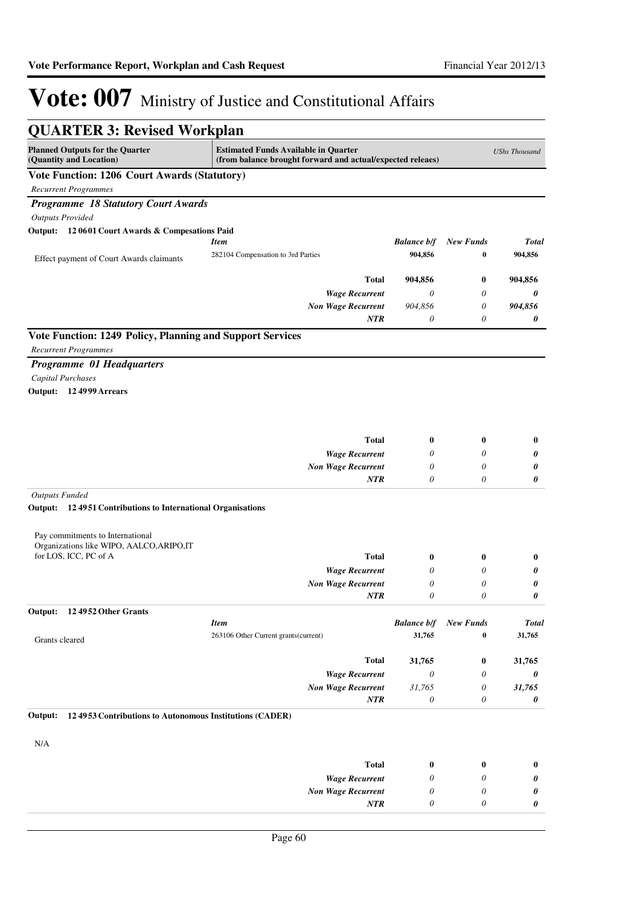| <b>QUARTER 3: Revised Workplan</b>                                   |                                                                                                           |                              |                              |                        |
|----------------------------------------------------------------------|-----------------------------------------------------------------------------------------------------------|------------------------------|------------------------------|------------------------|
| <b>Planned Outputs for the Quarter</b><br>(Quantity and Location)    | <b>Estimated Funds Available in Quarter</b><br>(from balance brought forward and actual/expected releaes) |                              |                              | <b>UShs Thousand</b>   |
| <b>Vote Function: 1206 Court Awards (Statutory)</b>                  |                                                                                                           |                              |                              |                        |
| <b>Recurrent Programmes</b>                                          |                                                                                                           |                              |                              |                        |
| <b>Programme 18 Statutory Court Awards</b>                           |                                                                                                           |                              |                              |                        |
| <b>Outputs Provided</b>                                              |                                                                                                           |                              |                              |                        |
| Output: 12 0601 Court Awards & Compesations Paid                     |                                                                                                           |                              |                              |                        |
|                                                                      | <b>Item</b>                                                                                               | <b>Balance b/f</b>           | <b>New Funds</b>             | <b>Total</b>           |
| Effect payment of Court Awards claimants                             | 282104 Compensation to 3rd Parties                                                                        | 904,856                      | 0                            | 904,856                |
|                                                                      | <b>Total</b>                                                                                              | 904,856                      | 0                            | 904,856                |
|                                                                      | <b>Wage Recurrent</b>                                                                                     | 0                            | 0                            | 0                      |
|                                                                      | <b>Non Wage Recurrent</b>                                                                                 | 904,856                      | 0                            | 904,856                |
|                                                                      | <b>NTR</b>                                                                                                | 0                            | 0                            | 0                      |
| Vote Function: 1249 Policy, Planning and Support Services            |                                                                                                           |                              |                              |                        |
| <b>Recurrent Programmes</b>                                          |                                                                                                           |                              |                              |                        |
| Programme 01 Headquarters                                            |                                                                                                           |                              |                              |                        |
| Capital Purchases                                                    |                                                                                                           |                              |                              |                        |
| Output: 12 4999 Arrears                                              |                                                                                                           |                              |                              |                        |
|                                                                      |                                                                                                           |                              |                              |                        |
|                                                                      |                                                                                                           |                              |                              |                        |
|                                                                      |                                                                                                           |                              |                              |                        |
|                                                                      | <b>Total</b>                                                                                              | 0<br>0                       | 0<br>0                       | $\bf{0}$               |
|                                                                      | <b>Wage Recurrent</b><br><b>Non Wage Recurrent</b>                                                        | 0                            | 0                            | 0<br>0                 |
|                                                                      | <b>NTR</b>                                                                                                | 0                            | 0                            | 0                      |
| <b>Outputs Funded</b>                                                |                                                                                                           |                              |                              |                        |
| Output:<br>124951 Contributions to International Organisations       |                                                                                                           |                              |                              |                        |
|                                                                      |                                                                                                           |                              |                              |                        |
| Pay commitments to International                                     |                                                                                                           |                              |                              |                        |
| Organizations like WIPO, AALCO, ARIPO, IT                            |                                                                                                           |                              |                              |                        |
| for LOS, ICC, PC of A                                                | <b>Total</b>                                                                                              | 0                            | 0                            | $\bf{0}$               |
|                                                                      | <b>Wage Recurrent</b>                                                                                     | 0                            | 0                            | 0                      |
|                                                                      | <b>Non Wage Recurrent</b>                                                                                 | 0                            | 0                            | 0                      |
|                                                                      | <b>NTR</b>                                                                                                | $\theta$                     | 0                            | 0                      |
| Output:<br>124952 Other Grants                                       |                                                                                                           |                              |                              |                        |
|                                                                      | <b>Item</b><br>263106 Other Current grants (current)                                                      | <b>Balance b/f</b><br>31,765 | <b>New Funds</b><br>$\bf{0}$ | <b>Total</b><br>31,765 |
| Grants cleared                                                       |                                                                                                           |                              |                              |                        |
|                                                                      | <b>Total</b>                                                                                              | 31,765                       | 0                            | 31,765                 |
|                                                                      | <b>Wage Recurrent</b>                                                                                     | 0                            | 0                            | 0                      |
|                                                                      | <b>Non Wage Recurrent</b>                                                                                 | 31,765                       | 0                            | 31,765                 |
|                                                                      | <b>NTR</b>                                                                                                | 0                            | 0                            | 0                      |
| 12 49 53 Contributions to Autonomous Institutions (CADER)<br>Output: |                                                                                                           |                              |                              |                        |
|                                                                      |                                                                                                           |                              |                              |                        |
| N/A                                                                  |                                                                                                           |                              |                              |                        |
|                                                                      | <b>Total</b>                                                                                              | 0                            | 0                            | 0                      |
|                                                                      | <b>Wage Recurrent</b>                                                                                     | 0                            | 0                            | 0                      |
|                                                                      | <b>Non Wage Recurrent</b>                                                                                 | 0                            | 0                            | 0                      |
|                                                                      | NTR                                                                                                       | 0                            | 0                            | 0                      |
|                                                                      |                                                                                                           |                              |                              |                        |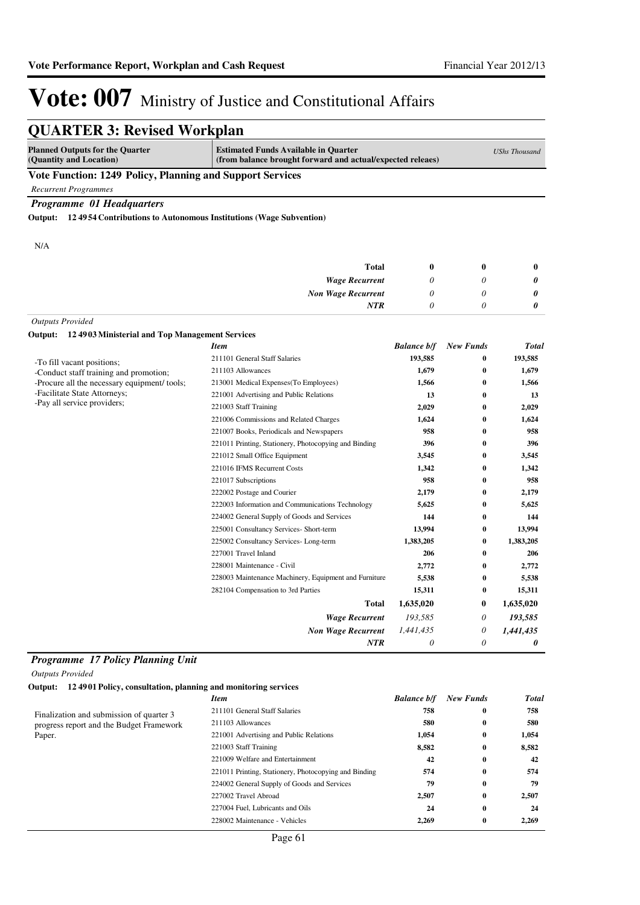### **QUARTER 3: Revised Workplan**

| <b>Planned Outputs for the Quarter</b><br>(Quantity and Location) | <b>Estimated Funds Available in Quarter</b><br>(from balance brought forward and actual/expected releaes) | <b>UShs Thousand</b> |  |  |  |
|-------------------------------------------------------------------|-----------------------------------------------------------------------------------------------------------|----------------------|--|--|--|
| Vote Function: 1249 Policy, Planning and Support Services         |                                                                                                           |                      |  |  |  |

*Recurrent Programmes*

*Programme 01 Headquarters*

**Output: 12 4954 Contributions to Autonomous Institutions (Wage Subvention)**

N/A

|                                                        | <b>Total</b>              |                                            | 0        | $\bf{0}$ |
|--------------------------------------------------------|---------------------------|--------------------------------------------|----------|----------|
|                                                        |                           |                                            |          |          |
|                                                        | <b>Wage Recurrent</b>     |                                            | U        | 0        |
|                                                        | <b>Non Wage Recurrent</b> |                                            | U        | 0        |
|                                                        | <b>NTR</b>                |                                            | 0        | 0        |
| <b>Outputs Provided</b>                                |                           |                                            |          |          |
| Output: 124903 Ministerial and Top Management Services |                           |                                            |          |          |
| $\sim$                                                 |                           | $\mathbf{r}$ $\mathbf{r}$<br>$\sim$ $\sim$ | $\cdots$ | $-$      |

|                                              | <b>Item</b>                                           | <b>Balance b/f</b> | <b>New Funds</b> | <b>Total</b> |
|----------------------------------------------|-------------------------------------------------------|--------------------|------------------|--------------|
| -To fill vacant positions;                   | 211101 General Staff Salaries                         | 193,585            | 0                | 193,585      |
| -Conduct staff training and promotion;       | 211103 Allowances                                     | 1,679              | 0                | 1,679        |
| -Procure all the necessary equipment/ tools; | 213001 Medical Expenses(To Employees)                 | 1,566              | $\bf{0}$         | 1,566        |
| -Facilitate State Attorneys;                 | 221001 Advertising and Public Relations               | 13                 | $\bf{0}$         | 13           |
| -Pay all service providers;                  | 221003 Staff Training                                 | 2,029              | $\bf{0}$         | 2,029        |
|                                              | 221006 Commissions and Related Charges                | 1,624              | 0                | 1,624        |
|                                              | 221007 Books, Periodicals and Newspapers              | 958                | $\bf{0}$         | 958          |
|                                              | 221011 Printing, Stationery, Photocopying and Binding | 396                | $\bf{0}$         | 396          |
|                                              | 221012 Small Office Equipment                         | 3,545              | $\bf{0}$         | 3,545        |
|                                              | 221016 IFMS Recurrent Costs                           | 1,342              | 0                | 1,342        |
|                                              | 221017 Subscriptions                                  | 958                | 0                | 958          |
|                                              | 222002 Postage and Courier                            | 2,179              | 0                | 2,179        |
|                                              | 222003 Information and Communications Technology      | 5,625              | 0                | 5,625        |
|                                              | 224002 General Supply of Goods and Services           | 144                | $\bf{0}$         | 144          |
|                                              | 225001 Consultancy Services- Short-term               | 13,994             | $\bf{0}$         | 13,994       |
|                                              | 225002 Consultancy Services-Long-term                 | 1,383,205          | $\bf{0}$         | 1,383,205    |
|                                              | 227001 Travel Inland                                  | 206                | $\bf{0}$         | 206          |
|                                              | 228001 Maintenance - Civil                            | 2,772              | 0                | 2,772        |
|                                              | 228003 Maintenance Machinery, Equipment and Furniture | 5,538              | $\bf{0}$         | 5,538        |
|                                              | 282104 Compensation to 3rd Parties                    | 15,311             | $\bf{0}$         | 15,311       |
|                                              | Total                                                 | 1,635,020          | 0                | 1,635,020    |
|                                              | <b>Wage Recurrent</b>                                 | 193,585            | 0                | 193,585      |
|                                              | <b>Non Wage Recurrent</b>                             | 1,441,435          | 0                | 1,441,435    |
|                                              | <b>NTR</b>                                            | 0                  | 0                | 0            |

#### *Programme 17 Policy Planning Unit*

*Outputs Provided*

**Output: 12 4901 Policy, consultation, planning and monitoring services**

|                                                                                                | <b>Item</b>                                           | <b>Balance b/f</b> | <b>New Funds</b> | Total |
|------------------------------------------------------------------------------------------------|-------------------------------------------------------|--------------------|------------------|-------|
| Finalization and submission of quarter 3<br>progress report and the Budget Framework<br>Paper. | 211101 General Staff Salaries                         | 758                | $\bf{0}$         | 758   |
|                                                                                                | 211103 Allowances                                     | 580                | $\bf{0}$         | 580   |
|                                                                                                | 221001 Advertising and Public Relations               | 1,054              | $\bf{0}$         | 1,054 |
|                                                                                                | 221003 Staff Training                                 | 8,582              | $\bf{0}$         | 8,582 |
|                                                                                                | 221009 Welfare and Entertainment                      | 42                 | $\bf{0}$         | 42    |
|                                                                                                | 221011 Printing, Stationery, Photocopying and Binding | 574                | $\bf{0}$         | 574   |
|                                                                                                | 224002 General Supply of Goods and Services           | 79                 | $\bf{0}$         | 79    |
|                                                                                                | 227002 Travel Abroad                                  | 2,507              | $\bf{0}$         | 2,507 |
|                                                                                                | 227004 Fuel. Lubricants and Oils                      | 24                 | $\bf{0}$         | 24    |
|                                                                                                | 228002 Maintenance - Vehicles                         | 2.269              | $\bf{0}$         | 2,269 |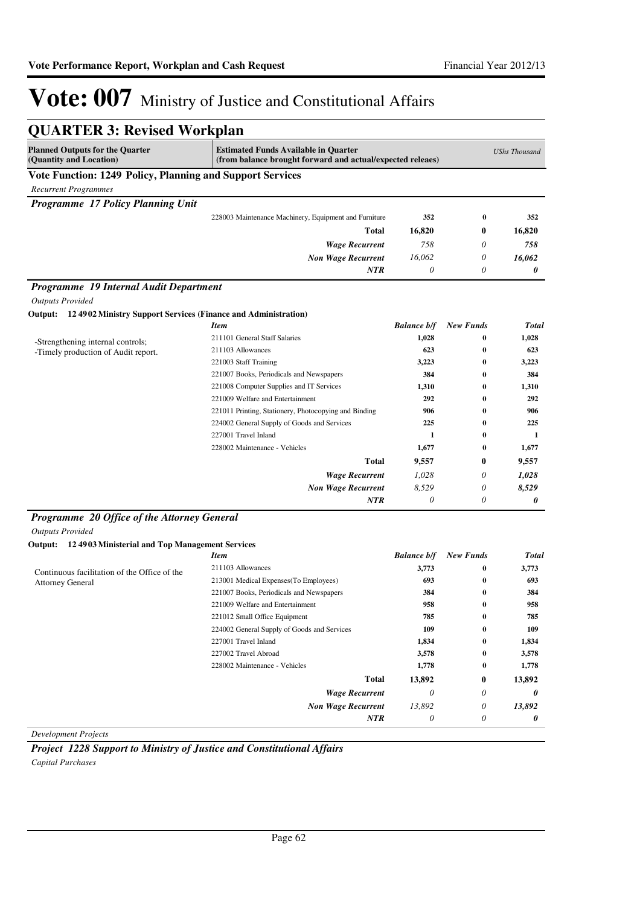| <b>QUARTER 3: Revised Workplan</b>                                        |                                                                                                           |                    |                  |                      |
|---------------------------------------------------------------------------|-----------------------------------------------------------------------------------------------------------|--------------------|------------------|----------------------|
| <b>Planned Outputs for the Quarter</b><br>(Quantity and Location)         | <b>Estimated Funds Available in Quarter</b><br>(from balance brought forward and actual/expected releaes) |                    |                  | <b>UShs Thousand</b> |
| Vote Function: 1249 Policy, Planning and Support Services                 |                                                                                                           |                    |                  |                      |
| <b>Recurrent Programmes</b>                                               |                                                                                                           |                    |                  |                      |
| Programme 17 Policy Planning Unit                                         |                                                                                                           |                    |                  |                      |
|                                                                           | 228003 Maintenance Machinery, Equipment and Furniture                                                     | 352                | $\bf{0}$         | 352                  |
|                                                                           | Total                                                                                                     | 16,820             | 0                | 16,820               |
|                                                                           | <b>Wage Recurrent</b>                                                                                     | 758                | 0                | 758                  |
|                                                                           | <b>Non Wage Recurrent</b>                                                                                 | 16,062             | 0                | 16,062               |
|                                                                           | NTR                                                                                                       | 0                  | 0                | 0                    |
| Programme 19 Internal Audit Department                                    |                                                                                                           |                    |                  |                      |
| <b>Outputs Provided</b>                                                   |                                                                                                           |                    |                  |                      |
| 12 4902 Ministry Support Services (Finance and Administration)<br>Output: | <b>Item</b>                                                                                               | <b>Balance b/f</b> | <b>New Funds</b> | <b>Total</b>         |
|                                                                           | 211101 General Staff Salaries                                                                             | 1,028              | 0                | 1,028                |
| -Strengthening internal controls;                                         | 211103 Allowances                                                                                         | 623                | $\bf{0}$         | 623                  |
| -Timely production of Audit report.                                       | 221003 Staff Training                                                                                     | 3,223              | $\bf{0}$         | 3,223                |
|                                                                           | 221007 Books, Periodicals and Newspapers                                                                  | 384                | $\bf{0}$         | 384                  |
|                                                                           | 221008 Computer Supplies and IT Services                                                                  | 1,310              | $\bf{0}$         | 1,310                |
|                                                                           | 221009 Welfare and Entertainment                                                                          | 292                | 0                | 292                  |
|                                                                           | 221011 Printing, Stationery, Photocopying and Binding                                                     | 906                | 0                | 906                  |
|                                                                           | 224002 General Supply of Goods and Services                                                               | 225                | $\bf{0}$         | 225                  |
|                                                                           | 227001 Travel Inland                                                                                      | 1                  | 0                | 1                    |
|                                                                           | 228002 Maintenance - Vehicles                                                                             | 1,677              | $\bf{0}$         | 1,677                |
|                                                                           | <b>Total</b>                                                                                              | 9,557              | 0                | 9,557                |
|                                                                           | <b>Wage Recurrent</b>                                                                                     | 1,028              | 0                | 1,028                |
|                                                                           | <b>Non Wage Recurrent</b>                                                                                 | 8,529              | 0                | 8,529                |
|                                                                           | NTR                                                                                                       | 0                  | 0                | 0                    |
| Programme 20 Office of the Attorney General<br><b>Outputs Provided</b>    |                                                                                                           |                    |                  |                      |
| 12 4903 Ministerial and Top Management Services<br>Output:                |                                                                                                           |                    |                  |                      |
|                                                                           | <b>Item</b>                                                                                               | <b>Balance b/f</b> | <b>New Funds</b> | <b>Total</b>         |
| Continuous facilitation of the Office of the                              | 211103 Allowances                                                                                         | 3,773              | 0                | 3,773                |
| <b>Attorney General</b>                                                   | 213001 Medical Expenses (To Employees)                                                                    | 693                | $\bf{0}$         | 693                  |
|                                                                           | 221007 Books, Periodicals and Newspapers                                                                  | 384                | $\bf{0}$         | 384                  |
|                                                                           | 221009 Welfare and Entertainment                                                                          | 958                | $\bf{0}$         | 958                  |
|                                                                           | 221012 Small Office Equipment                                                                             | 785                | 0                | 785                  |
|                                                                           | 224002 General Supply of Goods and Services                                                               | 109                | 0                | 109                  |
|                                                                           | 227001 Travel Inland                                                                                      | 1,834              | 0                | 1,834                |
|                                                                           | 227002 Travel Abroad                                                                                      | 3,578              | 0                | 3,578                |
|                                                                           | 228002 Maintenance - Vehicles                                                                             | 1,778              | 0                | 1,778                |
|                                                                           | <b>Total</b>                                                                                              | 13,892             | 0                | 13,892               |
|                                                                           | <b>Wage Recurrent</b>                                                                                     | 0                  | 0                | 0                    |
|                                                                           | <b>Non Wage Recurrent</b>                                                                                 | 13,892             | 0                | 13,892               |
|                                                                           |                                                                                                           |                    |                  |                      |

*Development Projects*

*Project 1228 Support to Ministry of Justice and Constitutional Affairs Capital Purchases*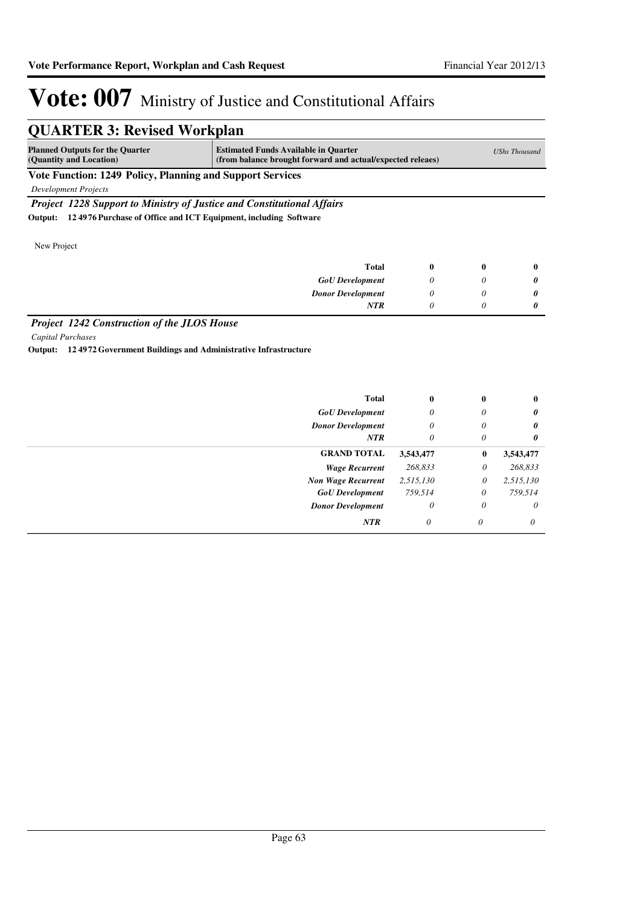| <b>Planned Outputs for the Quarter</b><br>(Quantity and Location) | <b>Estimated Funds Available in Quarter</b>                                   | (from balance brought forward and actual/expected releaes) |             |              |  |  |
|-------------------------------------------------------------------|-------------------------------------------------------------------------------|------------------------------------------------------------|-------------|--------------|--|--|
| <b>Vote Function: 1249 Policy, Planning and Support Services</b>  |                                                                               |                                                            |             |              |  |  |
| Development Projects                                              |                                                                               |                                                            |             |              |  |  |
|                                                                   | <b>Project 1228 Support to Ministry of Justice and Constitutional Affairs</b> |                                                            |             |              |  |  |
| Output:                                                           | 124976 Purchase of Office and ICT Equipment, including Software               |                                                            |             |              |  |  |
|                                                                   |                                                                               |                                                            |             |              |  |  |
| New Project                                                       |                                                                               |                                                            |             |              |  |  |
|                                                                   | <b>Total</b>                                                                  | $\mathbf{0}$                                               | $\mathbf 0$ | $\mathbf{0}$ |  |  |
|                                                                   | <b>GoU</b> Development                                                        | 0                                                          | $\theta$    | 0            |  |  |
|                                                                   | <b>Donor Development</b>                                                      | 0                                                          | 0           | 0            |  |  |
|                                                                   |                                                                               |                                                            | 0           | 0            |  |  |

*Capital Purchases*

**Output: 12 4972 Government Buildings and Administrative Infrastructure**

| <b>Total</b>              | $\bf{0}$  | $\bf{0}$ | $\bf{0}$              |
|---------------------------|-----------|----------|-----------------------|
| <b>GoU</b> Development    | 0         | 0        | 0                     |
| <b>Donor Development</b>  | $\theta$  | 0        | $\boldsymbol{\theta}$ |
| <b>NTR</b>                | $\theta$  | 0        | $\boldsymbol{\theta}$ |
| <b>GRAND TOTAL</b>        | 3,543,477 | $\bf{0}$ | 3,543,477             |
| <b>Wage Recurrent</b>     | 268,833   | $\theta$ | 268,833               |
| <b>Non Wage Recurrent</b> | 2,515,130 | 0        | 2,515,130             |
| <b>GoU</b> Development    | 759,514   | $\theta$ | 759,514               |
| <b>Donor Development</b>  | 0         | 0        | $\theta$              |
| <b>NTR</b>                | 0         | $\theta$ | $\theta$              |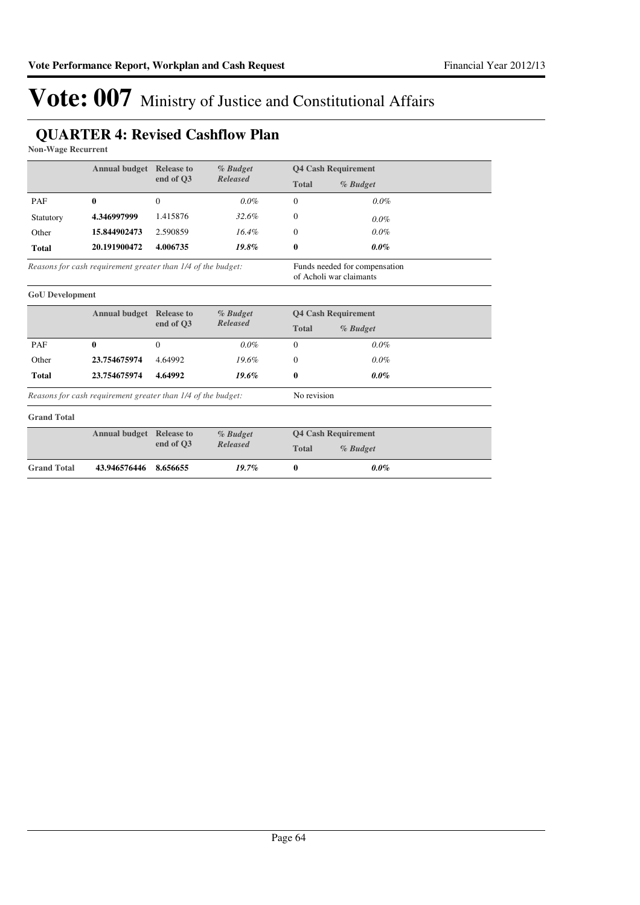### **QUARTER 4: Revised Cashflow Plan**

**Non-Wage Recurrent**

|                        | <b>Annual budget</b>                                         | <b>Release to</b> | % Budget        |                                                          | <b>Q4 Cash Requirement</b>                               |  |
|------------------------|--------------------------------------------------------------|-------------------|-----------------|----------------------------------------------------------|----------------------------------------------------------|--|
|                        |                                                              | end of O3         | <b>Released</b> | <b>Total</b>                                             | % Budget                                                 |  |
| PAF                    | 0                                                            | $\Omega$          | $0.0\%$         | $\Omega$                                                 | $0.0\%$                                                  |  |
| Statutory              | 4.346997999                                                  | 1.415876          | 32.6%           | $\Omega$                                                 | $0.0\%$                                                  |  |
| Other                  | 15.844902473                                                 | 2.590859          | 16.4%           | $\Omega$                                                 | $0.0\%$                                                  |  |
| <b>Total</b>           | 20.191900472                                                 | 4.006735          | 19.8%           | $\bf{0}$                                                 | $0.0\%$                                                  |  |
|                        | Reasons for cash requirement greater than 1/4 of the budget: |                   |                 |                                                          | Funds needed for compensation<br>of Acholi war claimants |  |
| <b>GoU</b> Development |                                                              |                   |                 |                                                          |                                                          |  |
|                        | <b>Annual budget</b>                                         | <b>Release to</b> | % Budget        | <b>Q4 Cash Requirement</b><br><b>Total</b><br>$%$ Budget |                                                          |  |
|                        |                                                              | end of O3         | <b>Released</b> |                                                          |                                                          |  |
| PAF                    | $\bf{0}$                                                     | $\Omega$          | $0.0\%$         | $\theta$                                                 | 0.0%                                                     |  |
| Other                  | 23.754675974                                                 | 4.64992           | 19.6%           | $\Omega$                                                 | 0.0%                                                     |  |
| <b>Total</b>           | 23.754675974                                                 | 4.64992           | 19.6%           | 0                                                        | $0.0\%$                                                  |  |
|                        | Reasons for cash requirement greater than 1/4 of the budget: |                   |                 | No revision                                              |                                                          |  |
| <b>Grand Total</b>     |                                                              |                   |                 |                                                          |                                                          |  |
|                        | <b>Annual budget</b>                                         | <b>Release to</b> | % Budget        |                                                          | <b>Q4 Cash Requirement</b>                               |  |
|                        |                                                              | end of O3         | <b>Released</b> | <b>Total</b>                                             | % Budget                                                 |  |
| <b>Grand Total</b>     | 43.946576446                                                 | 8.656655          | 19.7%           | $\bf{0}$                                                 | $0.0\%$                                                  |  |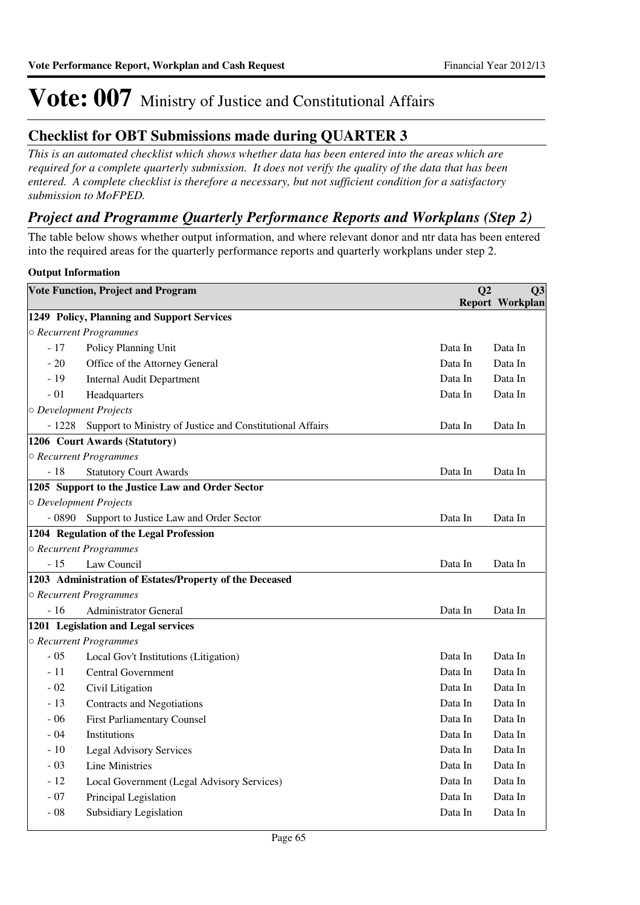### **Checklist for OBT Submissions made during QUARTER 3**

*This is an automated checklist which shows whether data has been entered into the areas which are required for a complete quarterly submission. It does not verify the quality of the data that has been entered. A complete checklist is therefore a necessary, but not sufficient condition for a satisfactory submission to MoFPED.*

### *Project and Programme Quarterly Performance Reports and Workplans (Step 2)*

The table below shows whether output information, and where relevant donor and ntr data has been entered into the required areas for the quarterly performance reports and quarterly workplans under step 2.

#### **Output Information**

|         | <b>Vote Function, Project and Program</b>                 | Q <sub>2</sub> | Q <sub>3</sub>         |
|---------|-----------------------------------------------------------|----------------|------------------------|
|         |                                                           |                | <b>Report Workplan</b> |
|         | 1249 Policy, Planning and Support Services                |                |                        |
|         | ○ Recurrent Programmes                                    |                |                        |
| $-17$   | Policy Planning Unit                                      | Data In        | Data In                |
| $-20$   | Office of the Attorney General                            | Data In        | Data In                |
| $-19$   | <b>Internal Audit Department</b>                          | Data In        | Data In                |
| $-01$   | Headquarters                                              | Data In        | Data In                |
|         | O Development Projects                                    |                |                        |
| $-1228$ | Support to Ministry of Justice and Constitutional Affairs | Data In        | Data In                |
|         | 1206 Court Awards (Statutory)                             |                |                        |
|         | ○ Recurrent Programmes                                    |                |                        |
| $-18$   | <b>Statutory Court Awards</b>                             | Data In        | Data In                |
|         | 1205 Support to the Justice Law and Order Sector          |                |                        |
|         | O Development Projects                                    |                |                        |
| $-0890$ | Support to Justice Law and Order Sector                   | Data In        | Data In                |
|         | 1204 Regulation of the Legal Profession                   |                |                        |
|         | ○ Recurrent Programmes                                    |                |                        |
| $-15$   | Law Council                                               | Data In        | Data In                |
|         | 1203 Administration of Estates/Property of the Deceased   |                |                        |
|         | ○ Recurrent Programmes                                    |                |                        |
| $-16$   | <b>Administrator General</b>                              | Data In        | Data In                |
|         | 1201 Legislation and Legal services                       |                |                        |
|         | ○ Recurrent Programmes                                    |                |                        |
| $-05$   | Local Gov't Institutions (Litigation)                     | Data In        | Data In                |
| $-11$   | <b>Central Government</b>                                 | Data In        | Data In                |
| $-02$   | Civil Litigation                                          | Data In        | Data In                |
| $-13$   | Contracts and Negotiations                                | Data In        | Data In                |
| $-06$   | <b>First Parliamentary Counsel</b>                        | Data In        | Data In                |
| $-04$   | Institutions                                              | Data In        | Data In                |
| $-10$   | <b>Legal Advisory Services</b>                            | Data In        | Data In                |
| $-03$   | <b>Line Ministries</b>                                    | Data In        | Data In                |
| $-12$   | Local Government (Legal Advisory Services)                | Data In        | Data In                |
| $-07$   | Principal Legislation                                     | Data In        | Data In                |
| $-08$   | Subsidiary Legislation                                    | Data In        | Data In                |
|         |                                                           |                |                        |